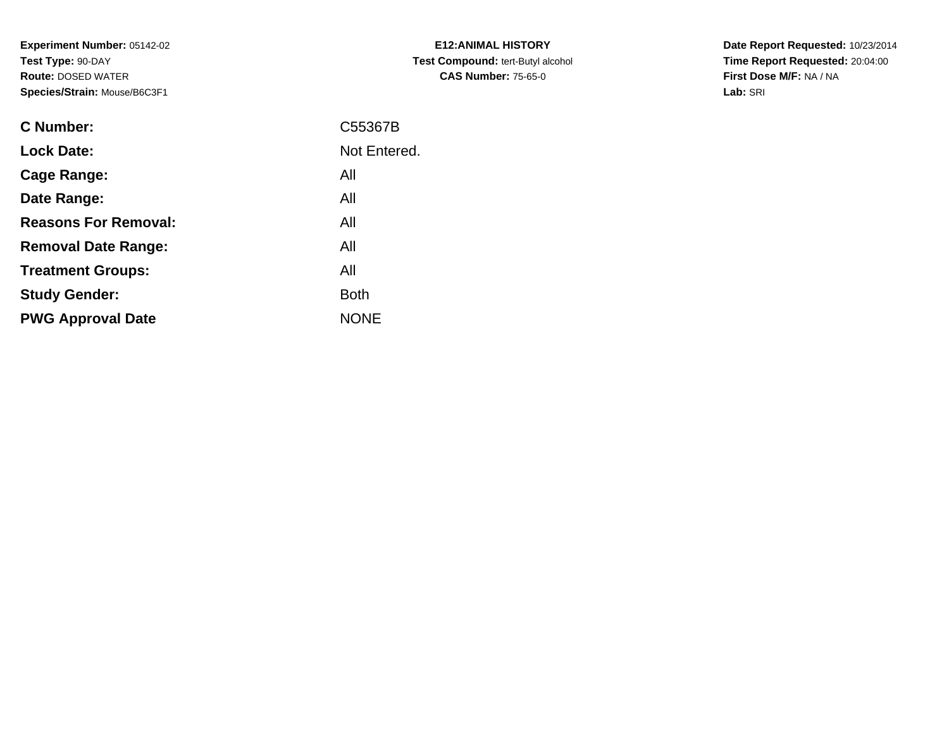**Experiment Number:** 05142-02**Test Type:** 90-DAY **Route:** DOSED WATER**Species/Strain:** Mouse/B6C3F1

| <b>C</b> Number:            | C55367B      |
|-----------------------------|--------------|
| <b>Lock Date:</b>           | Not Entered. |
| Cage Range:                 | All          |
| Date Range:                 | All          |
| <b>Reasons For Removal:</b> | All          |
| <b>Removal Date Range:</b>  | All          |
| <b>Treatment Groups:</b>    | All          |
| <b>Study Gender:</b>        | <b>Both</b>  |
| <b>PWG Approval Date</b>    | <b>NONE</b>  |
|                             |              |

**E12:ANIMAL HISTORY Test Compound:** tert-Butyl alcohol **CAS Number:** 75-65-0

**Date Report Requested:** 10/23/2014 **Time Report Requested:** 20:04:00**First Dose M/F:** NA / NA**Lab:** SRI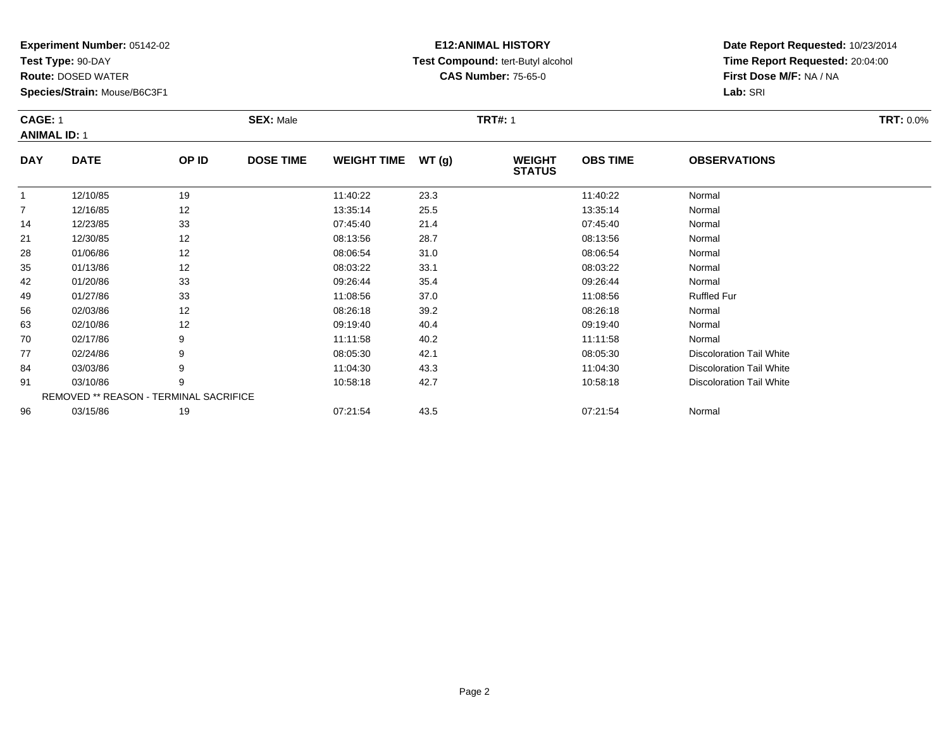**Test Type:** 90-DAY

**Route:** DOSED WATER

**Species/Strain:** Mouse/B6C3F1

# **E12:ANIMAL HISTORY Test Compound:** tert-Butyl alcohol **CAS Number:** 75-65-0

**Date Report Requested:** 10/23/2014**Time Report Requested:** 20:04:00**First Dose M/F:** NA / NA**Lab:** SRI

#### **CAGE:** 1 **SEX:** Male **TRT#:** <sup>1</sup> **TRT:** 0.0%**ANIMAL ID:** 1**DAY DATE OP IDDOSE TIME WEIGHT TIME WT** (g) **STATUSOBS TIME OBSERVATIONS** 112/10/85 <sup>19</sup> 11:40:22 23.3 11:40:22 Normal

|                | 12/10/85 | 19                                            | 11:40:22 | 23.3 | 11:40:22 | Normal                          |  |
|----------------|----------|-----------------------------------------------|----------|------|----------|---------------------------------|--|
| $\overline{7}$ | 12/16/85 | 12                                            | 13:35:14 | 25.5 | 13:35:14 | Normal                          |  |
| 14             | 12/23/85 | 33                                            | 07:45:40 | 21.4 | 07:45:40 | Normal                          |  |
| 21             | 12/30/85 | 12                                            | 08:13:56 | 28.7 | 08:13:56 | Normal                          |  |
| 28             | 01/06/86 | 12                                            | 08:06:54 | 31.0 | 08:06:54 | Normal                          |  |
| 35             | 01/13/86 | 12                                            | 08:03:22 | 33.1 | 08:03:22 | Normal                          |  |
| 42             | 01/20/86 | 33                                            | 09:26:44 | 35.4 | 09:26:44 | Normal                          |  |
| 49             | 01/27/86 | 33                                            | 11:08:56 | 37.0 | 11:08:56 | <b>Ruffled Fur</b>              |  |
| 56             | 02/03/86 | 12                                            | 08:26:18 | 39.2 | 08:26:18 | Normal                          |  |
| 63             | 02/10/86 | 12                                            | 09:19:40 | 40.4 | 09:19:40 | Normal                          |  |
| 70             | 02/17/86 | 9                                             | 11:11:58 | 40.2 | 11:11:58 | Normal                          |  |
| 77             | 02/24/86 | 9                                             | 08:05:30 | 42.1 | 08:05:30 | <b>Discoloration Tail White</b> |  |
| 84             | 03/03/86 | 9                                             | 11:04:30 | 43.3 | 11:04:30 | <b>Discoloration Tail White</b> |  |
| 91             | 03/10/86 | 9                                             | 10:58:18 | 42.7 | 10:58:18 | <b>Discoloration Tail White</b> |  |
|                |          | <b>REMOVED ** REASON - TERMINAL SACRIFICE</b> |          |      |          |                                 |  |
| 96             | 03/15/86 | 19                                            | 07:21:54 | 43.5 | 07:21:54 | Normal                          |  |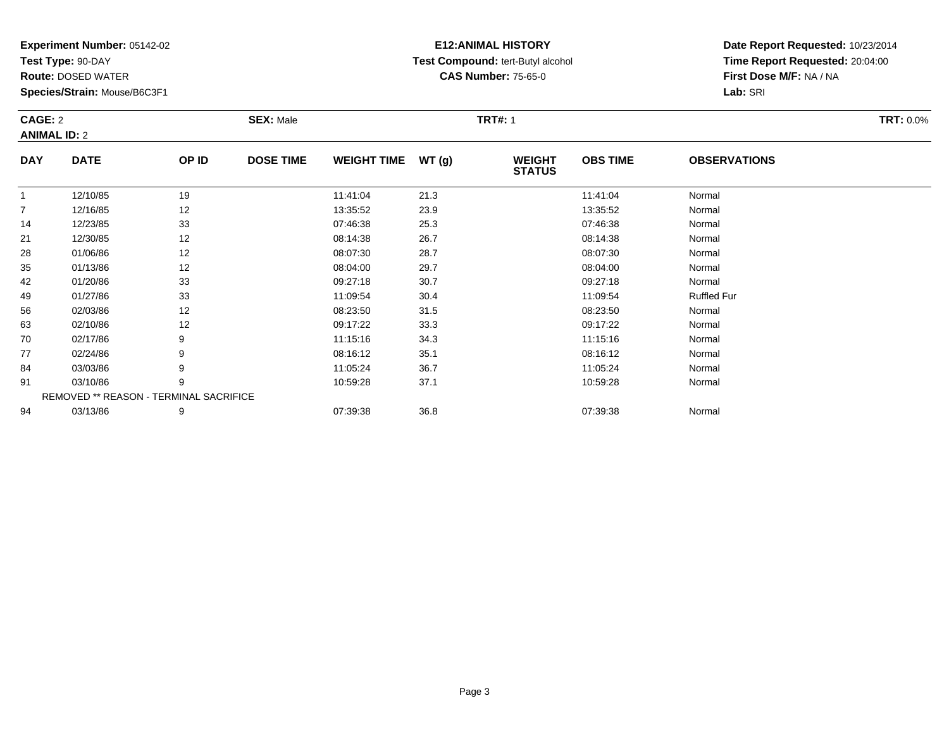**Test Type:** 90-DAY

63

70

77

84

91

94

**Route:** DOSED WATER

**Species/Strain:** Mouse/B6C3F1

REMOVED \*\* REASON - TERMINAL SACRIFICE

## **E12:ANIMAL HISTORY Test Compound:** tert-Butyl alcohol **CAS Number:** 75-65-0

**Date Report Requested:** 10/23/2014**Time Report Requested:** 20:04:00**First Dose M/F:** NA / NA**Lab:** SRI

| CAGE: 2<br><b>ANIMAL ID: 2</b> |             |       | <b>SEX: Male</b> |                    |       | <b>TRT#: 1</b>                 |                 |                     | <b>TRT: 0.0%</b> |
|--------------------------------|-------------|-------|------------------|--------------------|-------|--------------------------------|-----------------|---------------------|------------------|
| <b>DAY</b>                     | <b>DATE</b> | OP ID | <b>DOSE TIME</b> | <b>WEIGHT TIME</b> | WT(g) | <b>WEIGHT</b><br><b>STATUS</b> | <b>OBS TIME</b> | <b>OBSERVATIONS</b> |                  |
|                                | 12/10/85    | 19    |                  | 11:41:04           | 21.3  |                                | 11:41:04        | Normal              |                  |
| $\overline{7}$                 | 12/16/85    | 12    |                  | 13:35:52           | 23.9  |                                | 13:35:52        | Normal              |                  |
| 14                             | 12/23/85    | 33    |                  | 07:46:38           | 25.3  |                                | 07:46:38        | Normal              |                  |
| 21                             | 12/30/85    | 12    |                  | 08:14:38           | 26.7  |                                | 08:14:38        | Normal              |                  |
| 28                             | 01/06/86    | 12    |                  | 08:07:30           | 28.7  |                                | 08:07:30        | Normal              |                  |
| 35                             | 01/13/86    | 12    |                  | 08:04:00           | 29.7  |                                | 08:04:00        | Normal              |                  |
| 42                             | 01/20/86    | 33    |                  | 09:27:18           | 30.7  |                                | 09:27:18        | Normal              |                  |
| 49                             | 01/27/86    | 33    |                  | 11:09:54           | 30.4  |                                | 11:09:54        | <b>Ruffled Fur</b>  |                  |
| 56                             | 02/03/86    | 12    |                  | 08:23:50           | 31.5  |                                | 08:23:50        | Normal              |                  |

3 02/10/86 12 12 09:17:22 33.3 09:17:22 09:17:22 Normal

0 02/17/86 9 11:15:16 34.3 11:15:16 Normal

7 02/24/86 9 9 08:16:12 35.1 08:16 08:16 08:16 08:16 08:16:12 Normal

4 03/03/86 9 9 11:05:24 36.7 12 11:05:24 11:05:24 Normal

1 03/10/86 9 9 10:59:28 37.1 10:59 10:59 10:59 10:59 10:59 10:59:28 Normal

4 03/13/86 9 9 07:39:38 36.8 07:39 07:39 07:39 07:39 07:39 07:39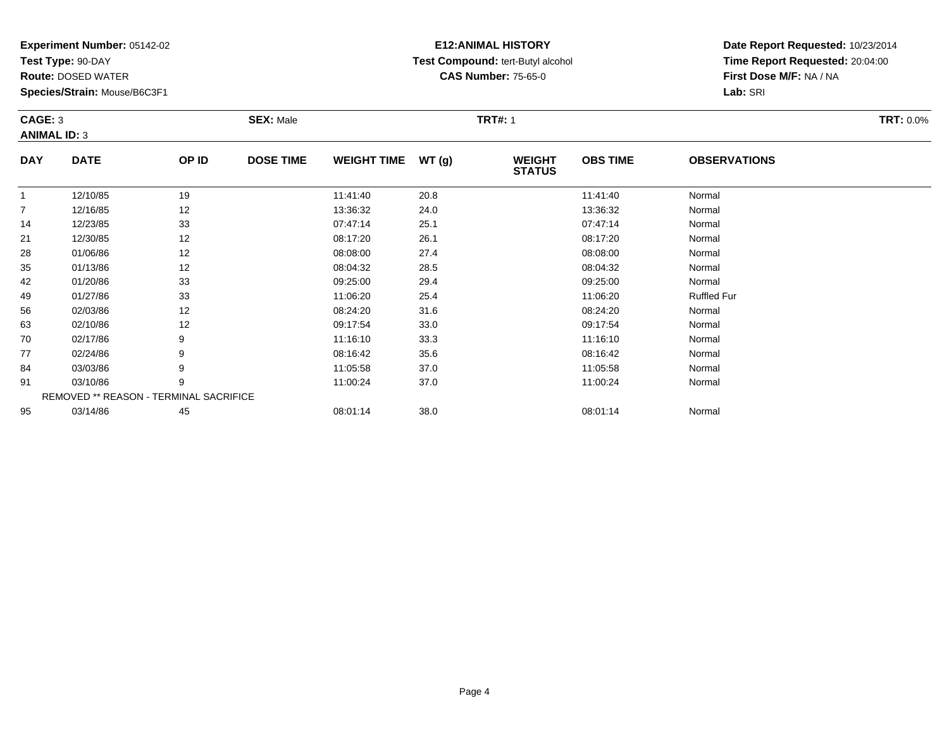**Test Type:** 90-DAY

77

84

91

95

**Route:** DOSED WATER

**Species/Strain:** Mouse/B6C3F1

REMOVED \*\* REASON - TERMINAL SACRIFICE

## **E12:ANIMAL HISTORY Test Compound:** tert-Butyl alcohol **CAS Number:** 75-65-0

**Date Report Requested:** 10/23/2014**Time Report Requested:** 20:04:00**First Dose M/F:** NA / NA**Lab:** SRI

| CAGE: 3        | <b>ANIMAL ID: 3</b> |       | <b>SEX: Male</b> |                    |       | <b>TRT#: 1</b>                 | <b>TRT: 0.0%</b> |                     |  |
|----------------|---------------------|-------|------------------|--------------------|-------|--------------------------------|------------------|---------------------|--|
| <b>DAY</b>     | <b>DATE</b>         | OP ID | <b>DOSE TIME</b> | <b>WEIGHT TIME</b> | WT(g) | <b>WEIGHT</b><br><b>STATUS</b> | <b>OBS TIME</b>  | <b>OBSERVATIONS</b> |  |
|                | 12/10/85            | 19    |                  | 11:41:40           | 20.8  |                                | 11:41:40         | Normal              |  |
| $\overline{7}$ | 12/16/85            | 12    |                  | 13:36:32           | 24.0  |                                | 13:36:32         | Normal              |  |
| 14             | 12/23/85            | 33    |                  | 07:47:14           | 25.1  |                                | 07:47:14         | Normal              |  |
| 21             | 12/30/85            | 12    |                  | 08:17:20           | 26.1  |                                | 08:17:20         | Normal              |  |
| 28             | 01/06/86            | 12    |                  | 08:08:00           | 27.4  |                                | 08:08:00         | Normal              |  |
| 35             | 01/13/86            | 12    |                  | 08:04:32           | 28.5  |                                | 08:04:32         | Normal              |  |
| 42             | 01/20/86            | 33    |                  | 09:25:00           | 29.4  |                                | 09:25:00         | Normal              |  |
| 49             | 01/27/86            | 33    |                  | 11:06:20           | 25.4  |                                | 11:06:20         | <b>Ruffled Fur</b>  |  |
| 56             | 02/03/86            | 12    |                  | 08:24:20           | 31.6  |                                | 08:24:20         | Normal              |  |
| 63             | 02/10/86            | 12    |                  | 09:17:54           | 33.0  |                                | 09:17:54         | Normal              |  |
| 70             | 02/17/86            | 9     |                  | 11:16:10           | 33.3  |                                | 11:16:10         | Normal              |  |

7 02/24/86 9 9 08:16:42 35.6 08:16:42 08:16:42 Normal

4 03/03/86 9 9 11:05:58 37.0 1 11:05:58 11:05 17:0 11:05:58 Normal

1 03/10/86 9 9 11:00:24 37.0 11:00 11:00 11:00 11:00 124 Normal

03/14/86 <sup>45</sup> 08:01:14 38.0 08:01:14 Normal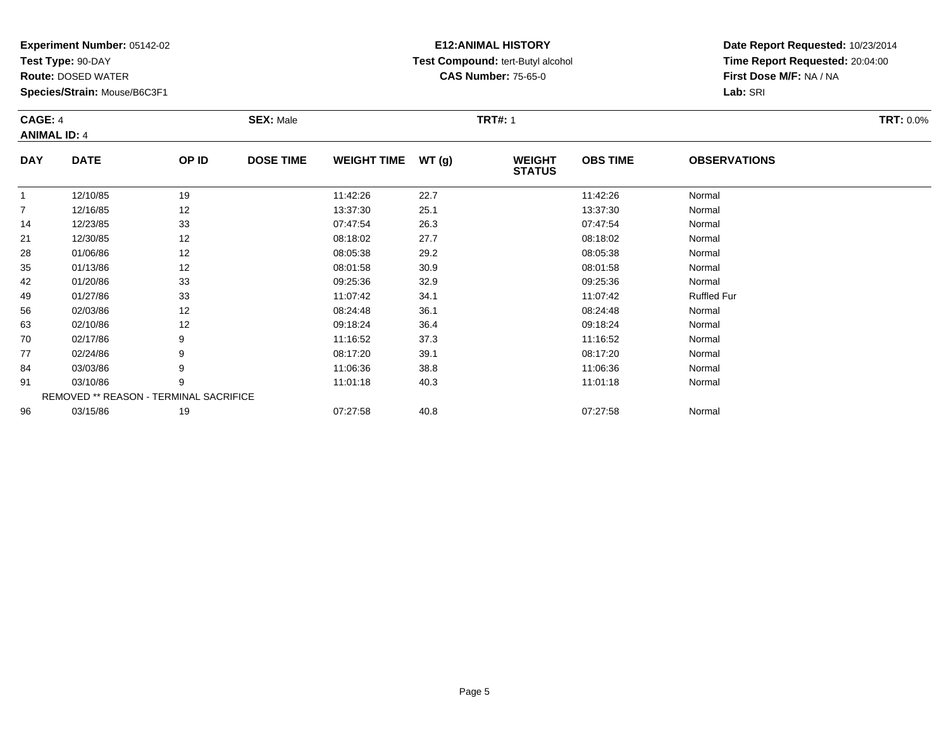**Test Type:** 90-DAY

**Route:** DOSED WATER

**Species/Strain:** Mouse/B6C3F1

# **E12:ANIMAL HISTORY Test Compound:** tert-Butyl alcohol **CAS Number:** 75-65-0

**Date Report Requested:** 10/23/2014 **Time Report Requested:** 20:04:00**First Dose M/F:** NA / NA**Lab:** SRI

| CAGE: 4             |             |       | <b>SEX: Male</b> |                     |      | <b>TRT#: 1</b>                 | <b>TRT:</b> 0.0% |                     |  |
|---------------------|-------------|-------|------------------|---------------------|------|--------------------------------|------------------|---------------------|--|
| <b>ANIMAL ID: 4</b> |             |       |                  |                     |      |                                |                  |                     |  |
| <b>DAY</b>          | <b>DATE</b> | OP ID | <b>DOSE TIME</b> | WEIGHT TIME $WT(g)$ |      | <b>WEIGHT</b><br><b>STATUS</b> | <b>OBS TIME</b>  | <b>OBSERVATIONS</b> |  |
|                     | 12/10/85    | 19    |                  | 11:42:26            | 22.7 |                                | 11:42:26         | Normal              |  |
|                     | 12/16/85    | 12    |                  | 13:37:30            | 25.1 |                                | 13:37:30         | Normal              |  |
| 14                  | 12/23/85    | 33    |                  | 07:47:54            | 26.3 |                                | 07:47:54         | Normal              |  |

|    | 12/10/00 | 14                                            | <b>13.37.30</b> | 20. I | טכ. <i>ו</i> כ.כו | <b>INUITII</b> dI  |  |
|----|----------|-----------------------------------------------|-----------------|-------|-------------------|--------------------|--|
| 14 | 12/23/85 | 33                                            | 07:47:54        | 26.3  | 07:47:54          | Normal             |  |
| 21 | 12/30/85 | 12                                            | 08:18:02        | 27.7  | 08:18:02          | Normal             |  |
| 28 | 01/06/86 | 12                                            | 08:05:38        | 29.2  | 08:05:38          | Normal             |  |
| 35 | 01/13/86 | 12                                            | 08:01:58        | 30.9  | 08:01:58          | Normal             |  |
| 42 | 01/20/86 | 33                                            | 09:25:36        | 32.9  | 09:25:36          | Normal             |  |
| 49 | 01/27/86 | 33                                            | 11:07:42        | 34.1  | 11:07:42          | <b>Ruffled Fur</b> |  |
| 56 | 02/03/86 | 12                                            | 08:24:48        | 36.1  | 08:24:48          | Normal             |  |
| 63 | 02/10/86 | 12                                            | 09:18:24        | 36.4  | 09:18:24          | Normal             |  |
| 70 | 02/17/86 | 9                                             | 11:16:52        | 37.3  | 11:16:52          | Normal             |  |
| 77 | 02/24/86 | 9                                             | 08:17:20        | 39.1  | 08:17:20          | Normal             |  |
| 84 | 03/03/86 | 9                                             | 11:06:36        | 38.8  | 11:06:36          | Normal             |  |
| 91 | 03/10/86 | 9                                             | 11:01:18        | 40.3  | 11:01:18          | Normal             |  |
|    |          | <b>REMOVED ** REASON - TERMINAL SACRIFICE</b> |                 |       |                   |                    |  |
| 96 | 03/15/86 | 19                                            | 07:27:58        | 40.8  | 07:27:58          | Normal             |  |
|    |          |                                               |                 |       |                   |                    |  |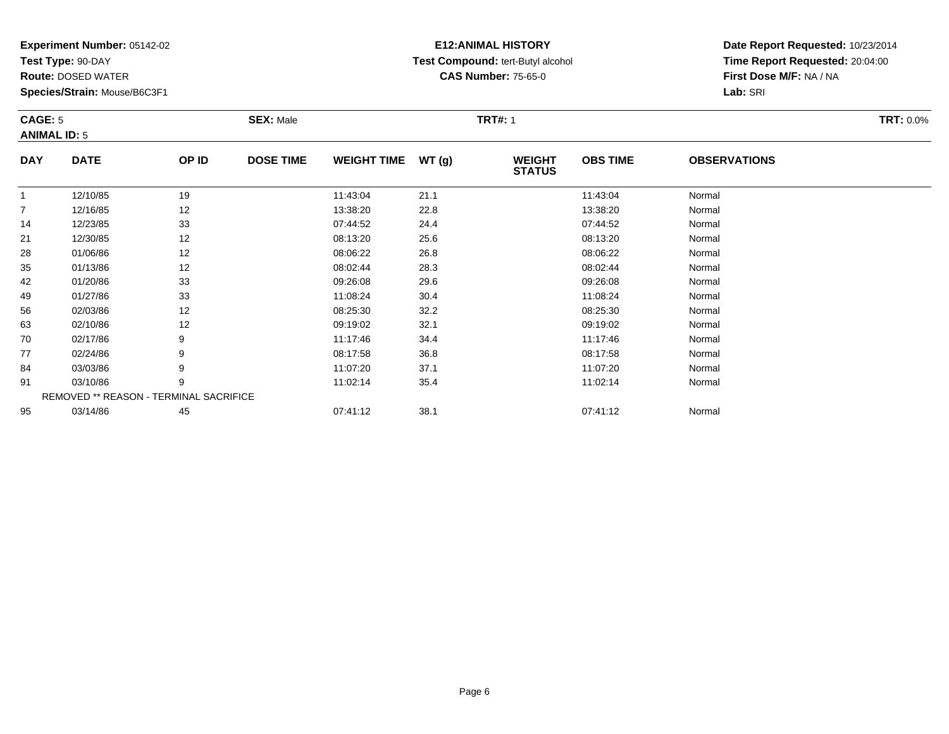**Test Type:** 90-DAY

56

63

70

77

84

91

95

**Route:** DOSED WATER

**Species/Strain:** Mouse/B6C3F1

REMOVED \*\* REASON - TERMINAL SACRIFICE

## **E12:ANIMAL HISTORY Test Compound:** tert-Butyl alcohol **CAS Number:** 75-65-0

**Date Report Requested:** 10/23/2014**Time Report Requested:** 20:04:00**First Dose M/F:** NA / NA**Lab:** SRI

| CAGE: 5<br><b>ANIMAL ID: 5</b> |             |       | <b>SEX: Male</b> |                    |        | <b>TRT#: 1</b>                 |                 |                     | <b>TRT: 0.0%</b> |
|--------------------------------|-------------|-------|------------------|--------------------|--------|--------------------------------|-----------------|---------------------|------------------|
| <b>DAY</b>                     | <b>DATE</b> | OP ID | <b>DOSE TIME</b> | <b>WEIGHT TIME</b> | WT (g) | <b>WEIGHT</b><br><b>STATUS</b> | <b>OBS TIME</b> | <b>OBSERVATIONS</b> |                  |
|                                | 12/10/85    | 19    |                  | 11:43:04           | 21.1   |                                | 11:43:04        | Normal              |                  |
| $\overline{7}$                 | 12/16/85    | 12    |                  | 13:38:20           | 22.8   |                                | 13:38:20        | Normal              |                  |
| 14                             | 12/23/85    | 33    |                  | 07:44:52           | 24.4   |                                | 07:44:52        | Normal              |                  |
| 21                             | 12/30/85    | 12    |                  | 08:13:20           | 25.6   |                                | 08:13:20        | Normal              |                  |
| 28                             | 01/06/86    | 12    |                  | 08:06:22           | 26.8   |                                | 08:06:22        | Normal              |                  |
| 35                             | 01/13/86    | 12    |                  | 08:02:44           | 28.3   |                                | 08:02:44        | Normal              |                  |
| 42                             | 01/20/86    | 33    |                  | 09:26:08           | 29.6   |                                | 09:26:08        | Normal              |                  |
| 49                             | 01/27/86    | 33    |                  | 11:08:24           | 30.4   |                                | 11:08:24        | Normal              |                  |

9 01/27/86 33 3 11:08:24 30.4 11:08 11:08 11:08 11:08 11:08 11:08 124 11:08 24

6 02/03/86 12 12 08:25:30 32.2 16 08:25:30 08:25:30 08:25:30

3 02/10/86 12 12 09:19:02 32.1 09:19 09:19:02 32.1

0 02/17/86 9 11:17:46 34.4 11:17:46 Normal

7 02/24/86 9 9 08:17:58 36.8 08:17:58 08:17:58 08:17:58 Normal

4 03/03/86 9 9 11:07:20 37.1 11:07:20 11:07:20 11:07:20 Normal

1 03/10/86 9 9 11:02:14 35.4 1 11:02:14 1 11:02:14 1 11:02:14 11:02:14 11:02:14

03/14/86 <sup>45</sup> 07:41:12 38.1 07:41:12 Normal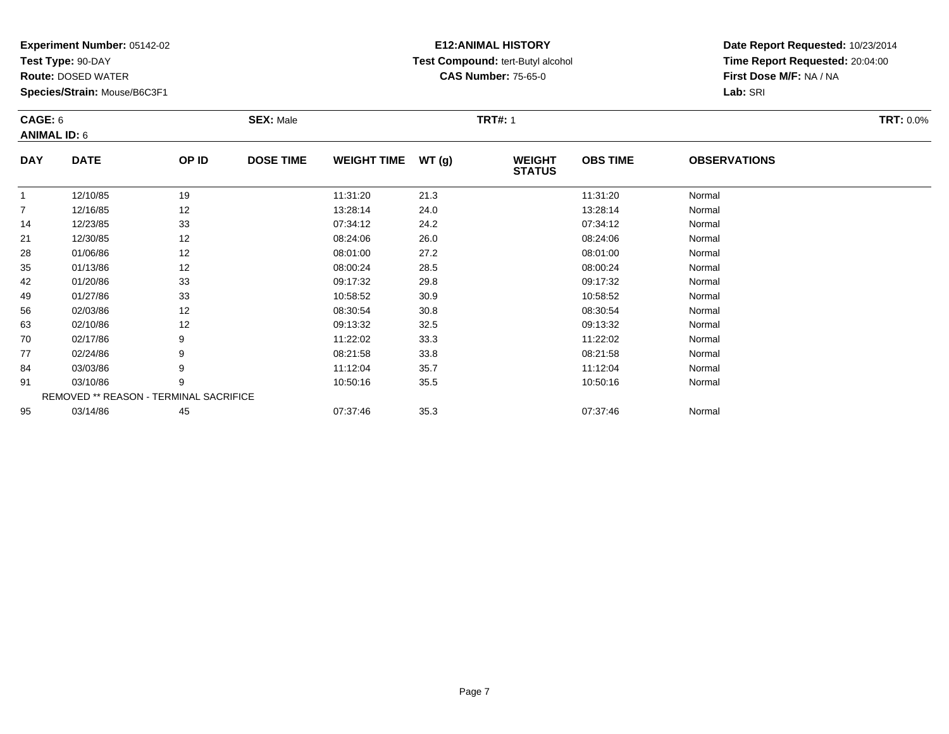**Test Type:** 90-DAY

70

77

84

91

95

**Route:** DOSED WATER

**Species/Strain:** Mouse/B6C3F1

REMOVED \*\* REASON - TERMINAL SACRIFICE

## **E12:ANIMAL HISTORY Test Compound:** tert-Butyl alcohol **CAS Number:** 75-65-0

**Date Report Requested:** 10/23/2014**Time Report Requested:** 20:04:00**First Dose M/F:** NA / NA**Lab:** SRI

|                | CAGE: 6<br><b>ANIMAL ID: 6</b> |                   | <b>SEX: Male</b> |                    |       | <b>TRT#: 1</b>                 |                 |                     |  |  |  |
|----------------|--------------------------------|-------------------|------------------|--------------------|-------|--------------------------------|-----------------|---------------------|--|--|--|
| <b>DAY</b>     | <b>DATE</b>                    | OP ID             | <b>DOSE TIME</b> | <b>WEIGHT TIME</b> | WT(g) | <b>WEIGHT</b><br><b>STATUS</b> | <b>OBS TIME</b> | <b>OBSERVATIONS</b> |  |  |  |
|                | 12/10/85                       | 19                |                  | 11:31:20           | 21.3  |                                | 11:31:20        | Normal              |  |  |  |
| $\overline{7}$ | 12/16/85                       | 12                |                  | 13:28:14           | 24.0  |                                | 13:28:14        | Normal              |  |  |  |
| 14             | 12/23/85                       | 33                |                  | 07:34:12           | 24.2  |                                | 07:34:12        | Normal              |  |  |  |
| 21             | 12/30/85                       | 12                |                  | 08:24:06           | 26.0  |                                | 08:24:06        | Normal              |  |  |  |
| 28             | 01/06/86                       | 12                |                  | 08:01:00           | 27.2  |                                | 08:01:00        | Normal              |  |  |  |
| 35             | 01/13/86                       | 12                |                  | 08:00:24           | 28.5  |                                | 08:00:24        | Normal              |  |  |  |
| 42             | 01/20/86                       | 33                |                  | 09:17:32           | 29.8  |                                | 09:17:32        | Normal              |  |  |  |
| 49             | 01/27/86                       | 33                |                  | 10:58:52           | 30.9  |                                | 10:58:52        | Normal              |  |  |  |
| 56             | 02/03/86                       | 12                |                  | 08:30:54           | 30.8  |                                | 08:30:54        | Normal              |  |  |  |
| 63             | 02/10/86                       | $12 \overline{ }$ |                  | 09:13:32           | 32.5  |                                | 09:13:32        | Normal              |  |  |  |

3 02/10/86 12 12 09:13:32 32.5 09:13:32 09:13:32 Normal

0 02/17/86 9 11:22:02 33.3 11:22:02 Normal

7 02/24/86 9 9 08:21:58 33.8 08:21:58 08:21:59 33.8

4 03/03/86 9 9 11:12:04 35.7 11:12:04 11:12:04 Normal

1 03/10/86 9 9 10:50:16 35.5 10 10:50:16 35.5

03/14/86 <sup>45</sup> 07:37:46 35.3 07:37:46 Normal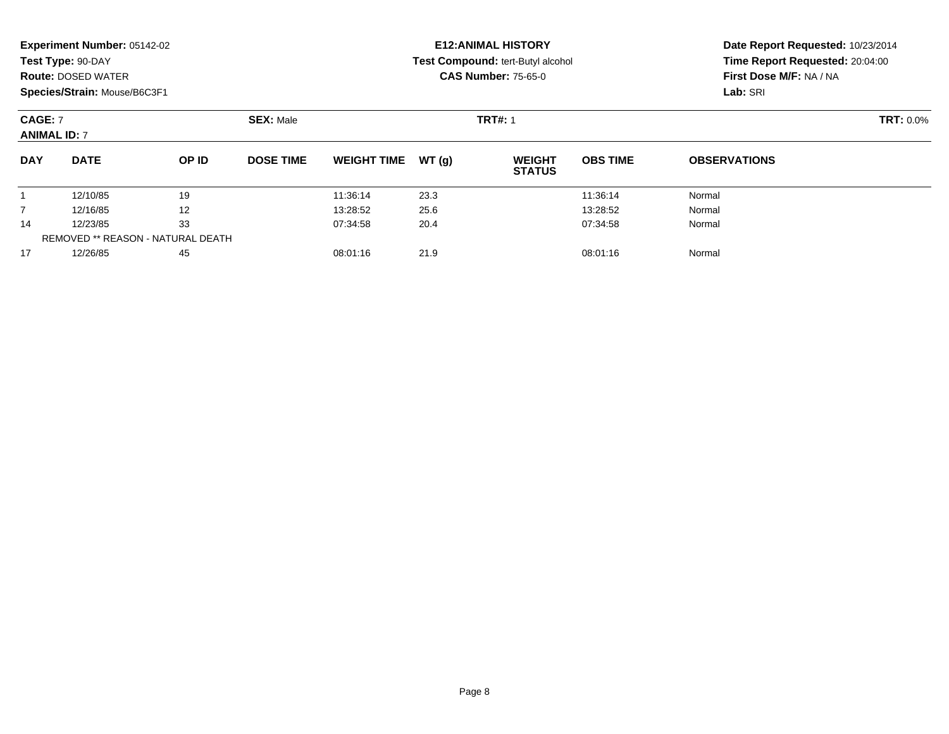|                | Experiment Number: 05142-02<br>Test Type: 90-DAY<br><b>Route: DOSED WATER</b><br>Species/Strain: Mouse/B6C3F1 |       |                  |                    |        | <b>E12: ANIMAL HISTORY</b><br>Test Compound: tert-Butyl alcohol<br><b>CAS Number: 75-65-0</b> | Date Report Requested: 10/23/2014<br>Time Report Requested: 20:04:00<br>First Dose M/F: NA / NA<br>Lab: SRI |                     |
|----------------|---------------------------------------------------------------------------------------------------------------|-------|------------------|--------------------|--------|-----------------------------------------------------------------------------------------------|-------------------------------------------------------------------------------------------------------------|---------------------|
|                | <b>SEX: Male</b><br><b>CAGE: 7</b><br><b>ANIMAL ID: 7</b>                                                     |       |                  |                    |        | <b>TRT#: 1</b>                                                                                |                                                                                                             | <b>TRT: 0.0%</b>    |
| <b>DAY</b>     | <b>DATE</b>                                                                                                   | OP ID | <b>DOSE TIME</b> | <b>WEIGHT TIME</b> | WT (q) | <b>WEIGHT</b><br><b>STATUS</b>                                                                | <b>OBS TIME</b>                                                                                             | <b>OBSERVATIONS</b> |
|                | 12/10/85                                                                                                      | 19    |                  | 11:36:14           | 23.3   |                                                                                               | 11:36:14                                                                                                    | Normal              |
| $\overline{7}$ | 12/16/85                                                                                                      | 12    |                  | 13:28:52           | 25.6   |                                                                                               | 13:28:52                                                                                                    | Normal              |
| 14             | 12/23/85                                                                                                      | 33    |                  | 07:34:58           | 20.4   |                                                                                               | 07:34:58                                                                                                    | Normal              |
|                | REMOVED ** REASON - NATURAL DEATH                                                                             |       |                  |                    |        |                                                                                               |                                                                                                             |                     |
| 17             | 12/26/85                                                                                                      | 45    |                  | 08:01:16           | 21.9   |                                                                                               | 08:01:16                                                                                                    | Normal              |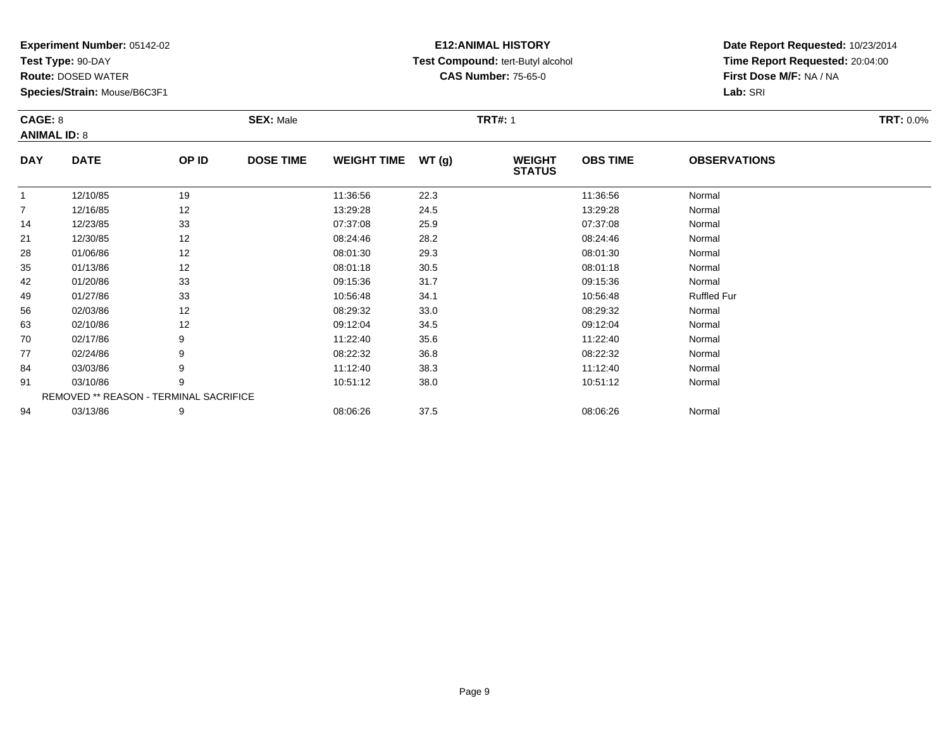**Test Type:** 90-DAY

91

94

**Route:** DOSED WATER

**Species/Strain:** Mouse/B6C3F1

REMOVED \*\* REASON - TERMINAL SACRIFICE

## **E12:ANIMAL HISTORY Test Compound:** tert-Butyl alcohol **CAS Number:** 75-65-0

**Date Report Requested:** 10/23/2014**Time Report Requested:** 20:04:00**First Dose M/F:** NA / NA**Lab:** SRI

| CAGE: 8<br><b>ANIMAL ID: 8</b> |             |       | <b>SEX: Male</b> |                    |       | <b>TRT#: 1</b>                 |                 |                     | <b>TRT: 0.0%</b> |
|--------------------------------|-------------|-------|------------------|--------------------|-------|--------------------------------|-----------------|---------------------|------------------|
| <b>DAY</b>                     | <b>DATE</b> | OP ID | <b>DOSE TIME</b> | <b>WEIGHT TIME</b> | WT(g) | <b>WEIGHT</b><br><b>STATUS</b> | <b>OBS TIME</b> | <b>OBSERVATIONS</b> |                  |
|                                | 12/10/85    | 19    |                  | 11:36:56           | 22.3  |                                | 11:36:56        | Normal              |                  |
| 7                              | 12/16/85    | 12    |                  | 13:29:28           | 24.5  |                                | 13:29:28        | Normal              |                  |
| 14                             | 12/23/85    | 33    |                  | 07:37:08           | 25.9  |                                | 07:37:08        | Normal              |                  |
| 21                             | 12/30/85    | 12    |                  | 08:24:46           | 28.2  |                                | 08:24:46        | Normal              |                  |
| 28                             | 01/06/86    | 12    |                  | 08:01:30           | 29.3  |                                | 08:01:30        | Normal              |                  |
| 35                             | 01/13/86    | 12    |                  | 08:01:18           | 30.5  |                                | 08:01:18        | Normal              |                  |
| 42                             | 01/20/86    | 33    |                  | 09:15:36           | 31.7  |                                | 09:15:36        | Normal              |                  |
| 49                             | 01/27/86    | 33    |                  | 10:56:48           | 34.1  |                                | 10:56:48        | <b>Ruffled Fur</b>  |                  |
| 56                             | 02/03/86    | 12    |                  | 08:29:32           | 33.0  |                                | 08:29:32        | Normal              |                  |
| 63                             | 02/10/86    | 12    |                  | 09:12:04           | 34.5  |                                | 09:12:04        | Normal              |                  |
| 70                             | 02/17/86    | 9     |                  | 11:22:40           | 35.6  |                                | 11:22:40        | Normal              |                  |
| 77                             | 02/24/86    | 9     |                  | 08:22:32           | 36.8  |                                | 08:22:32        | Normal              |                  |
| 84                             | 03/03/86    | 9     |                  | 11:12:40           | 38.3  |                                | 11:12:40        | Normal              |                  |

1 03/10/86 9 9 10:51:12 38.0 10:51:12 10:51:12 9 10:51:12 Normal

4 03/13/86 9 9 08:06:26 37.5 08:06:26 08:06:26 08:06:26 Normal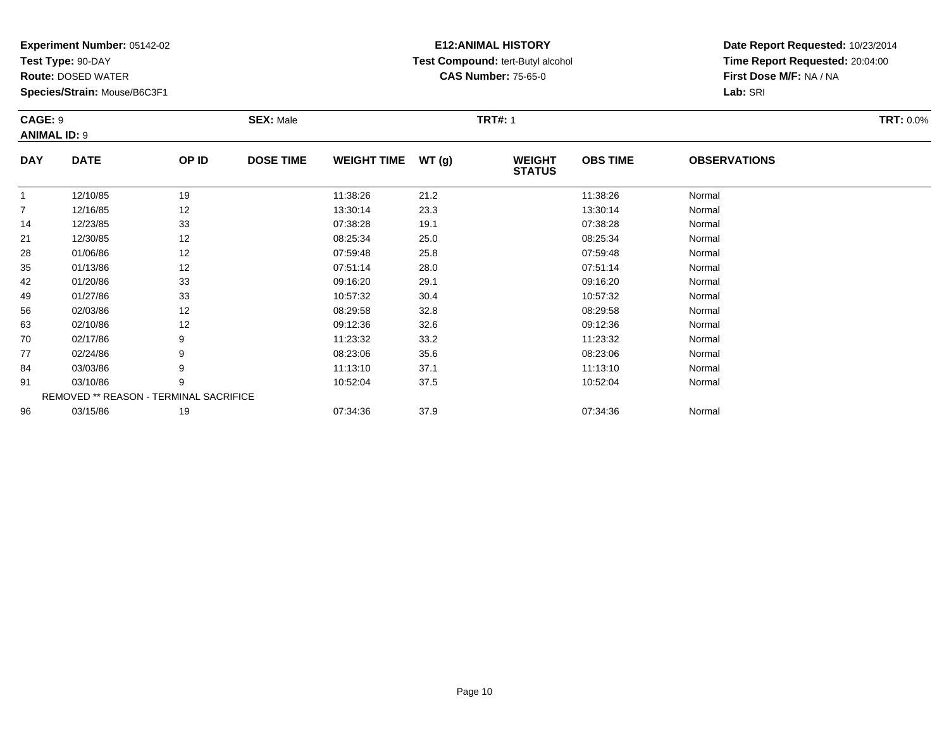**Test Type:** 90-DAY

84

91

96

**Route:** DOSED WATER

**Species/Strain:** Mouse/B6C3F1

REMOVED \*\* REASON - TERMINAL SACRIFICE

## **E12:ANIMAL HISTORY Test Compound:** tert-Butyl alcohol **CAS Number:** 75-65-0

**Date Report Requested:** 10/23/2014**Time Report Requested:** 20:04:00**First Dose M/F:** NA / NA**Lab:** SRI

|                | CAGE: 9<br><b>ANIMAL ID: 9</b> |       | <b>SEX: Male</b> |                    |       | <b>TRT#: 1</b>                 |                 |                     |  |  |  |
|----------------|--------------------------------|-------|------------------|--------------------|-------|--------------------------------|-----------------|---------------------|--|--|--|
| <b>DAY</b>     | <b>DATE</b>                    | OP ID | <b>DOSE TIME</b> | <b>WEIGHT TIME</b> | WT(g) | <b>WEIGHT</b><br><b>STATUS</b> | <b>OBS TIME</b> | <b>OBSERVATIONS</b> |  |  |  |
|                | 12/10/85                       | 19    |                  | 11:38:26           | 21.2  |                                | 11:38:26        | Normal              |  |  |  |
| $\overline{7}$ | 12/16/85                       | 12    |                  | 13:30:14           | 23.3  |                                | 13:30:14        | Normal              |  |  |  |
| 14             | 12/23/85                       | 33    |                  | 07:38:28           | 19.1  |                                | 07:38:28        | Normal              |  |  |  |
| 21             | 12/30/85                       | 12    |                  | 08:25:34           | 25.0  |                                | 08:25:34        | Normal              |  |  |  |
| 28             | 01/06/86                       | 12    |                  | 07:59:48           | 25.8  |                                | 07:59:48        | Normal              |  |  |  |
| 35             | 01/13/86                       | 12    |                  | 07:51:14           | 28.0  |                                | 07:51:14        | Normal              |  |  |  |
| 42             | 01/20/86                       | 33    |                  | 09:16:20           | 29.1  |                                | 09:16:20        | Normal              |  |  |  |
| 49             | 01/27/86                       | 33    |                  | 10:57:32           | 30.4  |                                | 10:57:32        | Normal              |  |  |  |
| 56             | 02/03/86                       | 12    |                  | 08:29:58           | 32.8  |                                | 08:29:58        | Normal              |  |  |  |
| 63             | 02/10/86                       | 12    |                  | 09:12:36           | 32.6  |                                | 09:12:36        | Normal              |  |  |  |
| 70             | 02/17/86                       | 9     |                  | 11:23:32           | 33.2  |                                | 11:23:32        | Normal              |  |  |  |
| 77             | 02/24/86                       | 9     |                  | 08:23:06           | 35.6  |                                | 08:23:06        | Normal              |  |  |  |

7 02/24/86 9 9 08:23:06 35.6 08:23:06 08:23:06 08:23:06 Normal

4 03/03/86 9 9 11:13:10 37.1 11:13:10 11:13:10 11:13:10 Normal

1 03/10/86 9 9 10:52:04 37.5 10:52:04 10:52:04 Normal

6 03/15/86 19 07:34:36 37.9 07:34:36 Normal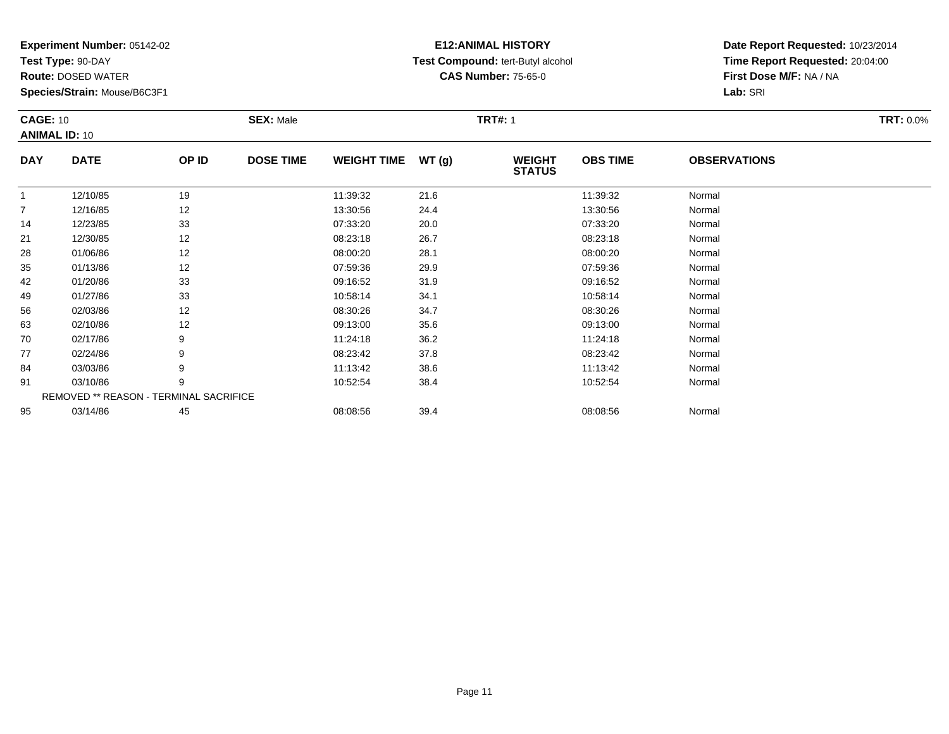**Test Type:** 90-DAY

70

77

84

91

95

**Route:** DOSED WATER

**Species/Strain:** Mouse/B6C3F1

REMOVED \*\* REASON - TERMINAL SACRIFICE

## **E12:ANIMAL HISTORY Test Compound:** tert-Butyl alcohol **CAS Number:** 75-65-0

**Date Report Requested:** 10/23/2014**Time Report Requested:** 20:04:00**First Dose M/F:** NA / NA**Lab:** SRI

| <b>CAGE: 10</b><br><b>ANIMAL ID: 10</b> |             |       | <b>SEX: Male</b> |                    |       | <b>TRT#: 1</b>                 |                 |                     | <b>TRT: 0.0%</b> |
|-----------------------------------------|-------------|-------|------------------|--------------------|-------|--------------------------------|-----------------|---------------------|------------------|
| <b>DAY</b>                              | <b>DATE</b> | OP ID | <b>DOSE TIME</b> | <b>WEIGHT TIME</b> | WT(g) | <b>WEIGHT</b><br><b>STATUS</b> | <b>OBS TIME</b> | <b>OBSERVATIONS</b> |                  |
|                                         | 12/10/85    | 19    |                  | 11:39:32           | 21.6  |                                | 11:39:32        | Normal              |                  |
| 7                                       | 12/16/85    | 12    |                  | 13:30:56           | 24.4  |                                | 13:30:56        | Normal              |                  |
| 14                                      | 12/23/85    | 33    |                  | 07:33:20           | 20.0  |                                | 07:33:20        | Normal              |                  |
| 21                                      | 12/30/85    | 12    |                  | 08:23:18           | 26.7  |                                | 08:23:18        | Normal              |                  |
| 28                                      | 01/06/86    | 12    |                  | 08:00:20           | 28.1  |                                | 08:00:20        | Normal              |                  |
| 35                                      | 01/13/86    | 12    |                  | 07:59:36           | 29.9  |                                | 07:59:36        | Normal              |                  |
| 42                                      | 01/20/86    | 33    |                  | 09:16:52           | 31.9  |                                | 09:16:52        | Normal              |                  |
| 49                                      | 01/27/86    | 33    |                  | 10:58:14           | 34.1  |                                | 10:58:14        | Normal              |                  |
| 56                                      | 02/03/86    | 12    |                  | 08:30:26           | 34.7  |                                | 08:30:26        | Normal              |                  |
| 63                                      | 02/10/86    | 12    |                  | 09:13:00           | 35.6  |                                | 09:13:00        | Normal              |                  |

0 02/17/86 9 11:24:18 36.2 11:24:18 Normal

7 02/24/86 9 9 08:23:42 37.8 08:23:42 08:23:42 Normal

4 03/03/86 9 9 11:13:42 38.6 11:13:42 11:13:42 Normal

1 03/10/86 9 9 10:52:54 38.4 1 10:52:54 10:52:54 Normal

5 03/14/86 45 45 08:08:56 39.4 39.4 08:08:56 08:08:56 03/14/86 2011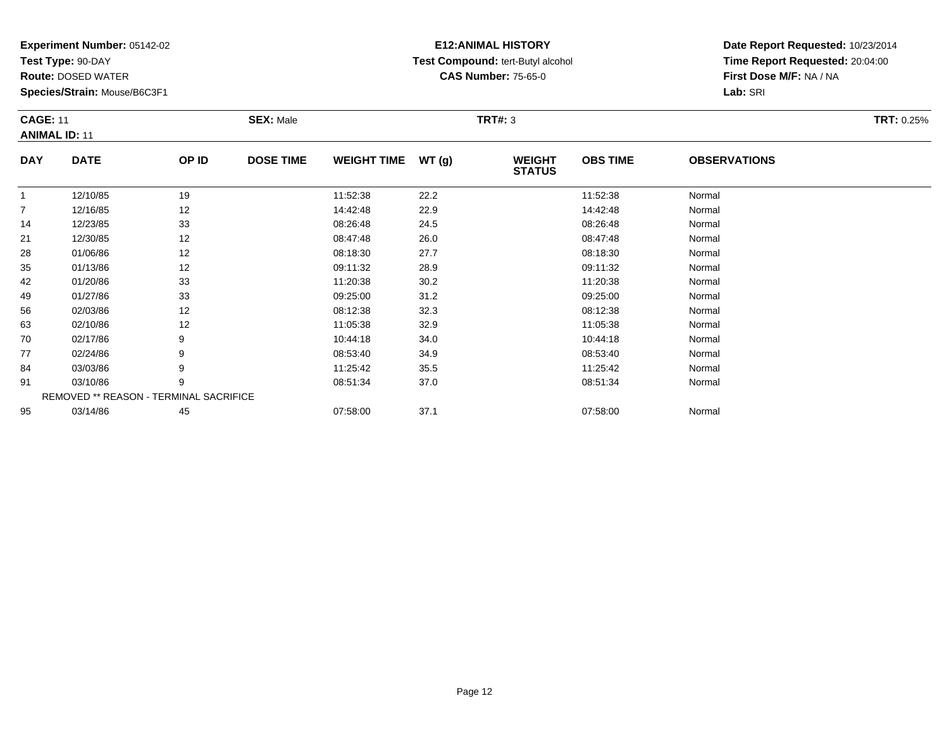**Test Type:** 90-DAY

21

28

35

42

49

56

63

70

77

84

91

95

**Route:** DOSED WATER

**Species/Strain:** Mouse/B6C3F1

REMOVED \*\* REASON - TERMINAL SACRIFICE

## **E12:ANIMAL HISTORY Test Compound:** tert-Butyl alcohol **CAS Number:** 75-65-0

**Date Report Requested:** 10/23/2014**Time Report Requested:** 20:04:00**First Dose M/F:** NA / NA**Lab:** SRI

| <b>CAGE: 11</b><br><b>ANIMAL ID: 11</b> |             |       | <b>SEX: Male</b> |                    |        | TRT#: 3                        |                 |                     | <b>TRT: 0.25%</b> |
|-----------------------------------------|-------------|-------|------------------|--------------------|--------|--------------------------------|-----------------|---------------------|-------------------|
| <b>DAY</b>                              | <b>DATE</b> | OP ID | <b>DOSE TIME</b> | <b>WEIGHT TIME</b> | WT (q) | <b>WEIGHT</b><br><b>STATUS</b> | <b>OBS TIME</b> | <b>OBSERVATIONS</b> |                   |
|                                         | 12/10/85    | 19    |                  | 11:52:38           | 22.2   |                                | 11:52:38        | Normal              |                   |
|                                         | 12/16/85    | 12    |                  | 14:42:48           | 22.9   |                                | 14:42:48        | Normal              |                   |
| 14                                      | 12/23/85    | 33    |                  | 08:26:48           | 24.5   |                                | 08:26:48        | Normal              |                   |

 12/23/85 <sup>33</sup> 08:26:48 24.5 08:26:48 Normal 1 12/30/85 12 12 12 08:47:48 26.0 12 08:47:48 12 12 12:00 15 8 01/06/86 12 12 08:18:30 27.7 12 08:18:30 08:18:30 08:18:30 08:18:30 Normal 5 01/13/86 12 12 09:11:32 28.9 12 09:12 12 Normal 2 01/20/86 33 3 11:20:38 30.2 11:20:38 11:20:38 11:20:38 Normal

9 01/27/86 33 3 09:25:00 31.2 31.2 09:25:00 09:25:00 Normal

6 02/03/86 12 12 08:12:38 32.3 12 08:12:38 08:12:38 08:12:38 08:12:38 08:12:38

3 02/10/86 12 12 11:05:38 32.9 11:05:38 11:05 12 11:05:38 11:05:38 11:05:38

0 02/17/86 9 10:44:18 34.0 10:44:18 Normal

7 02/24/86 9 9 08:53:40 34.9 08:53:40 08:53:40 08:53:40 Normal

4 03/03/86 9 9 11:25:42 35.5 11:25:42 11:25:42 11:25:42 Normal

1 03/10/86 9 9 08:51:34 37.0 08:51:34 08:51:34 Normal

5 03/14/86 45 45 07:58:00 37.1 07:58:00 07:58:00 07:58:00 07:58:00 07:58:00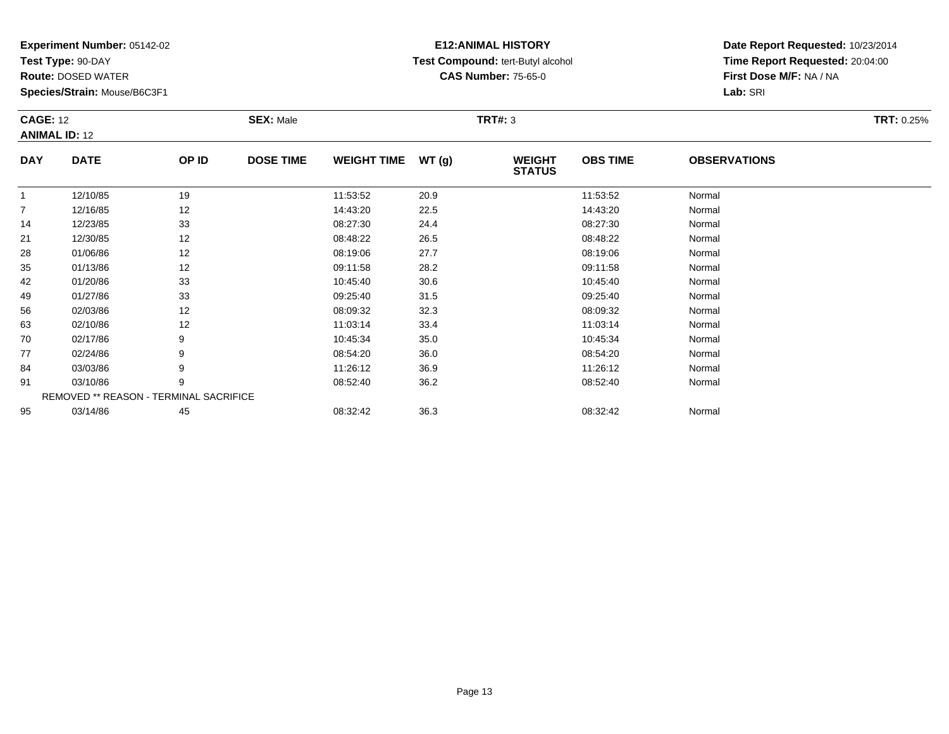**Test Type:** 90-DAY

84

91

95

**Route:** DOSED WATER

**Species/Strain:** Mouse/B6C3F1

REMOVED \*\* REASON - TERMINAL SACRIFICE

## **E12:ANIMAL HISTORY Test Compound:** tert-Butyl alcohol **CAS Number:** 75-65-0

**Date Report Requested:** 10/23/2014**Time Report Requested:** 20:04:00**First Dose M/F:** NA / NA**Lab:** SRI

| <b>CAGE: 12</b> | <b>ANIMAL ID: 12</b> |       | <b>SEX: Male</b> |                    |       | <b>TRT#: 3</b>                 |                 |                     | <b>TRT: 0.25%</b> |
|-----------------|----------------------|-------|------------------|--------------------|-------|--------------------------------|-----------------|---------------------|-------------------|
| <b>DAY</b>      | <b>DATE</b>          | OP ID | <b>DOSE TIME</b> | <b>WEIGHT TIME</b> | WT(g) | <b>WEIGHT</b><br><b>STATUS</b> | <b>OBS TIME</b> | <b>OBSERVATIONS</b> |                   |
| 1               | 12/10/85             | 19    |                  | 11:53:52           | 20.9  |                                | 11:53:52        | Normal              |                   |
| $\overline{7}$  | 12/16/85             | 12    |                  | 14:43:20           | 22.5  |                                | 14:43:20        | Normal              |                   |
| 14              | 12/23/85             | 33    |                  | 08:27:30           | 24.4  |                                | 08:27:30        | Normal              |                   |
| 21              | 12/30/85             | 12    |                  | 08:48:22           | 26.5  |                                | 08:48:22        | Normal              |                   |
| 28              | 01/06/86             | 12    |                  | 08:19:06           | 27.7  |                                | 08:19:06        | Normal              |                   |
| 35              | 01/13/86             | 12    |                  | 09:11:58           | 28.2  |                                | 09:11:58        | Normal              |                   |
| 42              | 01/20/86             | 33    |                  | 10:45:40           | 30.6  |                                | 10:45:40        | Normal              |                   |
| 49              | 01/27/86             | 33    |                  | 09:25:40           | 31.5  |                                | 09:25:40        | Normal              |                   |
| 56              | 02/03/86             | 12    |                  | 08:09:32           | 32.3  |                                | 08:09:32        | Normal              |                   |
| 63              | 02/10/86             | 12    |                  | 11:03:14           | 33.4  |                                | 11:03:14        | Normal              |                   |
| 70              | 02/17/86             | 9     |                  | 10:45:34           | 35.0  |                                | 10:45:34        | Normal              |                   |
| 77              | 02/24/86             | 9     |                  | 08:54:20           | 36.0  |                                | 08:54:20        | Normal              |                   |

7 02/24/86 9 9 08:54:20 36.0 08:54:20 08:54:20 08:54:20 08:54:20 08:54:20 08:54:20

4 03/03/86 9 9 11:26:12 36.9 13.9 11:26:12 11:26:12 11:26:12 11:26:12

1 03/10/86 9 9 08:52:40 36.2 08:52:40 08:52:40 08:52:40 Normal

03/14/86 <sup>45</sup> 08:32:42 36.3 08:32:42 Normal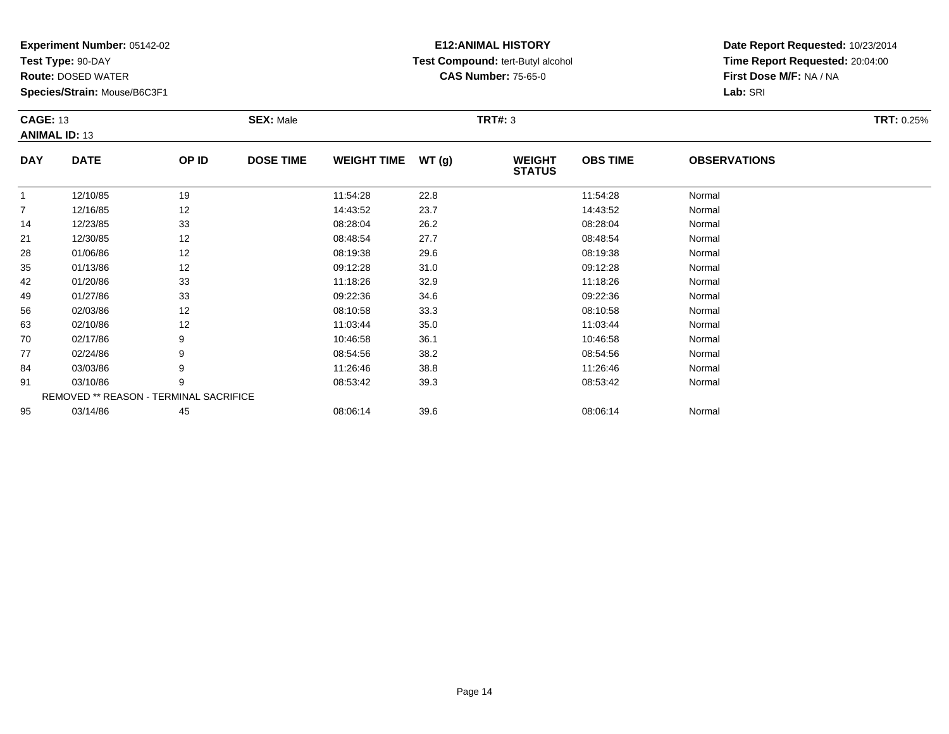**Test Type:** 90-DAY

91

95

**Route:** DOSED WATER

**Species/Strain:** Mouse/B6C3F1

REMOVED \*\* REASON - TERMINAL SACRIFICE

## **E12:ANIMAL HISTORY Test Compound:** tert-Butyl alcohol **CAS Number:** 75-65-0

**Date Report Requested:** 10/23/2014**Time Report Requested:** 20:04:00**First Dose M/F:** NA / NA**Lab:** SRI

| <b>CAGE: 13</b> | <b>ANIMAL ID: 13</b> |       | <b>SEX: Male</b> |                    |       | <b>TRT#: 3</b>                 |                 |                     | TRT: 0.25% |
|-----------------|----------------------|-------|------------------|--------------------|-------|--------------------------------|-----------------|---------------------|------------|
| <b>DAY</b>      | <b>DATE</b>          | OP ID | <b>DOSE TIME</b> | <b>WEIGHT TIME</b> | WT(g) | <b>WEIGHT</b><br><b>STATUS</b> | <b>OBS TIME</b> | <b>OBSERVATIONS</b> |            |
|                 | 12/10/85             | 19    |                  | 11:54:28           | 22.8  |                                | 11:54:28        | Normal              |            |
| $\overline{7}$  | 12/16/85             | 12    |                  | 14:43:52           | 23.7  |                                | 14:43:52        | Normal              |            |
| 14              | 12/23/85             | 33    |                  | 08:28:04           | 26.2  |                                | 08:28:04        | Normal              |            |
| 21              | 12/30/85             | 12    |                  | 08:48:54           | 27.7  |                                | 08:48:54        | Normal              |            |
| 28              | 01/06/86             | 12    |                  | 08:19:38           | 29.6  |                                | 08:19:38        | Normal              |            |
| 35              | 01/13/86             | 12    |                  | 09:12:28           | 31.0  |                                | 09:12:28        | Normal              |            |
| 42              | 01/20/86             | 33    |                  | 11:18:26           | 32.9  |                                | 11:18:26        | Normal              |            |
| 49              | 01/27/86             | 33    |                  | 09:22:36           | 34.6  |                                | 09:22:36        | Normal              |            |
| 56              | 02/03/86             | 12    |                  | 08:10:58           | 33.3  |                                | 08:10:58        | Normal              |            |
| 63              | 02/10/86             | 12    |                  | 11:03:44           | 35.0  |                                | 11:03:44        | Normal              |            |
| 70              | 02/17/86             | 9     |                  | 10:46:58           | 36.1  |                                | 10:46:58        | Normal              |            |
| 77              | 02/24/86             | 9     |                  | 08:54:56           | 38.2  |                                | 08:54:56        | Normal              |            |
| 84              | 03/03/86             | 9     |                  | 11:26:46           | 38.8  |                                | 11:26:46        | Normal              |            |

4 03/03/86 9 9 11:26:46 38.8 11:26:46 11:26:46 11:26:46 Normal

1 03/10/86 9 9 08:53:42 39.3 08:53:42 03:53:42 08:53:42 Normal

03/14/86 <sup>45</sup> 08:06:14 39.6 08:06:14 Normal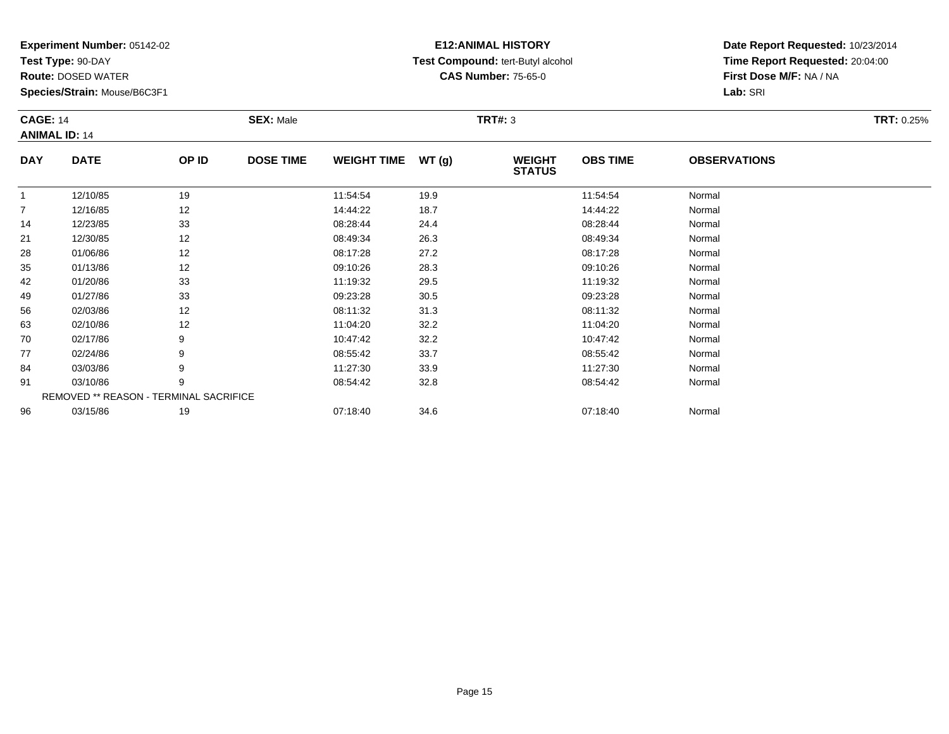**Test Type:** 90-DAY

77

84

91

96

**Route:** DOSED WATER

**Species/Strain:** Mouse/B6C3F1

REMOVED \*\* REASON - TERMINAL SACRIFICE

## **E12:ANIMAL HISTORY Test Compound:** tert-Butyl alcohol **CAS Number:** 75-65-0

**Date Report Requested:** 10/23/2014**Time Report Requested:** 20:04:00**First Dose M/F:** NA / NA**Lab:** SRI

| <b>CAGE: 14</b><br><b>ANIMAL ID: 14</b> |             |       | <b>SEX: Male</b> |                    |       | <b>TRT#: 3</b>                 |                 |                     | <b>TRT: 0.25%</b> |
|-----------------------------------------|-------------|-------|------------------|--------------------|-------|--------------------------------|-----------------|---------------------|-------------------|
| <b>DAY</b>                              | <b>DATE</b> | OP ID | <b>DOSE TIME</b> | <b>WEIGHT TIME</b> | WT(g) | <b>WEIGHT</b><br><b>STATUS</b> | <b>OBS TIME</b> | <b>OBSERVATIONS</b> |                   |
|                                         | 12/10/85    | 19    |                  | 11:54:54           | 19.9  |                                | 11:54:54        | Normal              |                   |
| $\overline{7}$                          | 12/16/85    | 12    |                  | 14:44:22           | 18.7  |                                | 14:44:22        | Normal              |                   |
| 14                                      | 12/23/85    | 33    |                  | 08:28:44           | 24.4  |                                | 08:28:44        | Normal              |                   |
| 21                                      | 12/30/85    | 12    |                  | 08:49:34           | 26.3  |                                | 08:49:34        | Normal              |                   |
| 28                                      | 01/06/86    | 12    |                  | 08:17:28           | 27.2  |                                | 08:17:28        | Normal              |                   |
| 35                                      | 01/13/86    | 12    |                  | 09:10:26           | 28.3  |                                | 09:10:26        | Normal              |                   |
| 42                                      | 01/20/86    | 33    |                  | 11:19:32           | 29.5  |                                | 11:19:32        | Normal              |                   |
| 49                                      | 01/27/86    | 33    |                  | 09:23:28           | 30.5  |                                | 09:23:28        | Normal              |                   |
| 56                                      | 02/03/86    | 12    |                  | 08:11:32           | 31.3  |                                | 08:11:32        | Normal              |                   |
| 63                                      | 02/10/86    | 12    |                  | 11:04:20           | 32.2  |                                | 11:04:20        | Normal              |                   |
| 70                                      | 02/17/86    | 9     |                  | 10:47:42           | 32.2  |                                | 10:47:42        | Normal              |                   |

7 02/24/86 9 9 08:55:42 33.7 08:55:42 08:55:42 Normal

4 03/03/86 9 9 11:27:30 33.9 11:27:30 11:27:30 11:27:30 Normal

1 03/10/86 9 9 08:54:42 32.8 08:54:42 03:54:42 Normal

6 03/15/86 19 19 07:18:40 34.6 34.6 07:18:40 07:18:40 Normal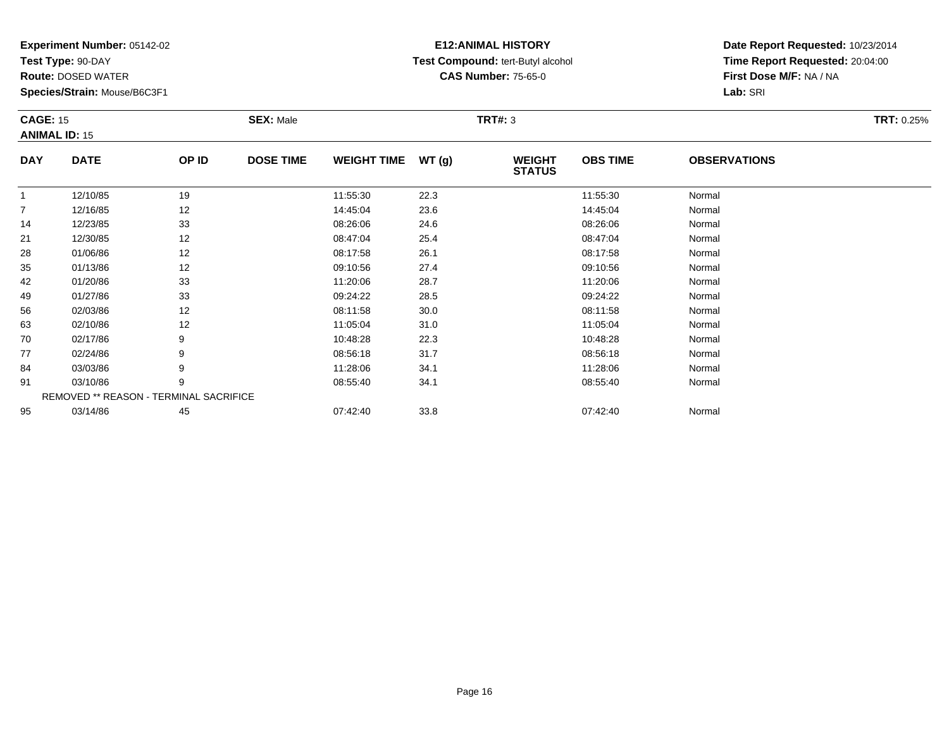**Test Type:** 90-DAY

95

**Route:** DOSED WATER

**Species/Strain:** Mouse/B6C3F1

## **E12:ANIMAL HISTORY Test Compound:** tert-Butyl alcohol **CAS Number:** 75-65-0

**Date Report Requested:** 10/23/2014**Time Report Requested:** 20:04:00**First Dose M/F:** NA / NA**Lab:** SRI

| <b>CAGE: 15</b> | <b>ANIMAL ID: 15</b>                          |       | <b>SEX: Male</b> |                    |       | <b>TRT#: 3</b>                 |                 |                     | <b>TRT: 0.25%</b> |
|-----------------|-----------------------------------------------|-------|------------------|--------------------|-------|--------------------------------|-----------------|---------------------|-------------------|
| <b>DAY</b>      | <b>DATE</b>                                   | OP ID | <b>DOSE TIME</b> | <b>WEIGHT TIME</b> | WT(g) | <b>WEIGHT</b><br><b>STATUS</b> | <b>OBS TIME</b> | <b>OBSERVATIONS</b> |                   |
| 1               | 12/10/85                                      | 19    |                  | 11:55:30           | 22.3  |                                | 11:55:30        | Normal              |                   |
| 7               | 12/16/85                                      | 12    |                  | 14:45:04           | 23.6  |                                | 14:45:04        | Normal              |                   |
| 14              | 12/23/85                                      | 33    |                  | 08:26:06           | 24.6  |                                | 08:26:06        | Normal              |                   |
| 21              | 12/30/85                                      | 12    |                  | 08:47:04           | 25.4  |                                | 08:47:04        | Normal              |                   |
| 28              | 01/06/86                                      | 12    |                  | 08:17:58           | 26.1  |                                | 08:17:58        | Normal              |                   |
| 35              | 01/13/86                                      | 12    |                  | 09:10:56           | 27.4  |                                | 09:10:56        | Normal              |                   |
| 42              | 01/20/86                                      | 33    |                  | 11:20:06           | 28.7  |                                | 11:20:06        | Normal              |                   |
| 49              | 01/27/86                                      | 33    |                  | 09:24:22           | 28.5  |                                | 09:24:22        | Normal              |                   |
| 56              | 02/03/86                                      | 12    |                  | 08:11:58           | 30.0  |                                | 08:11:58        | Normal              |                   |
| 63              | 02/10/86                                      | 12    |                  | 11:05:04           | 31.0  |                                | 11:05:04        | Normal              |                   |
| 70              | 02/17/86                                      | 9     |                  | 10:48:28           | 22.3  |                                | 10:48:28        | Normal              |                   |
| 77              | 02/24/86                                      | 9     |                  | 08:56:18           | 31.7  |                                | 08:56:18        | Normal              |                   |
| 84              | 03/03/86                                      | 9     |                  | 11:28:06           | 34.1  |                                | 11:28:06        | Normal              |                   |
| 91              | 03/10/86                                      | 9     |                  | 08:55:40           | 34.1  |                                | 08:55:40        | Normal              |                   |
|                 | <b>REMOVED ** REASON - TERMINAL SACRIFICE</b> |       |                  |                    |       |                                |                 |                     |                   |

03/14/86 <sup>45</sup> 07:42:40 33.8 07:42:40 Normal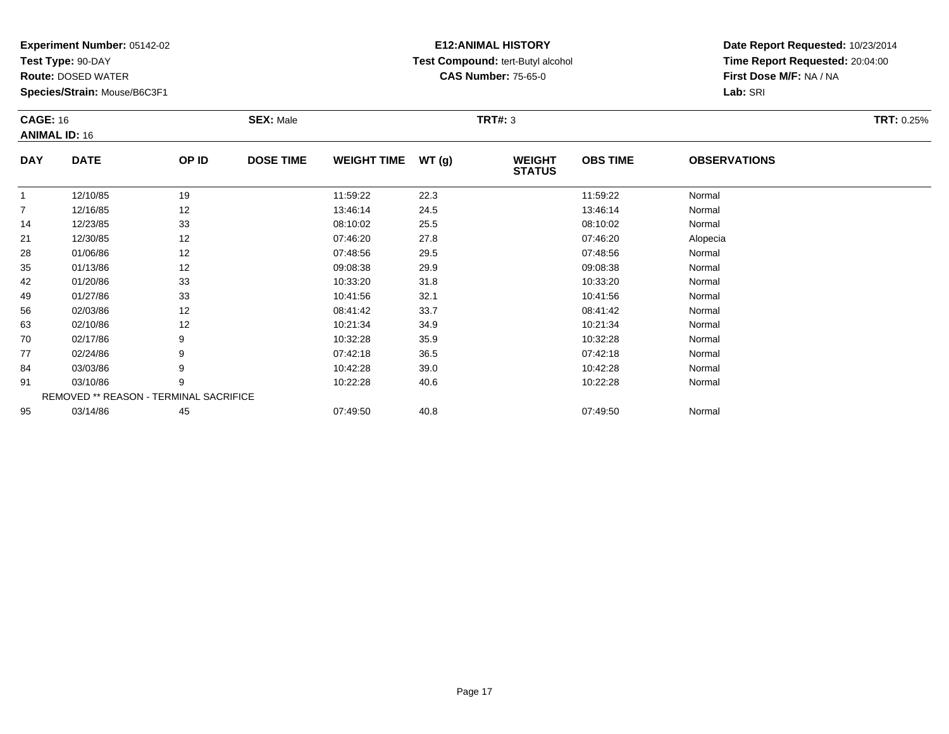**Test Type:** 90-DAY

77

84

91

95

**Route:** DOSED WATER

**Species/Strain:** Mouse/B6C3F1

REMOVED \*\* REASON - TERMINAL SACRIFICE

## **E12:ANIMAL HISTORY Test Compound:** tert-Butyl alcohol **CAS Number:** 75-65-0

**Date Report Requested:** 10/23/2014**Time Report Requested:** 20:04:00**First Dose M/F:** NA / NA**Lab:** SRI

| <b>CAGE: 16</b><br><b>ANIMAL ID: 16</b> |             |       | <b>SEX: Male</b> |                    |       | <b>TRT#: 3</b>                 |                 |                     | <b>TRT: 0.25%</b> |
|-----------------------------------------|-------------|-------|------------------|--------------------|-------|--------------------------------|-----------------|---------------------|-------------------|
| <b>DAY</b>                              | <b>DATE</b> | OP ID | <b>DOSE TIME</b> | <b>WEIGHT TIME</b> | WT(g) | <b>WEIGHT</b><br><b>STATUS</b> | <b>OBS TIME</b> | <b>OBSERVATIONS</b> |                   |
| $\mathbf{1}$                            | 12/10/85    | 19    |                  | 11:59:22           | 22.3  |                                | 11:59:22        | Normal              |                   |
| $\overline{7}$                          | 12/16/85    | 12    |                  | 13:46:14           | 24.5  |                                | 13:46:14        | Normal              |                   |
| 14                                      | 12/23/85    | 33    |                  | 08:10:02           | 25.5  |                                | 08:10:02        | Normal              |                   |
| 21                                      | 12/30/85    | 12    |                  | 07:46:20           | 27.8  |                                | 07:46:20        | Alopecia            |                   |
| 28                                      | 01/06/86    | 12    |                  | 07:48:56           | 29.5  |                                | 07:48:56        | Normal              |                   |
| 35                                      | 01/13/86    | 12    |                  | 09:08:38           | 29.9  |                                | 09:08:38        | Normal              |                   |
| 42                                      | 01/20/86    | 33    |                  | 10:33:20           | 31.8  |                                | 10:33:20        | Normal              |                   |
| 49                                      | 01/27/86    | 33    |                  | 10:41:56           | 32.1  |                                | 10:41:56        | Normal              |                   |
| 56                                      | 02/03/86    | 12    |                  | 08:41:42           | 33.7  |                                | 08:41:42        | Normal              |                   |
| 63                                      | 02/10/86    | 12    |                  | 10:21:34           | 34.9  |                                | 10:21:34        | Normal              |                   |
| 70                                      | 02/17/86    | 9     |                  | 10:32:28           | 35.9  |                                | 10:32:28        | Normal              |                   |

7 02/24/86 9 9 07:42:18 36.5 07:42 07:42 07:42 07:42 07:42 07:42 07:42 07:42 07:42

4 03/03/86 9 9 10:42:28 39.0 10:42 19 10:42 10:42 10:42 10:42 10:42 10:42 10:42:28 Normal

1 03/10/86 9 9 10:22:28 40.6 10 10 10:22:28 Normal

03/14/86 <sup>45</sup> 07:49:50 40.8 07:49:50 Normal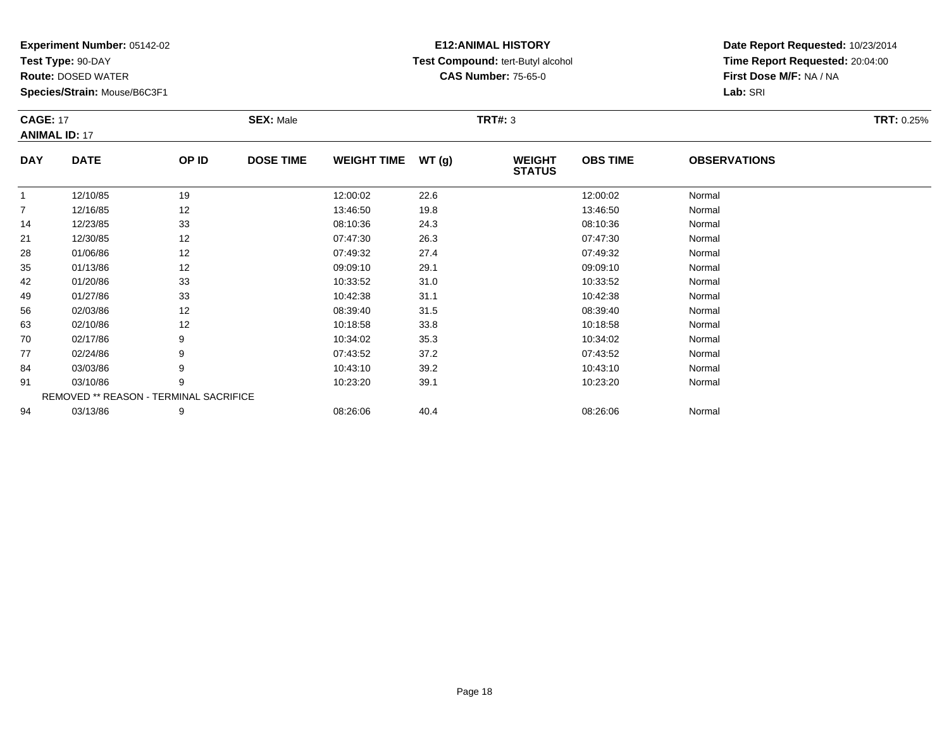**Test Type:** 90-DAY

70

77

84

91

94

**Route:** DOSED WATER

**Species/Strain:** Mouse/B6C3F1

REMOVED \*\* REASON - TERMINAL SACRIFICE

## **E12:ANIMAL HISTORY Test Compound:** tert-Butyl alcohol **CAS Number:** 75-65-0

**Date Report Requested:** 10/23/2014**Time Report Requested:** 20:04:00**First Dose M/F:** NA / NA**Lab:** SRI

| <b>CAGE: 17</b><br><b>ANIMAL ID: 17</b> |             |       | <b>SEX: Male</b> |                    |       | <b>TRT#: 3</b>                 |                 |                     | <b>TRT: 0.25%</b> |
|-----------------------------------------|-------------|-------|------------------|--------------------|-------|--------------------------------|-----------------|---------------------|-------------------|
| <b>DAY</b>                              | <b>DATE</b> | OP ID | <b>DOSE TIME</b> | <b>WEIGHT TIME</b> | WT(g) | <b>WEIGHT</b><br><b>STATUS</b> | <b>OBS TIME</b> | <b>OBSERVATIONS</b> |                   |
|                                         | 12/10/85    | 19    |                  | 12:00:02           | 22.6  |                                | 12:00:02        | Normal              |                   |
| $\overline{7}$                          | 12/16/85    | 12    |                  | 13:46:50           | 19.8  |                                | 13:46:50        | Normal              |                   |
| 14                                      | 12/23/85    | 33    |                  | 08:10:36           | 24.3  |                                | 08:10:36        | Normal              |                   |
| 21                                      | 12/30/85    | 12    |                  | 07:47:30           | 26.3  |                                | 07:47:30        | Normal              |                   |
| 28                                      | 01/06/86    | 12    |                  | 07:49:32           | 27.4  |                                | 07:49:32        | Normal              |                   |
| 35                                      | 01/13/86    | 12    |                  | 09:09:10           | 29.1  |                                | 09:09:10        | Normal              |                   |
| 42                                      | 01/20/86    | 33    |                  | 10:33:52           | 31.0  |                                | 10:33:52        | Normal              |                   |
| 49                                      | 01/27/86    | 33    |                  | 10:42:38           | 31.1  |                                | 10:42:38        | Normal              |                   |
| 56                                      | 02/03/86    | 12    |                  | 08:39:40           | 31.5  |                                | 08:39:40        | Normal              |                   |
| 63                                      | 02/10/86    | 12    |                  | 10:18:58           | 33.8  |                                | 10:18:58        | Normal              |                   |

0 02/17/86 9 10:34:02 35.3 10:34:02 Normal

02/24/86 <sup>9</sup> 07:43:52 37.2 07:43:52 Normal

4 03/03/86 9 9 10:43:10 39.2 10:43:10 39.2 10:43:10 10:43:10

1 03/10/86 9 9 10:23:20 39.1 10:23:20 39.1 10:23:20 Normal

4 03/13/86 9 9 08:26:06 40.4 0.4 08:26:06 08:26:06 08:26:06 Normal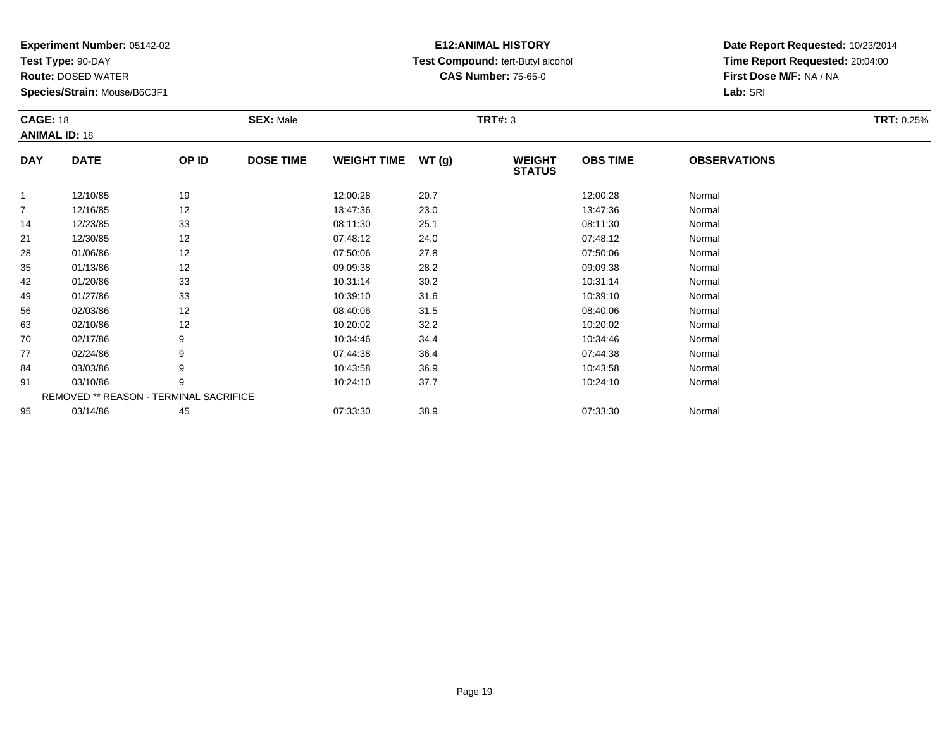**Test Type:** 90-DAY

91

95

**Route:** DOSED WATER

**Species/Strain:** Mouse/B6C3F1

REMOVED \*\* REASON - TERMINAL SACRIFICE

## **E12:ANIMAL HISTORY Test Compound:** tert-Butyl alcohol **CAS Number:** 75-65-0

**Date Report Requested:** 10/23/2014**Time Report Requested:** 20:04:00**First Dose M/F:** NA / NA**Lab:** SRI

| <b>CAGE: 18</b><br><b>ANIMAL ID: 18</b> |             |       | <b>SEX: Male</b> |                    |       | <b>TRT#: 3</b>                 |                 |                     | <b>TRT: 0.25%</b> |
|-----------------------------------------|-------------|-------|------------------|--------------------|-------|--------------------------------|-----------------|---------------------|-------------------|
| <b>DAY</b>                              | <b>DATE</b> | OP ID | <b>DOSE TIME</b> | <b>WEIGHT TIME</b> | WT(g) | <b>WEIGHT</b><br><b>STATUS</b> | <b>OBS TIME</b> | <b>OBSERVATIONS</b> |                   |
|                                         | 12/10/85    | 19    |                  | 12:00:28           | 20.7  |                                | 12:00:28        | Normal              |                   |
| $\overline{7}$                          | 12/16/85    | 12    |                  | 13:47:36           | 23.0  |                                | 13:47:36        | Normal              |                   |
| 14                                      | 12/23/85    | 33    |                  | 08:11:30           | 25.1  |                                | 08:11:30        | Normal              |                   |
| 21                                      | 12/30/85    | 12    |                  | 07:48:12           | 24.0  |                                | 07:48:12        | Normal              |                   |
| 28                                      | 01/06/86    | 12    |                  | 07:50:06           | 27.8  |                                | 07:50:06        | Normal              |                   |
| 35                                      | 01/13/86    | 12    |                  | 09:09:38           | 28.2  |                                | 09:09:38        | Normal              |                   |
| 42                                      | 01/20/86    | 33    |                  | 10:31:14           | 30.2  |                                | 10:31:14        | Normal              |                   |
| 49                                      | 01/27/86    | 33    |                  | 10:39:10           | 31.6  |                                | 10:39:10        | Normal              |                   |
| 56                                      | 02/03/86    | 12    |                  | 08:40:06           | 31.5  |                                | 08:40:06        | Normal              |                   |
| 63                                      | 02/10/86    | 12    |                  | 10:20:02           | 32.2  |                                | 10:20:02        | Normal              |                   |
| 70                                      | 02/17/86    | 9     |                  | 10:34:46           | 34.4  |                                | 10:34:46        | Normal              |                   |
| 77                                      | 02/24/86    | 9     |                  | 07:44:38           | 36.4  |                                | 07:44:38        | Normal              |                   |
| 84                                      | 03/03/86    | 9     |                  | 10:43:58           | 36.9  |                                | 10:43:58        | Normal              |                   |

1 03/10/86 9 9 10:24:10 37.7 10:24:10 10:24:10 9 Normal

03/14/86 <sup>45</sup> 07:33:30 38.9 07:33:30 Normal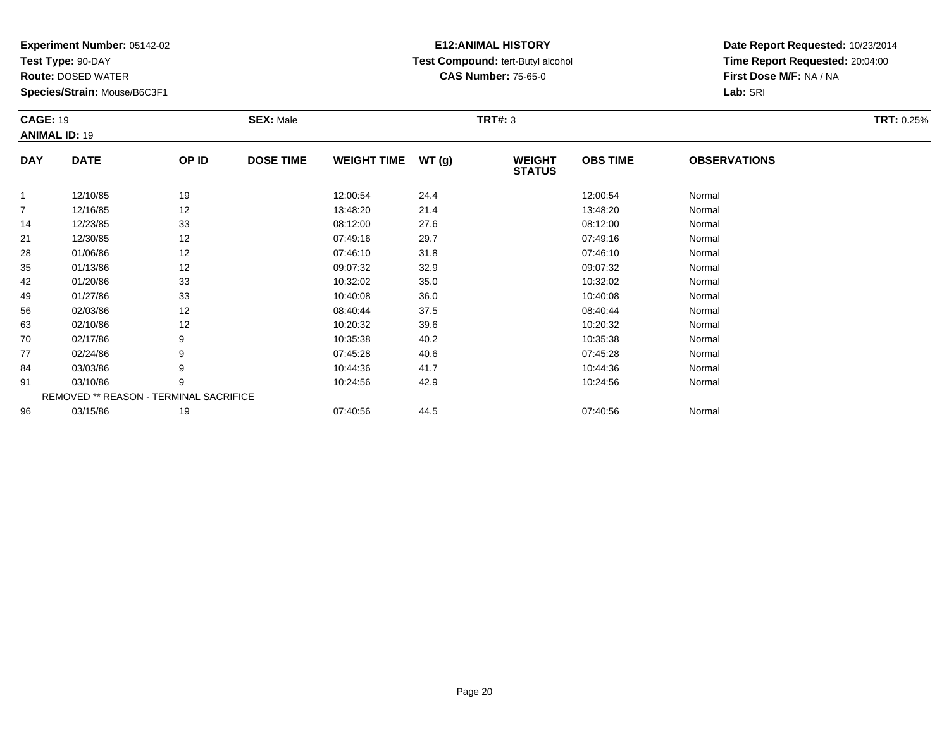**Test Type:** 90-DAY

**Route:** DOSED WATER

**Species/Strain:** Mouse/B6C3F1

# **E12:ANIMAL HISTORY Test Compound:** tert-Butyl alcohol **CAS Number:** 75-65-0

**Date Report Requested:** 10/23/2014**Time Report Requested:** 20:04:00**First Dose M/F:** NA / NA**Lab:** SRI

| <b>CAGE: 19</b> |                                               |       | <b>SEX: Male</b> |                    |       | <b>TRT#: 3</b>                 |                 |                     | <b>TRT: 0.25%</b> |
|-----------------|-----------------------------------------------|-------|------------------|--------------------|-------|--------------------------------|-----------------|---------------------|-------------------|
|                 | <b>ANIMAL ID: 19</b>                          |       |                  |                    |       |                                |                 |                     |                   |
| <b>DAY</b>      | <b>DATE</b>                                   | OP ID | <b>DOSE TIME</b> | <b>WEIGHT TIME</b> | WT(g) | <b>WEIGHT</b><br><b>STATUS</b> | <b>OBS TIME</b> | <b>OBSERVATIONS</b> |                   |
| $\mathbf{1}$    | 12/10/85                                      | 19    |                  | 12:00:54           | 24.4  |                                | 12:00:54        | Normal              |                   |
| $\overline{7}$  | 12/16/85                                      | 12    |                  | 13:48:20           | 21.4  |                                | 13:48:20        | Normal              |                   |
| 14              | 12/23/85                                      | 33    |                  | 08:12:00           | 27.6  |                                | 08:12:00        | Normal              |                   |
| 21              | 12/30/85                                      | 12    |                  | 07:49:16           | 29.7  |                                | 07:49:16        | Normal              |                   |
| 28              | 01/06/86                                      | 12    |                  | 07:46:10           | 31.8  |                                | 07:46:10        | Normal              |                   |
| 35              | 01/13/86                                      | 12    |                  | 09:07:32           | 32.9  |                                | 09:07:32        | Normal              |                   |
| 42              | 01/20/86                                      | 33    |                  | 10:32:02           | 35.0  |                                | 10:32:02        | Normal              |                   |
| 49              | 01/27/86                                      | 33    |                  | 10:40:08           | 36.0  |                                | 10:40:08        | Normal              |                   |
| 56              | 02/03/86                                      | 12    |                  | 08:40:44           | 37.5  |                                | 08:40:44        | Normal              |                   |
| 63              | 02/10/86                                      | 12    |                  | 10:20:32           | 39.6  |                                | 10:20:32        | Normal              |                   |
| 70              | 02/17/86                                      | 9     |                  | 10:35:38           | 40.2  |                                | 10:35:38        | Normal              |                   |
| 77              | 02/24/86                                      | 9     |                  | 07:45:28           | 40.6  |                                | 07:45:28        | Normal              |                   |
| 84              | 03/03/86                                      | 9     |                  | 10:44:36           | 41.7  |                                | 10:44:36        | Normal              |                   |
| 91              | 03/10/86                                      | 9     |                  | 10:24:56           | 42.9  |                                | 10:24:56        | Normal              |                   |
|                 | <b>REMOVED ** REASON - TERMINAL SACRIFICE</b> |       |                  |                    |       |                                |                 |                     |                   |
| 96              | 03/15/86                                      | 19    |                  | 07:40:56           | 44.5  |                                | 07:40:56        | Normal              |                   |

6 03/15/86 19 19 07:40:56 44.5 07:40:56 07:40:56 07:40:56 07:40:56 07:40:56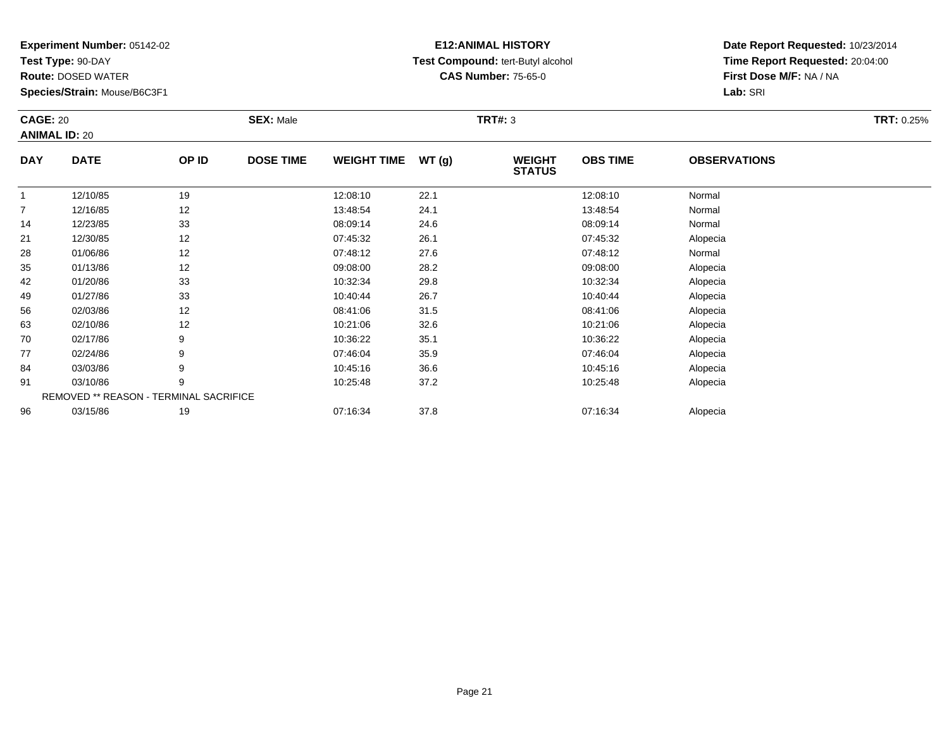**Test Type:** 90-DAY

96

**Route:** DOSED WATER

**Species/Strain:** Mouse/B6C3F1

# **E12:ANIMAL HISTORY Test Compound:** tert-Butyl alcohol **CAS Number:** 75-65-0

**Date Report Requested:** 10/23/2014**Time Report Requested:** 20:04:00**First Dose M/F:** NA / NA**Lab:** SRI

| <b>CAGE: 20</b> | <b>ANIMAL ID: 20</b>                   |       | <b>SEX: Male</b> |                    |       | <b>TRT#: 3</b>                 |                 |                     | <b>TRT: 0.25%</b> |
|-----------------|----------------------------------------|-------|------------------|--------------------|-------|--------------------------------|-----------------|---------------------|-------------------|
| <b>DAY</b>      | <b>DATE</b>                            | OP ID | <b>DOSE TIME</b> | <b>WEIGHT TIME</b> | WT(g) | <b>WEIGHT</b><br><b>STATUS</b> | <b>OBS TIME</b> | <b>OBSERVATIONS</b> |                   |
| 1               | 12/10/85                               | 19    |                  | 12:08:10           | 22.1  |                                | 12:08:10        | Normal              |                   |
| 7               | 12/16/85                               | 12    |                  | 13:48:54           | 24.1  |                                | 13:48:54        | Normal              |                   |
| 14              | 12/23/85                               | 33    |                  | 08:09:14           | 24.6  |                                | 08:09:14        | Normal              |                   |
| 21              | 12/30/85                               | 12    |                  | 07:45:32           | 26.1  |                                | 07:45:32        | Alopecia            |                   |
| 28              | 01/06/86                               | 12    |                  | 07:48:12           | 27.6  |                                | 07:48:12        | Normal              |                   |
| 35              | 01/13/86                               | 12    |                  | 09:08:00           | 28.2  |                                | 09:08:00        | Alopecia            |                   |
| 42              | 01/20/86                               | 33    |                  | 10:32:34           | 29.8  |                                | 10:32:34        | Alopecia            |                   |
| 49              | 01/27/86                               | 33    |                  | 10:40:44           | 26.7  |                                | 10:40:44        | Alopecia            |                   |
| 56              | 02/03/86                               | 12    |                  | 08:41:06           | 31.5  |                                | 08:41:06        | Alopecia            |                   |
| 63              | 02/10/86                               | 12    |                  | 10:21:06           | 32.6  |                                | 10:21:06        | Alopecia            |                   |
| 70              | 02/17/86                               | 9     |                  | 10:36:22           | 35.1  |                                | 10:36:22        | Alopecia            |                   |
| 77              | 02/24/86                               | 9     |                  | 07:46:04           | 35.9  |                                | 07:46:04        | Alopecia            |                   |
| 84              | 03/03/86                               | 9     |                  | 10:45:16           | 36.6  |                                | 10:45:16        | Alopecia            |                   |
| 91              | 03/10/86                               | 9     |                  | 10:25:48           | 37.2  |                                | 10:25:48        | Alopecia            |                   |
|                 | REMOVED ** REASON - TERMINAL SACRIFICE |       |                  |                    |       |                                |                 |                     |                   |

6 03/15/86 19 07:16:34 37.8 07:16:34 Alopecia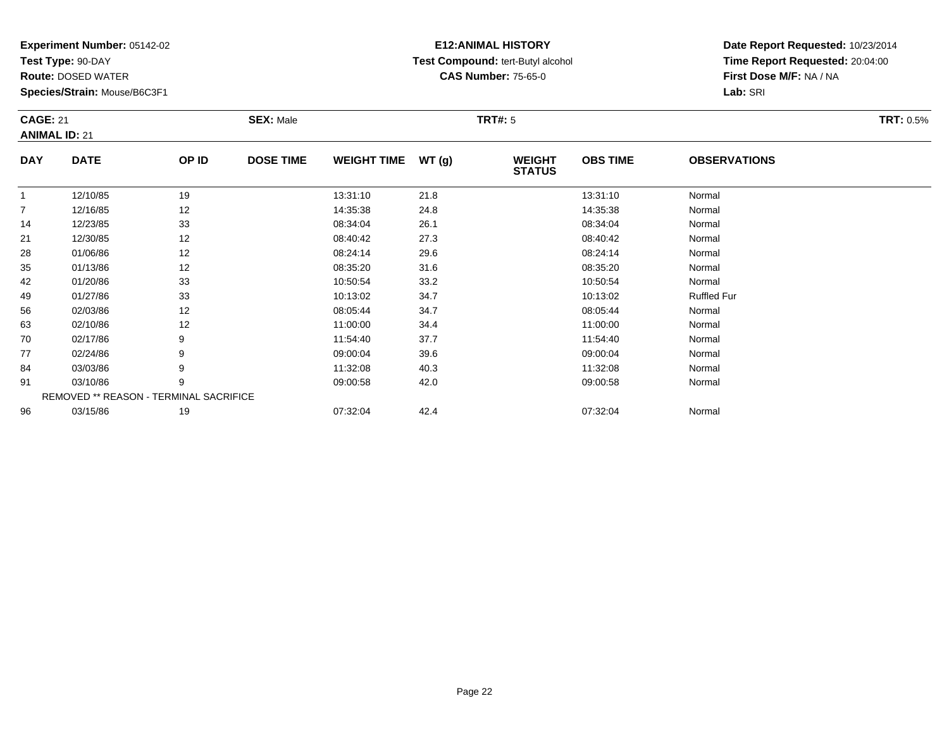**Test Type:** 90-DAY

96

**Route:** DOSED WATER

**Species/Strain:** Mouse/B6C3F1

REMOVED \*\* REASON - TERMINAL SACRIFICE

## **E12:ANIMAL HISTORY Test Compound:** tert-Butyl alcohol **CAS Number:** 75-65-0

**Date Report Requested:** 10/23/2014**Time Report Requested:** 20:04:00**First Dose M/F:** NA / NA**Lab:** SRI

| <b>CAGE: 21</b><br><b>ANIMAL ID: 21</b> |             |       | <b>SEX: Male</b> |                    |       | <b>TRT#: 5</b>                 |                 |                     | <b>TRT: 0.5%</b> |
|-----------------------------------------|-------------|-------|------------------|--------------------|-------|--------------------------------|-----------------|---------------------|------------------|
| <b>DAY</b>                              | <b>DATE</b> | OP ID | <b>DOSE TIME</b> | <b>WEIGHT TIME</b> | WT(g) | <b>WEIGHT</b><br><b>STATUS</b> | <b>OBS TIME</b> | <b>OBSERVATIONS</b> |                  |
|                                         | 12/10/85    | 19    |                  | 13:31:10           | 21.8  |                                | 13:31:10        | Normal              |                  |
| $\overline{7}$                          | 12/16/85    | 12    |                  | 14:35:38           | 24.8  |                                | 14:35:38        | Normal              |                  |
| 14                                      | 12/23/85    | 33    |                  | 08:34:04           | 26.1  |                                | 08:34:04        | Normal              |                  |
| 21                                      | 12/30/85    | 12    |                  | 08:40:42           | 27.3  |                                | 08:40:42        | Normal              |                  |
| 28                                      | 01/06/86    | 12    |                  | 08:24:14           | 29.6  |                                | 08:24:14        | Normal              |                  |
| 35                                      | 01/13/86    | 12    |                  | 08:35:20           | 31.6  |                                | 08:35:20        | Normal              |                  |
| 42                                      | 01/20/86    | 33    |                  | 10:50:54           | 33.2  |                                | 10:50:54        | Normal              |                  |
| 49                                      | 01/27/86    | 33    |                  | 10:13:02           | 34.7  |                                | 10:13:02        | <b>Ruffled Fur</b>  |                  |
| 56                                      | 02/03/86    | 12    |                  | 08:05:44           | 34.7  |                                | 08:05:44        | Normal              |                  |
| 63                                      | 02/10/86    | 12    |                  | 11:00:00           | 34.4  |                                | 11:00:00        | Normal              |                  |
| 70                                      | 02/17/86    | 9     |                  | 11:54:40           | 37.7  |                                | 11:54:40        | Normal              |                  |
| 77                                      | 02/24/86    | 9     |                  | 09:00:04           | 39.6  |                                | 09:00:04        | Normal              |                  |
| 84                                      | 03/03/86    | 9     |                  | 11:32:08           | 40.3  |                                | 11:32:08        | Normal              |                  |
| 91                                      | 03/10/86    | 9     |                  | 09:00:58           | 42.0  |                                | 09:00:58        | Normal              |                  |

6 03/15/86 19 19 07:32:04 42.4 19 07:32:04 hormal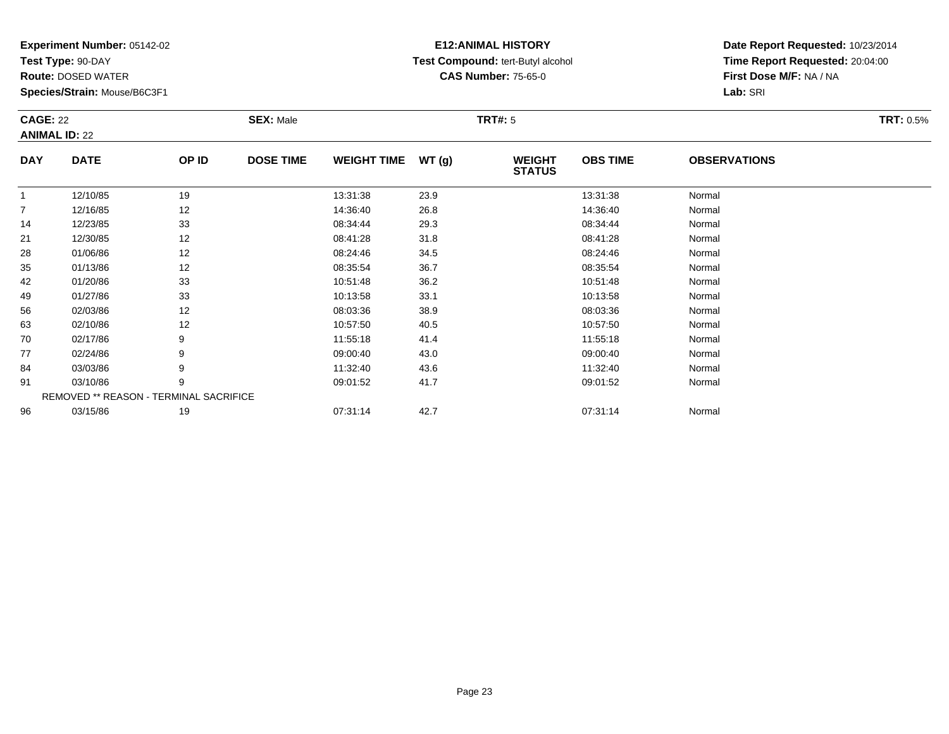**Test Type:** 90-DAY

96

**Route:** DOSED WATER

**Species/Strain:** Mouse/B6C3F1

# **E12:ANIMAL HISTORY Test Compound:** tert-Butyl alcohol **CAS Number:** 75-65-0

**Date Report Requested:** 10/23/2014**Time Report Requested:** 20:04:00**First Dose M/F:** NA / NA**Lab:** SRI

| <b>CAGE: 22</b> | <b>ANIMAL ID: 22</b>                   |       | <b>SEX: Male</b> |                    |       | <b>TRT#: 5</b>                 |                 |                     | <b>TRT: 0.5%</b> |
|-----------------|----------------------------------------|-------|------------------|--------------------|-------|--------------------------------|-----------------|---------------------|------------------|
| <b>DAY</b>      | <b>DATE</b>                            | OP ID | <b>DOSE TIME</b> | <b>WEIGHT TIME</b> | WT(g) | <b>WEIGHT</b><br><b>STATUS</b> | <b>OBS TIME</b> | <b>OBSERVATIONS</b> |                  |
| $\mathbf{1}$    | 12/10/85                               | 19    |                  | 13:31:38           | 23.9  |                                | 13:31:38        | Normal              |                  |
| $\overline{7}$  | 12/16/85                               | 12    |                  | 14:36:40           | 26.8  |                                | 14:36:40        | Normal              |                  |
| 14              | 12/23/85                               | 33    |                  | 08:34:44           | 29.3  |                                | 08:34:44        | Normal              |                  |
| 21              | 12/30/85                               | 12    |                  | 08:41:28           | 31.8  |                                | 08:41:28        | Normal              |                  |
| 28              | 01/06/86                               | 12    |                  | 08:24:46           | 34.5  |                                | 08:24:46        | Normal              |                  |
| 35              | 01/13/86                               | 12    |                  | 08:35:54           | 36.7  |                                | 08:35:54        | Normal              |                  |
| 42              | 01/20/86                               | 33    |                  | 10:51:48           | 36.2  |                                | 10.51:48        | Normal              |                  |
| 49              | 01/27/86                               | 33    |                  | 10:13:58           | 33.1  |                                | 10:13:58        | Normal              |                  |
| 56              | 02/03/86                               | 12    |                  | 08:03:36           | 38.9  |                                | 08:03:36        | Normal              |                  |
| 63              | 02/10/86                               | 12    |                  | 10:57:50           | 40.5  |                                | 10:57:50        | Normal              |                  |
| 70              | 02/17/86                               | 9     |                  | 11:55:18           | 41.4  |                                | 11:55:18        | Normal              |                  |
| 77              | 02/24/86                               | 9     |                  | 09:00:40           | 43.0  |                                | 09:00:40        | Normal              |                  |
| 84              | 03/03/86                               | 9     |                  | 11:32:40           | 43.6  |                                | 11:32:40        | Normal              |                  |
| 91              | 03/10/86                               | 9     |                  | 09:01:52           | 41.7  |                                | 09:01:52        | Normal              |                  |
|                 | REMOVED ** REASON - TERMINAL SACRIFICE |       |                  |                    |       |                                |                 |                     |                  |

6 03/15/86 19 07:31:14 42.7 07:31:14 Normal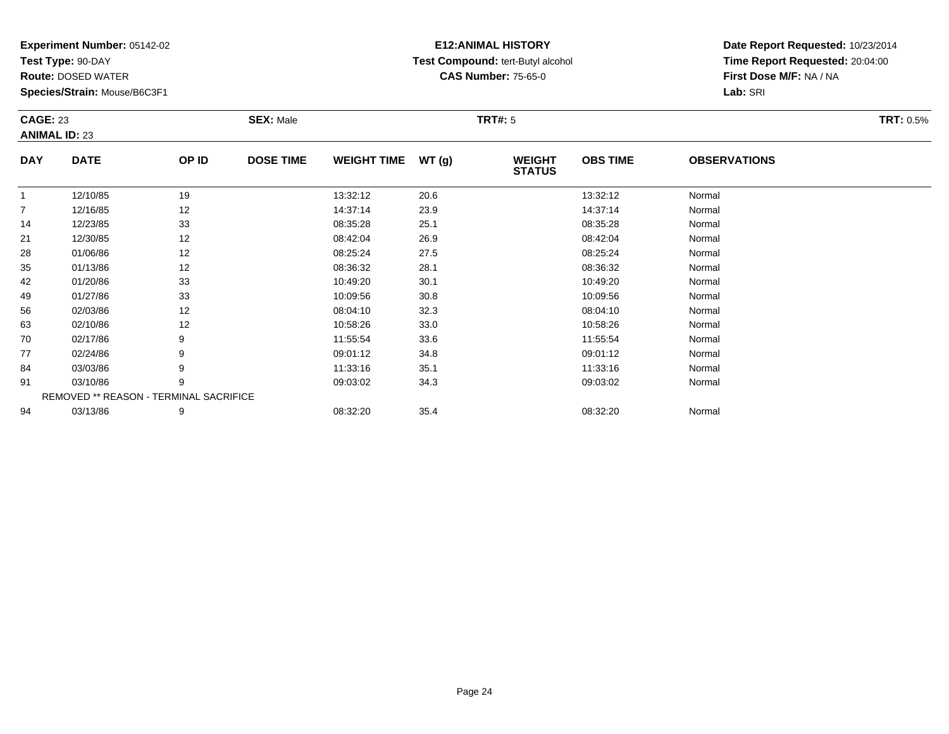**Test Type:** 90-DAY

94

**Route:** DOSED WATER

**Species/Strain:** Mouse/B6C3F1

## **E12:ANIMAL HISTORY Test Compound:** tert-Butyl alcohol **CAS Number:** 75-65-0

**Date Report Requested:** 10/23/2014**Time Report Requested:** 20:04:00**First Dose M/F:** NA / NA**Lab:** SRI

| <b>CAGE: 23</b> | <b>ANIMAL ID: 23</b>                   |       | <b>SEX: Male</b> |                    |       | <b>TRT#: 5</b>                 |                 |                     | <b>TRT: 0.5%</b> |
|-----------------|----------------------------------------|-------|------------------|--------------------|-------|--------------------------------|-----------------|---------------------|------------------|
| <b>DAY</b>      | <b>DATE</b>                            | OP ID | <b>DOSE TIME</b> | <b>WEIGHT TIME</b> | WT(g) | <b>WEIGHT</b><br><b>STATUS</b> | <b>OBS TIME</b> | <b>OBSERVATIONS</b> |                  |
| $\mathbf{1}$    | 12/10/85                               | 19    |                  | 13:32:12           | 20.6  |                                | 13:32:12        | Normal              |                  |
| $\overline{7}$  | 12/16/85                               | 12    |                  | 14:37:14           | 23.9  |                                | 14:37:14        | Normal              |                  |
| 14              | 12/23/85                               | 33    |                  | 08:35:28           | 25.1  |                                | 08:35:28        | Normal              |                  |
| 21              | 12/30/85                               | 12    |                  | 08:42:04           | 26.9  |                                | 08:42:04        | Normal              |                  |
| 28              | 01/06/86                               | 12    |                  | 08:25:24           | 27.5  |                                | 08:25:24        | Normal              |                  |
| 35              | 01/13/86                               | 12    |                  | 08:36:32           | 28.1  |                                | 08:36:32        | Normal              |                  |
| 42              | 01/20/86                               | 33    |                  | 10:49:20           | 30.1  |                                | 10:49:20        | Normal              |                  |
| 49              | 01/27/86                               | 33    |                  | 10:09:56           | 30.8  |                                | 10:09:56        | Normal              |                  |
| 56              | 02/03/86                               | 12    |                  | 08:04:10           | 32.3  |                                | 08:04:10        | Normal              |                  |
| 63              | 02/10/86                               | 12    |                  | 10:58:26           | 33.0  |                                | 10:58:26        | Normal              |                  |
| 70              | 02/17/86                               | 9     |                  | 11:55:54           | 33.6  |                                | 11:55:54        | Normal              |                  |
| 77              | 02/24/86                               | 9     |                  | 09:01:12           | 34.8  |                                | 09:01:12        | Normal              |                  |
| 84              | 03/03/86                               | 9     |                  | 11:33:16           | 35.1  |                                | 11:33:16        | Normal              |                  |
| 91              | 03/10/86                               | 9     |                  | 09:03:02           | 34.3  |                                | 09:03:02        | Normal              |                  |
|                 | REMOVED ** REASON - TERMINAL SACRIFICE |       |                  |                    |       |                                |                 |                     |                  |

4 03/13/86 9 9 08:32:20 35.4 08:32:20 08:32:20 08:32:20 Normal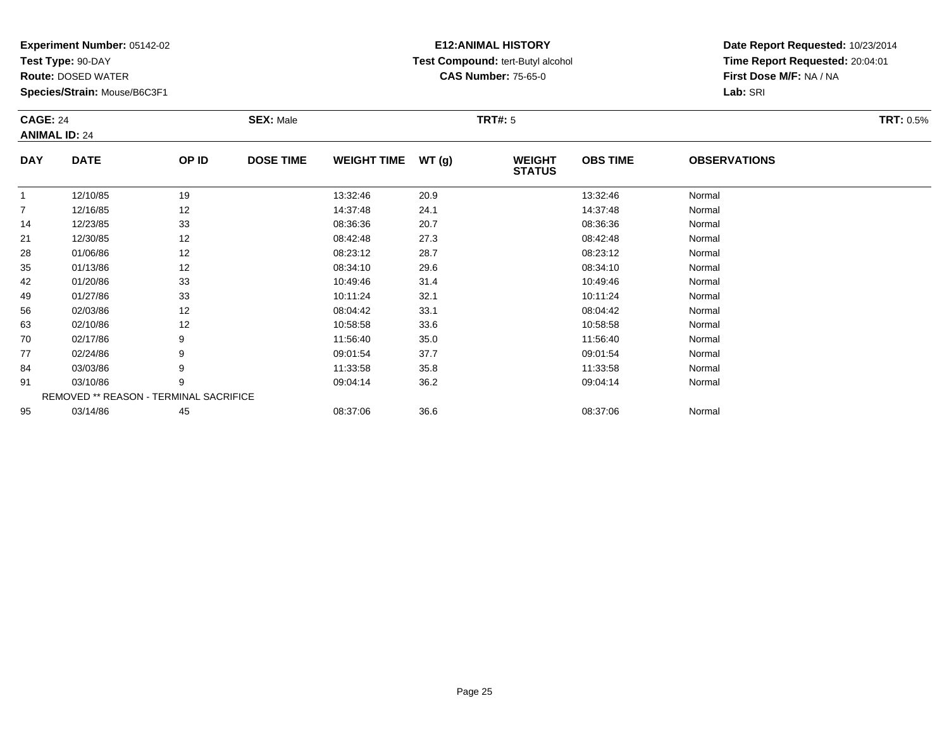**Test Type:** 90-DAY

77

84

91

95

**Route:** DOSED WATER

**Species/Strain:** Mouse/B6C3F1

REMOVED \*\* REASON - TERMINAL SACRIFICE

## **E12:ANIMAL HISTORY Test Compound:** tert-Butyl alcohol **CAS Number:** 75-65-0

**Date Report Requested:** 10/23/2014**Time Report Requested:** 20:04:01**First Dose M/F:** NA / NA**Lab:** SRI

| <b>CAGE: 24</b><br><b>ANIMAL ID: 24</b> |             |       | <b>SEX: Male</b> |                    |       | <b>TRT#: 5</b>                 |                 |                     | <b>TRT: 0.5%</b> |
|-----------------------------------------|-------------|-------|------------------|--------------------|-------|--------------------------------|-----------------|---------------------|------------------|
| <b>DAY</b>                              | <b>DATE</b> | OP ID | <b>DOSE TIME</b> | <b>WEIGHT TIME</b> | WT(g) | <b>WEIGHT</b><br><b>STATUS</b> | <b>OBS TIME</b> | <b>OBSERVATIONS</b> |                  |
|                                         | 12/10/85    | 19    |                  | 13:32:46           | 20.9  |                                | 13:32:46        | Normal              |                  |
| $\overline{7}$                          | 12/16/85    | 12    |                  | 14:37:48           | 24.1  |                                | 14:37:48        | Normal              |                  |
| 14                                      | 12/23/85    | 33    |                  | 08:36:36           | 20.7  |                                | 08:36:36        | Normal              |                  |
| 21                                      | 12/30/85    | 12    |                  | 08:42:48           | 27.3  |                                | 08:42:48        | Normal              |                  |
| 28                                      | 01/06/86    | 12    |                  | 08:23:12           | 28.7  |                                | 08:23:12        | Normal              |                  |
| 35                                      | 01/13/86    | 12    |                  | 08:34:10           | 29.6  |                                | 08:34:10        | Normal              |                  |
| 42                                      | 01/20/86    | 33    |                  | 10:49:46           | 31.4  |                                | 10:49:46        | Normal              |                  |
| 49                                      | 01/27/86    | 33    |                  | 10:11:24           | 32.1  |                                | 10:11:24        | Normal              |                  |
| 56                                      | 02/03/86    | 12    |                  | 08:04:42           | 33.1  |                                | 08:04:42        | Normal              |                  |
| 63                                      | 02/10/86    | 12    |                  | 10:58:58           | 33.6  |                                | 10:58:58        | Normal              |                  |
| 70                                      | 02/17/86    | 9     |                  | 11:56:40           | 35.0  |                                | 11:56:40        | Normal              |                  |

7 02/24/86 9 9 09:01:54 37.7 09:01:54 09:01:54 09:01:54 09:01:54

4 03/03/86 9 9 11:33:58 35.8 11:33:58 11:33:58 Normal

03/10/86 <sup>9</sup> 09:04:14 36.2 09:04:14 Normal

5 03/14/86 45 45 08:37:06 36.6 5 08:37:06 08:37:06 08:37:06 08:37:06 08:37:06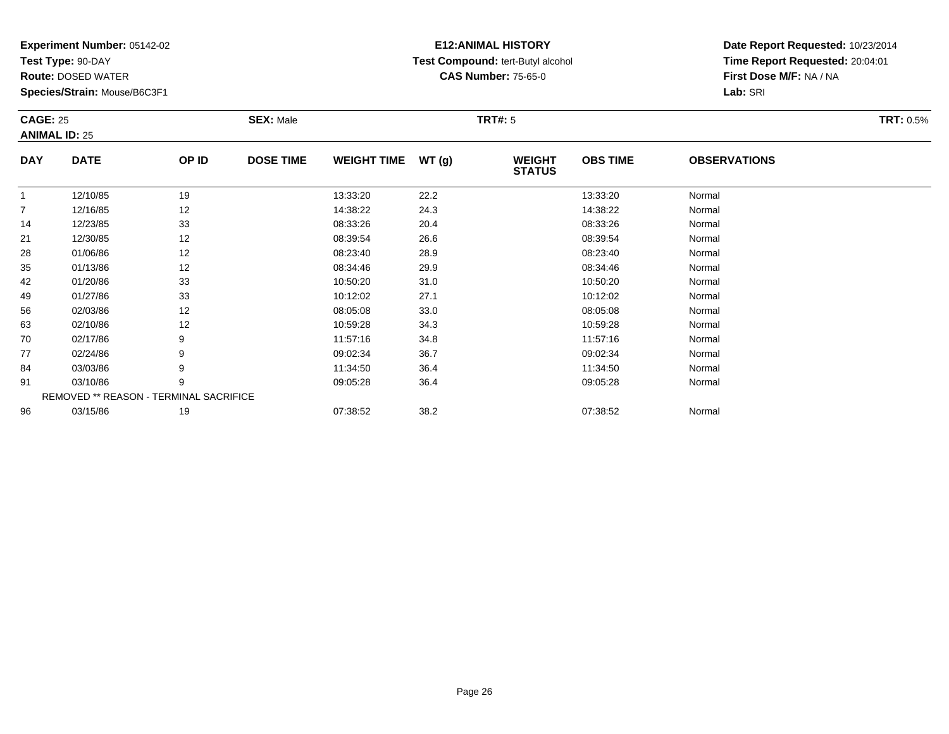**Test Type:** 90-DAY

96

**Route:** DOSED WATER

**Species/Strain:** Mouse/B6C3F1

# **E12:ANIMAL HISTORY Test Compound:** tert-Butyl alcohol **CAS Number:** 75-65-0

**Date Report Requested:** 10/23/2014**Time Report Requested:** 20:04:01**First Dose M/F:** NA / NA**Lab:** SRI

| <b>CAGE: 25</b> | <b>ANIMAL ID: 25</b>                   |       | <b>SEX: Male</b> |                    |       | <b>TRT#: 5</b>                 |                 |                     | <b>TRT: 0.5%</b> |
|-----------------|----------------------------------------|-------|------------------|--------------------|-------|--------------------------------|-----------------|---------------------|------------------|
| <b>DAY</b>      | <b>DATE</b>                            | OP ID | <b>DOSE TIME</b> | <b>WEIGHT TIME</b> | WT(g) | <b>WEIGHT</b><br><b>STATUS</b> | <b>OBS TIME</b> | <b>OBSERVATIONS</b> |                  |
| 1               | 12/10/85                               | 19    |                  | 13:33:20           | 22.2  |                                | 13:33:20        | Normal              |                  |
| 7               | 12/16/85                               | 12    |                  | 14:38:22           | 24.3  |                                | 14:38:22        | Normal              |                  |
| 14              | 12/23/85                               | 33    |                  | 08:33:26           | 20.4  |                                | 08:33:26        | Normal              |                  |
| 21              | 12/30/85                               | 12    |                  | 08:39:54           | 26.6  |                                | 08:39:54        | Normal              |                  |
| 28              | 01/06/86                               | 12    |                  | 08:23:40           | 28.9  |                                | 08:23:40        | Normal              |                  |
| 35              | 01/13/86                               | 12    |                  | 08:34:46           | 29.9  |                                | 08:34:46        | Normal              |                  |
| 42              | 01/20/86                               | 33    |                  | 10:50:20           | 31.0  |                                | 10:50:20        | Normal              |                  |
| 49              | 01/27/86                               | 33    |                  | 10:12:02           | 27.1  |                                | 10:12:02        | Normal              |                  |
| 56              | 02/03/86                               | 12    |                  | 08:05:08           | 33.0  |                                | 08:05:08        | Normal              |                  |
| 63              | 02/10/86                               | 12    |                  | 10:59:28           | 34.3  |                                | 10:59:28        | Normal              |                  |
| 70              | 02/17/86                               | 9     |                  | 11:57:16           | 34.8  |                                | 11:57:16        | Normal              |                  |
| 77              | 02/24/86                               | 9     |                  | 09:02:34           | 36.7  |                                | 09:02:34        | Normal              |                  |
| 84              | 03/03/86                               | 9     |                  | 11:34:50           | 36.4  |                                | 11:34:50        | Normal              |                  |
| 91              | 03/10/86                               | 9     |                  | 09:05:28           | 36.4  |                                | 09:05:28        | Normal              |                  |
|                 | REMOVED ** REASON - TERMINAL SACRIFICE |       |                  |                    |       |                                |                 |                     |                  |

6 03/15/86 19 19 07:38:52 38.2 38.2 07:38:52 07:38:52 Normal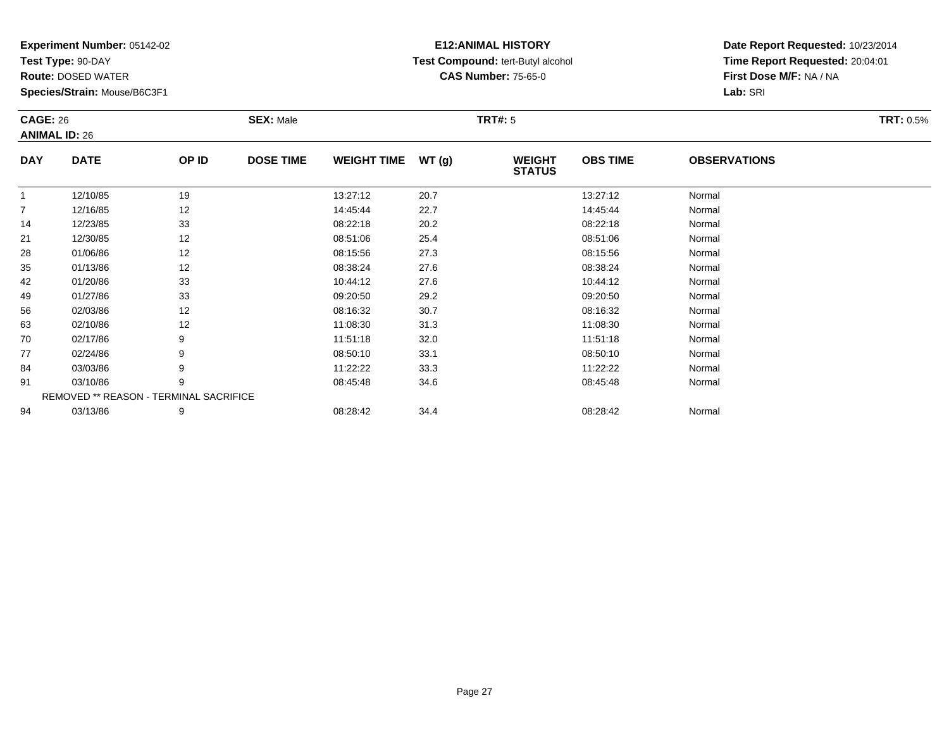**Test Type:** 90-DAY

94

**Route:** DOSED WATER

**Species/Strain:** Mouse/B6C3F1

# **E12:ANIMAL HISTORY Test Compound:** tert-Butyl alcohol **CAS Number:** 75-65-0

**Date Report Requested:** 10/23/2014**Time Report Requested:** 20:04:01**First Dose M/F:** NA / NA**Lab:** SRI

| <b>CAGE: 26</b> | <b>ANIMAL ID: 26</b>                   |       | <b>SEX: Male</b> |                    |       | <b>TRT#: 5</b>                 |                 |                     | <b>TRT: 0.5%</b> |
|-----------------|----------------------------------------|-------|------------------|--------------------|-------|--------------------------------|-----------------|---------------------|------------------|
| <b>DAY</b>      | <b>DATE</b>                            | OP ID | <b>DOSE TIME</b> | <b>WEIGHT TIME</b> | WT(g) | <b>WEIGHT</b><br><b>STATUS</b> | <b>OBS TIME</b> | <b>OBSERVATIONS</b> |                  |
|                 | 12/10/85                               | 19    |                  | 13:27:12           | 20.7  |                                | 13:27:12        | Normal              |                  |
| 7               | 12/16/85                               | 12    |                  | 14:45:44           | 22.7  |                                | 14:45:44        | Normal              |                  |
| 14              | 12/23/85                               | 33    |                  | 08:22:18           | 20.2  |                                | 08:22:18        | Normal              |                  |
| 21              | 12/30/85                               | 12    |                  | 08:51:06           | 25.4  |                                | 08:51:06        | Normal              |                  |
| 28              | 01/06/86                               | 12    |                  | 08:15:56           | 27.3  |                                | 08:15:56        | Normal              |                  |
| 35              | 01/13/86                               | 12    |                  | 08:38:24           | 27.6  |                                | 08:38:24        | Normal              |                  |
| 42              | 01/20/86                               | 33    |                  | 10:44:12           | 27.6  |                                | 10:44:12        | Normal              |                  |
| 49              | 01/27/86                               | 33    |                  | 09:20:50           | 29.2  |                                | 09:20:50        | Normal              |                  |
| 56              | 02/03/86                               | 12    |                  | 08:16:32           | 30.7  |                                | 08:16:32        | Normal              |                  |
| 63              | 02/10/86                               | 12    |                  | 11:08:30           | 31.3  |                                | 11:08:30        | Normal              |                  |
| 70              | 02/17/86                               | 9     |                  | 11:51:18           | 32.0  |                                | 11:51:18        | Normal              |                  |
| 77              | 02/24/86                               | 9     |                  | 08:50:10           | 33.1  |                                | 08:50:10        | Normal              |                  |
| 84              | 03/03/86                               | 9     |                  | 11:22:22           | 33.3  |                                | 11:22:22        | Normal              |                  |
| 91              | 03/10/86                               | 9     |                  | 08:45:48           | 34.6  |                                | 08:45:48        | Normal              |                  |
|                 | REMOVED ** REASON - TERMINAL SACRIFICE |       |                  |                    |       |                                |                 |                     |                  |

4 03/13/86 9 9 08:28:42 34.4 08:28:42 08:28:42 Normal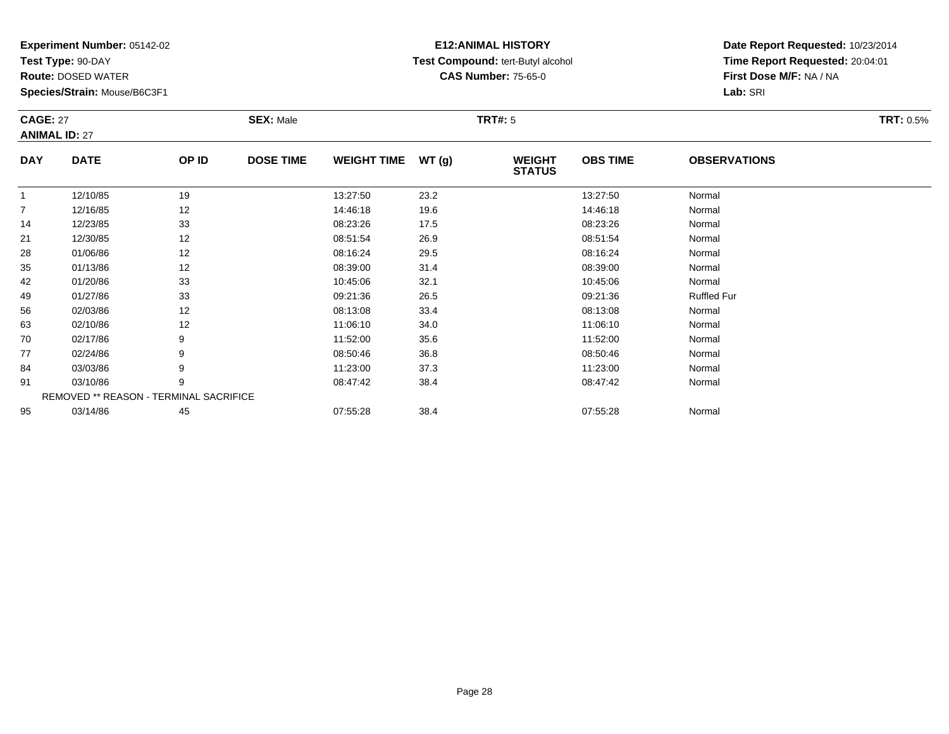**Test Type:** 90-DAY

91

95

**Route:** DOSED WATER

**Species/Strain:** Mouse/B6C3F1

REMOVED \*\* REASON - TERMINAL SACRIFICE

## **E12:ANIMAL HISTORY Test Compound:** tert-Butyl alcohol **CAS Number:** 75-65-0

**Date Report Requested:** 10/23/2014**Time Report Requested:** 20:04:01**First Dose M/F:** NA / NA**Lab:** SRI

| <b>CAGE: 27</b><br><b>ANIMAL ID: 27</b> |             |       | <b>SEX: Male</b> |                    |       | <b>TRT#: 5</b>                 |                 |                     | <b>TRT: 0.5%</b> |
|-----------------------------------------|-------------|-------|------------------|--------------------|-------|--------------------------------|-----------------|---------------------|------------------|
| <b>DAY</b>                              | <b>DATE</b> | OP ID | <b>DOSE TIME</b> | <b>WEIGHT TIME</b> | WT(g) | <b>WEIGHT</b><br><b>STATUS</b> | <b>OBS TIME</b> | <b>OBSERVATIONS</b> |                  |
|                                         | 12/10/85    | 19    |                  | 13:27:50           | 23.2  |                                | 13:27:50        | Normal              |                  |
| 7                                       | 12/16/85    | 12    |                  | 14:46:18           | 19.6  |                                | 14:46:18        | Normal              |                  |
| 14                                      | 12/23/85    | 33    |                  | 08:23:26           | 17.5  |                                | 08:23:26        | Normal              |                  |
| 21                                      | 12/30/85    | 12    |                  | 08:51:54           | 26.9  |                                | 08:51:54        | Normal              |                  |
| 28                                      | 01/06/86    | 12    |                  | 08:16:24           | 29.5  |                                | 08:16:24        | Normal              |                  |
| 35                                      | 01/13/86    | 12    |                  | 08:39:00           | 31.4  |                                | 08:39:00        | Normal              |                  |
| 42                                      | 01/20/86    | 33    |                  | 10:45:06           | 32.1  |                                | 10:45:06        | Normal              |                  |
| 49                                      | 01/27/86    | 33    |                  | 09:21:36           | 26.5  |                                | 09:21:36        | <b>Ruffled Fur</b>  |                  |
| 56                                      | 02/03/86    | 12    |                  | 08:13:08           | 33.4  |                                | 08:13:08        | Normal              |                  |
| 63                                      | 02/10/86    | 12    |                  | 11:06:10           | 34.0  |                                | 11:06:10        | Normal              |                  |
| 70                                      | 02/17/86    | 9     |                  | 11:52:00           | 35.6  |                                | 11:52:00        | Normal              |                  |
| 77                                      | 02/24/86    | 9     |                  | 08:50:46           | 36.8  |                                | 08:50:46        | Normal              |                  |
| 84                                      | 03/03/86    | 9     |                  | 11:23:00           | 37.3  |                                | 11:23:00        | Normal              |                  |

1 03/10/86 9 9 08:47:42 38.4 08:47 08:47:42 08:47:42 Normal

03/14/86 <sup>45</sup> 07:55:28 38.4 07:55:28 Normal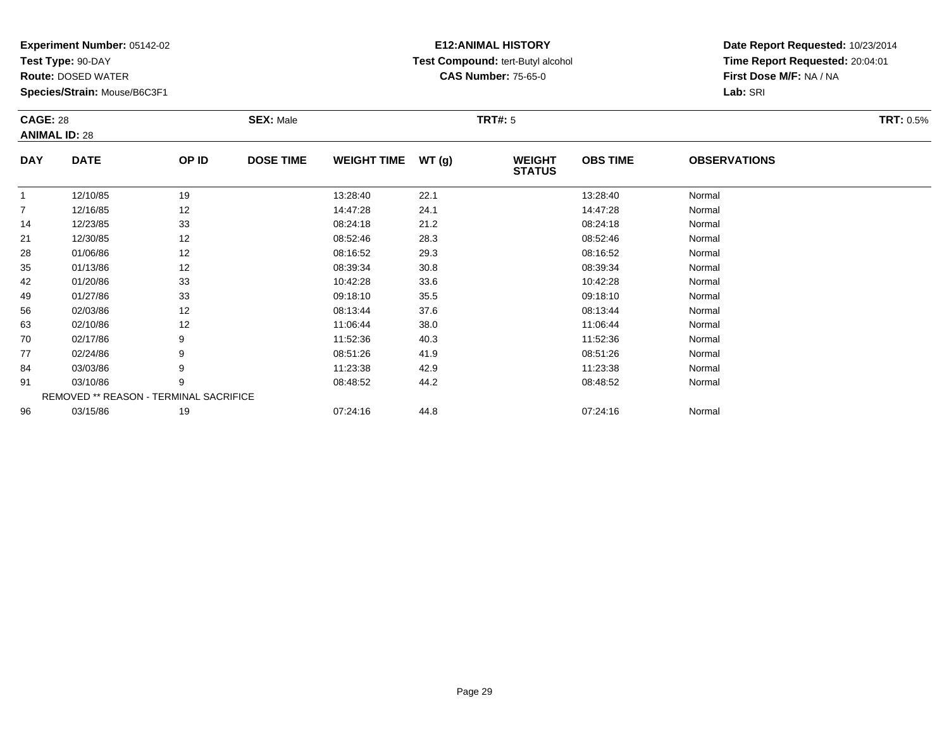**Test Type:** 90-DAY

96

**Route:** DOSED WATER

**Species/Strain:** Mouse/B6C3F1

REMOVED \*\* REASON - TERMINAL SACRIFICE

## **E12:ANIMAL HISTORY Test Compound:** tert-Butyl alcohol **CAS Number:** 75-65-0

**Date Report Requested:** 10/23/2014**Time Report Requested:** 20:04:01**First Dose M/F:** NA / NA**Lab:** SRI

| <b>CAGE: 28</b><br><b>ANIMAL ID: 28</b> |             |       | <b>SEX: Male</b> |                    |       | <b>TRT#:</b> 5                 |                 |                     | <b>TRT: 0.5%</b> |
|-----------------------------------------|-------------|-------|------------------|--------------------|-------|--------------------------------|-----------------|---------------------|------------------|
| <b>DAY</b>                              | <b>DATE</b> | OP ID | <b>DOSE TIME</b> | <b>WEIGHT TIME</b> | WT(g) | <b>WEIGHT</b><br><b>STATUS</b> | <b>OBS TIME</b> | <b>OBSERVATIONS</b> |                  |
| 1                                       | 12/10/85    | 19    |                  | 13:28:40           | 22.1  |                                | 13:28:40        | Normal              |                  |
| $\overline{7}$                          | 12/16/85    | 12    |                  | 14:47:28           | 24.1  |                                | 14:47:28        | Normal              |                  |
| 14                                      | 12/23/85    | 33    |                  | 08:24:18           | 21.2  |                                | 08:24:18        | Normal              |                  |
| 21                                      | 12/30/85    | 12    |                  | 08:52:46           | 28.3  |                                | 08:52:46        | Normal              |                  |
| 28                                      | 01/06/86    | 12    |                  | 08:16:52           | 29.3  |                                | 08:16:52        | Normal              |                  |
| 35                                      | 01/13/86    | 12    |                  | 08:39:34           | 30.8  |                                | 08:39:34        | Normal              |                  |
| 42                                      | 01/20/86    | 33    |                  | 10:42:28           | 33.6  |                                | 10:42:28        | Normal              |                  |
| 49                                      | 01/27/86    | 33    |                  | 09:18:10           | 35.5  |                                | 09:18:10        | Normal              |                  |
| 56                                      | 02/03/86    | 12    |                  | 08:13:44           | 37.6  |                                | 08:13:44        | Normal              |                  |
| 63                                      | 02/10/86    | 12    |                  | 11:06:44           | 38.0  |                                | 11:06:44        | Normal              |                  |
| 70                                      | 02/17/86    | 9     |                  | 11:52:36           | 40.3  |                                | 11:52:36        | Normal              |                  |
| 77                                      | 02/24/86    | 9     |                  | 08:51:26           | 41.9  |                                | 08:51:26        | Normal              |                  |
| 84                                      | 03/03/86    | 9     |                  | 11:23:38           | 42.9  |                                | 11:23:38        | Normal              |                  |
| 91                                      | 03/10/86    | 9     |                  | 08:48:52           | 44.2  |                                | 08:48:52        | Normal              |                  |

6 03/15/86 19 19 07:24:16 44.8 07:48 07:44.8 07:24:16 Normal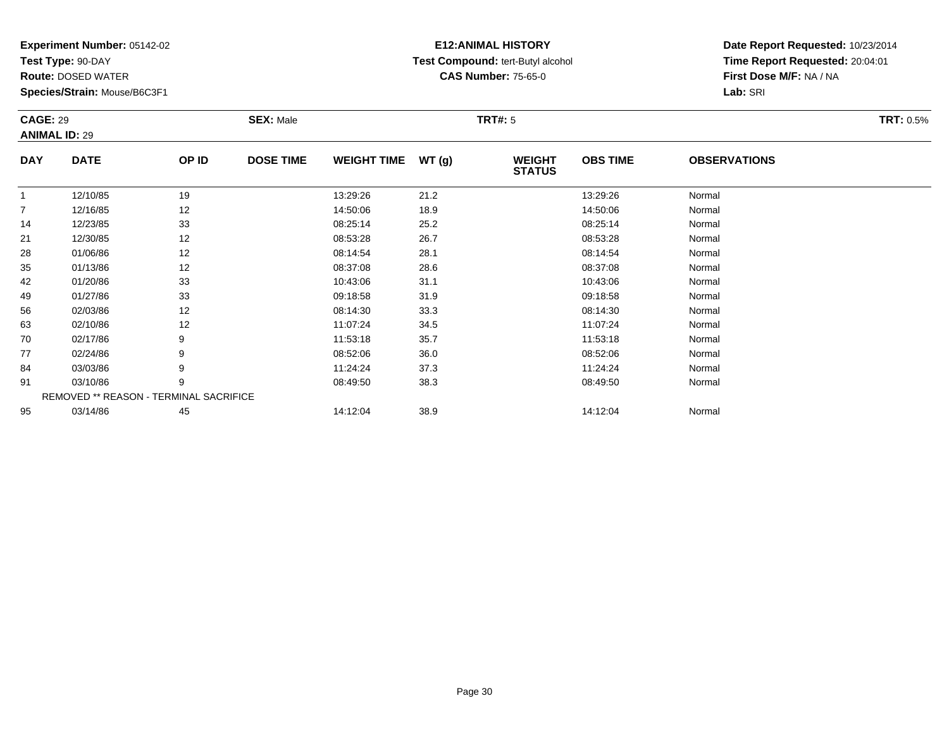**Test Type:** 90-DAY

91

95

**Route:** DOSED WATER

**Species/Strain:** Mouse/B6C3F1

REMOVED \*\* REASON - TERMINAL SACRIFICE

## **E12:ANIMAL HISTORY Test Compound:** tert-Butyl alcohol **CAS Number:** 75-65-0

**Date Report Requested:** 10/23/2014**Time Report Requested:** 20:04:01**First Dose M/F:** NA / NA**Lab:** SRI

| <b>CAGE: 29</b><br><b>ANIMAL ID: 29</b> |             |       | <b>SEX: Male</b> |                    |       | <b>TRT#: 5</b>                 |                 |                     | <b>TRT: 0.5%</b> |
|-----------------------------------------|-------------|-------|------------------|--------------------|-------|--------------------------------|-----------------|---------------------|------------------|
| <b>DAY</b>                              | <b>DATE</b> | OP ID | <b>DOSE TIME</b> | <b>WEIGHT TIME</b> | WT(g) | <b>WEIGHT</b><br><b>STATUS</b> | <b>OBS TIME</b> | <b>OBSERVATIONS</b> |                  |
| 1                                       | 12/10/85    | 19    |                  | 13:29:26           | 21.2  |                                | 13:29:26        | Normal              |                  |
| $\overline{7}$                          | 12/16/85    | 12    |                  | 14:50:06           | 18.9  |                                | 14:50:06        | Normal              |                  |
| 14                                      | 12/23/85    | 33    |                  | 08:25:14           | 25.2  |                                | 08:25:14        | Normal              |                  |
| 21                                      | 12/30/85    | 12    |                  | 08:53:28           | 26.7  |                                | 08:53:28        | Normal              |                  |
| 28                                      | 01/06/86    | 12    |                  | 08:14:54           | 28.1  |                                | 08:14:54        | Normal              |                  |
| 35                                      | 01/13/86    | 12    |                  | 08:37:08           | 28.6  |                                | 08:37:08        | Normal              |                  |
| 42                                      | 01/20/86    | 33    |                  | 10:43:06           | 31.1  |                                | 10:43:06        | Normal              |                  |
| 49                                      | 01/27/86    | 33    |                  | 09:18:58           | 31.9  |                                | 09:18:58        | Normal              |                  |
| 56                                      | 02/03/86    | 12    |                  | 08:14:30           | 33.3  |                                | 08:14:30        | Normal              |                  |
| 63                                      | 02/10/86    | 12    |                  | 11:07:24           | 34.5  |                                | 11:07:24        | Normal              |                  |
| 70                                      | 02/17/86    | 9     |                  | 11:53:18           | 35.7  |                                | 11:53:18        | Normal              |                  |
| 77                                      | 02/24/86    | 9     |                  | 08:52:06           | 36.0  |                                | 08:52:06        | Normal              |                  |
| 84                                      | 03/03/86    | 9     |                  | 11:24:24           | 37.3  |                                | 11:24:24        | Normal              |                  |

1 03/10/86 9 9 08:49:50 38.3 08:49 08:49 08:49 08:49:50 08:49:50 08:49:50 08:49:50

5 03/14/86 45 14:12:04 38.9 14:12:04 14:12:04 Normal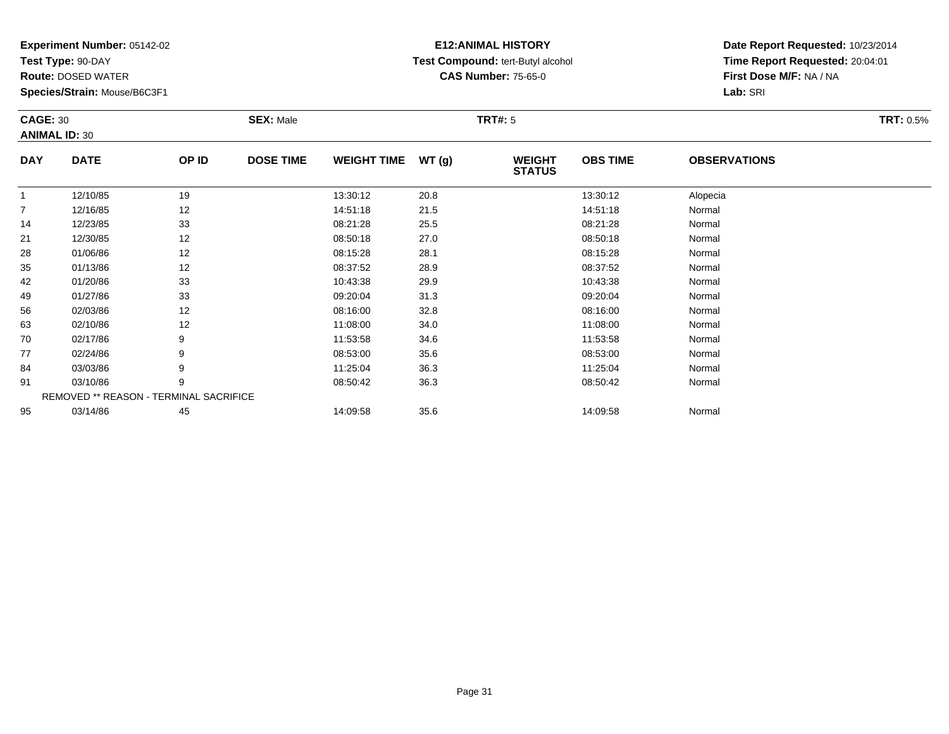**Test Type:** 90-DAY

**Route:** DOSED WATER

**Species/Strain:** Mouse/B6C3F1

# **E12:ANIMAL HISTORY Test Compound:** tert-Butyl alcohol **CAS Number:** 75-65-0

**Date Report Requested:** 10/23/2014**Time Report Requested:** 20:04:01**First Dose M/F:** NA / NA**Lab:** SRI

| <b>CAGE: 30</b> | <b>ANIMAL ID: 30</b>                          |       | <b>SEX: Male</b> |                    |       | <b>TRT#: 5</b>                 |                 |                     | <b>TRT: 0.5%</b> |
|-----------------|-----------------------------------------------|-------|------------------|--------------------|-------|--------------------------------|-----------------|---------------------|------------------|
| <b>DAY</b>      | <b>DATE</b>                                   | OP ID | <b>DOSE TIME</b> | <b>WEIGHT TIME</b> | WT(g) | <b>WEIGHT</b><br><b>STATUS</b> | <b>OBS TIME</b> | <b>OBSERVATIONS</b> |                  |
|                 | 12/10/85                                      | 19    |                  | 13:30:12           | 20.8  |                                | 13:30:12        | Alopecia            |                  |
| $\overline{7}$  | 12/16/85                                      | 12    |                  | 14:51:18           | 21.5  |                                | 14:51:18        | Normal              |                  |
| 14              | 12/23/85                                      | 33    |                  | 08:21:28           | 25.5  |                                | 08:21:28        | Normal              |                  |
| 21              | 12/30/85                                      | 12    |                  | 08:50:18           | 27.0  |                                | 08:50:18        | Normal              |                  |
| 28              | 01/06/86                                      | 12    |                  | 08:15:28           | 28.1  |                                | 08:15:28        | Normal              |                  |
| 35              | 01/13/86                                      | 12    |                  | 08:37:52           | 28.9  |                                | 08:37:52        | Normal              |                  |
| 42              | 01/20/86                                      | 33    |                  | 10:43:38           | 29.9  |                                | 10:43:38        | Normal              |                  |
| 49              | 01/27/86                                      | 33    |                  | 09:20:04           | 31.3  |                                | 09:20:04        | Normal              |                  |
| 56              | 02/03/86                                      | 12    |                  | 08:16:00           | 32.8  |                                | 08:16:00        | Normal              |                  |
| 63              | 02/10/86                                      | 12    |                  | 11:08:00           | 34.0  |                                | 11:08:00        | Normal              |                  |
| 70              | 02/17/86                                      | 9     |                  | 11:53:58           | 34.6  |                                | 11:53:58        | Normal              |                  |
| 77              | 02/24/86                                      | 9     |                  | 08:53:00           | 35.6  |                                | 08:53:00        | Normal              |                  |
| 84              | 03/03/86                                      | 9     |                  | 11:25:04           | 36.3  |                                | 11:25:04        | Normal              |                  |
| 91              | 03/10/86                                      | 9     |                  | 08:50:42           | 36.3  |                                | 08:50:42        | Normal              |                  |
|                 | <b>REMOVED ** REASON - TERMINAL SACRIFICE</b> |       |                  |                    |       |                                |                 |                     |                  |
| 95              | 03/14/86                                      | 45    |                  | 14:09:58           | 35.6  |                                | 14:09:58        | Normal              |                  |

03/14/86 <sup>45</sup> 14:09:58 35.6 14:09:58 Normal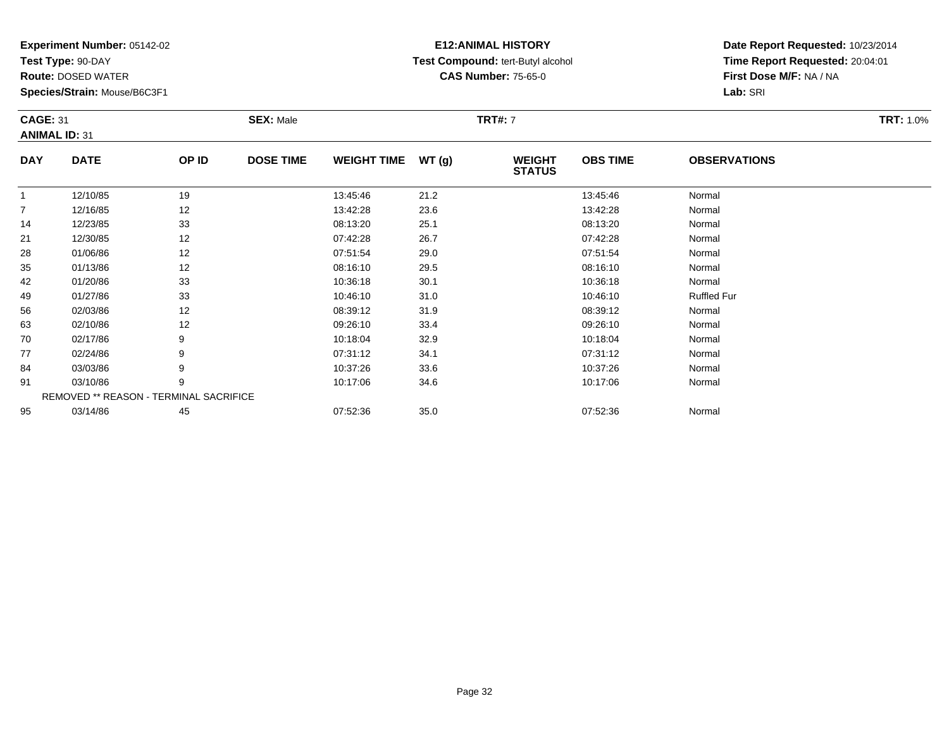**Test Type:** 90-DAY

91

95

**Route:** DOSED WATER

**Species/Strain:** Mouse/B6C3F1

REMOVED \*\* REASON - TERMINAL SACRIFICE

## **E12:ANIMAL HISTORY Test Compound:** tert-Butyl alcohol **CAS Number:** 75-65-0

**Date Report Requested:** 10/23/2014**Time Report Requested:** 20:04:01**First Dose M/F:** NA / NA**Lab:** SRI

| <b>CAGE: 31</b><br><b>ANIMAL ID: 31</b> |             |       | <b>SEX: Male</b> |                    |       | <b>TRT#: 7</b>                 |                 |                     | <b>TRT: 1.0%</b> |
|-----------------------------------------|-------------|-------|------------------|--------------------|-------|--------------------------------|-----------------|---------------------|------------------|
| <b>DAY</b>                              | <b>DATE</b> | OP ID | <b>DOSE TIME</b> | <b>WEIGHT TIME</b> | WT(g) | <b>WEIGHT</b><br><b>STATUS</b> | <b>OBS TIME</b> | <b>OBSERVATIONS</b> |                  |
|                                         | 12/10/85    | 19    |                  | 13:45:46           | 21.2  |                                | 13:45:46        | Normal              |                  |
| $\overline{7}$                          | 12/16/85    | 12    |                  | 13:42:28           | 23.6  |                                | 13:42:28        | Normal              |                  |
| 14                                      | 12/23/85    | 33    |                  | 08:13:20           | 25.1  |                                | 08:13:20        | Normal              |                  |
| 21                                      | 12/30/85    | 12    |                  | 07:42:28           | 26.7  |                                | 07:42:28        | Normal              |                  |
| 28                                      | 01/06/86    | 12    |                  | 07:51:54           | 29.0  |                                | 07:51:54        | Normal              |                  |
| 35                                      | 01/13/86    | 12    |                  | 08:16:10           | 29.5  |                                | 08:16:10        | Normal              |                  |
| 42                                      | 01/20/86    | 33    |                  | 10:36:18           | 30.1  |                                | 10:36:18        | Normal              |                  |
| 49                                      | 01/27/86    | 33    |                  | 10:46:10           | 31.0  |                                | 10:46:10        | <b>Ruffled Fur</b>  |                  |
| 56                                      | 02/03/86    | 12    |                  | 08:39:12           | 31.9  |                                | 08:39:12        | Normal              |                  |
| 63                                      | 02/10/86    | 12    |                  | 09:26:10           | 33.4  |                                | 09:26:10        | Normal              |                  |
| 70                                      | 02/17/86    | 9     |                  | 10:18:04           | 32.9  |                                | 10:18:04        | Normal              |                  |
| 77                                      | 02/24/86    | 9     |                  | 07:31:12           | 34.1  |                                | 07:31:12        | Normal              |                  |
| 84                                      | 03/03/86    | 9     |                  | 10:37:26           | 33.6  |                                | 10:37:26        | Normal              |                  |

1 03/10/86 9 9 10:17:06 34.6 10:17 10:17 10:17 10:17:06 10:17:06 Normal

5 03/14/86 45 45 07:52:36 35.0 35.0 07:52:36 03/14/86 Normal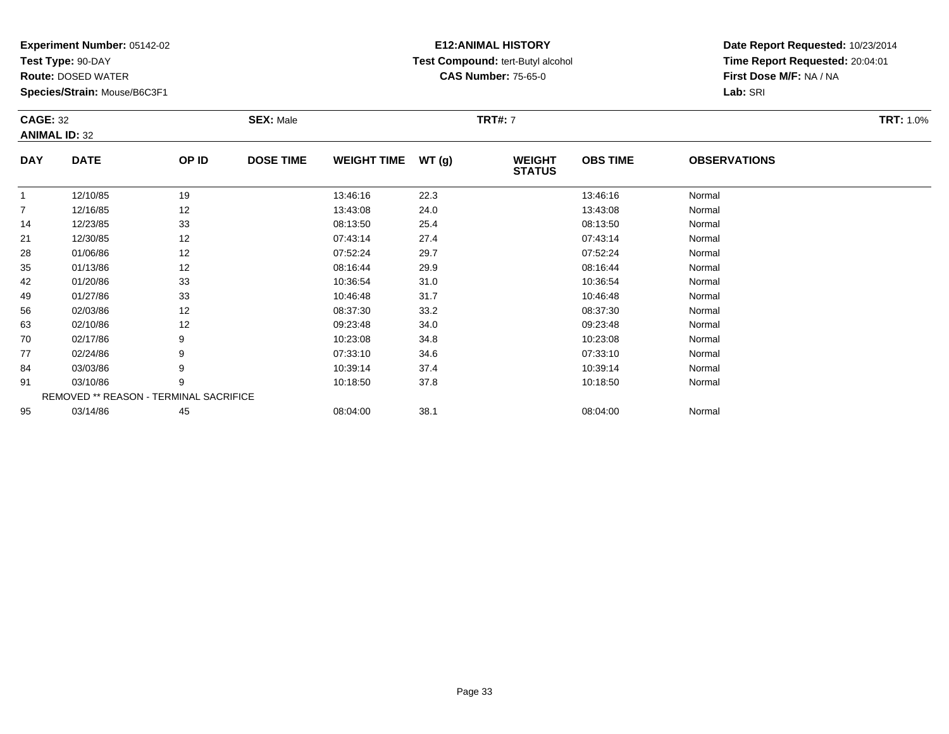**Test Type:** 90-DAY

77

84

91

95

**Route:** DOSED WATER

**Species/Strain:** Mouse/B6C3F1

REMOVED \*\* REASON - TERMINAL SACRIFICE

## **E12:ANIMAL HISTORY Test Compound:** tert-Butyl alcohol **CAS Number:** 75-65-0

**Date Report Requested:** 10/23/2014**Time Report Requested:** 20:04:01**First Dose M/F:** NA / NA**Lab:** SRI

| <b>CAGE: 32</b><br><b>ANIMAL ID: 32</b> |             |       | <b>SEX: Male</b> |                    |       | <b>TRT#: 7</b>                 |                 |                     | <b>TRT: 1.0%</b> |
|-----------------------------------------|-------------|-------|------------------|--------------------|-------|--------------------------------|-----------------|---------------------|------------------|
| <b>DAY</b>                              | <b>DATE</b> | OP ID | <b>DOSE TIME</b> | <b>WEIGHT TIME</b> | WT(g) | <b>WEIGHT</b><br><b>STATUS</b> | <b>OBS TIME</b> | <b>OBSERVATIONS</b> |                  |
|                                         | 12/10/85    | 19    |                  | 13:46:16           | 22.3  |                                | 13:46:16        | Normal              |                  |
| $\overline{7}$                          | 12/16/85    | 12    |                  | 13:43:08           | 24.0  |                                | 13:43:08        | Normal              |                  |
| 14                                      | 12/23/85    | 33    |                  | 08:13:50           | 25.4  |                                | 08:13:50        | Normal              |                  |
| 21                                      | 12/30/85    | 12    |                  | 07:43:14           | 27.4  |                                | 07:43:14        | Normal              |                  |
| 28                                      | 01/06/86    | 12    |                  | 07:52:24           | 29.7  |                                | 07:52:24        | Normal              |                  |
| 35                                      | 01/13/86    | 12    |                  | 08:16:44           | 29.9  |                                | 08:16:44        | Normal              |                  |
| 42                                      | 01/20/86    | 33    |                  | 10:36:54           | 31.0  |                                | 10:36:54        | Normal              |                  |
| 49                                      | 01/27/86    | 33    |                  | 10:46:48           | 31.7  |                                | 10:46:48        | Normal              |                  |
| 56                                      | 02/03/86    | 12    |                  | 08:37:30           | 33.2  |                                | 08:37:30        | Normal              |                  |
| 63                                      | 02/10/86    | 12    |                  | 09:23:48           | 34.0  |                                | 09:23:48        | Normal              |                  |
| 70                                      | 02/17/86    | 9     |                  | 10:23:08           | 34.8  |                                | 10:23:08        | Normal              |                  |

7 02/24/86 9 9 07:33:10 34.6 07:33 07:33:10 07:33:10 07:33:10

4 03/03/86 9 9 10:39:14 37.4 10:39 10:39 14 37.4 10:39 10:39:14 10:39 14 10:39 14 10:39 14 10:39 14 15 16 17 1

1 03/10/86 9 9 10:18:50 37.8 10:18 10:18:50 10:18:50 10:18:50 Normal

03/14/86 <sup>45</sup> 08:04:00 38.1 08:04:00 Normal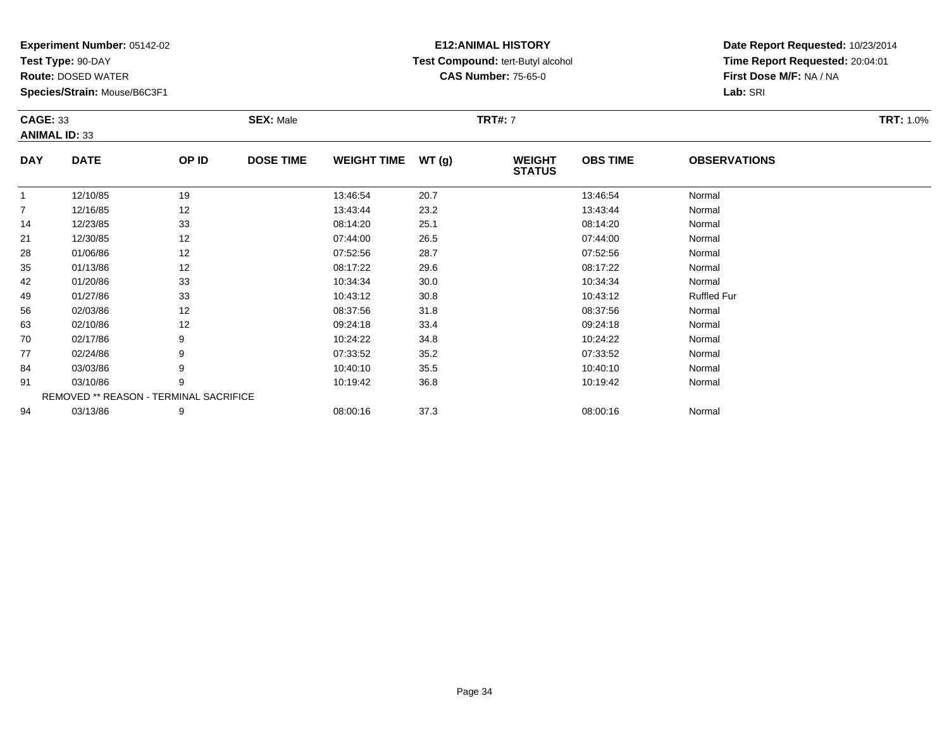**Test Type:** 90-DAY

77

84

91

94

**Route:** DOSED WATER

**Species/Strain:** Mouse/B6C3F1

REMOVED \*\* REASON - TERMINAL SACRIFICE

## **E12:ANIMAL HISTORY Test Compound:** tert-Butyl alcohol **CAS Number:** 75-65-0

**Date Report Requested:** 10/23/2014**Time Report Requested:** 20:04:01**First Dose M/F:** NA / NA**Lab:** SRI

| <b>CAGE: 33</b><br><b>ANIMAL ID: 33</b> |             |       | <b>SEX: Male</b> |                    |       | <b>TRT#: 7</b>                 |                 |                     | <b>TRT: 1.0%</b> |
|-----------------------------------------|-------------|-------|------------------|--------------------|-------|--------------------------------|-----------------|---------------------|------------------|
| <b>DAY</b>                              | <b>DATE</b> | OP ID | <b>DOSE TIME</b> | <b>WEIGHT TIME</b> | WT(g) | <b>WEIGHT</b><br><b>STATUS</b> | <b>OBS TIME</b> | <b>OBSERVATIONS</b> |                  |
|                                         | 12/10/85    | 19    |                  | 13:46:54           | 20.7  |                                | 13:46:54        | Normal              |                  |
| $\overline{7}$                          | 12/16/85    | 12    |                  | 13:43:44           | 23.2  |                                | 13:43:44        | Normal              |                  |
| 14                                      | 12/23/85    | 33    |                  | 08:14:20           | 25.1  |                                | 08:14:20        | Normal              |                  |
| 21                                      | 12/30/85    | 12    |                  | 07:44:00           | 26.5  |                                | 07:44:00        | Normal              |                  |
| 28                                      | 01/06/86    | 12    |                  | 07:52:56           | 28.7  |                                | 07:52:56        | Normal              |                  |
| 35                                      | 01/13/86    | 12    |                  | 08:17:22           | 29.6  |                                | 08:17:22        | Normal              |                  |
| 42                                      | 01/20/86    | 33    |                  | 10:34:34           | 30.0  |                                | 10:34:34        | Normal              |                  |
| 49                                      | 01/27/86    | 33    |                  | 10:43:12           | 30.8  |                                | 10:43:12        | <b>Ruffled Fur</b>  |                  |
| 56                                      | 02/03/86    | 12    |                  | 08:37:56           | 31.8  |                                | 08:37:56        | Normal              |                  |
| 63                                      | 02/10/86    | 12    |                  | 09:24:18           | 33.4  |                                | 09:24:18        | Normal              |                  |
| 70                                      | 02/17/86    | 9     |                  | 10:24:22           | 34.8  |                                | 10:24:22        | Normal              |                  |

7 02/24/86 9 9 07:33:52 35.2 35.2 07:33:52 Normal

4 03/03/86 9 9 10:40:10 35.5 10:40 10:40 10:40 10:40 10:40 10:40 10:40 10:40:10

1 03/10/86 9 9 10:19:42 36.8 10:19 10:19 10:19 10:19 10:19 10:19 10:19 10:19 10:19 10:19 10:19 10:19 10:19 10:

4 03/13/86 9 9 08:00:16 37.3 08:00 08:00:16 08:00 08:00 08:00 08:00:16 08:00:16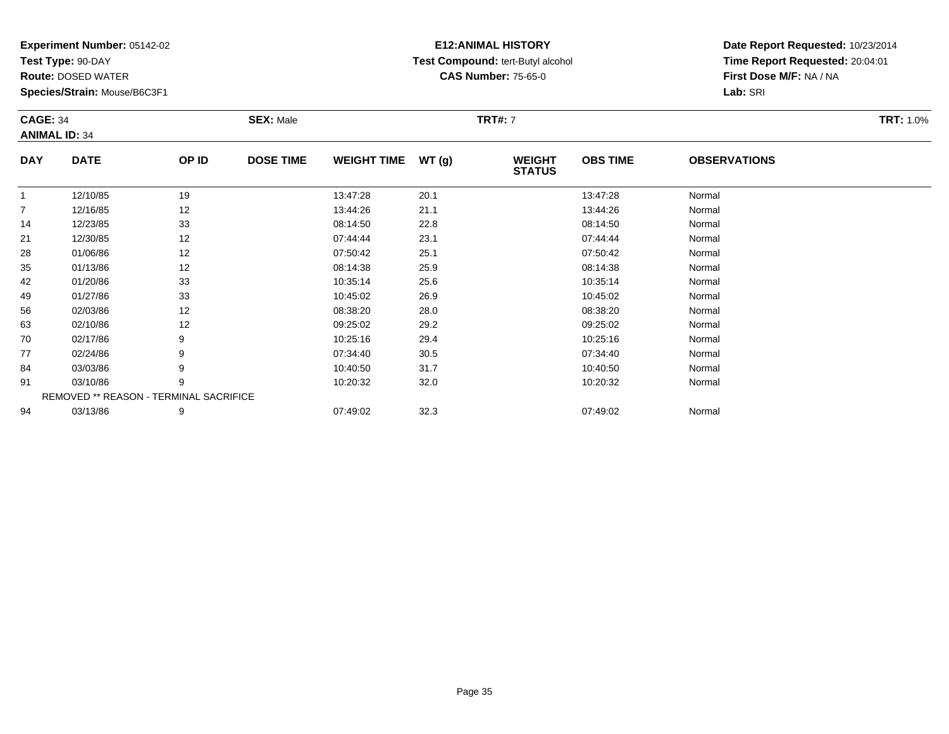**Test Type:** 90-DAY

94

**Route:** DOSED WATER

**Species/Strain:** Mouse/B6C3F1

## **E12:ANIMAL HISTORY Test Compound:** tert-Butyl alcohol **CAS Number:** 75-65-0

**Date Report Requested:** 10/23/2014**Time Report Requested:** 20:04:01**First Dose M/F:** NA / NA**Lab:** SRI

| <b>CAGE: 34</b> | <b>ANIMAL ID: 34</b>                          |       | <b>SEX: Male</b> |                    |       | <b>TRT#: 7</b>                 |                 |                     | <b>TRT: 1.0%</b> |
|-----------------|-----------------------------------------------|-------|------------------|--------------------|-------|--------------------------------|-----------------|---------------------|------------------|
| <b>DAY</b>      | <b>DATE</b>                                   | OP ID | <b>DOSE TIME</b> | <b>WEIGHT TIME</b> | WT(g) | <b>WEIGHT</b><br><b>STATUS</b> | <b>OBS TIME</b> | <b>OBSERVATIONS</b> |                  |
| 1               | 12/10/85                                      | 19    |                  | 13:47:28           | 20.1  |                                | 13:47:28        | Normal              |                  |
| $\overline{7}$  | 12/16/85                                      | 12    |                  | 13:44:26           | 21.1  |                                | 13:44:26        | Normal              |                  |
| 14              | 12/23/85                                      | 33    |                  | 08:14:50           | 22.8  |                                | 08:14:50        | Normal              |                  |
| 21              | 12/30/85                                      | 12    |                  | 07:44:44           | 23.1  |                                | 07:44:44        | Normal              |                  |
| 28              | 01/06/86                                      | 12    |                  | 07:50:42           | 25.1  |                                | 07:50:42        | Normal              |                  |
| 35              | 01/13/86                                      | 12    |                  | 08:14:38           | 25.9  |                                | 08:14:38        | Normal              |                  |
| 42              | 01/20/86                                      | 33    |                  | 10:35:14           | 25.6  |                                | 10:35:14        | Normal              |                  |
| 49              | 01/27/86                                      | 33    |                  | 10:45:02           | 26.9  |                                | 10:45:02        | Normal              |                  |
| 56              | 02/03/86                                      | 12    |                  | 08:38:20           | 28.0  |                                | 08:38:20        | Normal              |                  |
| 63              | 02/10/86                                      | 12    |                  | 09:25:02           | 29.2  |                                | 09:25:02        | Normal              |                  |
| 70              | 02/17/86                                      | 9     |                  | 10:25:16           | 29.4  |                                | 10:25:16        | Normal              |                  |
| 77              | 02/24/86                                      | 9     |                  | 07:34:40           | 30.5  |                                | 07:34:40        | Normal              |                  |
| 84              | 03/03/86                                      | 9     |                  | 10:40:50           | 31.7  |                                | 10:40:50        | Normal              |                  |
| 91              | 03/10/86                                      | 9     |                  | 10:20:32           | 32.0  |                                | 10:20:32        | Normal              |                  |
|                 | <b>REMOVED ** REASON - TERMINAL SACRIFICE</b> |       |                  |                    |       |                                |                 |                     |                  |

03/13/86 <sup>9</sup> 07:49:02 32.3 07:49:02 Normal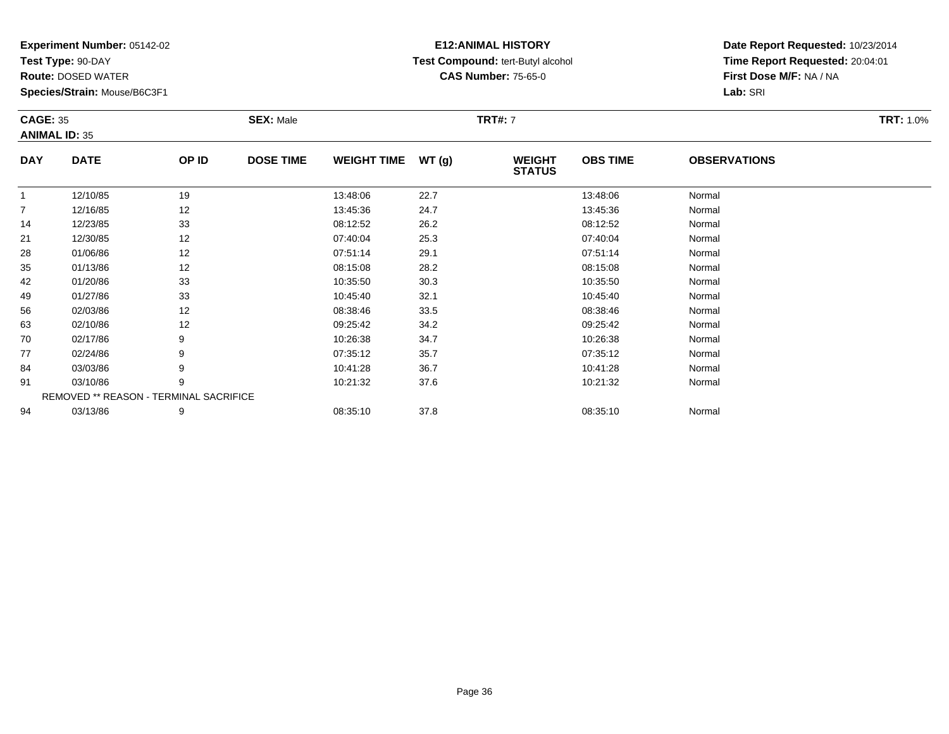**Test Type:** 90-DAY

63

70

77

84

91

94

**Route:** DOSED WATER

**Species/Strain:** Mouse/B6C3F1

REMOVED \*\* REASON - TERMINAL SACRIFICE

## **E12:ANIMAL HISTORY Test Compound:** tert-Butyl alcohol **CAS Number:** 75-65-0

**Date Report Requested:** 10/23/2014**Time Report Requested:** 20:04:01**First Dose M/F:** NA / NA**Lab:** SRI

| <b>CAGE: 35</b><br><b>ANIMAL ID: 35</b> |             |       | <b>SEX: Male</b>                       |          |                                | <b>TRT#: 7</b>  |                     |        | <b>TRT: 1.0%</b> |
|-----------------------------------------|-------------|-------|----------------------------------------|----------|--------------------------------|-----------------|---------------------|--------|------------------|
| <b>DAY</b>                              | <b>DATE</b> | OP ID | <b>DOSE TIME</b><br><b>WEIGHT TIME</b> | WT(g)    | <b>WEIGHT</b><br><b>STATUS</b> | <b>OBS TIME</b> | <b>OBSERVATIONS</b> |        |                  |
|                                         | 12/10/85    | 19    |                                        | 13:48:06 | 22.7                           |                 | 13:48:06            | Normal |                  |
|                                         | 12/16/85    | 12    |                                        | 13:45:36 | 24.7                           |                 | 13:45:36            | Normal |                  |
| 14                                      | 12/23/85    | 33    |                                        | 08:12:52 | 26.2                           |                 | 08:12:52            | Normal |                  |
| 21                                      | 12/30/85    | 12    |                                        | 07:40:04 | 25.3                           |                 | 07:40:04            | Normal |                  |
| 28                                      | 01/06/86    | 12    |                                        | 07:51:14 | 29.1                           |                 | 07:51:14            | Normal |                  |
| 35                                      | 01/13/86    | 12    |                                        | 08:15:08 | 28.2                           |                 | 08:15:08            | Normal |                  |
| 42                                      | 01/20/86    | 33    |                                        | 10:35:50 | 30.3                           |                 | 10:35:50            | Normal |                  |
| 49                                      | 01/27/86    | 33    |                                        | 10:45:40 | 32.1                           |                 | 10:45:40            | Normal |                  |
| 56                                      | 02/03/86    | 12    |                                        | 08:38:46 | 33.5                           |                 | 08:38:46            | Normal |                  |

6 02/03/86 12 12 08:38:46 33.5 08:38:46 08:38:46 Normal

3 02/10/86 12 12 09:25:42 34.2 34.2 09:25:42 09:25:42 Normal

0 02/17/86 9 10:26:38 34.7 10:26:38 Normal

02/24/86 <sup>9</sup> 07:35:12 35.7 07:35:12 Normal

4 03/03/86 9 9 10:41:28 36.7 10:41 10:41 10:41 10:41 10:41 10:41 10:41:28 10:41:28 Normal

1 03/10/86 9 9 10:21:32 37.6 10:21:32 10:23 10:21:32 Normal

4 03/13/86 9 9 08:35:10 37.8 08:35 08:35:10 08:35:10 08:35:10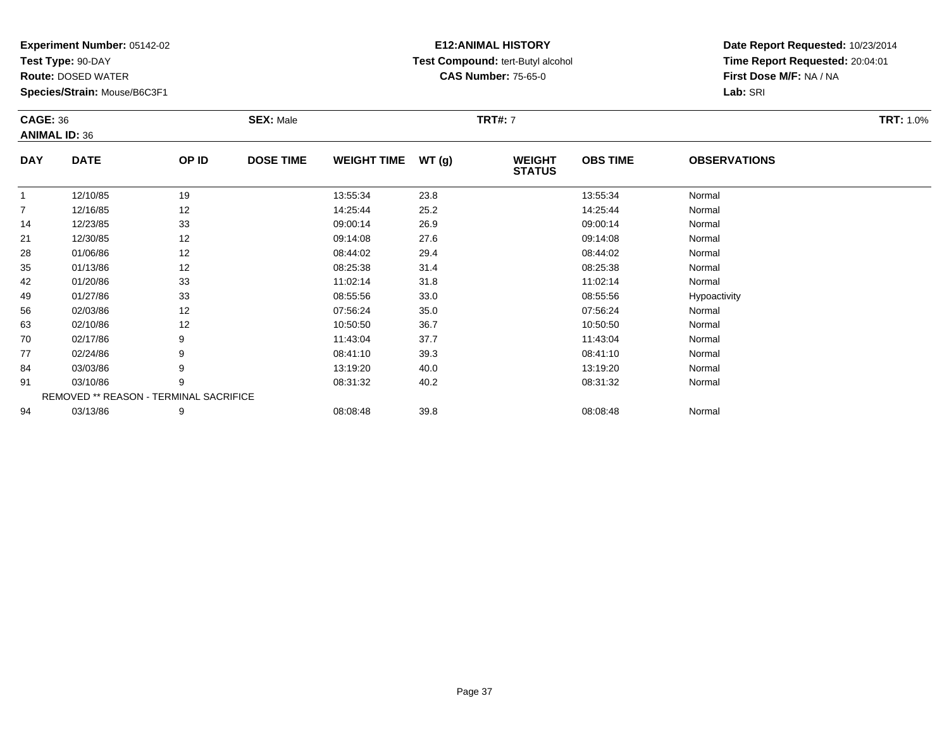**Test Type:** 90-DAY

77

84

91

94

**Route:** DOSED WATER

**Species/Strain:** Mouse/B6C3F1

REMOVED \*\* REASON - TERMINAL SACRIFICE

## **E12:ANIMAL HISTORY Test Compound:** tert-Butyl alcohol **CAS Number:** 75-65-0

**Date Report Requested:** 10/23/2014**Time Report Requested:** 20:04:01**First Dose M/F:** NA / NA**Lab:** SRI

| <b>CAGE: 36</b><br><b>ANIMAL ID: 36</b> |             | <b>SEX: Male</b> |                  |                    | <b>TRT#: 7</b> |                                | <b>TRT: 1.0%</b> |                     |  |
|-----------------------------------------|-------------|------------------|------------------|--------------------|----------------|--------------------------------|------------------|---------------------|--|
| <b>DAY</b>                              | <b>DATE</b> | OP ID            | <b>DOSE TIME</b> | <b>WEIGHT TIME</b> | WT(g)          | <b>WEIGHT</b><br><b>STATUS</b> | <b>OBS TIME</b>  | <b>OBSERVATIONS</b> |  |
|                                         | 12/10/85    | 19               |                  | 13:55:34           | 23.8           |                                | 13:55:34         | Normal              |  |
| $\overline{7}$                          | 12/16/85    | 12               |                  | 14:25:44           | 25.2           |                                | 14:25:44         | Normal              |  |
| 14                                      | 12/23/85    | 33               |                  | 09:00:14           | 26.9           |                                | 09:00:14         | Normal              |  |
| 21                                      | 12/30/85    | 12               |                  | 09:14:08           | 27.6           |                                | 09:14:08         | Normal              |  |
| 28                                      | 01/06/86    | 12               |                  | 08:44:02           | 29.4           |                                | 08:44:02         | Normal              |  |
| 35                                      | 01/13/86    | 12               |                  | 08:25:38           | 31.4           |                                | 08:25:38         | Normal              |  |
| 42                                      | 01/20/86    | 33               |                  | 11:02:14           | 31.8           |                                | 11:02:14         | Normal              |  |
| 49                                      | 01/27/86    | 33               |                  | 08:55:56           | 33.0           |                                | 08:55:56         | Hypoactivity        |  |
| 56                                      | 02/03/86    | 12               |                  | 07:56:24           | 35.0           |                                | 07:56:24         | Normal              |  |
| 63                                      | 02/10/86    | 12               |                  | 10:50:50           | 36.7           |                                | 10:50:50         | Normal              |  |
| 70                                      | 02/17/86    | 9                |                  | 11:43:04           | 37.7           |                                | 11:43:04         | Normal              |  |

0 02/17/86 9 9 11:43:04 37.7 11:43:04 11:43:04 Normal

7 02/24/86 9 9 08:41:10 39.3 08:41:10 08:41 08:41

4 03/03/86 9 9 13:19:20 40.0 13:19 10.0 13:19:20 Normal

1 03/10/86 9 9 08:31:32 40.2 9 08:32 08:32 08:31:32 Normal

4 03/13/86 9 9 08:08:48 39.8 08:08 08:08 08:08 08:08:48 Normal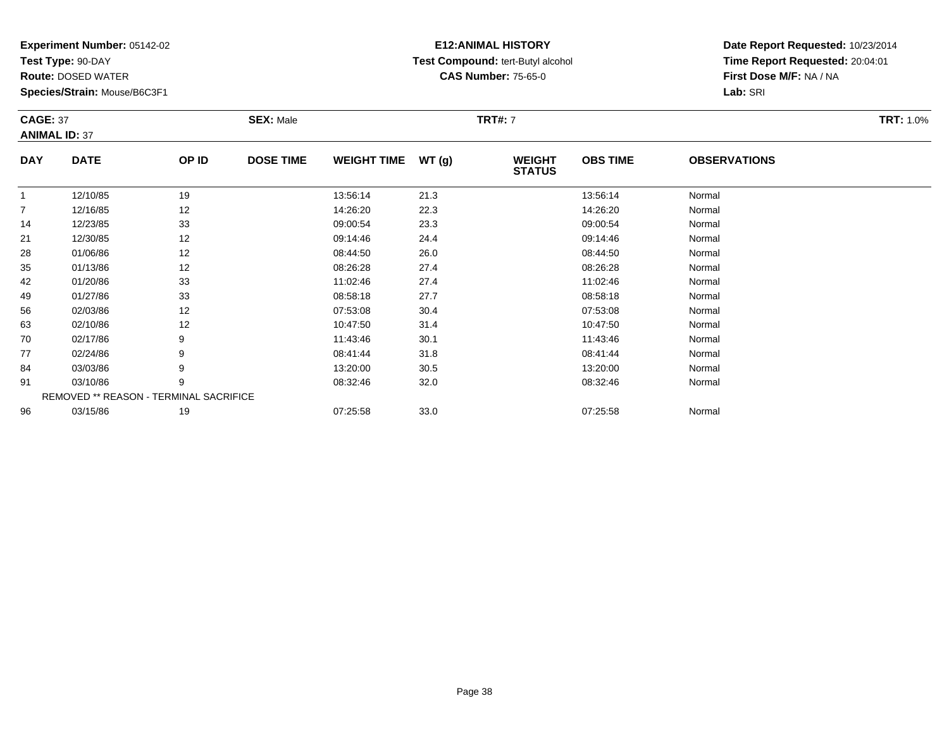**Test Type:** 90-DAY

96

**Route:** DOSED WATER

**Species/Strain:** Mouse/B6C3F1

REMOVED \*\* REASON - TERMINAL SACRIFICE

## **E12:ANIMAL HISTORY Test Compound:** tert-Butyl alcohol **CAS Number:** 75-65-0

**Date Report Requested:** 10/23/2014**Time Report Requested:** 20:04:01**First Dose M/F:** NA / NA**Lab:** SRI

|                | <b>CAGE: 37</b><br><b>ANIMAL ID: 37</b> |       | <b>SEX: Male</b> |                    |       | <b>TRT#: 7</b>                 |                 | <b>TRT: 1.0%</b>    |  |
|----------------|-----------------------------------------|-------|------------------|--------------------|-------|--------------------------------|-----------------|---------------------|--|
| <b>DAY</b>     | <b>DATE</b>                             | OP ID | <b>DOSE TIME</b> | <b>WEIGHT TIME</b> | WT(g) | <b>WEIGHT</b><br><b>STATUS</b> | <b>OBS TIME</b> | <b>OBSERVATIONS</b> |  |
|                | 12/10/85                                | 19    |                  | 13:56:14           | 21.3  |                                | 13:56:14        | Normal              |  |
| $\overline{7}$ | 12/16/85                                | 12    |                  | 14:26:20           | 22.3  |                                | 14:26:20        | Normal              |  |
| 14             | 12/23/85                                | 33    |                  | 09:00:54           | 23.3  |                                | 09:00:54        | Normal              |  |
| 21             | 12/30/85                                | 12    |                  | 09:14:46           | 24.4  |                                | 09:14:46        | Normal              |  |
| 28             | 01/06/86                                | 12    |                  | 08:44:50           | 26.0  |                                | 08:44:50        | Normal              |  |
| 35             | 01/13/86                                | 12    |                  | 08:26:28           | 27.4  |                                | 08:26:28        | Normal              |  |
| 42             | 01/20/86                                | 33    |                  | 11:02:46           | 27.4  |                                | 11:02:46        | Normal              |  |
| 49             | 01/27/86                                | 33    |                  | 08:58:18           | 27.7  |                                | 08:58:18        | Normal              |  |
| 56             | 02/03/86                                | 12    |                  | 07:53:08           | 30.4  |                                | 07:53:08        | Normal              |  |
| 63             | 02/10/86                                | 12    |                  | 10:47:50           | 31.4  |                                | 10:47:50        | Normal              |  |
| 70             | 02/17/86                                | 9     |                  | 11:43:46           | 30.1  |                                | 11:43:46        | Normal              |  |
| 77             | 02/24/86                                | 9     |                  | 08:41:44           | 31.8  |                                | 08:41:44        | Normal              |  |
| 84             | 03/03/86                                | 9     |                  | 13:20:00           | 30.5  |                                | 13:20:00        | Normal              |  |
| 91             | 03/10/86                                | 9     |                  | 08:32:46           | 32.0  |                                | 08:32:46        | Normal              |  |

6 03/15/86 19 19 07:25:58 33.0 07:25:58 07:25:58 Normal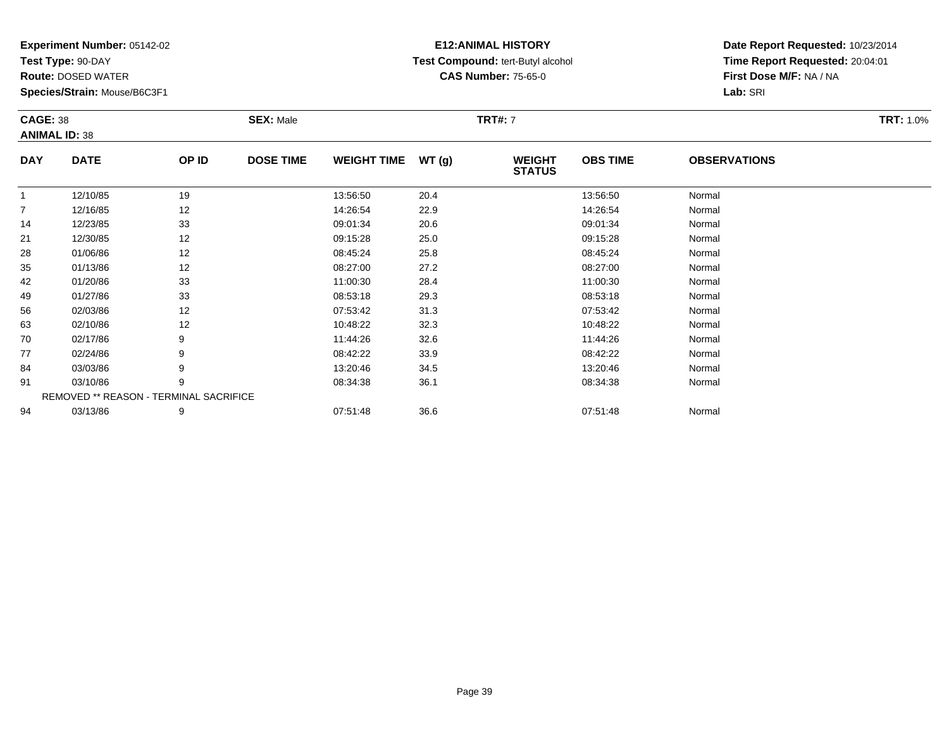**Test Type:** 90-DAY

94

**Route:** DOSED WATER

**Species/Strain:** Mouse/B6C3F1

# **E12:ANIMAL HISTORY Test Compound:** tert-Butyl alcohol **CAS Number:** 75-65-0

**Date Report Requested:** 10/23/2014**Time Report Requested:** 20:04:01**First Dose M/F:** NA / NA**Lab:** SRI

|                | <b>CAGE: 38</b><br><b>ANIMAL ID: 38</b> |       | <b>SEX: Male</b> |                    |       | <b>TRT#: 7</b>                 |                 | <b>TRT: 1.0%</b>    |  |
|----------------|-----------------------------------------|-------|------------------|--------------------|-------|--------------------------------|-----------------|---------------------|--|
| <b>DAY</b>     | <b>DATE</b>                             | OP ID | <b>DOSE TIME</b> | <b>WEIGHT TIME</b> | WT(g) | <b>WEIGHT</b><br><b>STATUS</b> | <b>OBS TIME</b> | <b>OBSERVATIONS</b> |  |
| $\mathbf{1}$   | 12/10/85                                | 19    |                  | 13:56:50           | 20.4  |                                | 13:56:50        | Normal              |  |
| $\overline{7}$ | 12/16/85                                | 12    |                  | 14:26:54           | 22.9  |                                | 14:26:54        | Normal              |  |
| 14             | 12/23/85                                | 33    |                  | 09:01:34           | 20.6  |                                | 09:01:34        | Normal              |  |
| 21             | 12/30/85                                | 12    |                  | 09:15:28           | 25.0  |                                | 09:15:28        | Normal              |  |
| 28             | 01/06/86                                | 12    |                  | 08:45:24           | 25.8  |                                | 08:45:24        | Normal              |  |
| 35             | 01/13/86                                | 12    |                  | 08:27:00           | 27.2  |                                | 08:27:00        | Normal              |  |
| 42             | 01/20/86                                | 33    |                  | 11:00:30           | 28.4  |                                | 11:00:30        | Normal              |  |
| 49             | 01/27/86                                | 33    |                  | 08:53:18           | 29.3  |                                | 08:53:18        | Normal              |  |
| 56             | 02/03/86                                | 12    |                  | 07:53:42           | 31.3  |                                | 07:53:42        | Normal              |  |
| 63             | 02/10/86                                | 12    |                  | 10:48:22           | 32.3  |                                | 10:48:22        | Normal              |  |
| 70             | 02/17/86                                | 9     |                  | 11:44:26           | 32.6  |                                | 11:44:26        | Normal              |  |
| 77             | 02/24/86                                | 9     |                  | 08:42:22           | 33.9  |                                | 08:42:22        | Normal              |  |
| 84             | 03/03/86                                | 9     |                  | 13:20:46           | 34.5  |                                | 13:20:46        | Normal              |  |
| 91             | 03/10/86                                | 9     |                  | 08:34:38           | 36.1  |                                | 08:34:38        | Normal              |  |
|                | REMOVED ** REASON - TERMINAL SACRIFICE  |       |                  |                    |       |                                |                 |                     |  |

4 03/13/86 9 9 07:51:48 36.6 07:51:48 07:51:48 Normal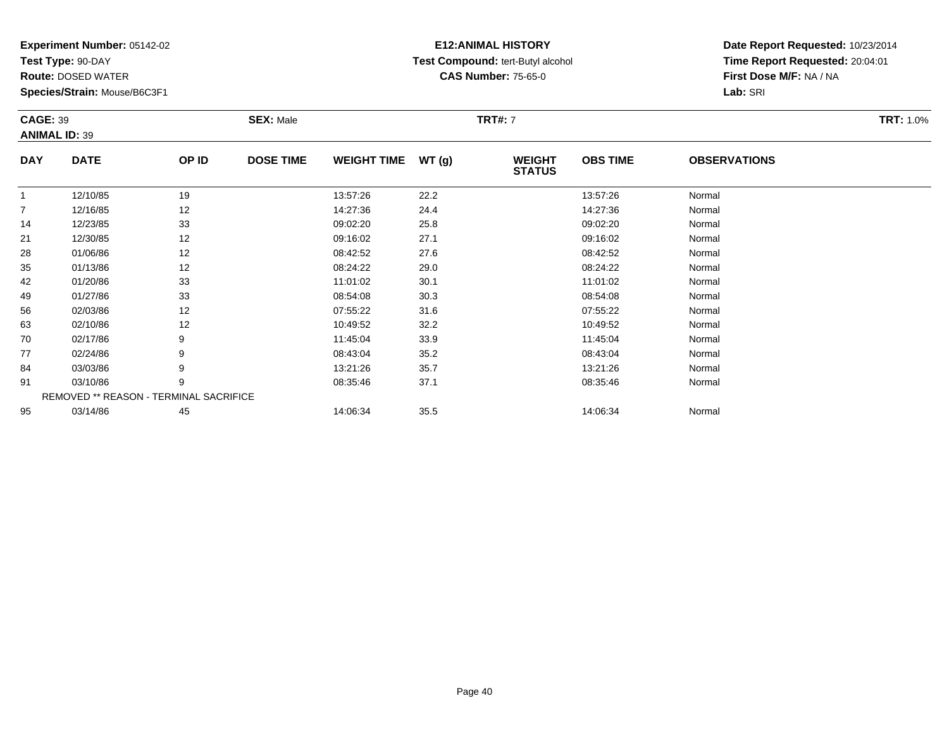**Test Type:** 90-DAY

95

**Route:** DOSED WATER

**Species/Strain:** Mouse/B6C3F1

## **E12:ANIMAL HISTORY Test Compound:** tert-Butyl alcohol **CAS Number:** 75-65-0

**Date Report Requested:** 10/23/2014**Time Report Requested:** 20:04:01**First Dose M/F:** NA / NA**Lab:** SRI

|                | <b>CAGE: 39</b><br><b>ANIMAL ID: 39</b>       |       | <b>SEX: Male</b> | <b>TRT: 1.0%</b>   |       |                                |                 |                     |  |
|----------------|-----------------------------------------------|-------|------------------|--------------------|-------|--------------------------------|-----------------|---------------------|--|
| <b>DAY</b>     | <b>DATE</b>                                   | OP ID | <b>DOSE TIME</b> | <b>WEIGHT TIME</b> | WT(g) | <b>WEIGHT</b><br><b>STATUS</b> | <b>OBS TIME</b> | <b>OBSERVATIONS</b> |  |
|                | 12/10/85                                      | 19    |                  | 13:57:26           | 22.2  |                                | 13:57:26        | Normal              |  |
| $\overline{7}$ | 12/16/85                                      | 12    |                  | 14:27:36           | 24.4  |                                | 14:27:36        | Normal              |  |
| 14             | 12/23/85                                      | 33    |                  | 09:02:20           | 25.8  |                                | 09:02:20        | Normal              |  |
| 21             | 12/30/85                                      | 12    |                  | 09:16:02           | 27.1  |                                | 09:16:02        | Normal              |  |
| 28             | 01/06/86                                      | 12    |                  | 08:42:52           | 27.6  |                                | 08:42:52        | Normal              |  |
| 35             | 01/13/86                                      | 12    |                  | 08:24:22           | 29.0  |                                | 08:24:22        | Normal              |  |
| 42             | 01/20/86                                      | 33    |                  | 11:01:02           | 30.1  |                                | 11:01:02        | Normal              |  |
| 49             | 01/27/86                                      | 33    |                  | 08:54:08           | 30.3  |                                | 08:54:08        | Normal              |  |
| 56             | 02/03/86                                      | 12    |                  | 07:55:22           | 31.6  |                                | 07:55:22        | Normal              |  |
| 63             | 02/10/86                                      | 12    |                  | 10:49:52           | 32.2  |                                | 10:49:52        | Normal              |  |
| 70             | 02/17/86                                      | 9     |                  | 11:45:04           | 33.9  |                                | 11:45:04        | Normal              |  |
| 77             | 02/24/86                                      | 9     |                  | 08:43:04           | 35.2  |                                | 08:43:04        | Normal              |  |
| 84             | 03/03/86                                      | 9     |                  | 13:21:26           | 35.7  |                                | 13:21:26        | Normal              |  |
| 91             | 03/10/86                                      | 9     |                  | 08:35:46           | 37.1  |                                | 08:35:46        | Normal              |  |
|                | <b>REMOVED ** REASON - TERMINAL SACRIFICE</b> |       |                  |                    |       |                                |                 |                     |  |

5 03/14/86 45 45 14:06:34 35.5 14:06:34 14:06:34 Normal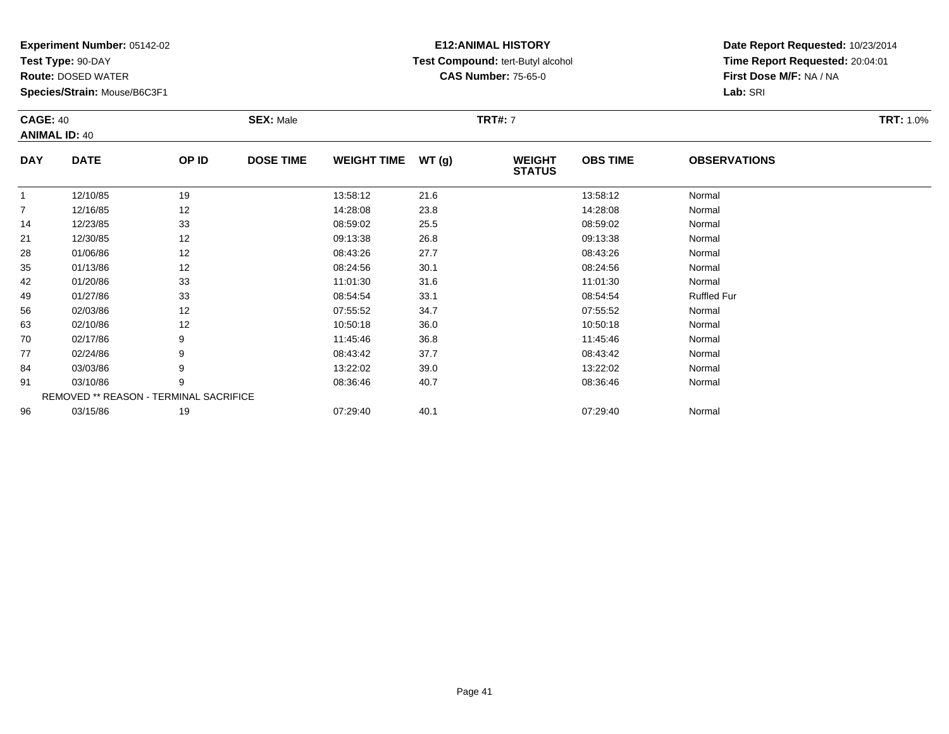**Test Type:** 90-DAY

**Route:** DOSED WATER

**Species/Strain:** Mouse/B6C3F1

# **E12:ANIMAL HISTORY Test Compound:** tert-Butyl alcohol **CAS Number:** 75-65-0

**Date Report Requested:** 10/23/2014**Time Report Requested:** 20:04:01**First Dose M/F:** NA / NA**Lab:** SRI

|              | <b>CAGE: 40</b><br><b>ANIMAL ID: 40</b>       |       | <b>SEX: Male</b> |                    |       | <b>TRT#: 7</b>                 | <b>TRT: 1.0%</b> |                     |  |
|--------------|-----------------------------------------------|-------|------------------|--------------------|-------|--------------------------------|------------------|---------------------|--|
| <b>DAY</b>   | <b>DATE</b>                                   | OP ID | <b>DOSE TIME</b> | <b>WEIGHT TIME</b> | WT(g) | <b>WEIGHT</b><br><b>STATUS</b> | <b>OBS TIME</b>  | <b>OBSERVATIONS</b> |  |
| $\mathbf{1}$ | 12/10/85                                      | 19    |                  | 13:58:12           | 21.6  |                                | 13:58:12         | Normal              |  |
| 7            | 12/16/85                                      | 12    |                  | 14:28:08           | 23.8  |                                | 14:28:08         | Normal              |  |
| 14           | 12/23/85                                      | 33    |                  | 08:59:02           | 25.5  |                                | 08:59:02         | Normal              |  |
| 21           | 12/30/85                                      | 12    |                  | 09:13:38           | 26.8  |                                | 09:13:38         | Normal              |  |
| 28           | 01/06/86                                      | 12    |                  | 08:43:26           | 27.7  |                                | 08:43:26         | Normal              |  |
| 35           | 01/13/86                                      | 12    |                  | 08:24:56           | 30.1  |                                | 08:24:56         | Normal              |  |
| 42           | 01/20/86                                      | 33    |                  | 11:01:30           | 31.6  |                                | 11:01:30         | Normal              |  |
| 49           | 01/27/86                                      | 33    |                  | 08:54:54           | 33.1  |                                | 08:54:54         | <b>Ruffled Fur</b>  |  |
| 56           | 02/03/86                                      | 12    |                  | 07:55:52           | 34.7  |                                | 07:55:52         | Normal              |  |
| 63           | 02/10/86                                      | 12    |                  | 10:50:18           | 36.0  |                                | 10:50:18         | Normal              |  |
| 70           | 02/17/86                                      | 9     |                  | 11:45:46           | 36.8  |                                | 11:45:46         | Normal              |  |
| 77           | 02/24/86                                      |       |                  | 08:43:42           | 37.7  |                                | 08:43:42         | Normal              |  |
| 84           | 03/03/86                                      | 9     |                  | 13:22:02           | 39.0  |                                | 13:22:02         | Normal              |  |
| 91           | 03/10/86                                      | 9     |                  | 08:36:46           | 40.7  |                                | 08:36:46         | Normal              |  |
|              | <b>REMOVED ** REASON - TERMINAL SACRIFICE</b> |       |                  |                    |       |                                |                  |                     |  |
| 96           | 03/15/86                                      | 19    |                  | 07:29:40           | 40.1  |                                | 07:29:40         | Normal              |  |

6 03/15/86 19 19 07:29:40 40.1 001:29 07:29:40 07:29:40 07:29:40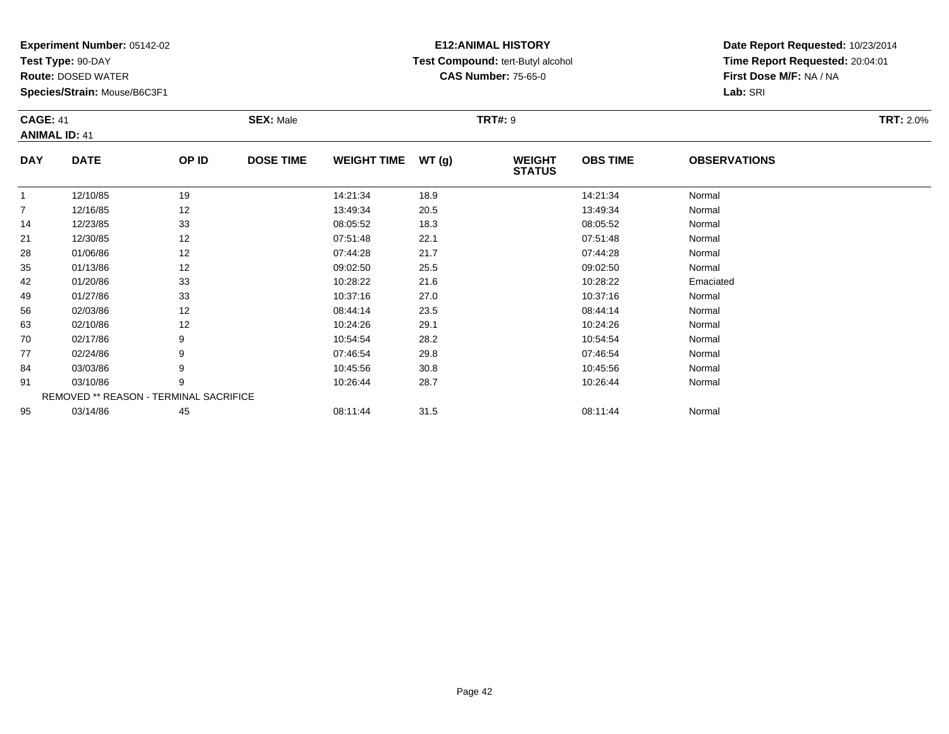**Test Type:** 90-DAY

95

**Route:** DOSED WATER

**Species/Strain:** Mouse/B6C3F1

REMOVED \*\* REASON - TERMINAL SACRIFICE

## **E12:ANIMAL HISTORY Test Compound:** tert-Butyl alcohol **CAS Number:** 75-65-0

**Date Report Requested:** 10/23/2014**Time Report Requested:** 20:04:01**First Dose M/F:** NA / NA**Lab:** SRI

| <b>CAGE: 41</b><br><b>ANIMAL ID: 41</b> |             |       | <b>SEX: Male</b> |                    |       | <b>TRT#: 9</b>                 |                 |                     | <b>TRT: 2.0%</b> |
|-----------------------------------------|-------------|-------|------------------|--------------------|-------|--------------------------------|-----------------|---------------------|------------------|
| <b>DAY</b>                              | <b>DATE</b> | OP ID | <b>DOSE TIME</b> | <b>WEIGHT TIME</b> | WT(g) | <b>WEIGHT</b><br><b>STATUS</b> | <b>OBS TIME</b> | <b>OBSERVATIONS</b> |                  |
| 1                                       | 12/10/85    | 19    |                  | 14:21:34           | 18.9  |                                | 14:21:34        | Normal              |                  |
| 7                                       | 12/16/85    | 12    |                  | 13:49:34           | 20.5  |                                | 13:49:34        | Normal              |                  |
| 14                                      | 12/23/85    | 33    |                  | 08:05:52           | 18.3  |                                | 08:05:52        | Normal              |                  |
| 21                                      | 12/30/85    | 12    |                  | 07:51:48           | 22.1  |                                | 07:51:48        | Normal              |                  |
| 28                                      | 01/06/86    | 12    |                  | 07:44:28           | 21.7  |                                | 07:44:28        | Normal              |                  |
| 35                                      | 01/13/86    | 12    |                  | 09:02:50           | 25.5  |                                | 09:02:50        | Normal              |                  |
| 42                                      | 01/20/86    | 33    |                  | 10:28:22           | 21.6  |                                | 10:28:22        | Emaciated           |                  |
| 49                                      | 01/27/86    | 33    |                  | 10:37:16           | 27.0  |                                | 10:37:16        | Normal              |                  |
| 56                                      | 02/03/86    | 12    |                  | 08:44:14           | 23.5  |                                | 08:44:14        | Normal              |                  |
| 63                                      | 02/10/86    | 12    |                  | 10:24:26           | 29.1  |                                | 10:24:26        | Normal              |                  |
| 70                                      | 02/17/86    | 9     |                  | 10:54:54           | 28.2  |                                | 10:54:54        | Normal              |                  |
| 77                                      | 02/24/86    | 9     |                  | 07:46:54           | 29.8  |                                | 07:46:54        | Normal              |                  |
| 84                                      | 03/03/86    | 9     |                  | 10:45:56           | 30.8  |                                | 10:45:56        | Normal              |                  |
| 91                                      | 03/10/86    | 9     |                  | 10:26:44           | 28.7  |                                | 10:26:44        | Normal              |                  |

03/14/86 <sup>45</sup> 08:11:44 31.5 08:11:44 Normal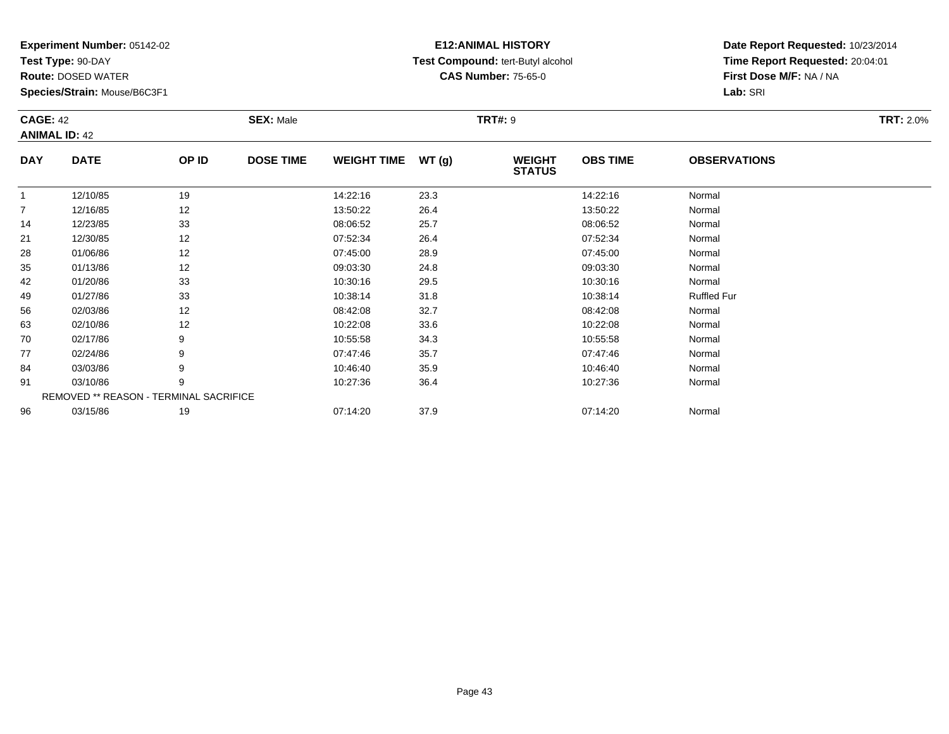**Test Type:** 90-DAY

91

96

**Route:** DOSED WATER

**Species/Strain:** Mouse/B6C3F1

REMOVED \*\* REASON - TERMINAL SACRIFICE

## **E12:ANIMAL HISTORY Test Compound:** tert-Butyl alcohol **CAS Number:** 75-65-0

**Date Report Requested:** 10/23/2014**Time Report Requested:** 20:04:01**First Dose M/F:** NA / NA**Lab:** SRI

| <b>CAGE: 42</b><br><b>ANIMAL ID: 42</b> |             | <b>SEX: Male</b> |                  |                    | <b>TRT#: 9</b> | <b>TRT: 2.0%</b>               |                 |                     |  |
|-----------------------------------------|-------------|------------------|------------------|--------------------|----------------|--------------------------------|-----------------|---------------------|--|
| <b>DAY</b>                              | <b>DATE</b> | OP ID            | <b>DOSE TIME</b> | <b>WEIGHT TIME</b> | WT(g)          | <b>WEIGHT</b><br><b>STATUS</b> | <b>OBS TIME</b> | <b>OBSERVATIONS</b> |  |
| 1                                       | 12/10/85    | 19               |                  | 14:22:16           | 23.3           |                                | 14:22:16        | Normal              |  |
| $\overline{7}$                          | 12/16/85    | 12               |                  | 13:50:22           | 26.4           |                                | 13:50:22        | Normal              |  |
| 14                                      | 12/23/85    | 33               |                  | 08:06:52           | 25.7           |                                | 08:06:52        | Normal              |  |
| 21                                      | 12/30/85    | 12               |                  | 07:52:34           | 26.4           |                                | 07:52:34        | Normal              |  |
| 28                                      | 01/06/86    | 12               |                  | 07:45:00           | 28.9           |                                | 07:45:00        | Normal              |  |
| 35                                      | 01/13/86    | 12               |                  | 09:03:30           | 24.8           |                                | 09:03:30        | Normal              |  |
| 42                                      | 01/20/86    | 33               |                  | 10:30:16           | 29.5           |                                | 10:30:16        | Normal              |  |
| 49                                      | 01/27/86    | 33               |                  | 10:38:14           | 31.8           |                                | 10:38:14        | <b>Ruffled Fur</b>  |  |
| 56                                      | 02/03/86    | 12               |                  | 08:42:08           | 32.7           |                                | 08:42:08        | Normal              |  |
| 63                                      | 02/10/86    | 12               |                  | 10:22:08           | 33.6           |                                | 10:22:08        | Normal              |  |
| 70                                      | 02/17/86    | 9                |                  | 10:55:58           | 34.3           |                                | 10:55:58        | Normal              |  |
| 77                                      | 02/24/86    | 9                |                  | 07:47:46           | 35.7           |                                | 07:47:46        | Normal              |  |
| 84                                      | 03/03/86    | 9                |                  | 10:46:40           | 35.9           |                                | 10:46:40        | Normal              |  |

4 03/03/86 9 9 10:46:40 35.9 10:46:40 35.9 10:46:40 Normal

1 03/10/86 9 9 10:27:36 36.4 10:48 10:27:36 10:27:36 10:27:36 10:27:36 10:07:36

6 03/15/86 19 19 07:14:20 37.9 19 07:14:20 07:14:20 07:14:20 Normal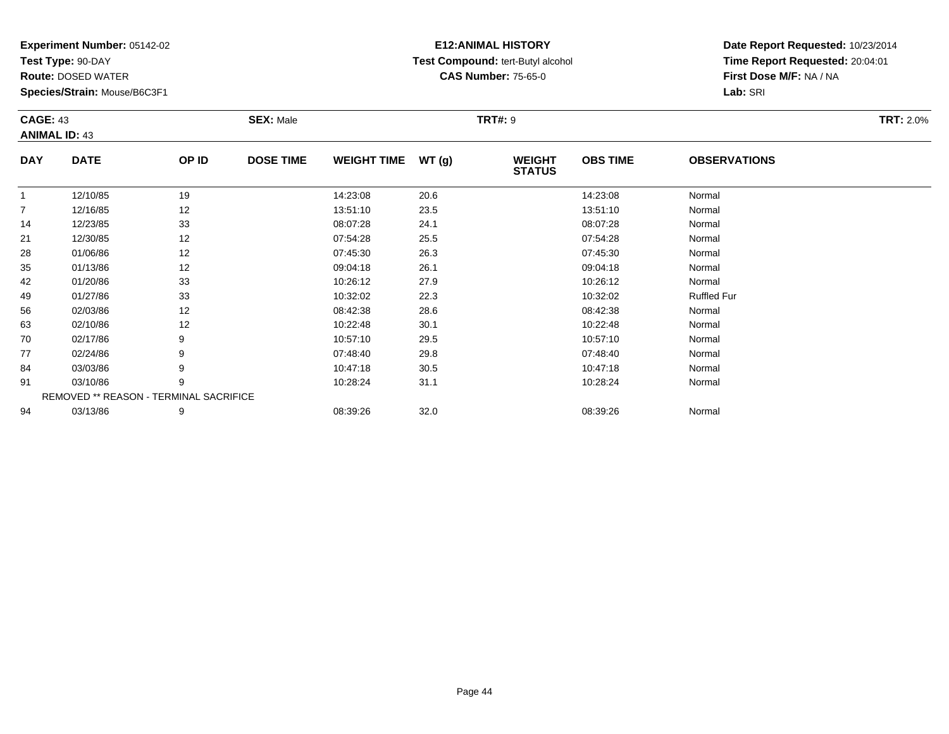**Test Type:** 90-DAY

94

**Route:** DOSED WATER

**Species/Strain:** Mouse/B6C3F1

## **E12:ANIMAL HISTORY Test Compound:** tert-Butyl alcohol **CAS Number:** 75-65-0

**Date Report Requested:** 10/23/2014**Time Report Requested:** 20:04:01**First Dose M/F:** NA / NA**Lab:** SRI

|                | <b>CAGE: 43</b><br><b>ANIMAL ID: 43</b> |                                               | <b>TRT#: 9</b><br><b>SEX: Male</b> |                    |       |                                |                 |                     | <b>TRT: 2.0%</b> |
|----------------|-----------------------------------------|-----------------------------------------------|------------------------------------|--------------------|-------|--------------------------------|-----------------|---------------------|------------------|
| <b>DAY</b>     | <b>DATE</b>                             | OP ID                                         | <b>DOSE TIME</b>                   | <b>WEIGHT TIME</b> | WT(g) | <b>WEIGHT</b><br><b>STATUS</b> | <b>OBS TIME</b> | <b>OBSERVATIONS</b> |                  |
| 1              | 12/10/85                                | 19                                            |                                    | 14:23:08           | 20.6  |                                | 14:23:08        | Normal              |                  |
| $\overline{7}$ | 12/16/85                                | 12                                            |                                    | 13:51:10           | 23.5  |                                | 13:51:10        | Normal              |                  |
| 14             | 12/23/85                                | 33                                            |                                    | 08:07:28           | 24.1  |                                | 08:07:28        | Normal              |                  |
| 21             | 12/30/85                                | 12                                            |                                    | 07:54:28           | 25.5  |                                | 07:54:28        | Normal              |                  |
| 28             | 01/06/86                                | 12                                            |                                    | 07:45:30           | 26.3  |                                | 07:45:30        | Normal              |                  |
| 35             | 01/13/86                                | 12                                            |                                    | 09:04:18           | 26.1  |                                | 09:04:18        | Normal              |                  |
| 42             | 01/20/86                                | 33                                            |                                    | 10:26:12           | 27.9  |                                | 10:26:12        | Normal              |                  |
| 49             | 01/27/86                                | 33                                            |                                    | 10:32:02           | 22.3  |                                | 10:32:02        | <b>Ruffled Fur</b>  |                  |
| 56             | 02/03/86                                | 12                                            |                                    | 08:42:38           | 28.6  |                                | 08:42:38        | Normal              |                  |
| 63             | 02/10/86                                | 12                                            |                                    | 10:22:48           | 30.1  |                                | 10:22:48        | Normal              |                  |
| 70             | 02/17/86                                | 9                                             |                                    | 10:57:10           | 29.5  |                                | 10:57:10        | Normal              |                  |
| 77             | 02/24/86                                | 9                                             |                                    | 07:48:40           | 29.8  |                                | 07:48:40        | Normal              |                  |
| 84             | 03/03/86                                | 9                                             |                                    | 10:47:18           | 30.5  |                                | 10:47:18        | Normal              |                  |
| 91             | 03/10/86                                | 9                                             |                                    | 10:28:24           | 31.1  |                                | 10:28:24        | Normal              |                  |
|                |                                         | <b>REMOVED ** REASON - TERMINAL SACRIFICE</b> |                                    |                    |       |                                |                 |                     |                  |

4 03/13/86 9 9 08:39:26 32.0 08:39 08:39 08:39 08:39 08:39 08:39:26 08:39:26 08:39:26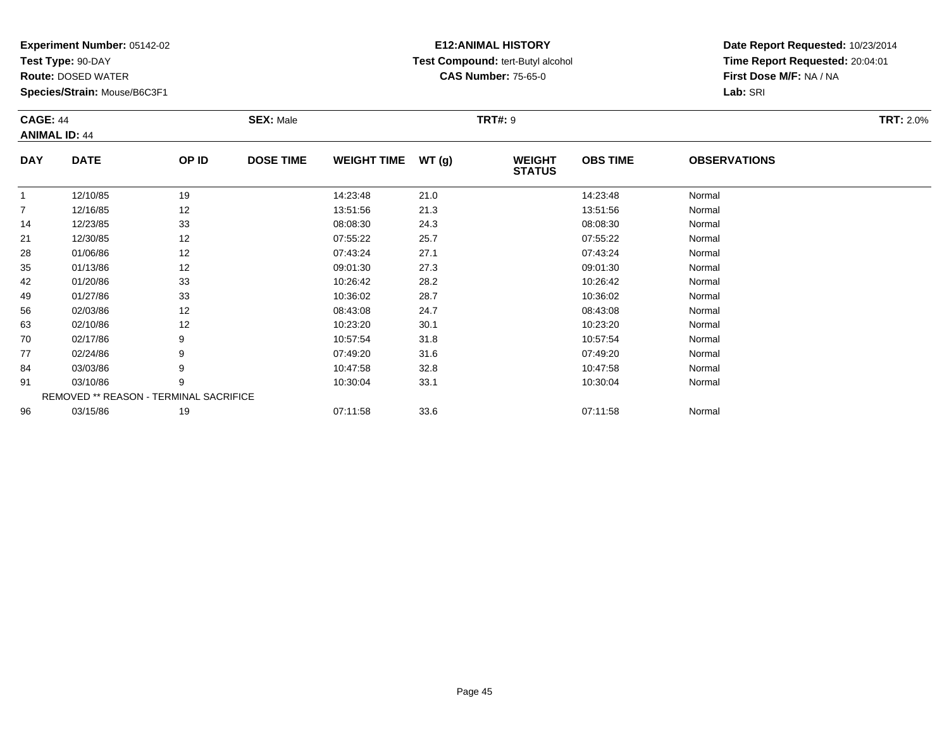**Test Type:** 90-DAY

96

**Route:** DOSED WATER

**Species/Strain:** Mouse/B6C3F1

REMOVED \*\* REASON - TERMINAL SACRIFICE

## **E12:ANIMAL HISTORY Test Compound:** tert-Butyl alcohol **CAS Number:** 75-65-0

**Date Report Requested:** 10/23/2014**Time Report Requested:** 20:04:01**First Dose M/F:** NA / NA**Lab:** SRI

| <b>CAGE: 44</b><br><b>ANIMAL ID: 44</b> |             | <b>SEX: Male</b> |                  |                    | <b>TRT#: 9</b> |                                | <b>TRT: 2.0%</b> |                     |  |
|-----------------------------------------|-------------|------------------|------------------|--------------------|----------------|--------------------------------|------------------|---------------------|--|
| <b>DAY</b>                              | <b>DATE</b> | OP ID            | <b>DOSE TIME</b> | <b>WEIGHT TIME</b> | WT(g)          | <b>WEIGHT</b><br><b>STATUS</b> | <b>OBS TIME</b>  | <b>OBSERVATIONS</b> |  |
| 1                                       | 12/10/85    | 19               |                  | 14:23:48           | 21.0           |                                | 14:23:48         | Normal              |  |
| $\overline{7}$                          | 12/16/85    | 12               |                  | 13:51:56           | 21.3           |                                | 13:51:56         | Normal              |  |
| 14                                      | 12/23/85    | 33               |                  | 08:08:30           | 24.3           |                                | 08:08:30         | Normal              |  |
| 21                                      | 12/30/85    | 12               |                  | 07:55:22           | 25.7           |                                | 07:55:22         | Normal              |  |
| 28                                      | 01/06/86    | 12               |                  | 07:43:24           | 27.1           |                                | 07:43:24         | Normal              |  |
| 35                                      | 01/13/86    | 12               |                  | 09:01:30           | 27.3           |                                | 09:01:30         | Normal              |  |
| 42                                      | 01/20/86    | 33               |                  | 10:26:42           | 28.2           |                                | 10:26:42         | Normal              |  |
| 49                                      | 01/27/86    | 33               |                  | 10:36:02           | 28.7           |                                | 10:36:02         | Normal              |  |
| 56                                      | 02/03/86    | 12               |                  | 08:43:08           | 24.7           |                                | 08:43:08         | Normal              |  |
| 63                                      | 02/10/86    | 12               |                  | 10:23:20           | 30.1           |                                | 10:23:20         | Normal              |  |
| 70                                      | 02/17/86    | 9                |                  | 10:57:54           | 31.8           |                                | 10:57:54         | Normal              |  |
| 77                                      | 02/24/86    | 9                |                  | 07:49:20           | 31.6           |                                | 07:49:20         | Normal              |  |
| 84                                      | 03/03/86    | 9                |                  | 10:47:58           | 32.8           |                                | 10:47:58         | Normal              |  |
| 91                                      | 03/10/86    | 9                |                  | 10:30:04           | 33.1           |                                | 10:30:04         | Normal              |  |

6 03/15/86 19 07:11:58 33.6 07:11:58 Normal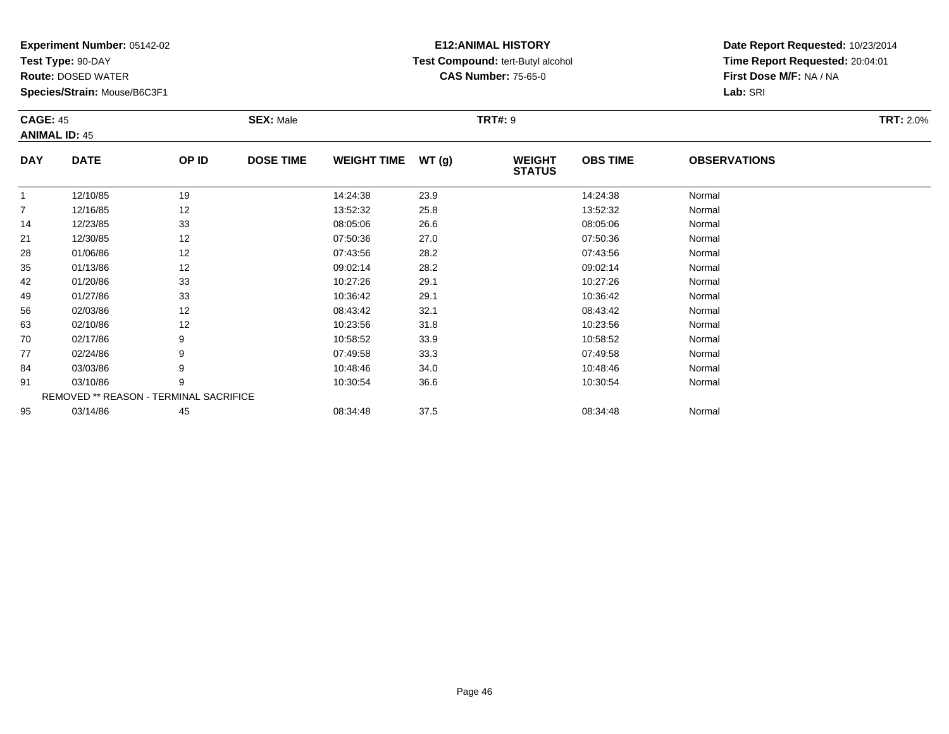**Test Type:** 90-DAY

95

**Route:** DOSED WATER

**Species/Strain:** Mouse/B6C3F1

## **E12:ANIMAL HISTORY Test Compound:** tert-Butyl alcohol **CAS Number:** 75-65-0

**Date Report Requested:** 10/23/2014**Time Report Requested:** 20:04:01**First Dose M/F:** NA / NA**Lab:** SRI

|                | <b>CAGE: 45</b><br><b>ANIMAL ID: 45</b>       |       | <b>SEX: Male</b> |                    |      | <b>TRT#: 9</b>                 |                 | <b>TRT: 2.0%</b>    |  |
|----------------|-----------------------------------------------|-------|------------------|--------------------|------|--------------------------------|-----------------|---------------------|--|
| <b>DAY</b>     | <b>DATE</b>                                   | OP ID | <b>DOSE TIME</b> | WEIGHT TIME WT (g) |      | <b>WEIGHT</b><br><b>STATUS</b> | <b>OBS TIME</b> | <b>OBSERVATIONS</b> |  |
|                | 12/10/85                                      | 19    |                  | 14:24:38           | 23.9 |                                | 14:24:38        | Normal              |  |
| $\overline{7}$ | 12/16/85                                      | 12    |                  | 13:52:32           | 25.8 |                                | 13:52:32        | Normal              |  |
| 14             | 12/23/85                                      | 33    |                  | 08:05:06           | 26.6 |                                | 08:05:06        | Normal              |  |
| 21             | 12/30/85                                      | 12    |                  | 07:50:36           | 27.0 |                                | 07:50:36        | Normal              |  |
| 28             | 01/06/86                                      | 12    |                  | 07:43:56           | 28.2 |                                | 07:43:56        | Normal              |  |
| 35             | 01/13/86                                      | 12    |                  | 09:02:14           | 28.2 |                                | 09:02:14        | Normal              |  |
| 42             | 01/20/86                                      | 33    |                  | 10:27:26           | 29.1 |                                | 10:27:26        | Normal              |  |
| 49             | 01/27/86                                      | 33    |                  | 10:36:42           | 29.1 |                                | 10:36:42        | Normal              |  |
| 56             | 02/03/86                                      | 12    |                  | 08:43:42           | 32.1 |                                | 08:43:42        | Normal              |  |
| 63             | 02/10/86                                      | 12    |                  | 10:23:56           | 31.8 |                                | 10:23:56        | Normal              |  |
| 70             | 02/17/86                                      | 9     |                  | 10:58:52           | 33.9 |                                | 10:58:52        | Normal              |  |
| 77             | 02/24/86                                      | 9     |                  | 07:49:58           | 33.3 |                                | 07:49:58        | Normal              |  |
| 84             | 03/03/86                                      | 9     |                  | 10:48:46           | 34.0 |                                | 10:48:46        | Normal              |  |
| 91             | 03/10/86                                      | 9     |                  | 10:30:54           | 36.6 |                                | 10:30:54        | Normal              |  |
|                | <b>REMOVED ** REASON - TERMINAL SACRIFICE</b> |       |                  |                    |      |                                |                 |                     |  |

03/14/86 <sup>45</sup> 08:34:48 37.5 08:34:48 Normal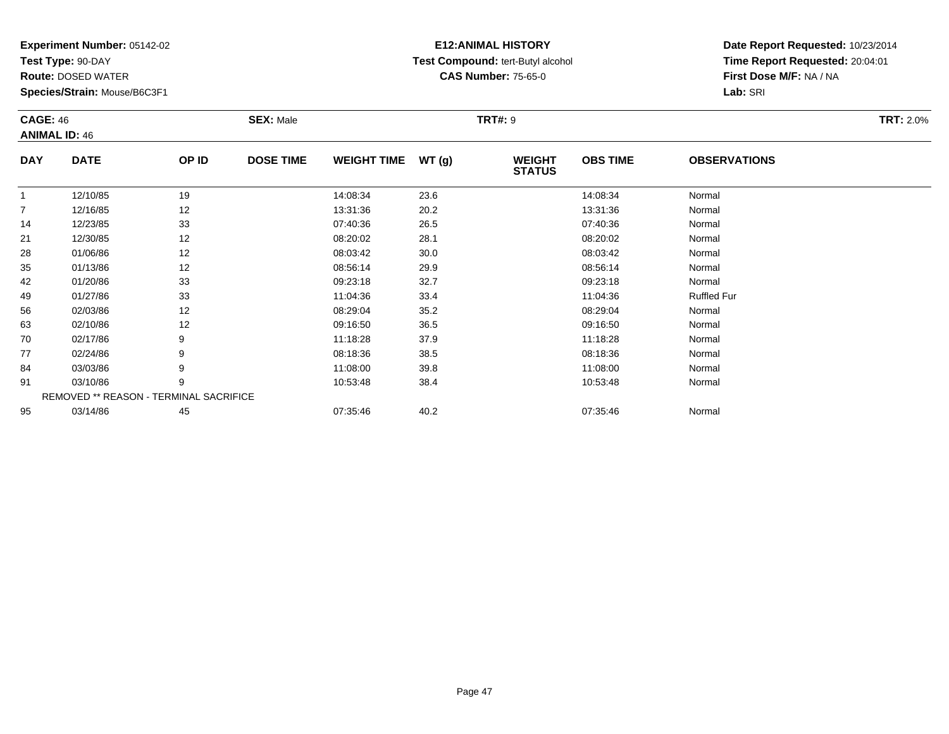**Test Type:** 90-DAY

**Route:** DOSED WATER

**Species/Strain:** Mouse/B6C3F1

# **E12:ANIMAL HISTORY Test Compound:** tert-Butyl alcohol **CAS Number:** 75-65-0

**Date Report Requested:** 10/23/2014**Time Report Requested:** 20:04:01**First Dose M/F:** NA / NA**Lab:** SRI

|                | <b>CAGE: 46</b><br><b>ANIMAL ID: 46</b> |       | <b>SEX: Male</b> |                    |       | <b>TRT#: 9</b>                 |                 | <b>TRT: 2.0%</b>    |  |
|----------------|-----------------------------------------|-------|------------------|--------------------|-------|--------------------------------|-----------------|---------------------|--|
| <b>DAY</b>     | <b>DATE</b>                             | OP ID | <b>DOSE TIME</b> | <b>WEIGHT TIME</b> | WT(g) | <b>WEIGHT</b><br><b>STATUS</b> | <b>OBS TIME</b> | <b>OBSERVATIONS</b> |  |
| $\mathbf{1}$   | 12/10/85                                | 19    |                  | 14:08:34           | 23.6  |                                | 14:08:34        | Normal              |  |
| $\overline{7}$ | 12/16/85                                | 12    |                  | 13:31:36           | 20.2  |                                | 13:31:36        | Normal              |  |
| 14             | 12/23/85                                | 33    |                  | 07:40:36           | 26.5  |                                | 07:40:36        | Normal              |  |
| 21             | 12/30/85                                | 12    |                  | 08:20:02           | 28.1  |                                | 08:20:02        | Normal              |  |
| 28             | 01/06/86                                | 12    |                  | 08:03:42           | 30.0  |                                | 08:03:42        | Normal              |  |
| 35             | 01/13/86                                | 12    |                  | 08:56:14           | 29.9  |                                | 08:56:14        | Normal              |  |
| 42             | 01/20/86                                | 33    |                  | 09:23:18           | 32.7  |                                | 09:23:18        | Normal              |  |
| 49             | 01/27/86                                | 33    |                  | 11:04:36           | 33.4  |                                | 11:04:36        | <b>Ruffled Fur</b>  |  |
| 56             | 02/03/86                                | 12    |                  | 08:29:04           | 35.2  |                                | 08:29:04        | Normal              |  |
| 63             | 02/10/86                                | 12    |                  | 09:16:50           | 36.5  |                                | 09:16:50        | Normal              |  |
| 70             | 02/17/86                                | 9     |                  | 11:18:28           | 37.9  |                                | 11:18:28        | Normal              |  |
| 77             | 02/24/86                                | 9     |                  | 08:18:36           | 38.5  |                                | 08:18:36        | Normal              |  |
| 84             | 03/03/86                                | 9     |                  | 11:08:00           | 39.8  |                                | 11:08:00        | Normal              |  |
| 91             | 03/10/86                                | 9     |                  | 10:53:48           | 38.4  |                                | 10:53:48        | Normal              |  |
|                | REMOVED ** REASON - TERMINAL SACRIFICE  |       |                  |                    |       |                                |                 |                     |  |
| 95             | 03/14/86                                | 45    |                  | 07:35:46           | 40.2  |                                | 07:35:46        | Normal              |  |

03/14/86 <sup>45</sup> 07:35:46 40.2 07:35:46 Normal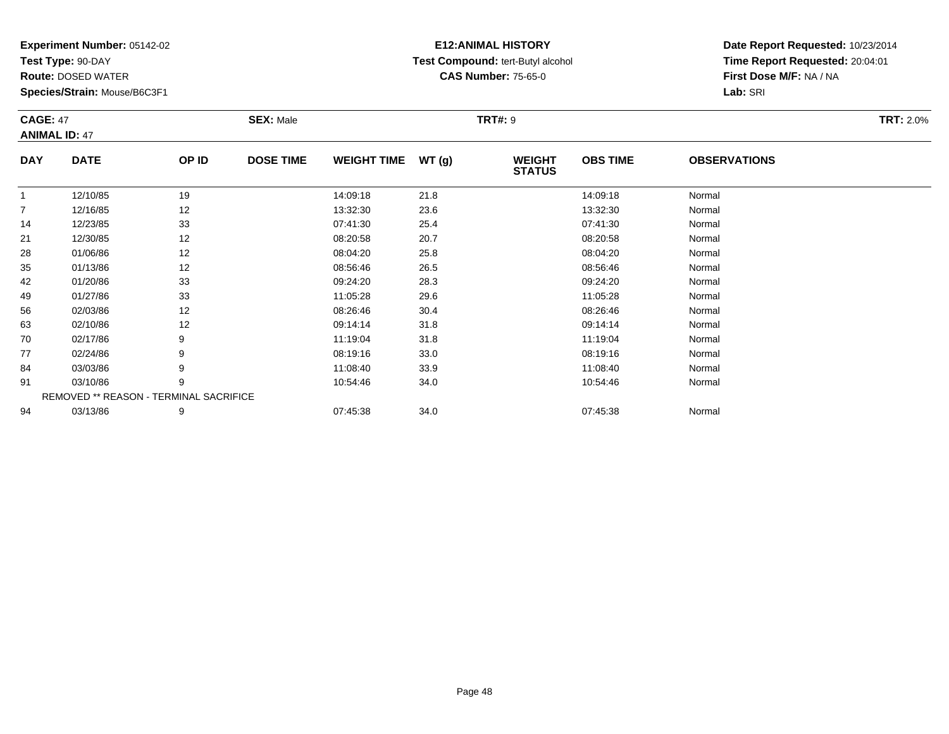**Test Type:** 90-DAY

91

94

**Route:** DOSED WATER

**Species/Strain:** Mouse/B6C3F1

REMOVED \*\* REASON - TERMINAL SACRIFICE

## **E12:ANIMAL HISTORY Test Compound:** tert-Butyl alcohol **CAS Number:** 75-65-0

**Date Report Requested:** 10/23/2014**Time Report Requested:** 20:04:01**First Dose M/F:** NA / NA**Lab:** SRI

| <b>CAGE: 47</b> | <b>ANIMAL ID: 47</b> |       | <b>SEX: Male</b> |                    |       |                                | <b>TRT#: 9</b>  |                     |  |  |  |
|-----------------|----------------------|-------|------------------|--------------------|-------|--------------------------------|-----------------|---------------------|--|--|--|
| <b>DAY</b>      | <b>DATE</b>          | OP ID | <b>DOSE TIME</b> | <b>WEIGHT TIME</b> | WT(g) | <b>WEIGHT</b><br><b>STATUS</b> | <b>OBS TIME</b> | <b>OBSERVATIONS</b> |  |  |  |
| 1               | 12/10/85             | 19    |                  | 14:09:18           | 21.8  |                                | 14:09:18        | Normal              |  |  |  |
| 7               | 12/16/85             | 12    |                  | 13:32:30           | 23.6  |                                | 13:32:30        | Normal              |  |  |  |
| 14              | 12/23/85             | 33    |                  | 07:41:30           | 25.4  |                                | 07:41:30        | Normal              |  |  |  |
| 21              | 12/30/85             | 12    |                  | 08:20:58           | 20.7  |                                | 08:20:58        | Normal              |  |  |  |
| 28              | 01/06/86             | 12    |                  | 08:04:20           | 25.8  |                                | 08:04:20        | Normal              |  |  |  |
| 35              | 01/13/86             | 12    |                  | 08:56:46           | 26.5  |                                | 08:56:46        | Normal              |  |  |  |
| 42              | 01/20/86             | 33    |                  | 09:24:20           | 28.3  |                                | 09:24:20        | Normal              |  |  |  |
| 49              | 01/27/86             | 33    |                  | 11:05:28           | 29.6  |                                | 11:05:28        | Normal              |  |  |  |
| 56              | 02/03/86             | 12    |                  | 08:26:46           | 30.4  |                                | 08:26:46        | Normal              |  |  |  |
| 63              | 02/10/86             | 12    |                  | 09:14:14           | 31.8  |                                | 09:14:14        | Normal              |  |  |  |
| 70              | 02/17/86             | 9     |                  | 11:19:04           | 31.8  |                                | 11:19:04        | Normal              |  |  |  |
| 77              | 02/24/86             | 9     |                  | 08:19:16           | 33.0  |                                | 08:19:16        | Normal              |  |  |  |
| 84              | 03/03/86             | 9     |                  | 11:08:40           | 33.9  |                                | 11:08:40        | Normal              |  |  |  |

1 03/10/86 9 9 10:54:46 34.0 10:54:46 10:54:46 Normal

4 03/13/86 9 9 07:45:38 34.0 07:45:38 07:45:38 07:45:38 07:45:38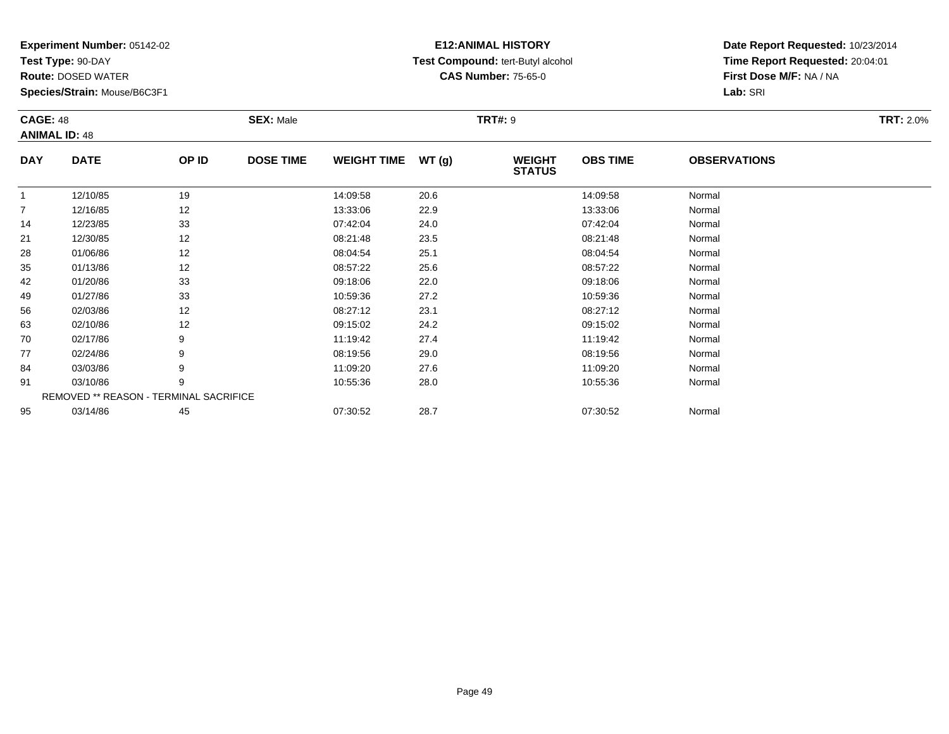**Test Type:** 90-DAY

**Route:** DOSED WATER

**Species/Strain:** Mouse/B6C3F1

# **E12:ANIMAL HISTORY Test Compound:** tert-Butyl alcohol **CAS Number:** 75-65-0

|                | <b>CAGE: 48</b><br><b>ANIMAL ID: 48</b> |       | <b>SEX: Male</b> |                    |       | <b>TRT#: 9</b>                 | <b>TRT: 2.0%</b> |                     |  |
|----------------|-----------------------------------------|-------|------------------|--------------------|-------|--------------------------------|------------------|---------------------|--|
| <b>DAY</b>     | <b>DATE</b>                             | OP ID | <b>DOSE TIME</b> | <b>WEIGHT TIME</b> | WT(g) | <b>WEIGHT</b><br><b>STATUS</b> | <b>OBS TIME</b>  | <b>OBSERVATIONS</b> |  |
| $\mathbf{1}$   | 12/10/85                                | 19    |                  | 14:09:58           | 20.6  |                                | 14:09:58         | Normal              |  |
| $\overline{7}$ | 12/16/85                                | 12    |                  | 13:33:06           | 22.9  |                                | 13:33:06         | Normal              |  |
| 14             | 12/23/85                                | 33    |                  | 07:42:04           | 24.0  |                                | 07:42:04         | Normal              |  |
| 21             | 12/30/85                                | 12    |                  | 08:21:48           | 23.5  |                                | 08:21:48         | Normal              |  |
| 28             | 01/06/86                                | 12    |                  | 08:04:54           | 25.1  |                                | 08:04:54         | Normal              |  |
| 35             | 01/13/86                                | 12    |                  | 08:57:22           | 25.6  |                                | 08:57:22         | Normal              |  |
| 42             | 01/20/86                                | 33    |                  | 09:18:06           | 22.0  |                                | 09:18:06         | Normal              |  |
| 49             | 01/27/86                                | 33    |                  | 10:59:36           | 27.2  |                                | 10:59:36         | Normal              |  |
| 56             | 02/03/86                                | 12    |                  | 08:27:12           | 23.1  |                                | 08:27:12         | Normal              |  |
| 63             | 02/10/86                                | 12    |                  | 09:15:02           | 24.2  |                                | 09:15:02         | Normal              |  |
| 70             | 02/17/86                                | 9     |                  | 11:19:42           | 27.4  |                                | 11:19:42         | Normal              |  |
| 77             | 02/24/86                                | 9     |                  | 08:19:56           | 29.0  |                                | 08:19:56         | Normal              |  |
| 84             | 03/03/86                                | 9     |                  | 11:09:20           | 27.6  |                                | 11:09:20         | Normal              |  |
| 91             | 03/10/86                                | 9     |                  | 10:55:36           | 28.0  |                                | 10:55:36         | Normal              |  |
|                | REMOVED ** REASON - TERMINAL SACRIFICE  |       |                  |                    |       |                                |                  |                     |  |
| 95             | 03/14/86                                | 45    |                  | 07:30:52           | 28.7  |                                | 07:30:52         | Normal              |  |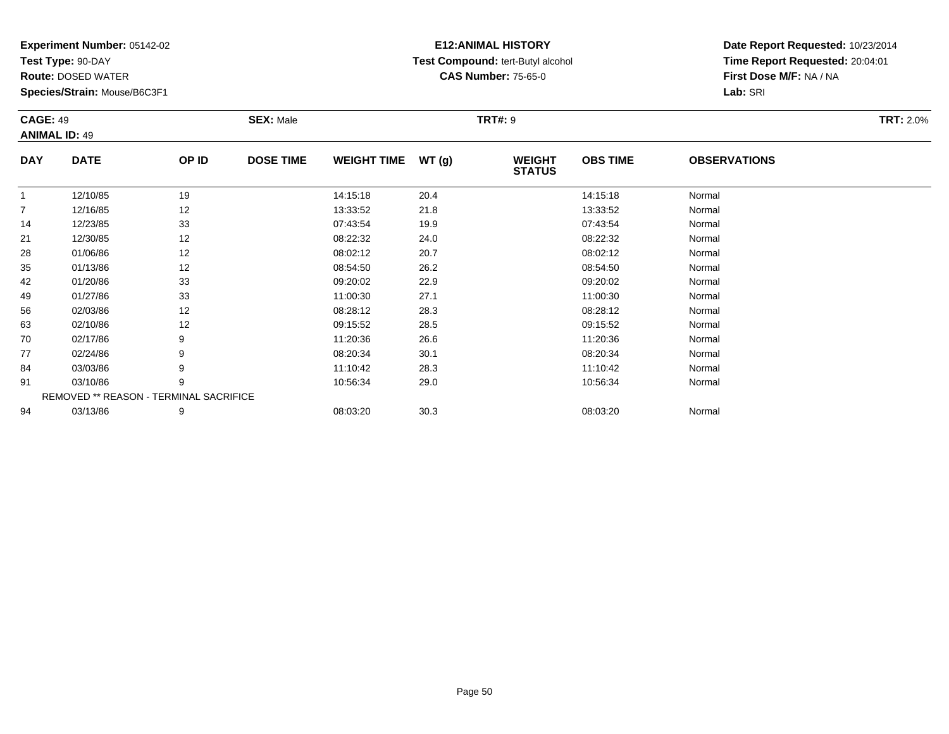**Test Type:** 90-DAY

**Route:** DOSED WATER

**Species/Strain:** Mouse/B6C3F1

# **E12:ANIMAL HISTORY Test Compound:** tert-Butyl alcohol **CAS Number:** 75-65-0

|                | <b>CAGE: 49</b><br><b>ANIMAL ID: 49</b> |       | <b>SEX: Male</b> |                    |       | <b>TRT#: 9</b>                 | <b>TRT: 2.0%</b> |                     |  |
|----------------|-----------------------------------------|-------|------------------|--------------------|-------|--------------------------------|------------------|---------------------|--|
| <b>DAY</b>     | <b>DATE</b>                             | OP ID | <b>DOSE TIME</b> | <b>WEIGHT TIME</b> | WT(g) | <b>WEIGHT</b><br><b>STATUS</b> | <b>OBS TIME</b>  | <b>OBSERVATIONS</b> |  |
| $\mathbf{1}$   | 12/10/85                                | 19    |                  | 14:15:18           | 20.4  |                                | 14:15:18         | Normal              |  |
| $\overline{7}$ | 12/16/85                                | 12    |                  | 13:33:52           | 21.8  |                                | 13:33:52         | Normal              |  |
| 14             | 12/23/85                                | 33    |                  | 07:43:54           | 19.9  |                                | 07:43:54         | Normal              |  |
| 21             | 12/30/85                                | 12    |                  | 08:22:32           | 24.0  |                                | 08:22:32         | Normal              |  |
| 28             | 01/06/86                                | 12    |                  | 08:02:12           | 20.7  |                                | 08:02:12         | Normal              |  |
| 35             | 01/13/86                                | 12    |                  | 08:54:50           | 26.2  |                                | 08:54:50         | Normal              |  |
| 42             | 01/20/86                                | 33    |                  | 09:20:02           | 22.9  |                                | 09:20:02         | Normal              |  |
| 49             | 01/27/86                                | 33    |                  | 11:00:30           | 27.1  |                                | 11:00:30         | Normal              |  |
| 56             | 02/03/86                                | 12    |                  | 08:28:12           | 28.3  |                                | 08:28:12         | Normal              |  |
| 63             | 02/10/86                                | 12    |                  | 09:15:52           | 28.5  |                                | 09:15:52         | Normal              |  |
| 70             | 02/17/86                                | 9     |                  | 11:20:36           | 26.6  |                                | 11:20:36         | Normal              |  |
| 77             | 02/24/86                                | 9     |                  | 08:20:34           | 30.1  |                                | 08:20:34         | Normal              |  |
| 84             | 03/03/86                                | 9     |                  | 11:10:42           | 28.3  |                                | 11:10:42         | Normal              |  |
| 91             | 03/10/86                                | 9     |                  | 10:56:34           | 29.0  |                                | 10:56:34         | Normal              |  |
|                | REMOVED ** REASON - TERMINAL SACRIFICE  |       |                  |                    |       |                                |                  |                     |  |
| 94             | 03/13/86                                | 9     |                  | 08:03:20           | 30.3  |                                | 08:03:20         | Normal              |  |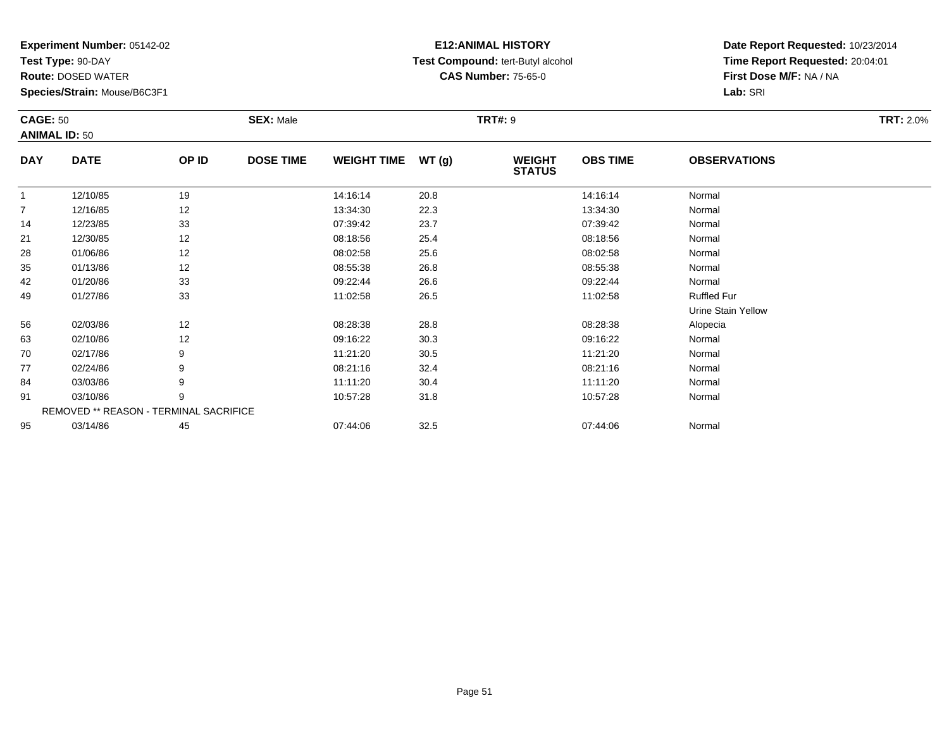**Test Type:** 90-DAY

95

**Route:** DOSED WATER

**Species/Strain:** Mouse/B6C3F1

# **E12:ANIMAL HISTORY Test Compound:** tert-Butyl alcohol **CAS Number:** 75-65-0

**Date Report Requested:** 10/23/2014**Time Report Requested:** 20:04:01**First Dose M/F:** NA / NA**Lab:** SRI

|            | <b>CAGE: 50</b><br><b>ANIMAL ID: 50</b> |                                        | <b>SEX: Male</b> |                    |       |                                | <b>TRT#: 9</b>  |                     |  |  |
|------------|-----------------------------------------|----------------------------------------|------------------|--------------------|-------|--------------------------------|-----------------|---------------------|--|--|
| <b>DAY</b> | <b>DATE</b>                             | OP ID                                  | <b>DOSE TIME</b> | <b>WEIGHT TIME</b> | WT(g) | <b>WEIGHT</b><br><b>STATUS</b> | <b>OBS TIME</b> | <b>OBSERVATIONS</b> |  |  |
| 1          | 12/10/85                                | 19                                     |                  | 14:16:14           | 20.8  |                                | 14:16:14        | Normal              |  |  |
| 7          | 12/16/85                                | 12                                     |                  | 13:34:30           | 22.3  |                                | 13:34:30        | Normal              |  |  |
| 14         | 12/23/85                                | 33                                     |                  | 07:39:42           | 23.7  |                                | 07:39:42        | Normal              |  |  |
| 21         | 12/30/85                                | 12                                     |                  | 08:18:56           | 25.4  |                                | 08:18:56        | Normal              |  |  |
| 28         | 01/06/86                                | 12                                     |                  | 08:02:58           | 25.6  |                                | 08:02:58        | Normal              |  |  |
| 35         | 01/13/86                                | 12                                     |                  | 08:55:38           | 26.8  |                                | 08:55:38        | Normal              |  |  |
| 42         | 01/20/86                                | 33                                     |                  | 09:22:44           | 26.6  |                                | 09:22:44        | Normal              |  |  |
| 49         | 01/27/86                                | 33                                     |                  | 11:02:58           | 26.5  |                                | 11:02:58        | <b>Ruffled Fur</b>  |  |  |
|            |                                         |                                        |                  |                    |       |                                |                 | Urine Stain Yellow  |  |  |
| 56         | 02/03/86                                | 12                                     |                  | 08:28:38           | 28.8  |                                | 08:28:38        | Alopecia            |  |  |
| 63         | 02/10/86                                | 12                                     |                  | 09:16:22           | 30.3  |                                | 09:16:22        | Normal              |  |  |
| 70         | 02/17/86                                | 9                                      |                  | 11:21:20           | 30.5  |                                | 11:21:20        | Normal              |  |  |
| 77         | 02/24/86                                | 9                                      |                  | 08:21:16           | 32.4  |                                | 08:21:16        | Normal              |  |  |
| 84         | 03/03/86                                | 9                                      |                  | 11:11:20           | 30.4  |                                | 11:11:20        | Normal              |  |  |
| 91         | 03/10/86                                | 9                                      |                  | 10:57:28           | 31.8  |                                | 10:57:28        | Normal              |  |  |
|            |                                         | REMOVED ** REASON - TERMINAL SACRIFICE |                  |                    |       |                                |                 |                     |  |  |

03/14/86 <sup>45</sup> 07:44:06 32.5 07:44:06 Normal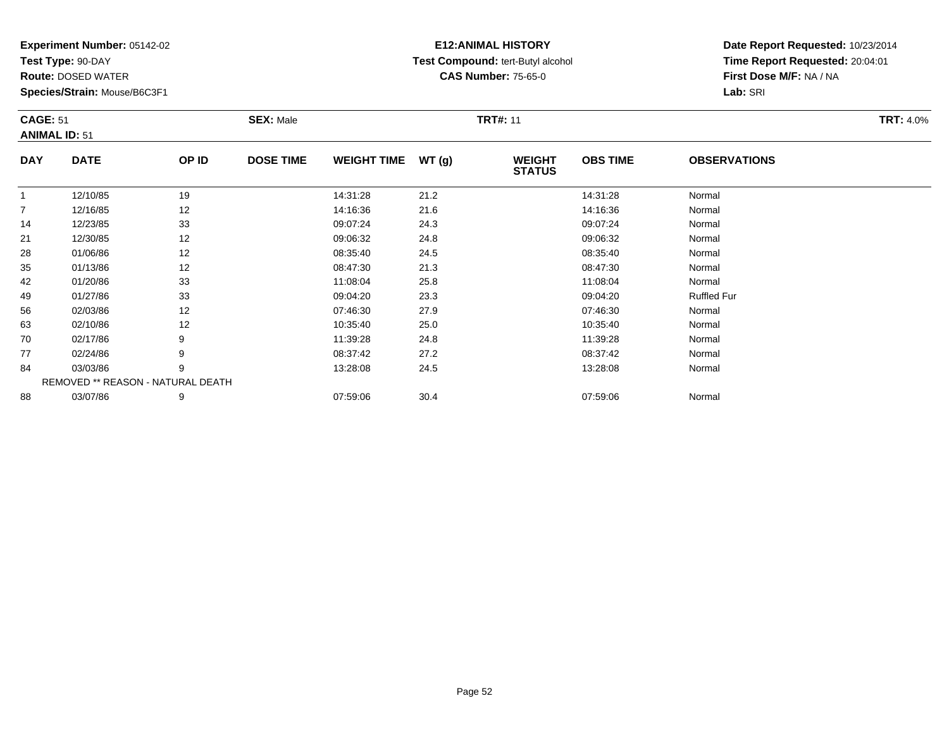**Test Type:** 90-DAY

56

63

70

77

84

88

**Route:** DOSED WATER

**Species/Strain:** Mouse/B6C3F1

REMOVED \*\* REASON - NATURAL DEATH

## **E12:ANIMAL HISTORY Test Compound:** tert-Butyl alcohol **CAS Number:** 75-65-0

**Date Report Requested:** 10/23/2014**Time Report Requested:** 20:04:01**First Dose M/F:** NA / NA**Lab:** SRI

| <b>CAGE: 51</b><br><b>ANIMAL ID: 51</b> |             | <b>SEX: Male</b> |                  |                    | <b>TRT#: 11</b> | <b>TRT: 4.0%</b>               |                 |                     |  |
|-----------------------------------------|-------------|------------------|------------------|--------------------|-----------------|--------------------------------|-----------------|---------------------|--|
| <b>DAY</b>                              | <b>DATE</b> | OP ID            | <b>DOSE TIME</b> | <b>WEIGHT TIME</b> | WT(q)           | <b>WEIGHT</b><br><b>STATUS</b> | <b>OBS TIME</b> | <b>OBSERVATIONS</b> |  |
|                                         | 12/10/85    | 19               |                  | 14:31:28           | 21.2            |                                | 14:31:28        | Normal              |  |
| $\overline{7}$                          | 12/16/85    | 12               |                  | 14:16:36           | 21.6            |                                | 14:16:36        | Normal              |  |
| 14                                      | 12/23/85    | 33               |                  | 09:07:24           | 24.3            |                                | 09:07:24        | Normal              |  |
| 21                                      | 12/30/85    | 12               |                  | 09:06:32           | 24.8            |                                | 09:06:32        | Normal              |  |
| 28                                      | 01/06/86    | 12               |                  | 08:35:40           | 24.5            |                                | 08:35:40        | Normal              |  |
| 35                                      | 01/13/86    | 12               |                  | 08:47:30           | 21.3            |                                | 08:47:30        | Normal              |  |
| 42                                      | 01/20/86    | 33               |                  | 11:08:04           | 25.8            |                                | 11:08:04        | Normal              |  |
| 49                                      | 01/27/86    | 33               |                  | 09:04:20           | 23.3            |                                | 09:04:20        | <b>Ruffled Fur</b>  |  |

6 02/03/86 12 12 07:46:30 27.9 07:46 07:46 07:46 07:46

3 02/10/86 12 12 10:35:40 25.0 10:35:40 10:35:40 10:35:40 10:35:40 Normal

0 02/17/86 9 11:39:28 24.8 11:39:28 Normal

02/24/86 <sup>9</sup> 08:37:42 27.2 08:37:42 Normal

4 03/03/86 9 9 13:28:08 24.5 13:28:08 13:28:09 13:28:08 Normal

8 03/07/86 9 9 07:59:06 30.4 07:49 07:59:06 07:59:06 07:59:06 07:59:06 07:59:06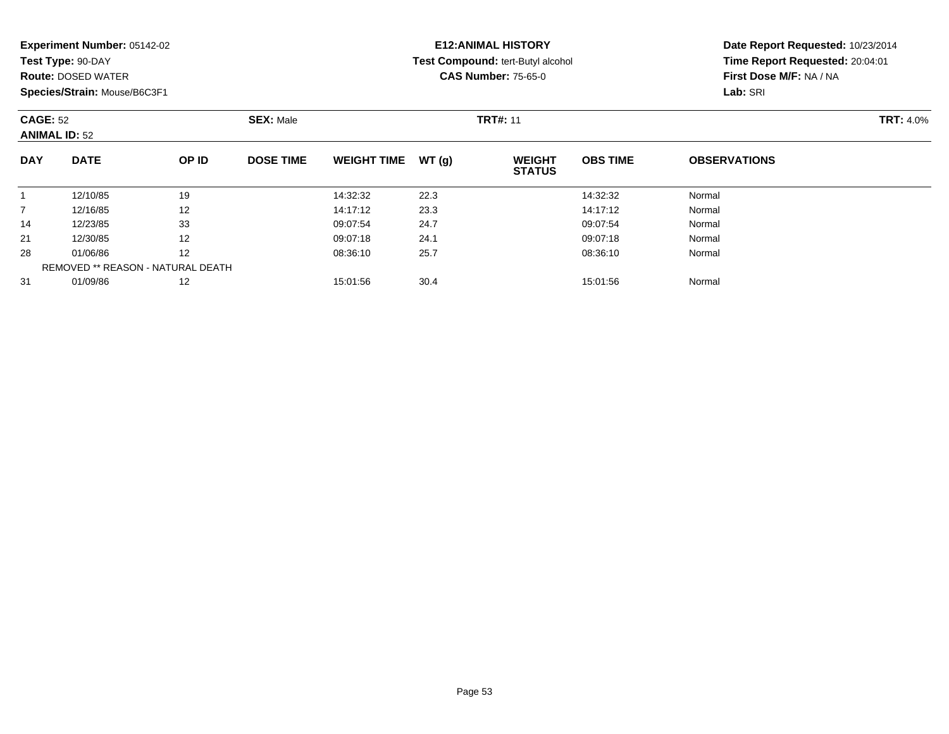| Experiment Number: 05142-02 |  |  |
|-----------------------------|--|--|
|-----------------------------|--|--|

**Test Type:** 90-DAY

**Route:** DOSED WATER

**Species/Strain:** Mouse/B6C3F1

# **E12:ANIMAL HISTORY Test Compound:** tert-Butyl alcohol **CAS Number:** 75-65-0

| <b>CAGE: 52</b><br><b>ANIMAL ID: 52</b> |                                   | <b>SEX: Male</b> |                  |                    | <b>TRT#: 11</b> | <b>TRT: 4.0%</b>               |                 |                     |  |
|-----------------------------------------|-----------------------------------|------------------|------------------|--------------------|-----------------|--------------------------------|-----------------|---------------------|--|
| <b>DAY</b>                              | <b>DATE</b>                       | OP ID            | <b>DOSE TIME</b> | <b>WEIGHT TIME</b> | WT(g)           | <b>WEIGHT</b><br><b>STATUS</b> | <b>OBS TIME</b> | <b>OBSERVATIONS</b> |  |
|                                         | 12/10/85                          | 19               |                  | 14:32:32           | 22.3            |                                | 14:32:32        | Normal              |  |
|                                         | 12/16/85                          | 12               |                  | 14:17:12           | 23.3            |                                | 14:17:12        | Normal              |  |
| 14                                      | 12/23/85                          | 33               |                  | 09:07:54           | 24.7            |                                | 09:07:54        | Normal              |  |
| 21                                      | 12/30/85                          | 12               |                  | 09:07:18           | 24.1            |                                | 09:07:18        | Normal              |  |
| 28                                      | 01/06/86                          | 12               |                  | 08:36:10           | 25.7            |                                | 08:36:10        | Normal              |  |
|                                         | REMOVED ** REASON - NATURAL DEATH |                  |                  |                    |                 |                                |                 |                     |  |
| 31                                      | 01/09/86                          | 12               |                  | 15:01:56           | 30.4            |                                | 15:01:56        | Normal              |  |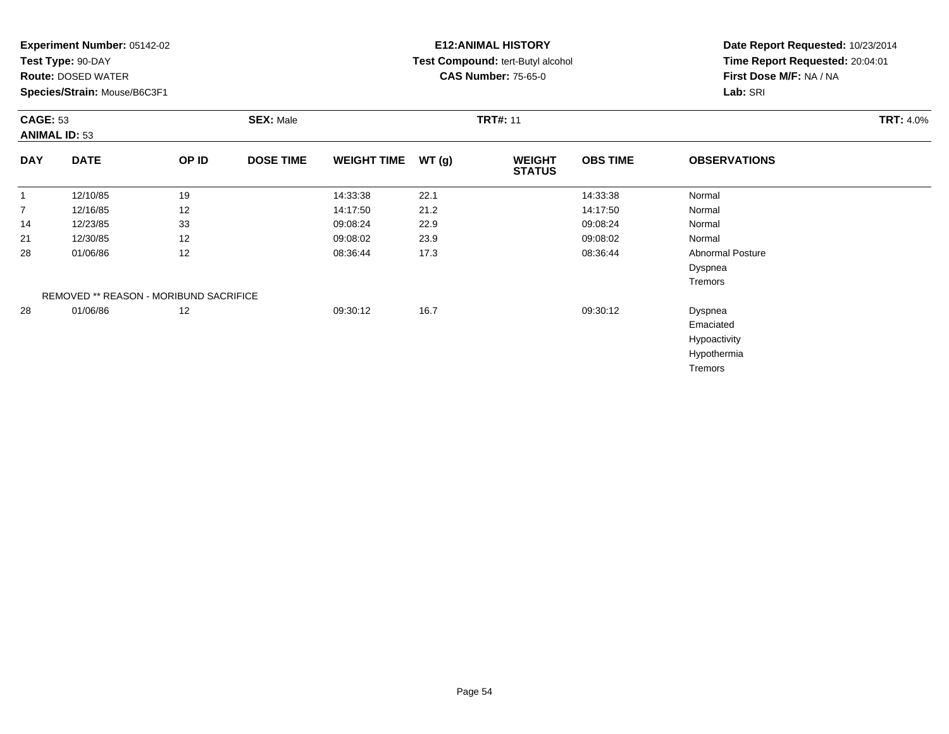**Test Type:** 90-DAY

**Route:** DOSED WATER

**Species/Strain:** Mouse/B6C3F1

# **E12:ANIMAL HISTORY Test Compound:** tert-Butyl alcohol **CAS Number:** 75-65-0

|                | <b>CAGE: 53</b><br><b>ANIMAL ID: 53</b> |       | <b>SEX: Male</b> |                    | <b>TRT#: 11</b> |                                |                 |                         |  |  |
|----------------|-----------------------------------------|-------|------------------|--------------------|-----------------|--------------------------------|-----------------|-------------------------|--|--|
| <b>DAY</b>     | <b>DATE</b>                             | OP ID | <b>DOSE TIME</b> | <b>WEIGHT TIME</b> | WT(g)           | <b>WEIGHT</b><br><b>STATUS</b> | <b>OBS TIME</b> | <b>OBSERVATIONS</b>     |  |  |
| $\mathbf{1}$   | 12/10/85                                | 19    |                  | 14:33:38           | 22.1            |                                | 14:33:38        | Normal                  |  |  |
| $\overline{7}$ | 12/16/85                                | 12    |                  | 14:17:50           | 21.2            |                                | 14:17:50        | Normal                  |  |  |
| 14             | 12/23/85                                | 33    |                  | 09:08:24           | 22.9            |                                | 09:08:24        | Normal                  |  |  |
| 21             | 12/30/85                                | 12    |                  | 09:08:02           | 23.9            |                                | 09:08:02        | Normal                  |  |  |
| 28             | 01/06/86                                | 12    |                  | 08:36:44           | 17.3            |                                | 08:36:44        | <b>Abnormal Posture</b> |  |  |
|                |                                         |       |                  |                    |                 |                                |                 | Dyspnea                 |  |  |
|                |                                         |       |                  |                    |                 |                                |                 | Tremors                 |  |  |
|                | REMOVED ** REASON - MORIBUND SACRIFICE  |       |                  |                    |                 |                                |                 |                         |  |  |
| 28             | 01/06/86                                | 12    |                  | 09:30:12           | 16.7            |                                | 09:30:12        | Dyspnea                 |  |  |
|                |                                         |       |                  |                    |                 |                                |                 | Emaciated               |  |  |
|                |                                         |       |                  |                    |                 |                                |                 | Hypoactivity            |  |  |
|                |                                         |       |                  |                    |                 |                                |                 | Hypothermia             |  |  |
|                |                                         |       |                  |                    |                 |                                |                 | Tremors                 |  |  |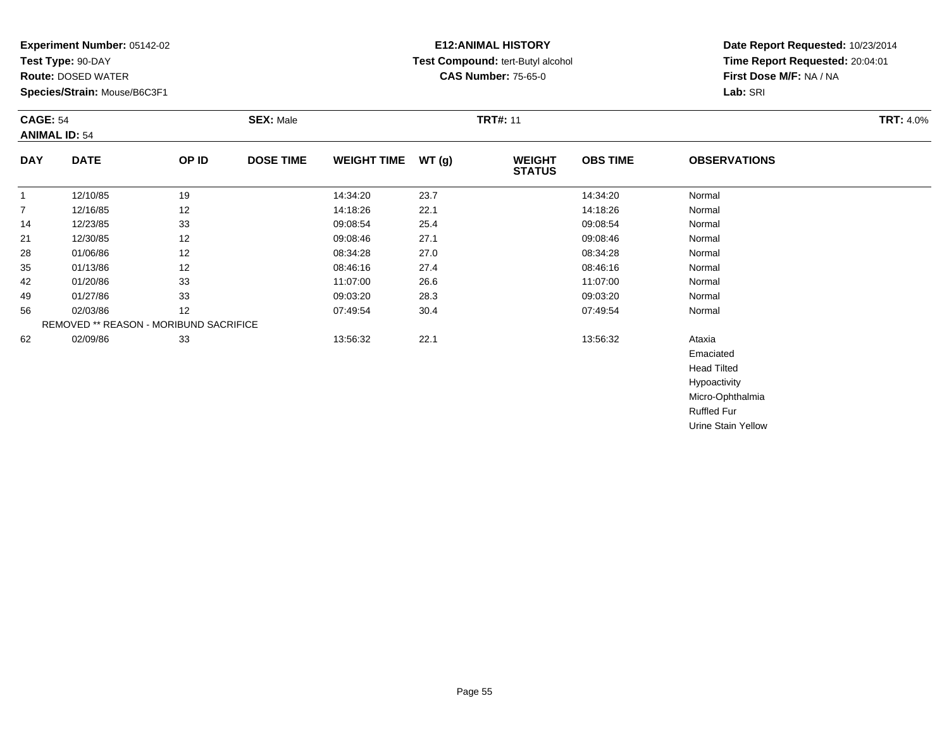**Test Type:** 90-DAY

**Route:** DOSED WATER

**Species/Strain:** Mouse/B6C3F1

# **E12:ANIMAL HISTORY Test Compound:** tert-Butyl alcohol **CAS Number:** 75-65-0

**Date Report Requested:** 10/23/2014**Time Report Requested:** 20:04:01**First Dose M/F:** NA / NA**Lab:** SRI

|            | <b>CAGE: 54</b><br><b>ANIMAL ID: 54</b>       |       | <b>SEX: Male</b> |                    |       | <b>TRT#: 11</b>                | <b>TRT: 4.0%</b> |                     |  |
|------------|-----------------------------------------------|-------|------------------|--------------------|-------|--------------------------------|------------------|---------------------|--|
| <b>DAY</b> | <b>DATE</b>                                   | OP ID | <b>DOSE TIME</b> | <b>WEIGHT TIME</b> | WT(g) | <b>WEIGHT</b><br><b>STATUS</b> | <b>OBS TIME</b>  | <b>OBSERVATIONS</b> |  |
|            | 12/10/85                                      | 19    |                  | 14:34:20           | 23.7  |                                | 14:34:20         | Normal              |  |
| 7          | 12/16/85                                      | 12    |                  | 14:18:26           | 22.1  |                                | 14:18:26         | Normal              |  |
| 14         | 12/23/85                                      | 33    |                  | 09:08:54           | 25.4  |                                | 09:08:54         | Normal              |  |
| 21         | 12/30/85                                      | 12    |                  | 09:08:46           | 27.1  |                                | 09:08:46         | Normal              |  |
| 28         | 01/06/86                                      | 12    |                  | 08:34:28           | 27.0  |                                | 08:34:28         | Normal              |  |
| 35         | 01/13/86                                      | 12    |                  | 08:46:16           | 27.4  |                                | 08:46:16         | Normal              |  |
| 42         | 01/20/86                                      | 33    |                  | 11:07:00           | 26.6  |                                | 11:07:00         | Normal              |  |
| 49         | 01/27/86                                      | 33    |                  | 09:03:20           | 28.3  |                                | 09:03:20         | Normal              |  |
| 56         | 02/03/86                                      | 12    |                  | 07:49:54           | 30.4  |                                | 07:49:54         | Normal              |  |
|            | <b>REMOVED ** REASON - MORIBUND SACRIFICE</b> |       |                  |                    |       |                                |                  |                     |  |
| 62         | 02/09/86                                      | 33    |                  | 13:56:32           | 22.1  |                                | 13:56:32         | Ataxia              |  |
|            |                                               |       |                  |                    |       |                                |                  | Emaciated           |  |
|            |                                               |       |                  |                    |       |                                |                  | الممثلات المممل     |  |

 Head Tilted Hypoactivity Micro-OphthalmiaRuffled FurUrine Stain Yellow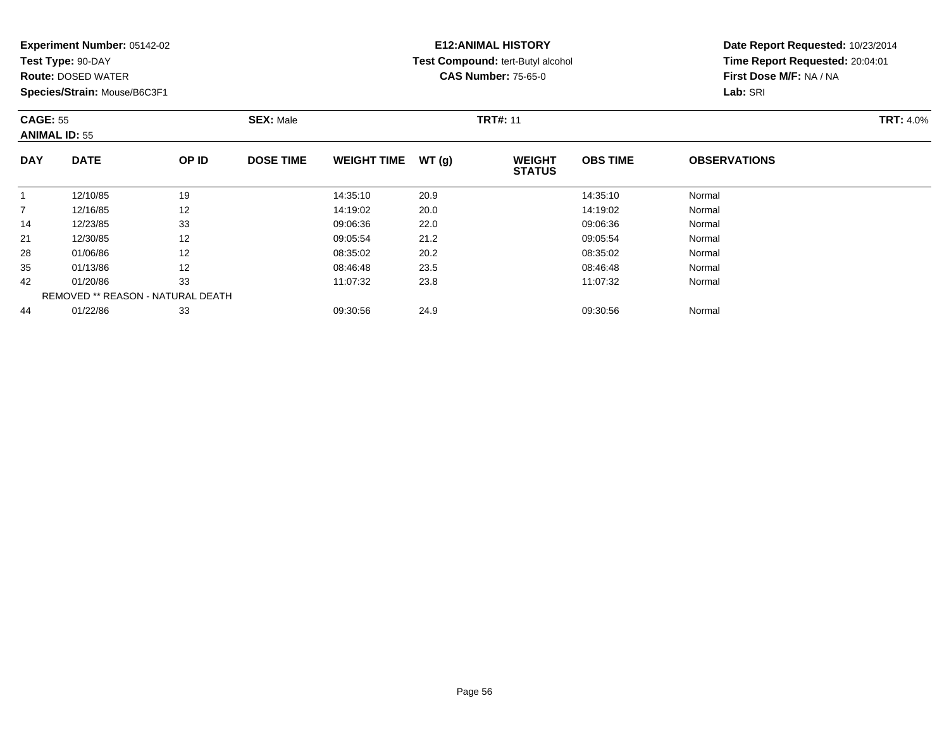**Test Type:** 90-DAY

**Route:** DOSED WATER

**Species/Strain:** Mouse/B6C3F1

# **E12:ANIMAL HISTORY Test Compound:** tert-Butyl alcohol **CAS Number:** 75-65-0

|                | <b>CAGE: 55</b><br><b>ANIMAL ID: 55</b> |              | <b>SEX: Male</b> |                    |       | <b>TRT#: 11</b>                | <b>TRT: 4.0%</b> |                     |  |
|----------------|-----------------------------------------|--------------|------------------|--------------------|-------|--------------------------------|------------------|---------------------|--|
| <b>DAY</b>     | <b>DATE</b>                             | <b>OP ID</b> | <b>DOSE TIME</b> | <b>WEIGHT TIME</b> | WT(g) | <b>WEIGHT</b><br><b>STATUS</b> | <b>OBS TIME</b>  | <b>OBSERVATIONS</b> |  |
| 1              | 12/10/85                                | 19           |                  | 14:35:10           | 20.9  |                                | 14:35:10         | Normal              |  |
| $\overline{7}$ | 12/16/85                                | 12           |                  | 14:19:02           | 20.0  |                                | 14:19:02         | Normal              |  |
| 14             | 12/23/85                                | 33           |                  | 09:06:36           | 22.0  |                                | 09:06:36         | Normal              |  |
| 21             | 12/30/85                                | 12           |                  | 09:05:54           | 21.2  |                                | 09:05:54         | Normal              |  |
| 28             | 01/06/86                                | 12           |                  | 08:35:02           | 20.2  |                                | 08:35:02         | Normal              |  |
| 35             | 01/13/86                                | 12           |                  | 08:46:48           | 23.5  |                                | 08:46:48         | Normal              |  |
| 42             | 01/20/86                                | 33           |                  | 11:07:32           | 23.8  |                                | 11:07:32         | Normal              |  |
|                | REMOVED ** REASON - NATURAL DEATH       |              |                  |                    |       |                                |                  |                     |  |
| 44             | 01/22/86                                | 33           |                  | 09:30:56           | 24.9  |                                | 09:30:56         | Normal              |  |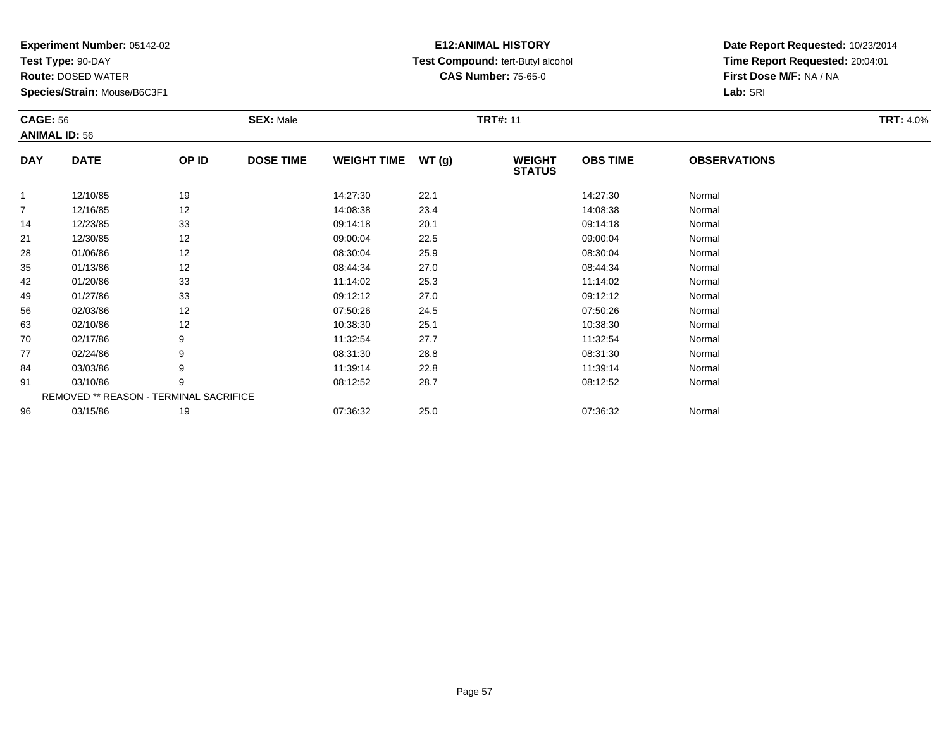**Test Type:** 90-DAY

96

**Route:** DOSED WATER

**Species/Strain:** Mouse/B6C3F1

# **E12:ANIMAL HISTORY Test Compound:** tert-Butyl alcohol **CAS Number:** 75-65-0

**Date Report Requested:** 10/23/2014**Time Report Requested:** 20:04:01**First Dose M/F:** NA / NA**Lab:** SRI

|                | <b>CAGE: 56</b><br><b>ANIMAL ID: 56</b> |       | <b>SEX: Male</b> |                    |       | <b>TRT#: 11</b>                | <b>TRT: 4.0%</b> |                     |  |
|----------------|-----------------------------------------|-------|------------------|--------------------|-------|--------------------------------|------------------|---------------------|--|
| <b>DAY</b>     | <b>DATE</b>                             | OP ID | <b>DOSE TIME</b> | <b>WEIGHT TIME</b> | WT(g) | <b>WEIGHT</b><br><b>STATUS</b> | <b>OBS TIME</b>  | <b>OBSERVATIONS</b> |  |
|                | 12/10/85                                | 19    |                  | 14:27:30           | 22.1  |                                | 14:27:30         | Normal              |  |
| $\overline{7}$ | 12/16/85                                | 12    |                  | 14:08:38           | 23.4  |                                | 14:08:38         | Normal              |  |
| 14             | 12/23/85                                | 33    |                  | 09:14:18           | 20.1  |                                | 09:14:18         | Normal              |  |
| 21             | 12/30/85                                | 12    |                  | 09:00:04           | 22.5  |                                | 09:00:04         | Normal              |  |
| 28             | 01/06/86                                | 12    |                  | 08:30:04           | 25.9  |                                | 08:30:04         | Normal              |  |
| 35             | 01/13/86                                | 12    |                  | 08:44:34           | 27.0  |                                | 08:44:34         | Normal              |  |
| 42             | 01/20/86                                | 33    |                  | 11:14:02           | 25.3  |                                | 11:14:02         | Normal              |  |
| 49             | 01/27/86                                | 33    |                  | 09:12:12           | 27.0  |                                | 09:12:12         | Normal              |  |
| 56             | 02/03/86                                | 12    |                  | 07:50:26           | 24.5  |                                | 07:50:26         | Normal              |  |
| 63             | 02/10/86                                | 12    |                  | 10:38:30           | 25.1  |                                | 10:38:30         | Normal              |  |
| 70             | 02/17/86                                | 9     |                  | 11:32:54           | 27.7  |                                | 11:32:54         | Normal              |  |
| 77             | 02/24/86                                | 9     |                  | 08:31:30           | 28.8  |                                | 08:31:30         | Normal              |  |
| 84             | 03/03/86                                | 9     |                  | 11:39:14           | 22.8  |                                | 11:39:14         | Normal              |  |
| 91             | 03/10/86                                | 9     |                  | 08:12:52           | 28.7  |                                | 08:12:52         | Normal              |  |
|                | REMOVED ** REASON - TERMINAL SACRIFICE  |       |                  |                    |       |                                |                  |                     |  |

6 03/15/86 19 19 07:36:32 25.0 25.0 07:36:32 07:36:32 Normal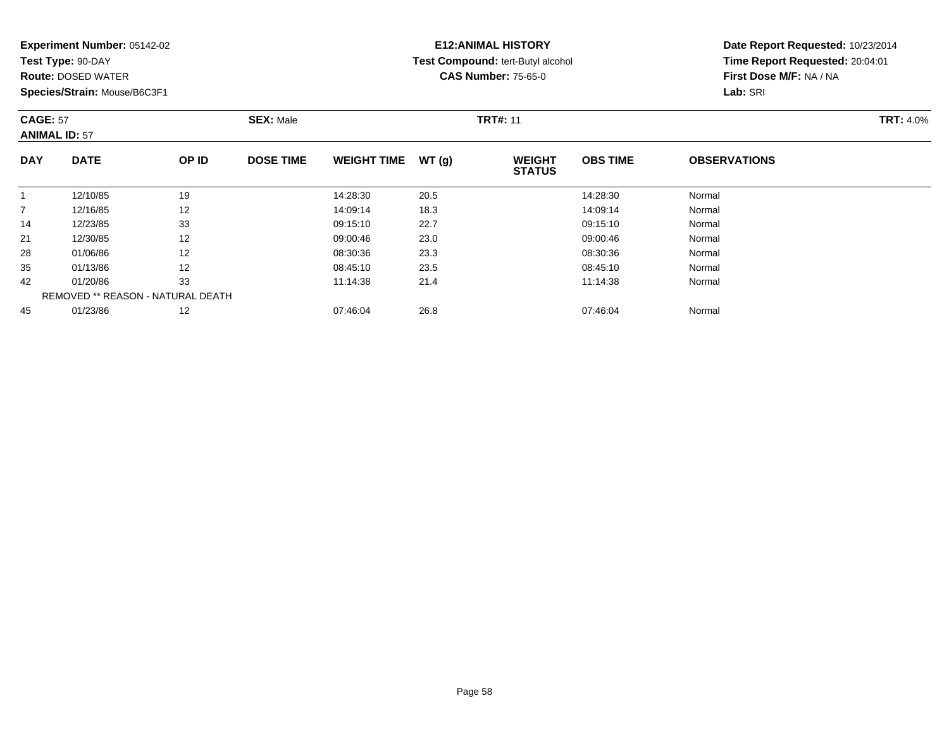**Test Type:** 90-DAY

**Route:** DOSED WATER

**Species/Strain:** Mouse/B6C3F1

## **E12:ANIMAL HISTORY Test Compound:** tert-Butyl alcohol **CAS Number:** 75-65-0

|                | <b>CAGE: 57</b><br><b>ANIMAL ID: 57</b> |                   | <b>SEX: Male</b> |                    |       | <b>TRT#: 11</b>                | <b>TRT: 4.0%</b> |                     |  |
|----------------|-----------------------------------------|-------------------|------------------|--------------------|-------|--------------------------------|------------------|---------------------|--|
| <b>DAY</b>     | <b>DATE</b>                             | OP ID             | <b>DOSE TIME</b> | <b>WEIGHT TIME</b> | WT(q) | <b>WEIGHT</b><br><b>STATUS</b> | <b>OBS TIME</b>  | <b>OBSERVATIONS</b> |  |
|                | 12/10/85                                | 19                |                  | 14:28:30           | 20.5  |                                | 14:28:30         | Normal              |  |
| $\overline{7}$ | 12/16/85                                | 12                |                  | 14:09:14           | 18.3  |                                | 14:09:14         | Normal              |  |
| 14             | 12/23/85                                | 33                |                  | 09:15:10           | 22.7  |                                | 09:15:10         | Normal              |  |
| 21             | 12/30/85                                | 12                |                  | 09:00:46           | 23.0  |                                | 09:00:46         | Normal              |  |
| 28             | 01/06/86                                | 12                |                  | 08:30:36           | 23.3  |                                | 08:30:36         | Normal              |  |
| 35             | 01/13/86                                | 12                |                  | 08:45:10           | 23.5  |                                | 08:45:10         | Normal              |  |
| 42             | 01/20/86                                | 33                |                  | 11:14:38           | 21.4  |                                | 11:14:38         | Normal              |  |
|                | REMOVED ** REASON - NATURAL DEATH       |                   |                  |                    |       |                                |                  |                     |  |
| 45             | 01/23/86                                | $12 \overline{ }$ |                  | 07:46:04           | 26.8  |                                | 07:46:04         | Normal              |  |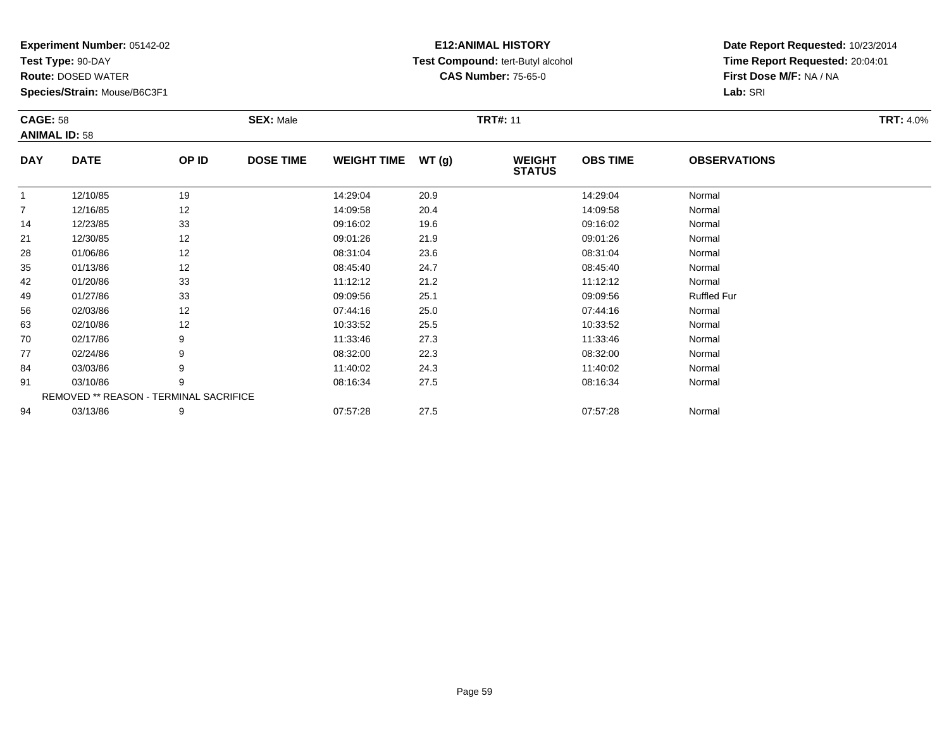**Test Type:** 90-DAY

94

**Route:** DOSED WATER

**Species/Strain:** Mouse/B6C3F1

# **E12:ANIMAL HISTORY Test Compound:** tert-Butyl alcohol **CAS Number:** 75-65-0

**Date Report Requested:** 10/23/2014**Time Report Requested:** 20:04:01**First Dose M/F:** NA / NA**Lab:** SRI

| <b>CAGE: 58</b> | <b>ANIMAL ID: 58</b>                   |       | <b>SEX: Male</b> |                    |      | <b>TRT#: 11</b>                |                 |                     | <b>TRT: 4.0%</b> |
|-----------------|----------------------------------------|-------|------------------|--------------------|------|--------------------------------|-----------------|---------------------|------------------|
| <b>DAY</b>      | <b>DATE</b>                            | OP ID | <b>DOSE TIME</b> | WEIGHT TIME WT (g) |      | <b>WEIGHT</b><br><b>STATUS</b> | <b>OBS TIME</b> | <b>OBSERVATIONS</b> |                  |
| 1               | 12/10/85                               | 19    |                  | 14:29:04           | 20.9 |                                | 14:29:04        | Normal              |                  |
| $\overline{7}$  | 12/16/85                               | 12    |                  | 14:09:58           | 20.4 |                                | 14:09:58        | Normal              |                  |
| 14              | 12/23/85                               | 33    |                  | 09:16:02           | 19.6 |                                | 09:16:02        | Normal              |                  |
| 21              | 12/30/85                               | 12    |                  | 09:01:26           | 21.9 |                                | 09:01:26        | Normal              |                  |
| 28              | 01/06/86                               | 12    |                  | 08:31:04           | 23.6 |                                | 08:31:04        | Normal              |                  |
| 35              | 01/13/86                               | 12    |                  | 08:45:40           | 24.7 |                                | 08:45:40        | Normal              |                  |
| 42              | 01/20/86                               | 33    |                  | 11:12:12           | 21.2 |                                | 11:12:12        | Normal              |                  |
| 49              | 01/27/86                               | 33    |                  | 09:09:56           | 25.1 |                                | 09:09:56        | <b>Ruffled Fur</b>  |                  |
| 56              | 02/03/86                               | 12    |                  | 07:44:16           | 25.0 |                                | 07:44:16        | Normal              |                  |
| 63              | 02/10/86                               | 12    |                  | 10:33:52           | 25.5 |                                | 10:33:52        | Normal              |                  |
| 70              | 02/17/86                               | 9     |                  | 11:33:46           | 27.3 |                                | 11:33:46        | Normal              |                  |
| 77              | 02/24/86                               | 9     |                  | 08:32:00           | 22.3 |                                | 08:32:00        | Normal              |                  |
| 84              | 03/03/86                               | 9     |                  | 11:40:02           | 24.3 |                                | 11:40:02        | Normal              |                  |
| 91              | 03/10/86                               | 9     |                  | 08:16:34           | 27.5 |                                | 08:16:34        | Normal              |                  |
|                 | REMOVED ** REASON - TERMINAL SACRIFICE |       |                  |                    |      |                                |                 |                     |                  |

4 03/13/86 9 9 07:57:28 27.5 07:57:28 07:57:28 Normal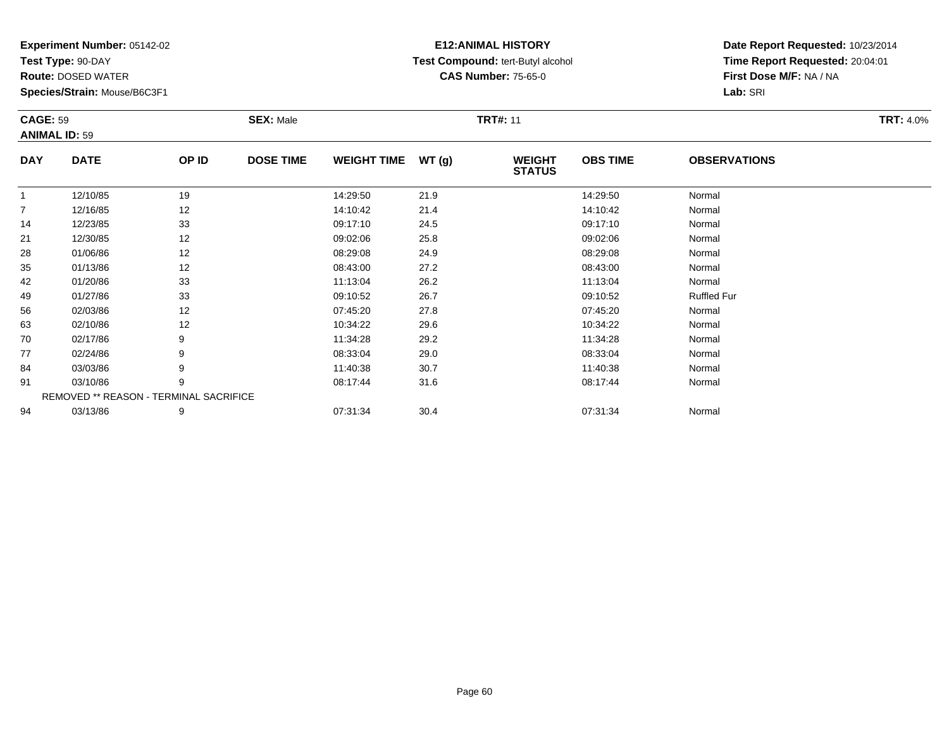**Test Type:** 90-DAY

94

**Route:** DOSED WATER

**Species/Strain:** Mouse/B6C3F1

# **E12:ANIMAL HISTORY Test Compound:** tert-Butyl alcohol **CAS Number:** 75-65-0

**Date Report Requested:** 10/23/2014**Time Report Requested:** 20:04:01**First Dose M/F:** NA / NA**Lab:** SRI

| <b>CAGE: 59</b> | <b>ANIMAL ID: 59</b>                   |       | <b>SEX: Male</b> |                    |       | <b>TRT#: 11</b>                |                 |                     | <b>TRT: 4.0%</b> |
|-----------------|----------------------------------------|-------|------------------|--------------------|-------|--------------------------------|-----------------|---------------------|------------------|
| <b>DAY</b>      | <b>DATE</b>                            | OP ID | <b>DOSE TIME</b> | <b>WEIGHT TIME</b> | WT(g) | <b>WEIGHT</b><br><b>STATUS</b> | <b>OBS TIME</b> | <b>OBSERVATIONS</b> |                  |
| 1               | 12/10/85                               | 19    |                  | 14:29:50           | 21.9  |                                | 14:29:50        | Normal              |                  |
| $\overline{7}$  | 12/16/85                               | 12    |                  | 14:10:42           | 21.4  |                                | 14:10:42        | Normal              |                  |
| 14              | 12/23/85                               | 33    |                  | 09:17:10           | 24.5  |                                | 09:17:10        | Normal              |                  |
| 21              | 12/30/85                               | 12    |                  | 09:02:06           | 25.8  |                                | 09:02:06        | Normal              |                  |
| 28              | 01/06/86                               | 12    |                  | 08:29:08           | 24.9  |                                | 08:29:08        | Normal              |                  |
| 35              | 01/13/86                               | 12    |                  | 08:43:00           | 27.2  |                                | 08:43:00        | Normal              |                  |
| 42              | 01/20/86                               | 33    |                  | 11:13:04           | 26.2  |                                | 11:13:04        | Normal              |                  |
| 49              | 01/27/86                               | 33    |                  | 09:10:52           | 26.7  |                                | 09:10:52        | <b>Ruffled Fur</b>  |                  |
| 56              | 02/03/86                               | 12    |                  | 07:45:20           | 27.8  |                                | 07:45:20        | Normal              |                  |
| 63              | 02/10/86                               | 12    |                  | 10:34:22           | 29.6  |                                | 10:34:22        | Normal              |                  |
| 70              | 02/17/86                               | 9     |                  | 11:34:28           | 29.2  |                                | 11:34:28        | Normal              |                  |
| 77              | 02/24/86                               | 9     |                  | 08:33:04           | 29.0  |                                | 08:33:04        | Normal              |                  |
| 84              | 03/03/86                               | 9     |                  | 11:40:38           | 30.7  |                                | 11:40:38        | Normal              |                  |
| 91              | 03/10/86                               | 9     |                  | 08:17:44           | 31.6  |                                | 08:17:44        | Normal              |                  |
|                 | REMOVED ** REASON - TERMINAL SACRIFICE |       |                  |                    |       |                                |                 |                     |                  |

03/13/86 <sup>9</sup> 07:31:34 30.4 07:31:34 Normal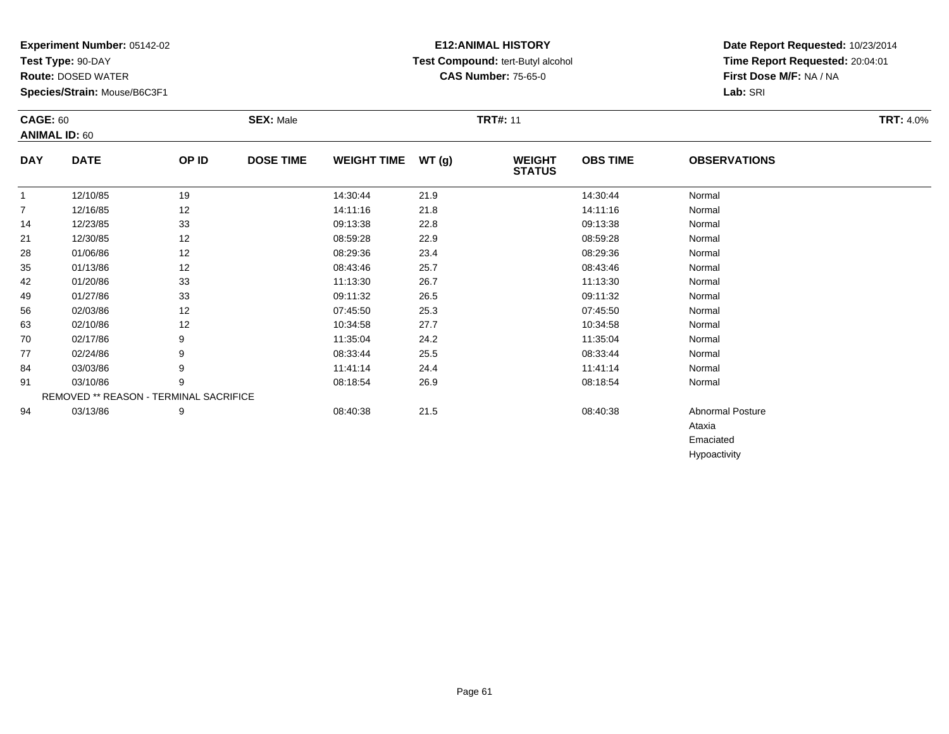**Test Type:** 90-DAY

94

**Route:** DOSED WATER

**Species/Strain:** Mouse/B6C3F1

## **E12:ANIMAL HISTORY Test Compound:** tert-Butyl alcohol **CAS Number:** 75-65-0

**Date Report Requested:** 10/23/2014**Time Report Requested:** 20:04:01**First Dose M/F:** NA / NA**Lab:** SRI

Ataxia EmaciatedHypoactivity

| <b>CAGE: 60</b> | <b>ANIMAL ID: 60</b>                          |       | <b>SEX: Male</b> |                    |       | <b>TRT#: 11</b>                |                 |                     | <b>TRT: 4.0%</b> |
|-----------------|-----------------------------------------------|-------|------------------|--------------------|-------|--------------------------------|-----------------|---------------------|------------------|
| <b>DAY</b>      | <b>DATE</b>                                   | OP ID | <b>DOSE TIME</b> | <b>WEIGHT TIME</b> | WT(g) | <b>WEIGHT</b><br><b>STATUS</b> | <b>OBS TIME</b> | <b>OBSERVATIONS</b> |                  |
|                 | 12/10/85                                      | 19    |                  | 14:30:44           | 21.9  |                                | 14:30:44        | Normal              |                  |
| $\overline{7}$  | 12/16/85                                      | 12    |                  | 14:11:16           | 21.8  |                                | 14:11:16        | Normal              |                  |
| 14              | 12/23/85                                      | 33    |                  | 09:13:38           | 22.8  |                                | 09:13:38        | Normal              |                  |
| 21              | 12/30/85                                      | 12    |                  | 08:59:28           | 22.9  |                                | 08:59:28        | Normal              |                  |
| 28              | 01/06/86                                      | 12    |                  | 08:29:36           | 23.4  |                                | 08:29:36        | Normal              |                  |
| 35              | 01/13/86                                      | 12    |                  | 08:43:46           | 25.7  |                                | 08:43:46        | Normal              |                  |
| 42              | 01/20/86                                      | 33    |                  | 11:13:30           | 26.7  |                                | 11:13:30        | Normal              |                  |
| 49              | 01/27/86                                      | 33    |                  | 09:11:32           | 26.5  |                                | 09:11:32        | Normal              |                  |
| 56              | 02/03/86                                      | 12    |                  | 07:45:50           | 25.3  |                                | 07:45:50        | Normal              |                  |
| 63              | 02/10/86                                      | 12    |                  | 10:34:58           | 27.7  |                                | 10:34:58        | Normal              |                  |
| 70              | 02/17/86                                      | 9     |                  | 11:35:04           | 24.2  |                                | 11:35:04        | Normal              |                  |
| 77              | 02/24/86                                      | 9     |                  | 08:33:44           | 25.5  |                                | 08:33:44        | Normal              |                  |
| 84              | 03/03/86                                      | 9     |                  | 11:41:14           | 24.4  |                                | 11:41:14        | Normal              |                  |
| 91              | 03/10/86                                      | 9     |                  | 08:18:54           | 26.9  |                                | 08:18:54        | Normal              |                  |
|                 | <b>REMOVED ** REASON - TERMINAL SACRIFICE</b> |       |                  |                    |       |                                |                 |                     |                  |

03/13/86 <sup>9</sup> 08:40:38 21.5 08:40:38 Abnormal Posture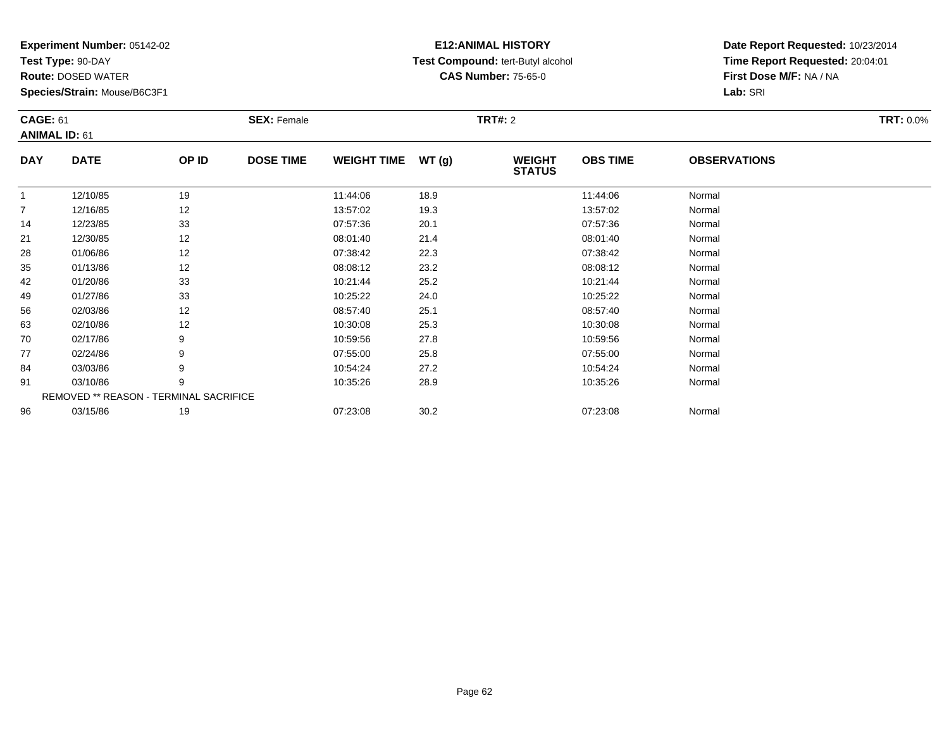**Test Type:** 90-DAY

**Route:** DOSED WATER

**Species/Strain:** Mouse/B6C3F1

# **E12:ANIMAL HISTORY Test Compound:** tert-Butyl alcohol **CAS Number:** 75-65-0

| <b>CAGE: 61</b><br><b>ANIMAL ID: 61</b> |                                        |       | <b>SEX: Female</b> |                    |       | <b>TRT#: 2</b>                 |                 |                     | <b>TRT: 0.0%</b> |
|-----------------------------------------|----------------------------------------|-------|--------------------|--------------------|-------|--------------------------------|-----------------|---------------------|------------------|
| <b>DAY</b>                              | <b>DATE</b>                            | OP ID | <b>DOSE TIME</b>   | <b>WEIGHT TIME</b> | WT(g) | <b>WEIGHT</b><br><b>STATUS</b> | <b>OBS TIME</b> | <b>OBSERVATIONS</b> |                  |
| $\mathbf 1$                             | 12/10/85                               | 19    |                    | 11:44:06           | 18.9  |                                | 11:44:06        | Normal              |                  |
| $\overline{7}$                          | 12/16/85                               | 12    |                    | 13:57:02           | 19.3  |                                | 13:57:02        | Normal              |                  |
| 14                                      | 12/23/85                               | 33    |                    | 07:57:36           | 20.1  |                                | 07:57:36        | Normal              |                  |
| 21                                      | 12/30/85                               | 12    |                    | 08:01:40           | 21.4  |                                | 08:01:40        | Normal              |                  |
| 28                                      | 01/06/86                               | 12    |                    | 07:38:42           | 22.3  |                                | 07:38:42        | Normal              |                  |
| 35                                      | 01/13/86                               | 12    |                    | 08:08:12           | 23.2  |                                | 08:08:12        | Normal              |                  |
| 42                                      | 01/20/86                               | 33    |                    | 10:21:44           | 25.2  |                                | 10:21:44        | Normal              |                  |
| 49                                      | 01/27/86                               | 33    |                    | 10:25:22           | 24.0  |                                | 10:25:22        | Normal              |                  |
| 56                                      | 02/03/86                               | 12    |                    | 08:57:40           | 25.1  |                                | 08:57:40        | Normal              |                  |
| 63                                      | 02/10/86                               | 12    |                    | 10:30:08           | 25.3  |                                | 10:30:08        | Normal              |                  |
| 70                                      | 02/17/86                               | 9     |                    | 10:59:56           | 27.8  |                                | 10:59:56        | Normal              |                  |
| 77                                      | 02/24/86                               | 9     |                    | 07:55:00           | 25.8  |                                | 07:55:00        | Normal              |                  |
| 84                                      | 03/03/86                               |       |                    | 10:54:24           | 27.2  |                                | 10:54:24        | Normal              |                  |
| 91                                      | 03/10/86                               | 9     |                    | 10:35:26           | 28.9  |                                | 10:35:26        | Normal              |                  |
|                                         | REMOVED ** REASON - TERMINAL SACRIFICE |       |                    |                    |       |                                |                 |                     |                  |
| 96                                      | 03/15/86                               | 19    |                    | 07:23:08           | 30.2  |                                | 07:23:08        | Normal              |                  |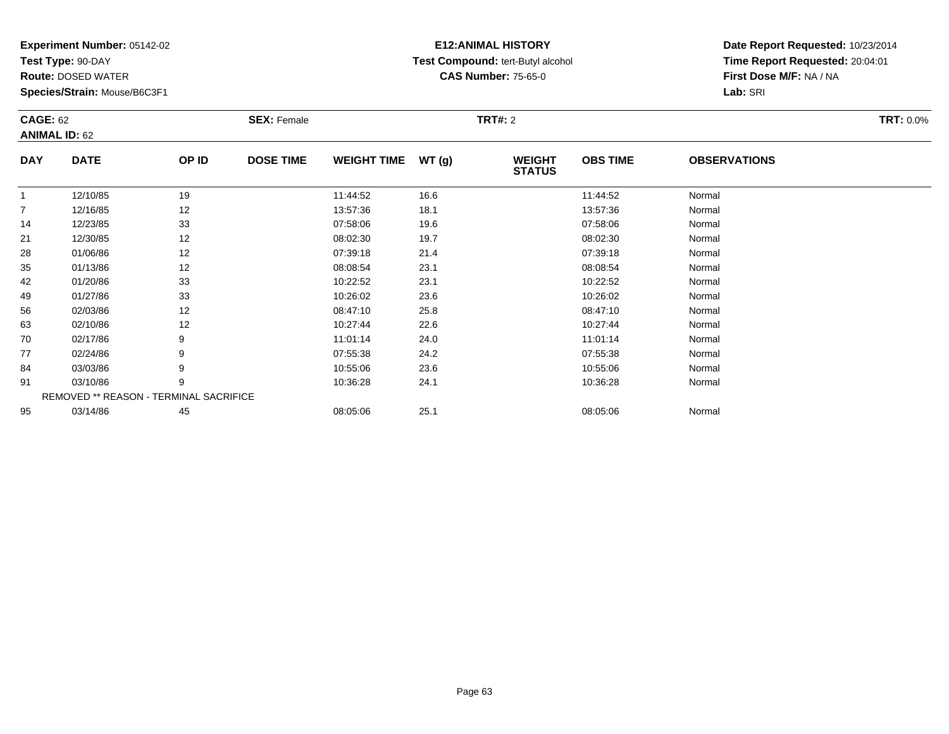**Test Type:** 90-DAY

**Route:** DOSED WATER

**Species/Strain:** Mouse/B6C3F1

# **E12:ANIMAL HISTORY Test Compound:** tert-Butyl alcohol **CAS Number:** 75-65-0

| <b>CAGE: 62</b> | <b>ANIMAL ID: 62</b>                   |       | <b>SEX: Female</b> |                    |       | <b>TRT#: 2</b>                 |                 |                     | <b>TRT: 0.0%</b> |
|-----------------|----------------------------------------|-------|--------------------|--------------------|-------|--------------------------------|-----------------|---------------------|------------------|
| <b>DAY</b>      | <b>DATE</b>                            | OP ID | <b>DOSE TIME</b>   | <b>WEIGHT TIME</b> | WT(g) | <b>WEIGHT</b><br><b>STATUS</b> | <b>OBS TIME</b> | <b>OBSERVATIONS</b> |                  |
| $\overline{1}$  | 12/10/85                               | 19    |                    | 11:44:52           | 16.6  |                                | 11:44:52        | Normal              |                  |
| $\overline{7}$  | 12/16/85                               | 12    |                    | 13:57:36           | 18.1  |                                | 13:57:36        | Normal              |                  |
| 14              | 12/23/85                               | 33    |                    | 07:58:06           | 19.6  |                                | 07:58:06        | Normal              |                  |
| 21              | 12/30/85                               | 12    |                    | 08:02:30           | 19.7  |                                | 08:02:30        | Normal              |                  |
| 28              | 01/06/86                               | 12    |                    | 07:39:18           | 21.4  |                                | 07:39:18        | Normal              |                  |
| 35              | 01/13/86                               | 12    |                    | 08:08:54           | 23.1  |                                | 08:08:54        | Normal              |                  |
| 42              | 01/20/86                               | 33    |                    | 10:22:52           | 23.1  |                                | 10:22:52        | Normal              |                  |
| 49              | 01/27/86                               | 33    |                    | 10:26:02           | 23.6  |                                | 10:26:02        | Normal              |                  |
| 56              | 02/03/86                               | 12    |                    | 08:47:10           | 25.8  |                                | 08:47:10        | Normal              |                  |
| 63              | 02/10/86                               | 12    |                    | 10:27:44           | 22.6  |                                | 10:27:44        | Normal              |                  |
| 70              | 02/17/86                               | 9     |                    | 11:01:14           | 24.0  |                                | 11:01:14        | Normal              |                  |
| 77              | 02/24/86                               | 9     |                    | 07:55:38           | 24.2  |                                | 07:55:38        | Normal              |                  |
| 84              | 03/03/86                               | 9     |                    | 10:55:06           | 23.6  |                                | 10:55:06        | Normal              |                  |
| 91              | 03/10/86                               | 9     |                    | 10:36:28           | 24.1  |                                | 10:36:28        | Normal              |                  |
|                 | REMOVED ** REASON - TERMINAL SACRIFICE |       |                    |                    |       |                                |                 |                     |                  |
| 95              | 03/14/86                               | 45    |                    | 08:05:06           | 25.1  |                                | 08:05:06        | Normal              |                  |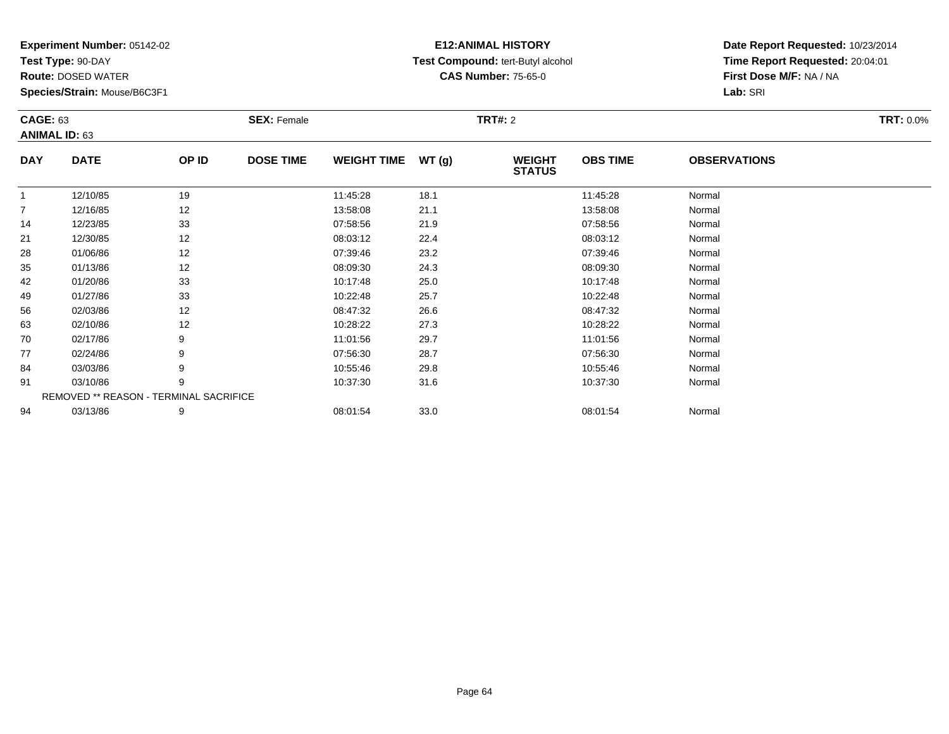**Test Type:** 90-DAY

**Route:** DOSED WATER

**Species/Strain:** Mouse/B6C3F1

# **E12:ANIMAL HISTORY Test Compound:** tert-Butyl alcohol **CAS Number:** 75-65-0

| <b>CAGE: 63</b><br><b>ANIMAL ID: 63</b> |             |                                        | <b>SEX: Female</b> |                    |       | <b>TRT#: 2</b> |                 |                     | <b>TRT: 0.0%</b> |
|-----------------------------------------|-------------|----------------------------------------|--------------------|--------------------|-------|----------------|-----------------|---------------------|------------------|
| <b>DAY</b>                              | <b>DATE</b> | OP ID                                  | <b>DOSE TIME</b>   | <b>WEIGHT TIME</b> | WT(g) | <b>WEIGHT</b>  | <b>OBS TIME</b> | <b>OBSERVATIONS</b> |                  |
|                                         |             |                                        |                    |                    |       | <b>STATUS</b>  |                 |                     |                  |
| -1                                      | 12/10/85    | 19                                     |                    | 11:45:28           | 18.1  |                | 11:45:28        | Normal              |                  |
| 7                                       | 12/16/85    | 12                                     |                    | 13:58:08           | 21.1  |                | 13:58:08        | Normal              |                  |
| 14                                      | 12/23/85    | 33                                     |                    | 07:58:56           | 21.9  |                | 07:58:56        | Normal              |                  |
| 21                                      | 12/30/85    | 12                                     |                    | 08:03:12           | 22.4  |                | 08:03:12        | Normal              |                  |
| 28                                      | 01/06/86    | 12                                     |                    | 07:39:46           | 23.2  |                | 07:39:46        | Normal              |                  |
| 35                                      | 01/13/86    | 12                                     |                    | 08:09:30           | 24.3  |                | 08:09:30        | Normal              |                  |
| 42                                      | 01/20/86    | 33                                     |                    | 10:17:48           | 25.0  |                | 10:17:48        | Normal              |                  |
| 49                                      | 01/27/86    | 33                                     |                    | 10:22:48           | 25.7  |                | 10:22:48        | Normal              |                  |
| 56                                      | 02/03/86    | 12                                     |                    | 08:47:32           | 26.6  |                | 08:47:32        | Normal              |                  |
| 63                                      | 02/10/86    | 12                                     |                    | 10:28:22           | 27.3  |                | 10:28:22        | Normal              |                  |
| 70                                      | 02/17/86    | 9                                      |                    | 11:01:56           | 29.7  |                | 11:01:56        | Normal              |                  |
| 77                                      | 02/24/86    | 9                                      |                    | 07:56:30           | 28.7  |                | 07:56:30        | Normal              |                  |
| 84                                      | 03/03/86    | 9                                      |                    | 10:55:46           | 29.8  |                | 10:55:46        | Normal              |                  |
| 91                                      | 03/10/86    | 9                                      |                    | 10:37:30           | 31.6  |                | 10:37:30        | Normal              |                  |
|                                         |             | REMOVED ** REASON - TERMINAL SACRIFICE |                    |                    |       |                |                 |                     |                  |
| 94                                      | 03/13/86    | 9                                      |                    | 08:01:54           | 33.0  |                | 08:01:54        | Normal              |                  |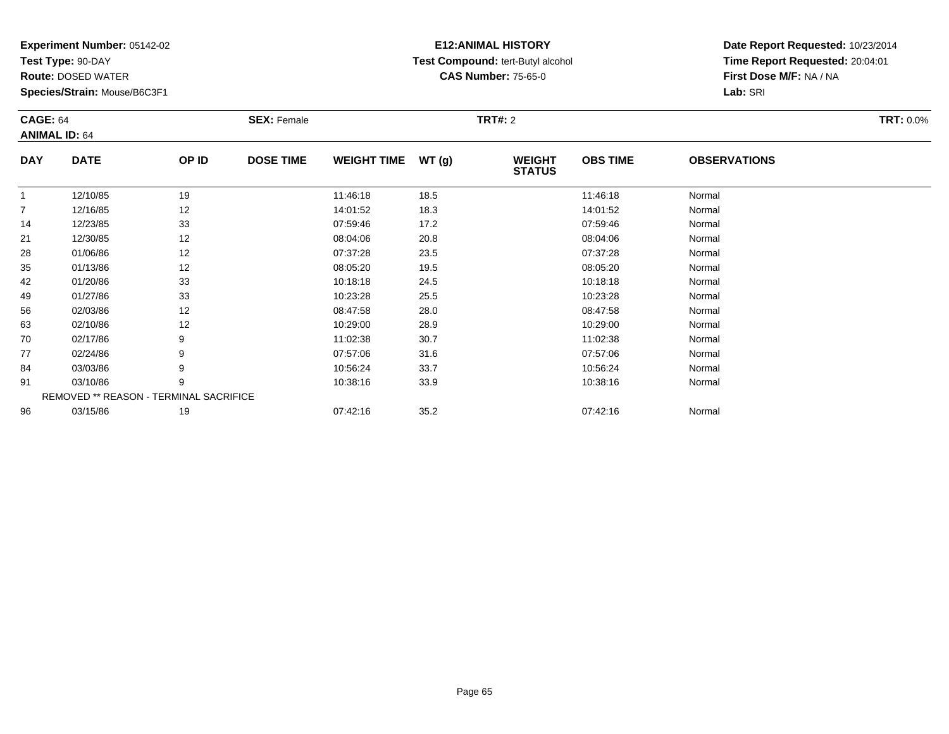**Test Type:** 90-DAY

**Route:** DOSED WATER

**Species/Strain:** Mouse/B6C3F1

# **E12:ANIMAL HISTORY Test Compound:** tert-Butyl alcohol **CAS Number:** 75-65-0

| <b>CAGE: 64</b> | <b>ANIMAL ID: 64</b> |                                        | <b>SEX: Female</b> |                    |       | <b>TRT#:</b> 2                 |                 |                     | <b>TRT: 0.0%</b> |
|-----------------|----------------------|----------------------------------------|--------------------|--------------------|-------|--------------------------------|-----------------|---------------------|------------------|
| <b>DAY</b>      | <b>DATE</b>          | OP ID                                  | <b>DOSE TIME</b>   | <b>WEIGHT TIME</b> | WT(g) | <b>WEIGHT</b><br><b>STATUS</b> | <b>OBS TIME</b> | <b>OBSERVATIONS</b> |                  |
| $\overline{1}$  | 12/10/85             | 19                                     |                    | 11:46:18           | 18.5  |                                | 11:46:18        | Normal              |                  |
| $\overline{7}$  | 12/16/85             | 12                                     |                    | 14:01:52           | 18.3  |                                | 14:01:52        | Normal              |                  |
| 14              | 12/23/85             | 33                                     |                    | 07:59:46           | 17.2  |                                | 07:59:46        | Normal              |                  |
| 21              | 12/30/85             | 12                                     |                    | 08:04:06           | 20.8  |                                | 08:04:06        | Normal              |                  |
| 28              | 01/06/86             | 12                                     |                    | 07:37:28           | 23.5  |                                | 07:37:28        | Normal              |                  |
| 35              | 01/13/86             | 12                                     |                    | 08:05:20           | 19.5  |                                | 08:05:20        | Normal              |                  |
| 42              | 01/20/86             | 33                                     |                    | 10:18:18           | 24.5  |                                | 10:18:18        | Normal              |                  |
| 49              | 01/27/86             | 33                                     |                    | 10:23:28           | 25.5  |                                | 10:23:28        | Normal              |                  |
| 56              | 02/03/86             | 12                                     |                    | 08:47:58           | 28.0  |                                | 08:47:58        | Normal              |                  |
| 63              | 02/10/86             | 12                                     |                    | 10:29:00           | 28.9  |                                | 10:29:00        | Normal              |                  |
| 70              | 02/17/86             | 9                                      |                    | 11:02:38           | 30.7  |                                | 11:02:38        | Normal              |                  |
| 77              | 02/24/86             | 9                                      |                    | 07:57:06           | 31.6  |                                | 07:57:06        | Normal              |                  |
| 84              | 03/03/86             | 9                                      |                    | 10:56:24           | 33.7  |                                | 10:56:24        | Normal              |                  |
| 91              | 03/10/86             | 9                                      |                    | 10:38:16           | 33.9  |                                | 10:38:16        | Normal              |                  |
|                 |                      | REMOVED ** REASON - TERMINAL SACRIFICE |                    |                    |       |                                |                 |                     |                  |
| 96              | 03/15/86             | 19                                     |                    | 07:42:16           | 35.2  |                                | 07:42:16        | Normal              |                  |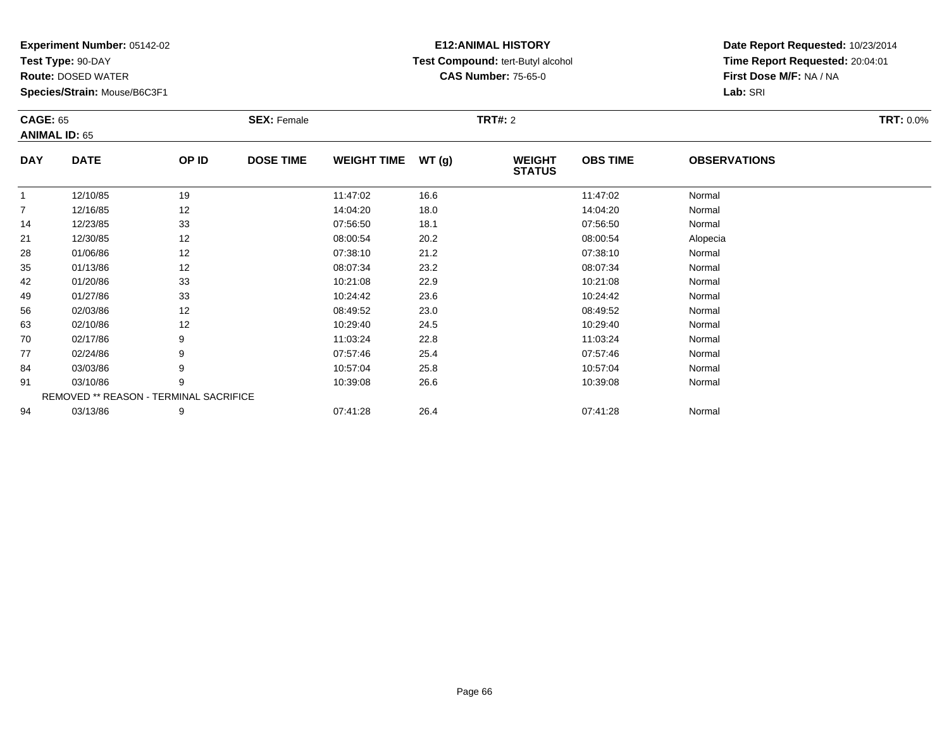**Test Type:** 90-DAY

**Route:** DOSED WATER

**Species/Strain:** Mouse/B6C3F1

# **E12:ANIMAL HISTORY Test Compound:** tert-Butyl alcohol **CAS Number:** 75-65-0

|                | <b>CAGE: 65</b><br><b>ANIMAL ID: 65</b> |                                        | <b>SEX: Female</b> |                    |       |                                | <b>TRT#: 2</b>  |                     |  |  |
|----------------|-----------------------------------------|----------------------------------------|--------------------|--------------------|-------|--------------------------------|-----------------|---------------------|--|--|
| <b>DAY</b>     | <b>DATE</b>                             | OP ID                                  | <b>DOSE TIME</b>   | <b>WEIGHT TIME</b> | WT(g) | <b>WEIGHT</b><br><b>STATUS</b> | <b>OBS TIME</b> | <b>OBSERVATIONS</b> |  |  |
| $\mathbf{1}$   | 12/10/85                                | 19                                     |                    | 11:47:02           | 16.6  |                                | 11:47:02        | Normal              |  |  |
| $\overline{7}$ | 12/16/85                                | 12                                     |                    | 14:04:20           | 18.0  |                                | 14:04:20        | Normal              |  |  |
| 14             | 12/23/85                                | 33                                     |                    | 07:56:50           | 18.1  |                                | 07:56:50        | Normal              |  |  |
| 21             | 12/30/85                                | 12                                     |                    | 08:00:54           | 20.2  |                                | 08:00:54        | Alopecia            |  |  |
| 28             | 01/06/86                                | 12                                     |                    | 07:38:10           | 21.2  |                                | 07:38:10        | Normal              |  |  |
| 35             | 01/13/86                                | 12                                     |                    | 08:07:34           | 23.2  |                                | 08:07:34        | Normal              |  |  |
| 42             | 01/20/86                                | 33                                     |                    | 10:21:08           | 22.9  |                                | 10:21:08        | Normal              |  |  |
| 49             | 01/27/86                                | 33                                     |                    | 10:24:42           | 23.6  |                                | 10:24:42        | Normal              |  |  |
| 56             | 02/03/86                                | 12                                     |                    | 08:49:52           | 23.0  |                                | 08:49:52        | Normal              |  |  |
| 63             | 02/10/86                                | 12                                     |                    | 10:29:40           | 24.5  |                                | 10:29:40        | Normal              |  |  |
| 70             | 02/17/86                                | 9                                      |                    | 11:03:24           | 22.8  |                                | 11:03:24        | Normal              |  |  |
| 77             | 02/24/86                                | 9                                      |                    | 07:57:46           | 25.4  |                                | 07:57:46        | Normal              |  |  |
| 84             | 03/03/86                                | 9                                      |                    | 10:57:04           | 25.8  |                                | 10:57:04        | Normal              |  |  |
| 91             | 03/10/86                                | 9                                      |                    | 10:39:08           | 26.6  |                                | 10:39:08        | Normal              |  |  |
|                |                                         | REMOVED ** REASON - TERMINAL SACRIFICE |                    |                    |       |                                |                 |                     |  |  |
| 94             | 03/13/86                                | 9                                      |                    | 07:41:28           | 26.4  |                                | 07:41:28        | Normal              |  |  |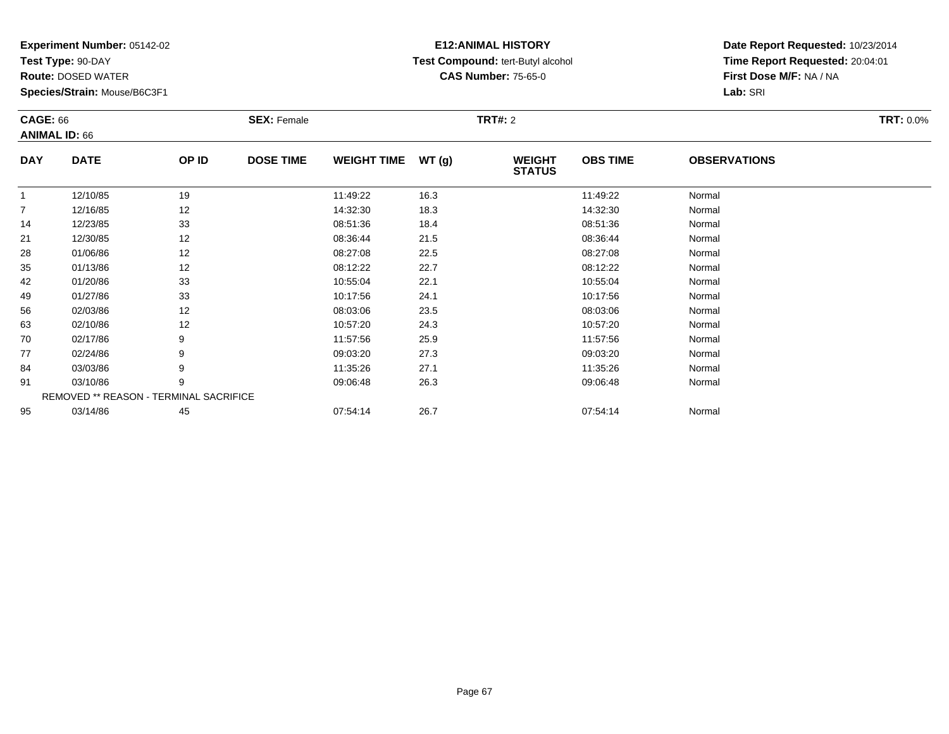**Test Type:** 90-DAY

**Route:** DOSED WATER

**Species/Strain:** Mouse/B6C3F1

# **E12:ANIMAL HISTORY Test Compound:** tert-Butyl alcohol **CAS Number:** 75-65-0

| <b>CAGE: 66</b>      |             |                                        | <b>SEX: Female</b> |                    |       | <b>TRT#:</b> 2                 |                 |                     | <b>TRT: 0.0%</b> |
|----------------------|-------------|----------------------------------------|--------------------|--------------------|-------|--------------------------------|-----------------|---------------------|------------------|
| <b>ANIMAL ID: 66</b> |             |                                        |                    |                    |       |                                |                 |                     |                  |
| <b>DAY</b>           | <b>DATE</b> | OP ID                                  | <b>DOSE TIME</b>   | <b>WEIGHT TIME</b> | WT(g) | <b>WEIGHT</b><br><b>STATUS</b> | <b>OBS TIME</b> | <b>OBSERVATIONS</b> |                  |
|                      | 12/10/85    | 19                                     |                    | 11:49:22           | 16.3  |                                | 11:49:22        | Normal              |                  |
| 7                    | 12/16/85    | 12                                     |                    | 14:32:30           | 18.3  |                                | 14:32:30        | Normal              |                  |
| 14                   | 12/23/85    | 33                                     |                    | 08:51:36           | 18.4  |                                | 08:51:36        | Normal              |                  |
| 21                   | 12/30/85    | 12                                     |                    | 08:36:44           | 21.5  |                                | 08:36:44        | Normal              |                  |
| 28                   | 01/06/86    | 12                                     |                    | 08:27:08           | 22.5  |                                | 08:27:08        | Normal              |                  |
| 35                   | 01/13/86    | 12                                     |                    | 08:12:22           | 22.7  |                                | 08:12:22        | Normal              |                  |
| 42                   | 01/20/86    | 33                                     |                    | 10:55:04           | 22.1  |                                | 10:55:04        | Normal              |                  |
| 49                   | 01/27/86    | 33                                     |                    | 10:17:56           | 24.1  |                                | 10:17:56        | Normal              |                  |
| 56                   | 02/03/86    | 12                                     |                    | 08:03:06           | 23.5  |                                | 08:03:06        | Normal              |                  |
| 63                   | 02/10/86    | 12                                     |                    | 10:57:20           | 24.3  |                                | 10:57:20        | Normal              |                  |
| 70                   | 02/17/86    | 9                                      |                    | 11:57:56           | 25.9  |                                | 11:57:56        | Normal              |                  |
| 77                   | 02/24/86    | 9                                      |                    | 09:03:20           | 27.3  |                                | 09:03:20        | Normal              |                  |
| 84                   | 03/03/86    | 9                                      |                    | 11:35:26           | 27.1  |                                | 11:35:26        | Normal              |                  |
| 91                   | 03/10/86    | 9                                      |                    | 09:06:48           | 26.3  |                                | 09:06:48        | Normal              |                  |
|                      |             | REMOVED ** REASON - TERMINAL SACRIFICE |                    |                    |       |                                |                 |                     |                  |
| 95                   | 03/14/86    | 45                                     |                    | 07:54:14           | 26.7  |                                | 07:54:14        | Normal              |                  |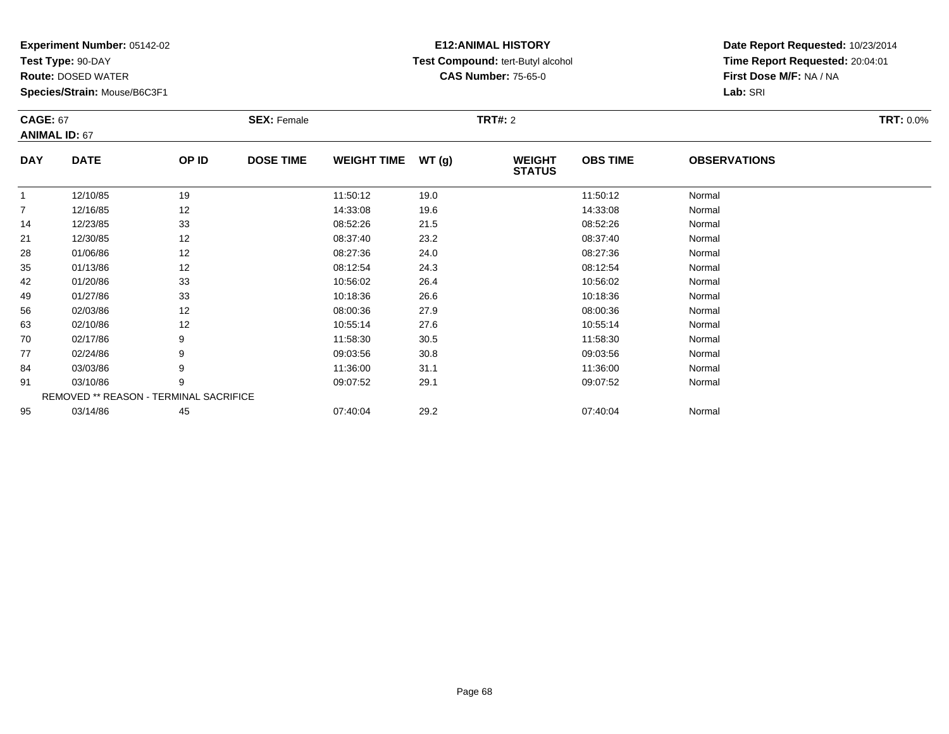**Test Type:** 90-DAY

**Route:** DOSED WATER

**Species/Strain:** Mouse/B6C3F1

# **E12:ANIMAL HISTORY Test Compound:** tert-Butyl alcohol **CAS Number:** 75-65-0

| <b>CAGE: 67</b><br><b>ANIMAL ID: 67</b> |             |                                        | <b>SEX: Female</b> |                    |       | <b>TRT#:</b> 2                 |                 |                     | <b>TRT: 0.0%</b> |
|-----------------------------------------|-------------|----------------------------------------|--------------------|--------------------|-------|--------------------------------|-----------------|---------------------|------------------|
| <b>DAY</b>                              | <b>DATE</b> | OP ID                                  | <b>DOSE TIME</b>   | <b>WEIGHT TIME</b> | WT(g) | <b>WEIGHT</b><br><b>STATUS</b> | <b>OBS TIME</b> | <b>OBSERVATIONS</b> |                  |
| $\mathbf 1$                             | 12/10/85    | 19                                     |                    | 11:50:12           | 19.0  |                                | 11:50:12        | Normal              |                  |
| 7                                       | 12/16/85    | 12                                     |                    | 14:33:08           | 19.6  |                                | 14:33:08        | Normal              |                  |
| 14                                      | 12/23/85    | 33                                     |                    | 08:52:26           | 21.5  |                                | 08:52:26        | Normal              |                  |
| 21                                      | 12/30/85    | 12                                     |                    | 08:37:40           | 23.2  |                                | 08:37:40        | Normal              |                  |
| 28                                      | 01/06/86    | 12                                     |                    | 08:27:36           | 24.0  |                                | 08:27:36        | Normal              |                  |
| 35                                      | 01/13/86    | 12                                     |                    | 08:12:54           | 24.3  |                                | 08:12:54        | Normal              |                  |
| 42                                      | 01/20/86    | 33                                     |                    | 10:56:02           | 26.4  |                                | 10:56:02        | Normal              |                  |
| 49                                      | 01/27/86    | 33                                     |                    | 10:18:36           | 26.6  |                                | 10:18:36        | Normal              |                  |
| 56                                      | 02/03/86    | 12                                     |                    | 08:00:36           | 27.9  |                                | 08:00:36        | Normal              |                  |
| 63                                      | 02/10/86    | 12                                     |                    | 10:55:14           | 27.6  |                                | 10:55:14        | Normal              |                  |
| 70                                      | 02/17/86    | 9                                      |                    | 11:58:30           | 30.5  |                                | 11:58:30        | Normal              |                  |
| 77                                      | 02/24/86    | 9                                      |                    | 09:03:56           | 30.8  |                                | 09:03:56        | Normal              |                  |
| 84                                      | 03/03/86    | 9                                      |                    | 11:36:00           | 31.1  |                                | 11:36:00        | Normal              |                  |
| 91                                      | 03/10/86    | 9                                      |                    | 09:07:52           | 29.1  |                                | 09:07:52        | Normal              |                  |
|                                         |             | REMOVED ** REASON - TERMINAL SACRIFICE |                    |                    |       |                                |                 |                     |                  |
| 95                                      | 03/14/86    | 45                                     |                    | 07:40:04           | 29.2  |                                | 07:40:04        | Normal              |                  |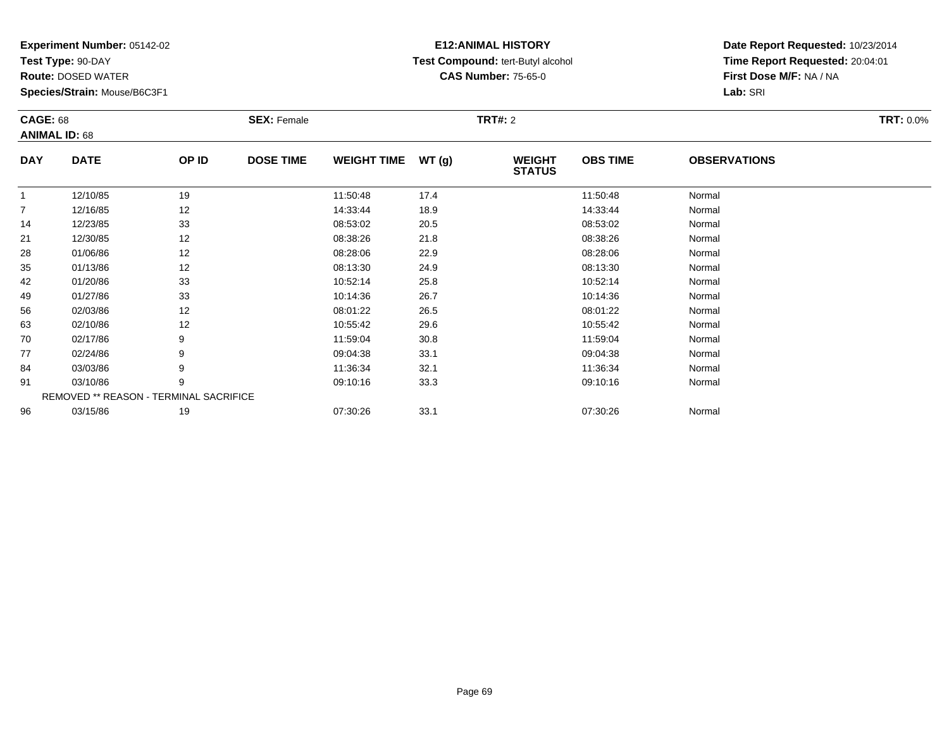**Test Type:** 90-DAY

**Route:** DOSED WATER

**Species/Strain:** Mouse/B6C3F1

# **E12:ANIMAL HISTORY Test Compound:** tert-Butyl alcohol **CAS Number:** 75-65-0

| <b>CAGE: 68</b>      |                                        |       | <b>SEX: Female</b> |                    |       | <b>TRT#:</b> 2                 |                 |                     | <b>TRT: 0.0%</b> |
|----------------------|----------------------------------------|-------|--------------------|--------------------|-------|--------------------------------|-----------------|---------------------|------------------|
| <b>ANIMAL ID: 68</b> |                                        |       |                    |                    |       |                                |                 |                     |                  |
| <b>DAY</b>           | <b>DATE</b>                            | OP ID | <b>DOSE TIME</b>   | <b>WEIGHT TIME</b> | WT(g) | <b>WEIGHT</b><br><b>STATUS</b> | <b>OBS TIME</b> | <b>OBSERVATIONS</b> |                  |
|                      | 12/10/85                               | 19    |                    | 11:50:48           | 17.4  |                                | 11:50:48        | Normal              |                  |
| 7                    | 12/16/85                               | 12    |                    | 14:33:44           | 18.9  |                                | 14:33:44        | Normal              |                  |
| 14                   | 12/23/85                               | 33    |                    | 08:53:02           | 20.5  |                                | 08:53:02        | Normal              |                  |
| 21                   | 12/30/85                               | 12    |                    | 08:38:26           | 21.8  |                                | 08:38:26        | Normal              |                  |
| 28                   | 01/06/86                               | 12    |                    | 08:28:06           | 22.9  |                                | 08:28:06        | Normal              |                  |
| 35                   | 01/13/86                               | 12    |                    | 08:13:30           | 24.9  |                                | 08:13:30        | Normal              |                  |
| 42                   | 01/20/86                               | 33    |                    | 10:52:14           | 25.8  |                                | 10:52:14        | Normal              |                  |
| 49                   | 01/27/86                               | 33    |                    | 10:14:36           | 26.7  |                                | 10:14:36        | Normal              |                  |
| 56                   | 02/03/86                               | 12    |                    | 08:01:22           | 26.5  |                                | 08:01:22        | Normal              |                  |
| 63                   | 02/10/86                               | 12    |                    | 10:55:42           | 29.6  |                                | 10:55:42        | Normal              |                  |
| 70                   | 02/17/86                               | 9     |                    | 11:59:04           | 30.8  |                                | 11:59:04        | Normal              |                  |
| 77                   | 02/24/86                               | 9     |                    | 09:04:38           | 33.1  |                                | 09:04:38        | Normal              |                  |
| 84                   | 03/03/86                               | 9     |                    | 11:36:34           | 32.1  |                                | 11:36:34        | Normal              |                  |
| 91                   | 03/10/86                               | 9     |                    | 09:10:16           | 33.3  |                                | 09:10:16        | Normal              |                  |
|                      | REMOVED ** REASON - TERMINAL SACRIFICE |       |                    |                    |       |                                |                 |                     |                  |
| 96                   | 03/15/86                               | 19    |                    | 07:30:26           | 33.1  |                                | 07:30:26        | Normal              |                  |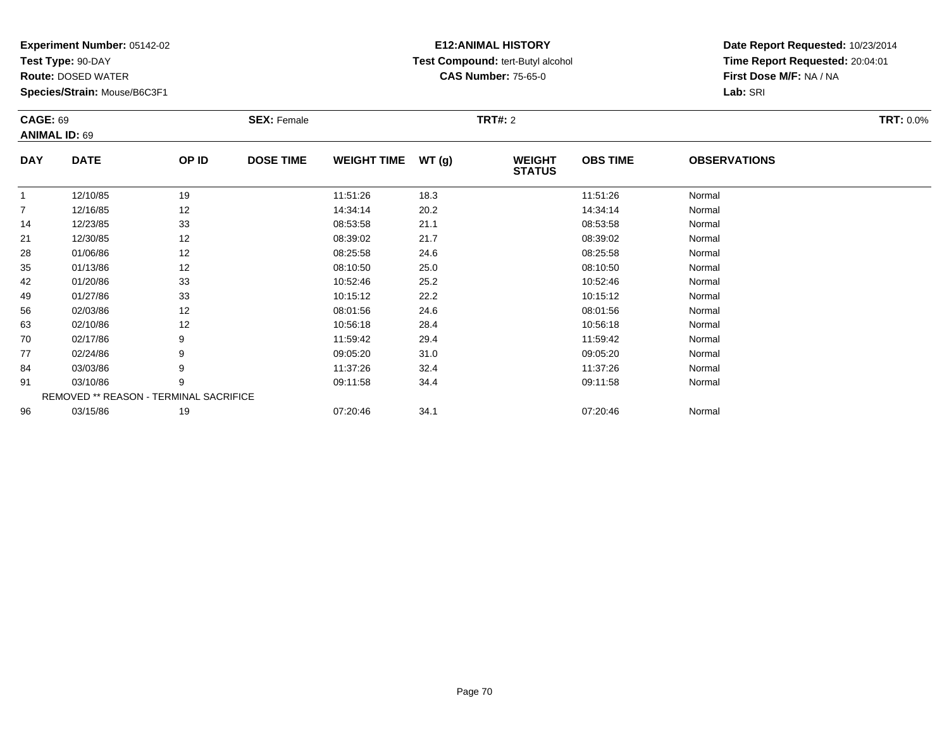**Test Type:** 90-DAY

**Route:** DOSED WATER

**Species/Strain:** Mouse/B6C3F1

# **E12:ANIMAL HISTORY Test Compound:** tert-Butyl alcohol **CAS Number:** 75-65-0

| <b>CAGE: 69</b> |                      |                                        | <b>SEX: Female</b> |                    |       | <b>TRT#:</b> 2                 |                 |                     | <b>TRT: 0.0%</b> |
|-----------------|----------------------|----------------------------------------|--------------------|--------------------|-------|--------------------------------|-----------------|---------------------|------------------|
|                 | <b>ANIMAL ID: 69</b> |                                        |                    |                    |       |                                |                 |                     |                  |
| <b>DAY</b>      | <b>DATE</b>          | OP ID                                  | <b>DOSE TIME</b>   | <b>WEIGHT TIME</b> | WT(g) | <b>WEIGHT</b><br><b>STATUS</b> | <b>OBS TIME</b> | <b>OBSERVATIONS</b> |                  |
| $\mathbf{1}$    | 12/10/85             | 19                                     |                    | 11:51:26           | 18.3  |                                | 11:51:26        | Normal              |                  |
| $\overline{7}$  | 12/16/85             | 12                                     |                    | 14:34:14           | 20.2  |                                | 14:34:14        | Normal              |                  |
| 14              | 12/23/85             | 33                                     |                    | 08:53:58           | 21.1  |                                | 08:53:58        | Normal              |                  |
| 21              | 12/30/85             | 12                                     |                    | 08:39:02           | 21.7  |                                | 08:39:02        | Normal              |                  |
| 28              | 01/06/86             | 12                                     |                    | 08:25:58           | 24.6  |                                | 08:25:58        | Normal              |                  |
| 35              | 01/13/86             | 12                                     |                    | 08:10:50           | 25.0  |                                | 08:10:50        | Normal              |                  |
| 42              | 01/20/86             | 33                                     |                    | 10:52:46           | 25.2  |                                | 10:52:46        | Normal              |                  |
| 49              | 01/27/86             | 33                                     |                    | 10:15:12           | 22.2  |                                | 10:15:12        | Normal              |                  |
| 56              | 02/03/86             | 12                                     |                    | 08:01:56           | 24.6  |                                | 08:01:56        | Normal              |                  |
| 63              | 02/10/86             | 12                                     |                    | 10:56:18           | 28.4  |                                | 10:56:18        | Normal              |                  |
| 70              | 02/17/86             | 9                                      |                    | 11:59:42           | 29.4  |                                | 11:59:42        | Normal              |                  |
| 77              | 02/24/86             | 9                                      |                    | 09:05:20           | 31.0  |                                | 09:05:20        | Normal              |                  |
| 84              | 03/03/86             | 9                                      |                    | 11:37:26           | 32.4  |                                | 11:37:26        | Normal              |                  |
| 91              | 03/10/86             | 9                                      |                    | 09:11:58           | 34.4  |                                | 09:11:58        | Normal              |                  |
|                 |                      | REMOVED ** REASON - TERMINAL SACRIFICE |                    |                    |       |                                |                 |                     |                  |
| 96              | 03/15/86             | 19                                     |                    | 07:20:46           | 34.1  |                                | 07:20:46        | Normal              |                  |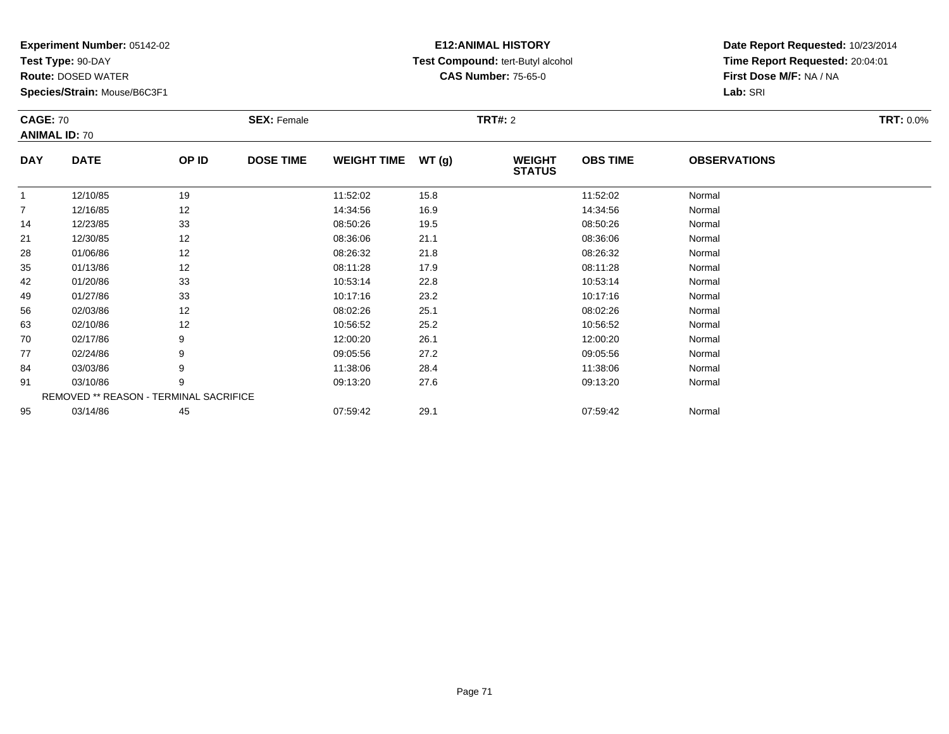**Test Type:** 90-DAY

**Route:** DOSED WATER

**Species/Strain:** Mouse/B6C3F1

# **E12:ANIMAL HISTORY Test Compound:** tert-Butyl alcohol **CAS Number:** 75-65-0

| <b>CAGE: 70</b><br><b>ANIMAL ID: 70</b> |             |                                        | <b>SEX: Female</b> |                    |       | <b>TRT#: 2</b>                 |                 |                     |  |
|-----------------------------------------|-------------|----------------------------------------|--------------------|--------------------|-------|--------------------------------|-----------------|---------------------|--|
| <b>DAY</b>                              | <b>DATE</b> | OP ID                                  | <b>DOSE TIME</b>   | <b>WEIGHT TIME</b> | WT(g) | <b>WEIGHT</b><br><b>STATUS</b> | <b>OBS TIME</b> | <b>OBSERVATIONS</b> |  |
| $\mathbf{1}$                            | 12/10/85    | 19                                     |                    | 11:52:02           | 15.8  |                                | 11:52:02        | Normal              |  |
| $\overline{7}$                          | 12/16/85    | 12                                     |                    | 14:34:56           | 16.9  |                                | 14:34:56        | Normal              |  |
| 14                                      | 12/23/85    | 33                                     |                    | 08:50:26           | 19.5  |                                | 08:50:26        | Normal              |  |
| 21                                      | 12/30/85    | 12                                     |                    | 08:36:06           | 21.1  |                                | 08:36:06        | Normal              |  |
| 28                                      | 01/06/86    | 12                                     |                    | 08:26:32           | 21.8  |                                | 08:26:32        | Normal              |  |
| 35                                      | 01/13/86    | 12                                     |                    | 08:11:28           | 17.9  |                                | 08:11:28        | Normal              |  |
| 42                                      | 01/20/86    | 33                                     |                    | 10:53:14           | 22.8  |                                | 10:53:14        | Normal              |  |
| 49                                      | 01/27/86    | 33                                     |                    | 10:17:16           | 23.2  |                                | 10:17:16        | Normal              |  |
| 56                                      | 02/03/86    | 12                                     |                    | 08:02:26           | 25.1  |                                | 08:02:26        | Normal              |  |
| 63                                      | 02/10/86    | 12                                     |                    | 10:56:52           | 25.2  |                                | 10:56:52        | Normal              |  |
| 70                                      | 02/17/86    | 9                                      |                    | 12:00:20           | 26.1  |                                | 12:00:20        | Normal              |  |
| 77                                      | 02/24/86    | 9                                      |                    | 09:05:56           | 27.2  |                                | 09:05:56        | Normal              |  |
| 84                                      | 03/03/86    | 9                                      |                    | 11:38:06           | 28.4  |                                | 11:38:06        | Normal              |  |
| 91                                      | 03/10/86    | 9                                      |                    | 09:13:20           | 27.6  |                                | 09:13:20        | Normal              |  |
|                                         |             | REMOVED ** REASON - TERMINAL SACRIFICE |                    |                    |       |                                |                 |                     |  |
| 95                                      | 03/14/86    | 45                                     |                    | 07:59:42           | 29.1  |                                | 07:59:42        | Normal              |  |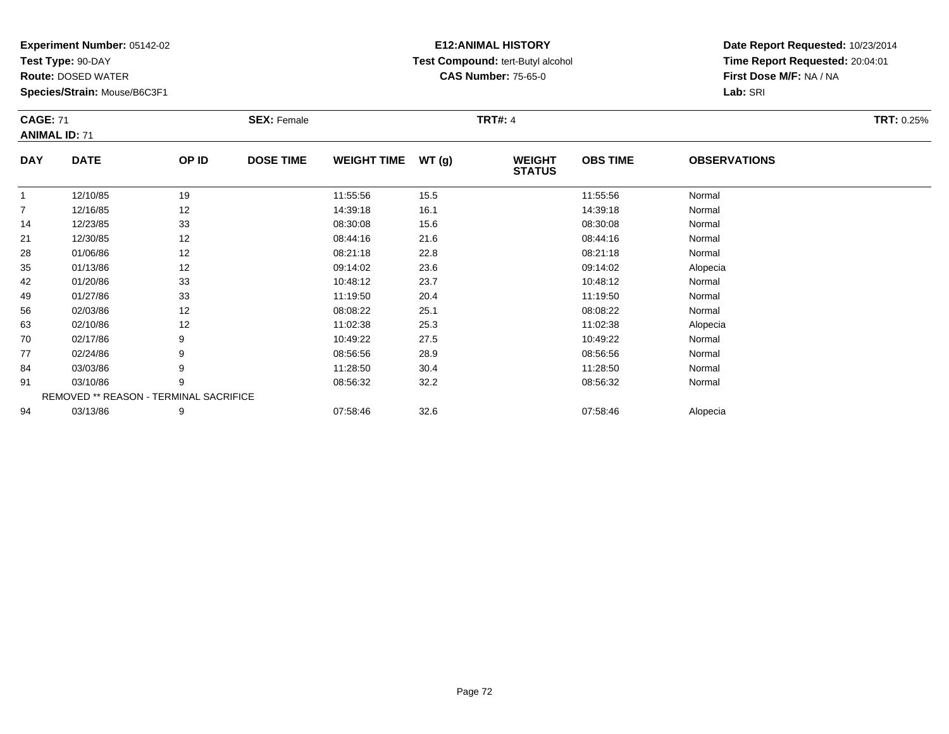**Test Type:** 90-DAY

**Route:** DOSED WATER

**Species/Strain:** Mouse/B6C3F1

## **E12:ANIMAL HISTORY Test Compound:** tert-Butyl alcohol **CAS Number:** 75-65-0

| <b>CAGE: 71</b><br><b>ANIMAL ID: 71</b> |                                        | <b>SEX: Female</b> | <b>TRT#: 4</b>   |                    |       |                                |                 | <b>TRT: 0.25%</b>   |  |
|-----------------------------------------|----------------------------------------|--------------------|------------------|--------------------|-------|--------------------------------|-----------------|---------------------|--|
| <b>DAY</b>                              | <b>DATE</b>                            | OP ID              | <b>DOSE TIME</b> | <b>WEIGHT TIME</b> | WT(g) | <b>WEIGHT</b><br><b>STATUS</b> | <b>OBS TIME</b> | <b>OBSERVATIONS</b> |  |
|                                         | 12/10/85                               | 19                 |                  | 11:55:56           | 15.5  |                                | 11:55:56        | Normal              |  |
| $\overline{7}$                          | 12/16/85                               | 12                 |                  | 14:39:18           | 16.1  |                                | 14:39:18        | Normal              |  |
| 14                                      | 12/23/85                               | 33                 |                  | 08:30:08           | 15.6  |                                | 08:30:08        | Normal              |  |
| 21                                      | 12/30/85                               | 12                 |                  | 08:44:16           | 21.6  |                                | 08:44:16        | Normal              |  |
| 28                                      | 01/06/86                               | 12                 |                  | 08:21:18           | 22.8  |                                | 08:21:18        | Normal              |  |
| 35                                      | 01/13/86                               | 12                 |                  | 09:14:02           | 23.6  |                                | 09:14:02        | Alopecia            |  |
| 42                                      | 01/20/86                               | 33                 |                  | 10:48:12           | 23.7  |                                | 10:48:12        | Normal              |  |
| 49                                      | 01/27/86                               | 33                 |                  | 11:19:50           | 20.4  |                                | 11:19:50        | Normal              |  |
| 56                                      | 02/03/86                               | 12                 |                  | 08:08:22           | 25.1  |                                | 08:08:22        | Normal              |  |
| 63                                      | 02/10/86                               | 12                 |                  | 11:02:38           | 25.3  |                                | 11:02:38        | Alopecia            |  |
| 70                                      | 02/17/86                               | 9                  |                  | 10:49:22           | 27.5  |                                | 10:49:22        | Normal              |  |
| 77                                      | 02/24/86                               | 9                  |                  | 08:56:56           | 28.9  |                                | 08:56:56        | Normal              |  |
| 84                                      | 03/03/86                               | 9                  |                  | 11:28:50           | 30.4  |                                | 11:28:50        | Normal              |  |
| 91                                      | 03/10/86                               | 9                  |                  | 08:56:32           | 32.2  |                                | 08:56:32        | Normal              |  |
|                                         | REMOVED ** REASON - TERMINAL SACRIFICE |                    |                  |                    |       |                                |                 |                     |  |
| 94                                      | 03/13/86                               | 9                  |                  | 07:58:46           | 32.6  |                                | 07:58:46        | Alopecia            |  |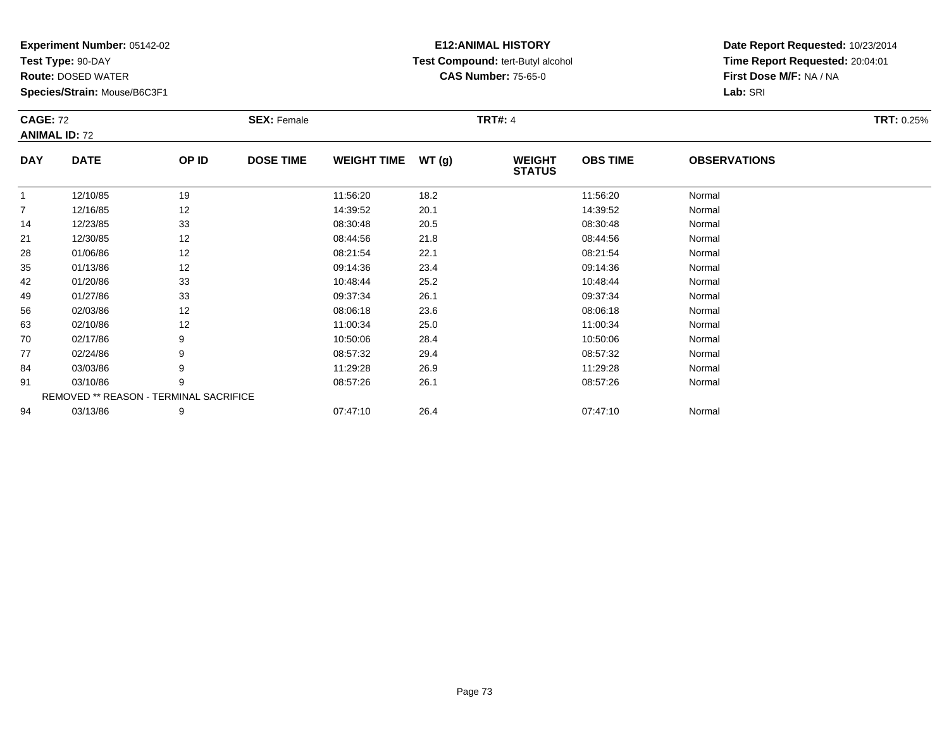**Test Type:** 90-DAY

**Route:** DOSED WATER

**Species/Strain:** Mouse/B6C3F1

# **E12:ANIMAL HISTORY Test Compound:** tert-Butyl alcohol **CAS Number:** 75-65-0

| <b>CAGE: 72</b> | <b>ANIMAL ID: 72</b>                   |       | <b>SEX: Female</b> |                    |       | <b>TRT#: 4</b>                 |                 |                     | TRT: 0.25% |
|-----------------|----------------------------------------|-------|--------------------|--------------------|-------|--------------------------------|-----------------|---------------------|------------|
| <b>DAY</b>      | <b>DATE</b>                            | OP ID | <b>DOSE TIME</b>   | <b>WEIGHT TIME</b> | WT(g) | <b>WEIGHT</b><br><b>STATUS</b> | <b>OBS TIME</b> | <b>OBSERVATIONS</b> |            |
| 1               | 12/10/85                               | 19    |                    | 11:56:20           | 18.2  |                                | 11:56:20        | Normal              |            |
| $\overline{7}$  | 12/16/85                               | 12    |                    | 14:39:52           | 20.1  |                                | 14:39:52        | Normal              |            |
| 14              | 12/23/85                               | 33    |                    | 08:30:48           | 20.5  |                                | 08:30:48        | Normal              |            |
| 21              | 12/30/85                               | 12    |                    | 08:44:56           | 21.8  |                                | 08:44:56        | Normal              |            |
| 28              | 01/06/86                               | 12    |                    | 08:21:54           | 22.1  |                                | 08:21:54        | Normal              |            |
| 35              | 01/13/86                               | 12    |                    | 09:14:36           | 23.4  |                                | 09:14:36        | Normal              |            |
| 42              | 01/20/86                               | 33    |                    | 10:48:44           | 25.2  |                                | 10:48:44        | Normal              |            |
| 49              | 01/27/86                               | 33    |                    | 09:37:34           | 26.1  |                                | 09:37:34        | Normal              |            |
| 56              | 02/03/86                               | 12    |                    | 08:06:18           | 23.6  |                                | 08:06:18        | Normal              |            |
| 63              | 02/10/86                               | 12    |                    | 11:00:34           | 25.0  |                                | 11:00:34        | Normal              |            |
| 70              | 02/17/86                               | 9     |                    | 10:50:06           | 28.4  |                                | 10:50:06        | Normal              |            |
| 77              | 02/24/86                               | 9     |                    | 08:57:32           | 29.4  |                                | 08:57:32        | Normal              |            |
| 84              | 03/03/86                               | 9     |                    | 11:29:28           | 26.9  |                                | 11:29:28        | Normal              |            |
| 91              | 03/10/86                               | 9     |                    | 08:57:26           | 26.1  |                                | 08:57:26        | Normal              |            |
|                 | REMOVED ** REASON - TERMINAL SACRIFICE |       |                    |                    |       |                                |                 |                     |            |
| 94              | 03/13/86                               | 9     |                    | 07:47:10           | 26.4  |                                | 07:47:10        | Normal              |            |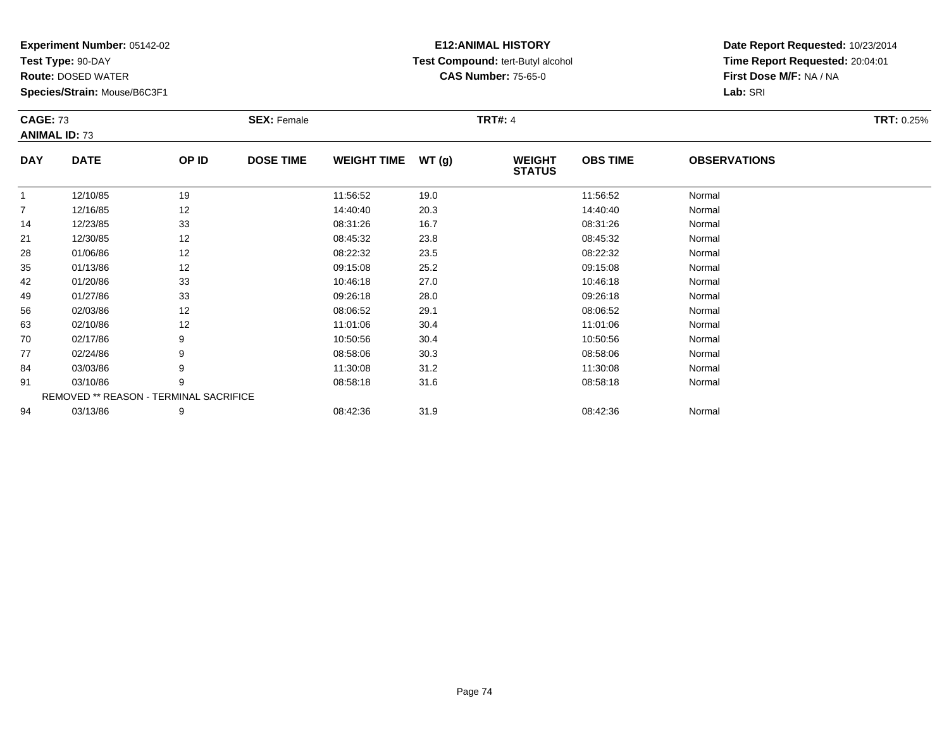**Test Type:** 90-DAY

**Route:** DOSED WATER

**Species/Strain:** Mouse/B6C3F1

#### **E12:ANIMAL HISTORY Test Compound:** tert-Butyl alcohol **CAS Number:** 75-65-0

| <b>CAGE: 73</b> | <b>ANIMAL ID: 73</b>                   |       | <b>SEX: Female</b> |                    |       | <b>TRT#: 4</b>                 |                 |                     | <b>TRT: 0.25%</b> |
|-----------------|----------------------------------------|-------|--------------------|--------------------|-------|--------------------------------|-----------------|---------------------|-------------------|
| <b>DAY</b>      | <b>DATE</b>                            | OP ID | <b>DOSE TIME</b>   | <b>WEIGHT TIME</b> | WT(g) | <b>WEIGHT</b><br><b>STATUS</b> | <b>OBS TIME</b> | <b>OBSERVATIONS</b> |                   |
| $\mathbf{1}$    | 12/10/85                               | 19    |                    | 11:56:52           | 19.0  |                                | 11:56:52        | Normal              |                   |
| $\overline{7}$  | 12/16/85                               | 12    |                    | 14:40:40           | 20.3  |                                | 14:40:40        | Normal              |                   |
| 14              | 12/23/85                               | 33    |                    | 08:31:26           | 16.7  |                                | 08:31:26        | Normal              |                   |
| 21              | 12/30/85                               | 12    |                    | 08:45:32           | 23.8  |                                | 08:45:32        | Normal              |                   |
| 28              | 01/06/86                               | 12    |                    | 08:22:32           | 23.5  |                                | 08:22:32        | Normal              |                   |
| 35              | 01/13/86                               | 12    |                    | 09:15:08           | 25.2  |                                | 09:15:08        | Normal              |                   |
| 42              | 01/20/86                               | 33    |                    | 10:46:18           | 27.0  |                                | 10:46:18        | Normal              |                   |
| 49              | 01/27/86                               | 33    |                    | 09:26:18           | 28.0  |                                | 09:26:18        | Normal              |                   |
| 56              | 02/03/86                               | 12    |                    | 08:06:52           | 29.1  |                                | 08:06:52        | Normal              |                   |
| 63              | 02/10/86                               | 12    |                    | 11:01:06           | 30.4  |                                | 11:01:06        | Normal              |                   |
| 70              | 02/17/86                               | 9     |                    | 10:50:56           | 30.4  |                                | 10:50:56        | Normal              |                   |
| 77              | 02/24/86                               | 9     |                    | 08:58:06           | 30.3  |                                | 08:58:06        | Normal              |                   |
| 84              | 03/03/86                               | 9     |                    | 11:30:08           | 31.2  |                                | 11:30:08        | Normal              |                   |
| 91              | 03/10/86                               | 9     |                    | 08:58:18           | 31.6  |                                | 08:58:18        | Normal              |                   |
|                 | REMOVED ** REASON - TERMINAL SACRIFICE |       |                    |                    |       |                                |                 |                     |                   |
| 94              | 03/13/86                               | 9     |                    | 08:42:36           | 31.9  |                                | 08:42:36        | Normal              |                   |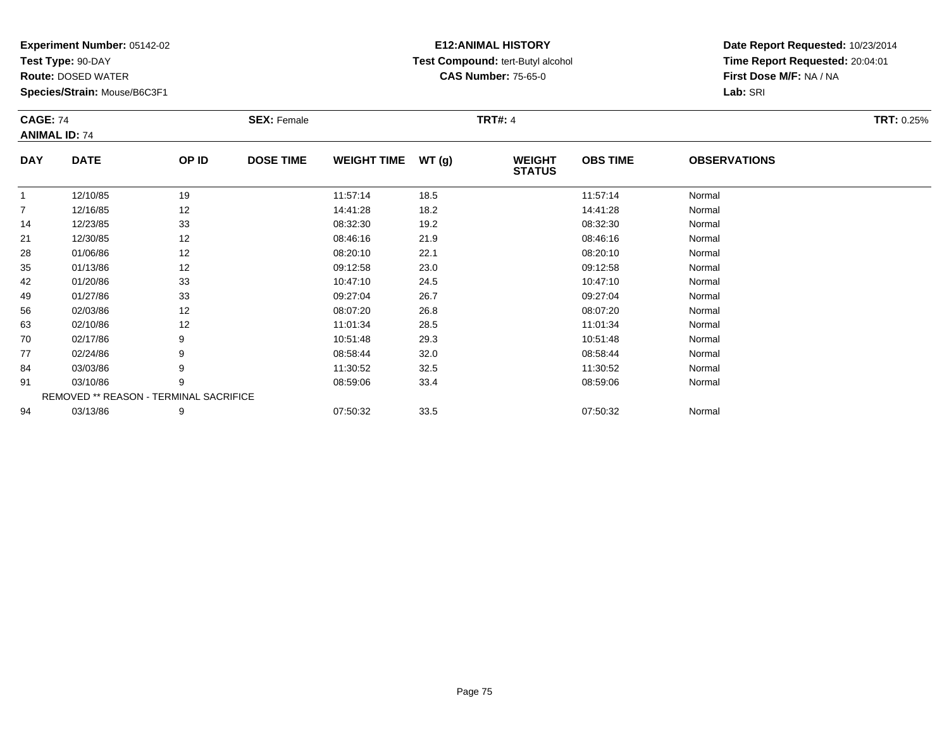**Test Type:** 90-DAY

94

**Route:** DOSED WATER

**Species/Strain:** Mouse/B6C3F1

# **E12:ANIMAL HISTORY Test Compound:** tert-Butyl alcohol **CAS Number:** 75-65-0

**Date Report Requested:** 10/23/2014**Time Report Requested:** 20:04:01**First Dose M/F:** NA / NA**Lab:** SRI

| <b>CAGE: 74</b> | <b>ANIMAL ID: 74</b>                   |       | <b>SEX: Female</b> |                    |       | <b>TRT#: 4</b>                 |                 |                     | <b>TRT: 0.25%</b> |
|-----------------|----------------------------------------|-------|--------------------|--------------------|-------|--------------------------------|-----------------|---------------------|-------------------|
| <b>DAY</b>      | <b>DATE</b>                            | OP ID | <b>DOSE TIME</b>   | <b>WEIGHT TIME</b> | WT(g) | <b>WEIGHT</b><br><b>STATUS</b> | <b>OBS TIME</b> | <b>OBSERVATIONS</b> |                   |
|                 | 12/10/85                               | 19    |                    | 11:57:14           | 18.5  |                                | 11:57:14        | Normal              |                   |
| 7               | 12/16/85                               | 12    |                    | 14:41:28           | 18.2  |                                | 14:41:28        | Normal              |                   |
| 14              | 12/23/85                               | 33    |                    | 08:32:30           | 19.2  |                                | 08:32:30        | Normal              |                   |
| 21              | 12/30/85                               | 12    |                    | 08:46:16           | 21.9  |                                | 08:46:16        | Normal              |                   |
| 28              | 01/06/86                               | 12    |                    | 08:20:10           | 22.1  |                                | 08:20:10        | Normal              |                   |
| 35              | 01/13/86                               | 12    |                    | 09:12:58           | 23.0  |                                | 09:12:58        | Normal              |                   |
| 42              | 01/20/86                               | 33    |                    | 10:47:10           | 24.5  |                                | 10:47:10        | Normal              |                   |
| 49              | 01/27/86                               | 33    |                    | 09:27:04           | 26.7  |                                | 09:27:04        | Normal              |                   |
| 56              | 02/03/86                               | 12    |                    | 08:07:20           | 26.8  |                                | 08:07:20        | Normal              |                   |
| 63              | 02/10/86                               | 12    |                    | 11:01:34           | 28.5  |                                | 11:01:34        | Normal              |                   |
| 70              | 02/17/86                               | 9     |                    | 10:51:48           | 29.3  |                                | 10:51:48        | Normal              |                   |
| 77              | 02/24/86                               | 9     |                    | 08:58:44           | 32.0  |                                | 08:58:44        | Normal              |                   |
| 84              | 03/03/86                               | 9     |                    | 11:30:52           | 32.5  |                                | 11:30:52        | Normal              |                   |
| 91              | 03/10/86                               | 9     |                    | 08:59:06           | 33.4  |                                | 08:59:06        | Normal              |                   |
|                 | REMOVED ** REASON - TERMINAL SACRIFICE |       |                    |                    |       |                                |                 |                     |                   |

03/13/86 <sup>9</sup> 07:50:32 33.5 07:50:32 Normal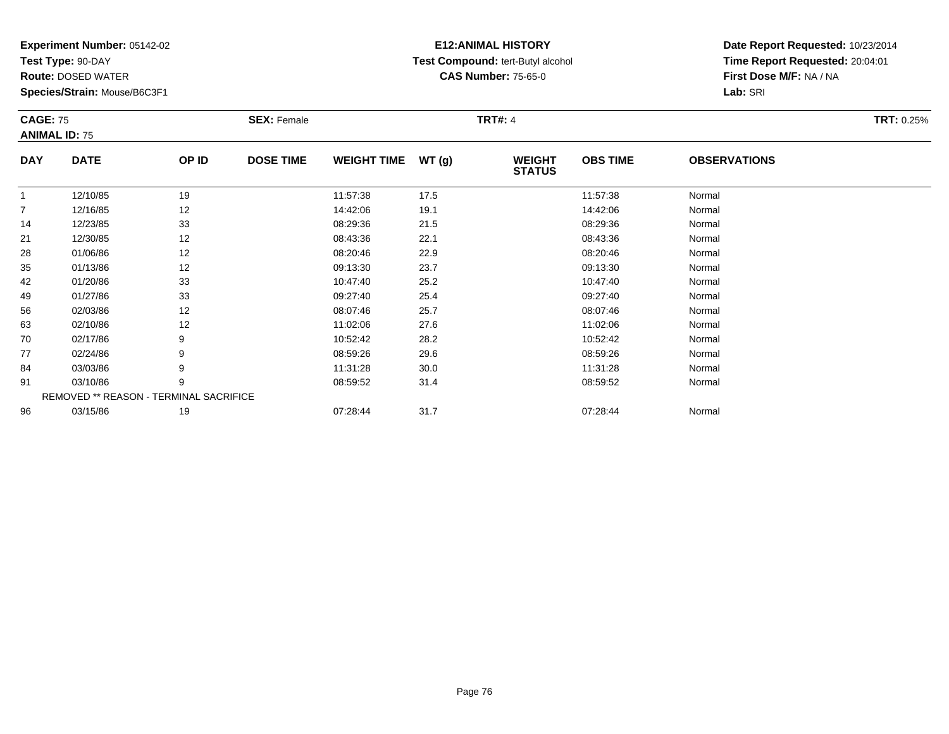**Test Type:** 90-DAY

**Route:** DOSED WATER

**Species/Strain:** Mouse/B6C3F1

# **E12:ANIMAL HISTORY Test Compound:** tert-Butyl alcohol **CAS Number:** 75-65-0

| <b>CAGE: 75</b> | <b>ANIMAL ID: 75</b> |                                        | <b>SEX: Female</b> |                    |       | <b>TRT#: 4</b>                 |                 |                     | <b>TRT: 0.25%</b> |
|-----------------|----------------------|----------------------------------------|--------------------|--------------------|-------|--------------------------------|-----------------|---------------------|-------------------|
| <b>DAY</b>      | <b>DATE</b>          | OP ID                                  | <b>DOSE TIME</b>   | <b>WEIGHT TIME</b> | WT(g) | <b>WEIGHT</b><br><b>STATUS</b> | <b>OBS TIME</b> | <b>OBSERVATIONS</b> |                   |
|                 | 12/10/85             | 19                                     |                    | 11:57:38           | 17.5  |                                | 11:57:38        | Normal              |                   |
| $\overline{7}$  | 12/16/85             | 12                                     |                    | 14:42:06           | 19.1  |                                | 14:42:06        | Normal              |                   |
| 14              | 12/23/85             | 33                                     |                    | 08:29:36           | 21.5  |                                | 08:29:36        | Normal              |                   |
| 21              | 12/30/85             | 12                                     |                    | 08:43:36           | 22.1  |                                | 08:43:36        | Normal              |                   |
| 28              | 01/06/86             | 12                                     |                    | 08:20:46           | 22.9  |                                | 08:20:46        | Normal              |                   |
| 35              | 01/13/86             | 12                                     |                    | 09:13:30           | 23.7  |                                | 09:13:30        | Normal              |                   |
| 42              | 01/20/86             | 33                                     |                    | 10:47:40           | 25.2  |                                | 10:47:40        | Normal              |                   |
| 49              | 01/27/86             | 33                                     |                    | 09:27:40           | 25.4  |                                | 09:27:40        | Normal              |                   |
| 56              | 02/03/86             | 12                                     |                    | 08:07:46           | 25.7  |                                | 08:07:46        | Normal              |                   |
| 63              | 02/10/86             | 12                                     |                    | 11:02:06           | 27.6  |                                | 11:02:06        | Normal              |                   |
| 70              | 02/17/86             | 9                                      |                    | 10:52:42           | 28.2  |                                | 10:52:42        | Normal              |                   |
| 77              | 02/24/86             | 9                                      |                    | 08:59:26           | 29.6  |                                | 08:59:26        | Normal              |                   |
| 84              | 03/03/86             | 9                                      |                    | 11:31:28           | 30.0  |                                | 11:31:28        | Normal              |                   |
| 91              | 03/10/86             | 9                                      |                    | 08:59:52           | 31.4  |                                | 08:59:52        | Normal              |                   |
|                 |                      | REMOVED ** REASON - TERMINAL SACRIFICE |                    |                    |       |                                |                 |                     |                   |
| 96              | 03/15/86             | 19                                     |                    | 07:28:44           | 31.7  |                                | 07:28:44        | Normal              |                   |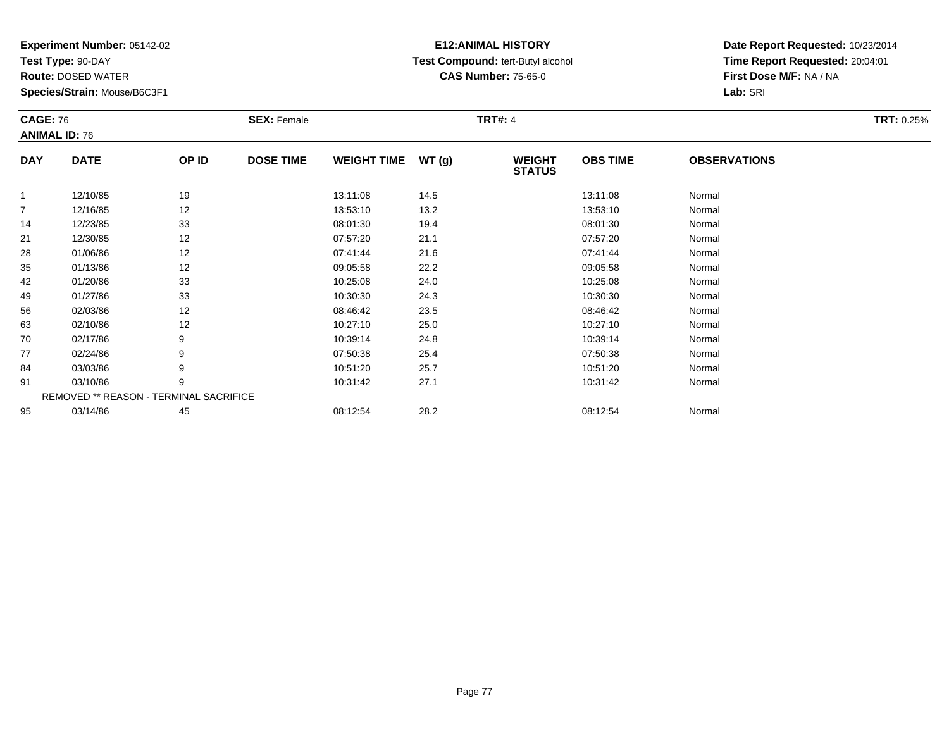**Test Type:** 90-DAY

**Route:** DOSED WATER

**Species/Strain:** Mouse/B6C3F1

# **E12:ANIMAL HISTORY Test Compound:** tert-Butyl alcohol **CAS Number:** 75-65-0

| <b>CAGE: 76</b> |                                        |       | <b>SEX: Female</b> |                    |        | <b>TRT#: 4</b>                 |                 |                     | <b>TRT: 0.25%</b> |
|-----------------|----------------------------------------|-------|--------------------|--------------------|--------|--------------------------------|-----------------|---------------------|-------------------|
|                 | <b>ANIMAL ID: 76</b>                   |       |                    |                    |        |                                |                 |                     |                   |
| <b>DAY</b>      | <b>DATE</b>                            | OP ID | <b>DOSE TIME</b>   | <b>WEIGHT TIME</b> | WT (g) | <b>WEIGHT</b><br><b>STATUS</b> | <b>OBS TIME</b> | <b>OBSERVATIONS</b> |                   |
| $\mathbf{1}$    | 12/10/85                               | 19    |                    | 13:11:08           | 14.5   |                                | 13:11:08        | Normal              |                   |
| $\overline{7}$  | 12/16/85                               | 12    |                    | 13:53:10           | 13.2   |                                | 13:53:10        | Normal              |                   |
| 14              | 12/23/85                               | 33    |                    | 08:01:30           | 19.4   |                                | 08:01:30        | Normal              |                   |
| 21              | 12/30/85                               | 12    |                    | 07:57:20           | 21.1   |                                | 07:57:20        | Normal              |                   |
| 28              | 01/06/86                               | 12    |                    | 07:41:44           | 21.6   |                                | 07:41:44        | Normal              |                   |
| 35              | 01/13/86                               | 12    |                    | 09:05:58           | 22.2   |                                | 09:05:58        | Normal              |                   |
| 42              | 01/20/86                               | 33    |                    | 10:25:08           | 24.0   |                                | 10:25:08        | Normal              |                   |
| 49              | 01/27/86                               | 33    |                    | 10:30:30           | 24.3   |                                | 10:30:30        | Normal              |                   |
| 56              | 02/03/86                               | 12    |                    | 08:46:42           | 23.5   |                                | 08:46:42        | Normal              |                   |
| 63              | 02/10/86                               | 12    |                    | 10:27:10           | 25.0   |                                | 10:27:10        | Normal              |                   |
| 70              | 02/17/86                               | 9     |                    | 10:39:14           | 24.8   |                                | 10:39:14        | Normal              |                   |
| 77              | 02/24/86                               | 9     |                    | 07:50:38           | 25.4   |                                | 07:50:38        | Normal              |                   |
| 84              | 03/03/86                               | 9     |                    | 10:51:20           | 25.7   |                                | 10:51:20        | Normal              |                   |
| 91              | 03/10/86                               | 9     |                    | 10:31:42           | 27.1   |                                | 10:31:42        | Normal              |                   |
|                 | REMOVED ** REASON - TERMINAL SACRIFICE |       |                    |                    |        |                                |                 |                     |                   |
| 95              | 03/14/86                               | 45    |                    | 08:12:54           | 28.2   |                                | 08:12:54        | Normal              |                   |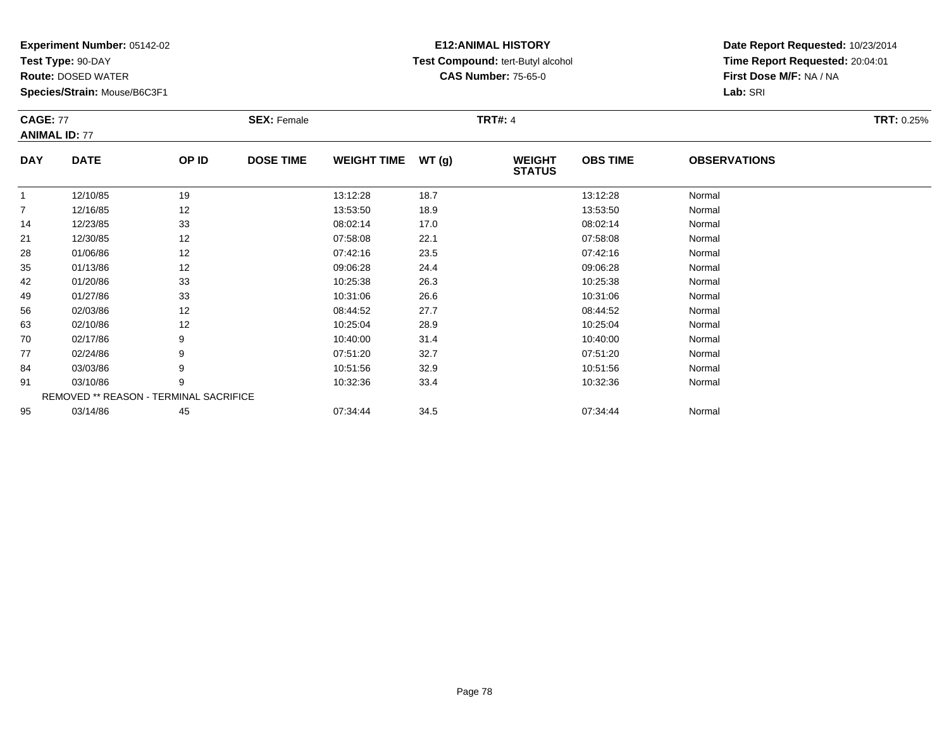**Test Type:** 90-DAY

**Route:** DOSED WATER

**Species/Strain:** Mouse/B6C3F1

#### **E12:ANIMAL HISTORY Test Compound:** tert-Butyl alcohol **CAS Number:** 75-65-0

| <b>CAGE: 77</b> | <b>ANIMAL ID: 77</b>                   |       | <b>SEX: Female</b> |                    |       | <b>TRT#: 4</b>                 |                 |                     | <b>TRT: 0.25%</b> |
|-----------------|----------------------------------------|-------|--------------------|--------------------|-------|--------------------------------|-----------------|---------------------|-------------------|
| <b>DAY</b>      | <b>DATE</b>                            | OP ID | <b>DOSE TIME</b>   | <b>WEIGHT TIME</b> | WT(g) | <b>WEIGHT</b><br><b>STATUS</b> | <b>OBS TIME</b> | <b>OBSERVATIONS</b> |                   |
|                 | 12/10/85                               | 19    |                    | 13:12:28           | 18.7  |                                | 13:12:28        | Normal              |                   |
| $\overline{7}$  | 12/16/85                               | 12    |                    | 13:53:50           | 18.9  |                                | 13:53:50        | Normal              |                   |
| 14              | 12/23/85                               | 33    |                    | 08:02:14           | 17.0  |                                | 08:02:14        | Normal              |                   |
| 21              | 12/30/85                               | 12    |                    | 07:58:08           | 22.1  |                                | 07:58:08        | Normal              |                   |
| 28              | 01/06/86                               | 12    |                    | 07:42:16           | 23.5  |                                | 07:42:16        | Normal              |                   |
| 35              | 01/13/86                               | 12    |                    | 09:06:28           | 24.4  |                                | 09:06:28        | Normal              |                   |
| 42              | 01/20/86                               | 33    |                    | 10:25:38           | 26.3  |                                | 10:25:38        | Normal              |                   |
| 49              | 01/27/86                               | 33    |                    | 10:31:06           | 26.6  |                                | 10:31:06        | Normal              |                   |
| 56              | 02/03/86                               | 12    |                    | 08:44:52           | 27.7  |                                | 08:44:52        | Normal              |                   |
| 63              | 02/10/86                               | 12    |                    | 10:25:04           | 28.9  |                                | 10:25:04        | Normal              |                   |
| 70              | 02/17/86                               | 9     |                    | 10:40:00           | 31.4  |                                | 10:40:00        | Normal              |                   |
| 77              | 02/24/86                               | 9     |                    | 07:51:20           | 32.7  |                                | 07:51:20        | Normal              |                   |
| 84              | 03/03/86                               | 9     |                    | 10:51:56           | 32.9  |                                | 10:51:56        | Normal              |                   |
| 91              | 03/10/86                               | 9     |                    | 10:32:36           | 33.4  |                                | 10:32:36        | Normal              |                   |
|                 | REMOVED ** REASON - TERMINAL SACRIFICE |       |                    |                    |       |                                |                 |                     |                   |
| 95              | 03/14/86                               | 45    |                    | 07:34:44           | 34.5  |                                | 07:34:44        | Normal              |                   |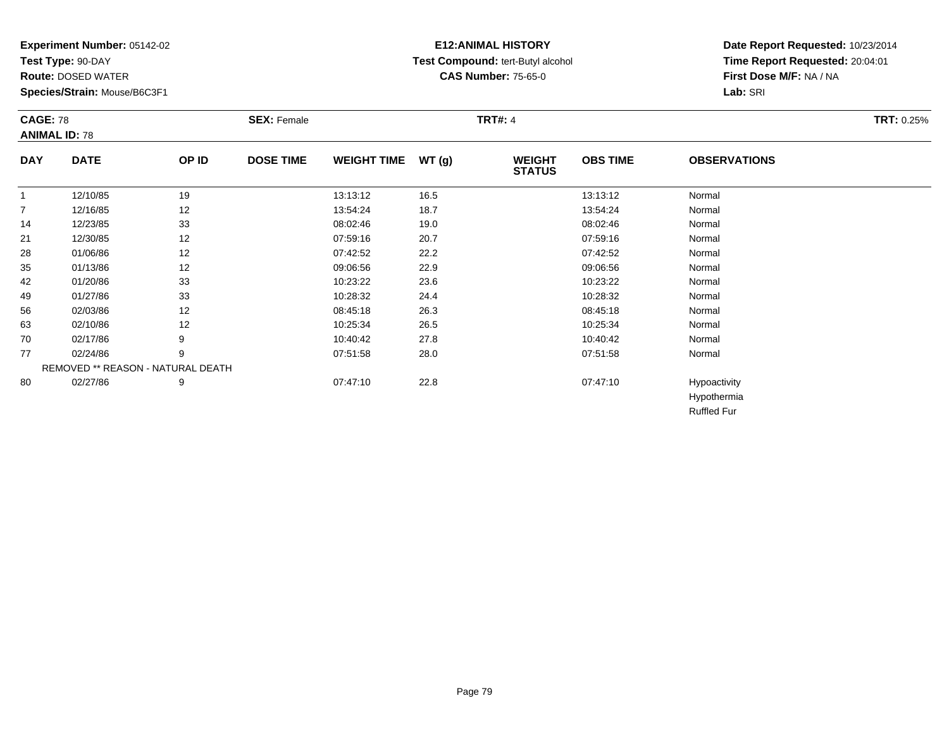**Test Type:** 90-DAY

**Route:** DOSED WATER

**Species/Strain:** Mouse/B6C3F1

# **E12:ANIMAL HISTORY Test Compound:** tert-Butyl alcohol **CAS Number:** 75-65-0

**Date Report Requested:** 10/23/2014**Time Report Requested:** 20:04:01**First Dose M/F:** NA / NA**Lab:** SRI

| <b>CAGE: 78</b><br><b>ANIMAL ID: 78</b> |                                   |       | <b>SEX: Female</b> |                    |       | <b>TRT#: 4</b>                 |                 |                             | <b>TRT: 0.25%</b> |
|-----------------------------------------|-----------------------------------|-------|--------------------|--------------------|-------|--------------------------------|-----------------|-----------------------------|-------------------|
| <b>DAY</b>                              | <b>DATE</b>                       | OP ID | <b>DOSE TIME</b>   | <b>WEIGHT TIME</b> | WT(g) | <b>WEIGHT</b><br><b>STATUS</b> | <b>OBS TIME</b> | <b>OBSERVATIONS</b>         |                   |
| $\mathbf{1}$                            | 12/10/85                          | 19    |                    | 13:13:12           | 16.5  |                                | 13:13:12        | Normal                      |                   |
| $\overline{7}$                          | 12/16/85                          | 12    |                    | 13:54:24           | 18.7  |                                | 13:54:24        | Normal                      |                   |
| 14                                      | 12/23/85                          | 33    |                    | 08:02:46           | 19.0  |                                | 08:02:46        | Normal                      |                   |
| 21                                      | 12/30/85                          | 12    |                    | 07:59:16           | 20.7  |                                | 07:59:16        | Normal                      |                   |
| 28                                      | 01/06/86                          | 12    |                    | 07:42:52           | 22.2  |                                | 07:42:52        | Normal                      |                   |
| 35                                      | 01/13/86                          | 12    |                    | 09:06:56           | 22.9  |                                | 09:06:56        | Normal                      |                   |
| 42                                      | 01/20/86                          | 33    |                    | 10:23:22           | 23.6  |                                | 10:23:22        | Normal                      |                   |
| 49                                      | 01/27/86                          | 33    |                    | 10:28:32           | 24.4  |                                | 10:28:32        | Normal                      |                   |
| 56                                      | 02/03/86                          | 12    |                    | 08:45:18           | 26.3  |                                | 08:45:18        | Normal                      |                   |
| 63                                      | 02/10/86                          | 12    |                    | 10:25:34           | 26.5  |                                | 10:25:34        | Normal                      |                   |
| 70                                      | 02/17/86                          | 9     |                    | 10:40:42           | 27.8  |                                | 10:40:42        | Normal                      |                   |
| 77                                      | 02/24/86                          | 9     |                    | 07:51:58           | 28.0  |                                | 07:51:58        | Normal                      |                   |
|                                         | REMOVED ** REASON - NATURAL DEATH |       |                    |                    |       |                                |                 |                             |                   |
| 80                                      | 02/27/86                          | 9     |                    | 07:47:10           | 22.8  |                                | 07:47:10        | Hypoactivity<br>Hypothermia |                   |

Ruffled Fur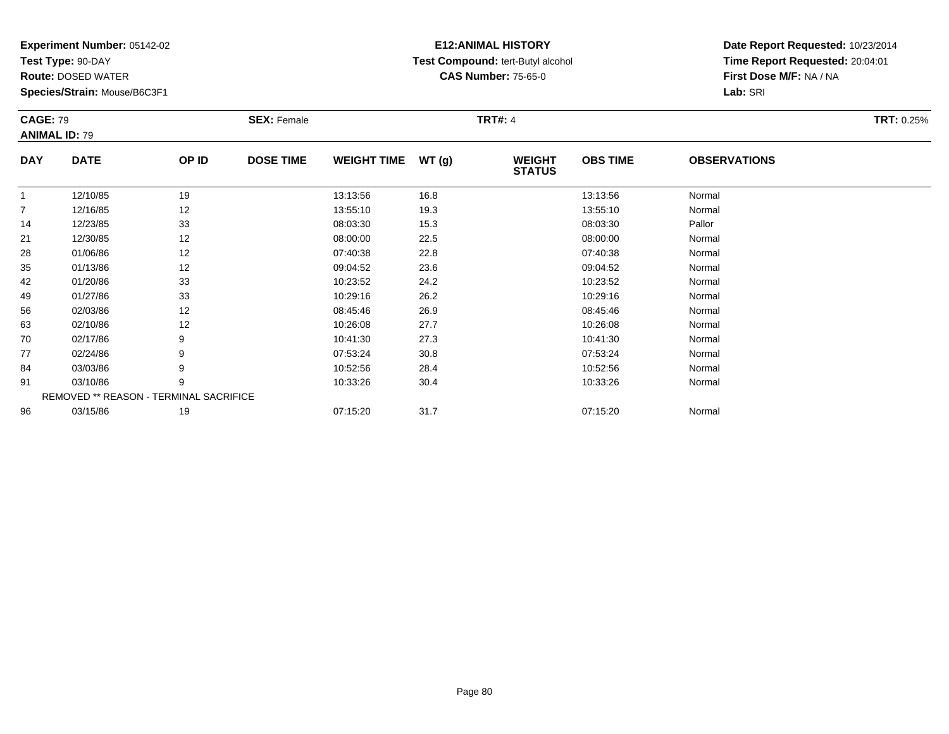**Test Type:** 90-DAY

**Route:** DOSED WATER

**Species/Strain:** Mouse/B6C3F1

# **E12:ANIMAL HISTORY Test Compound:** tert-Butyl alcohol **CAS Number:** 75-65-0

| <b>CAGE: 79</b> |                      |                                        | <b>SEX: Female</b> |                    |        | <b>TRT#: 4</b>                 |                 |                     | <b>TRT: 0.25%</b> |
|-----------------|----------------------|----------------------------------------|--------------------|--------------------|--------|--------------------------------|-----------------|---------------------|-------------------|
|                 | <b>ANIMAL ID: 79</b> |                                        |                    |                    |        |                                |                 |                     |                   |
| <b>DAY</b>      | <b>DATE</b>          | OP ID                                  | <b>DOSE TIME</b>   | <b>WEIGHT TIME</b> | WT (g) | <b>WEIGHT</b><br><b>STATUS</b> | <b>OBS TIME</b> | <b>OBSERVATIONS</b> |                   |
|                 | 12/10/85             | 19                                     |                    | 13:13:56           | 16.8   |                                | 13:13:56        | Normal              |                   |
| $\overline{7}$  | 12/16/85             | 12                                     |                    | 13:55:10           | 19.3   |                                | 13:55:10        | Normal              |                   |
| 14              | 12/23/85             | 33                                     |                    | 08:03:30           | 15.3   |                                | 08:03:30        | Pallor              |                   |
| 21              | 12/30/85             | 12                                     |                    | 08:00:00           | 22.5   |                                | 08:00:00        | Normal              |                   |
| 28              | 01/06/86             | 12                                     |                    | 07:40:38           | 22.8   |                                | 07:40:38        | Normal              |                   |
| 35              | 01/13/86             | 12                                     |                    | 09:04:52           | 23.6   |                                | 09:04:52        | Normal              |                   |
| 42              | 01/20/86             | 33                                     |                    | 10:23:52           | 24.2   |                                | 10:23:52        | Normal              |                   |
| 49              | 01/27/86             | 33                                     |                    | 10:29:16           | 26.2   |                                | 10:29:16        | Normal              |                   |
| 56              | 02/03/86             | 12                                     |                    | 08:45:46           | 26.9   |                                | 08:45:46        | Normal              |                   |
| 63              | 02/10/86             | 12                                     |                    | 10:26:08           | 27.7   |                                | 10:26:08        | Normal              |                   |
| 70              | 02/17/86             | 9                                      |                    | 10:41:30           | 27.3   |                                | 10:41:30        | Normal              |                   |
| 77              | 02/24/86             | 9                                      |                    | 07:53:24           | 30.8   |                                | 07:53:24        | Normal              |                   |
| 84              | 03/03/86             | 9                                      |                    | 10:52:56           | 28.4   |                                | 10:52:56        | Normal              |                   |
| 91              | 03/10/86             | 9                                      |                    | 10:33:26           | 30.4   |                                | 10:33:26        | Normal              |                   |
|                 |                      | REMOVED ** REASON - TERMINAL SACRIFICE |                    |                    |        |                                |                 |                     |                   |
| 96              | 03/15/86             | 19                                     |                    | 07:15:20           | 31.7   |                                | 07:15:20        | Normal              |                   |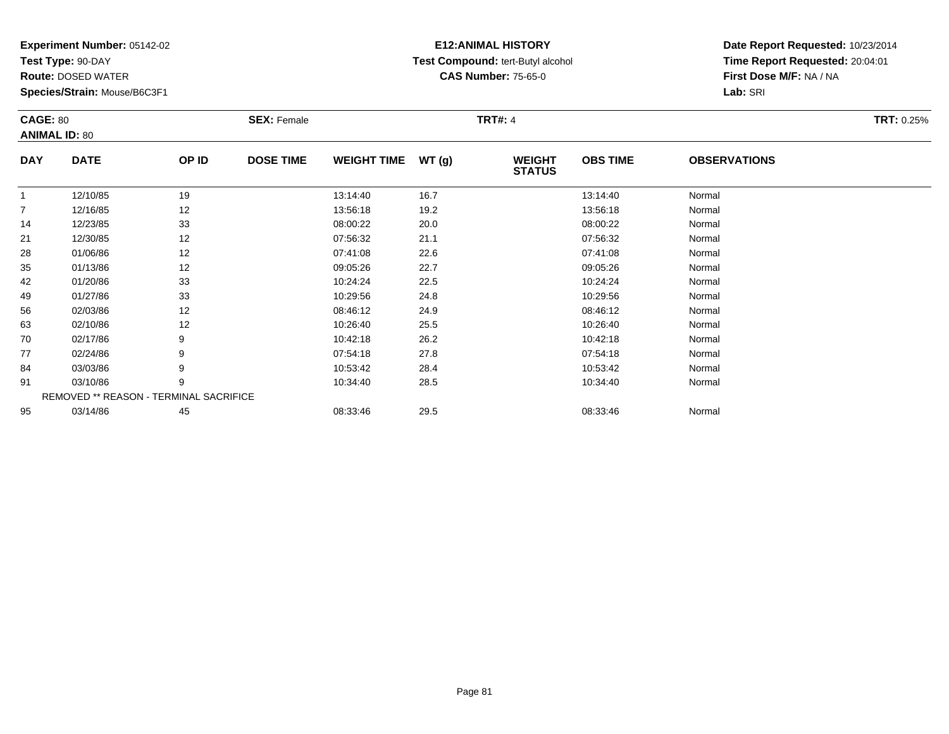**Test Type:** 90-DAY

**Route:** DOSED WATER

**Species/Strain:** Mouse/B6C3F1

# **E12:ANIMAL HISTORY Test Compound:** tert-Butyl alcohol **CAS Number:** 75-65-0

| <b>CAGE: 80</b> |                                        |       | <b>SEX: Female</b> |                    |       | <b>TRT#: 4</b>                 |                 |                     | <b>TRT: 0.25%</b> |
|-----------------|----------------------------------------|-------|--------------------|--------------------|-------|--------------------------------|-----------------|---------------------|-------------------|
|                 | <b>ANIMAL ID: 80</b>                   |       |                    |                    |       |                                |                 |                     |                   |
| <b>DAY</b>      | <b>DATE</b>                            | OP ID | <b>DOSE TIME</b>   | <b>WEIGHT TIME</b> | WT(g) | <b>WEIGHT</b><br><b>STATUS</b> | <b>OBS TIME</b> | <b>OBSERVATIONS</b> |                   |
| $\mathbf{1}$    | 12/10/85                               | 19    |                    | 13:14:40           | 16.7  |                                | 13:14:40        | Normal              |                   |
| $\overline{7}$  | 12/16/85                               | 12    |                    | 13:56:18           | 19.2  |                                | 13:56:18        | Normal              |                   |
| 14              | 12/23/85                               | 33    |                    | 08:00:22           | 20.0  |                                | 08:00:22        | Normal              |                   |
| 21              | 12/30/85                               | 12    |                    | 07:56:32           | 21.1  |                                | 07:56:32        | Normal              |                   |
| 28              | 01/06/86                               | 12    |                    | 07:41:08           | 22.6  |                                | 07:41:08        | Normal              |                   |
| 35              | 01/13/86                               | 12    |                    | 09:05:26           | 22.7  |                                | 09:05:26        | Normal              |                   |
| 42              | 01/20/86                               | 33    |                    | 10:24:24           | 22.5  |                                | 10:24:24        | Normal              |                   |
| 49              | 01/27/86                               | 33    |                    | 10:29:56           | 24.8  |                                | 10:29:56        | Normal              |                   |
| 56              | 02/03/86                               | 12    |                    | 08:46:12           | 24.9  |                                | 08:46:12        | Normal              |                   |
| 63              | 02/10/86                               | 12    |                    | 10:26:40           | 25.5  |                                | 10:26:40        | Normal              |                   |
| 70              | 02/17/86                               | 9     |                    | 10:42:18           | 26.2  |                                | 10:42:18        | Normal              |                   |
| 77              | 02/24/86                               | 9     |                    | 07:54:18           | 27.8  |                                | 07:54:18        | Normal              |                   |
| 84              | 03/03/86                               | 9     |                    | 10:53:42           | 28.4  |                                | 10:53:42        | Normal              |                   |
| 91              | 03/10/86                               | 9     |                    | 10:34:40           | 28.5  |                                | 10:34:40        | Normal              |                   |
|                 | REMOVED ** REASON - TERMINAL SACRIFICE |       |                    |                    |       |                                |                 |                     |                   |
| 95              | 03/14/86                               | 45    |                    | 08:33:46           | 29.5  |                                | 08:33:46        | Normal              |                   |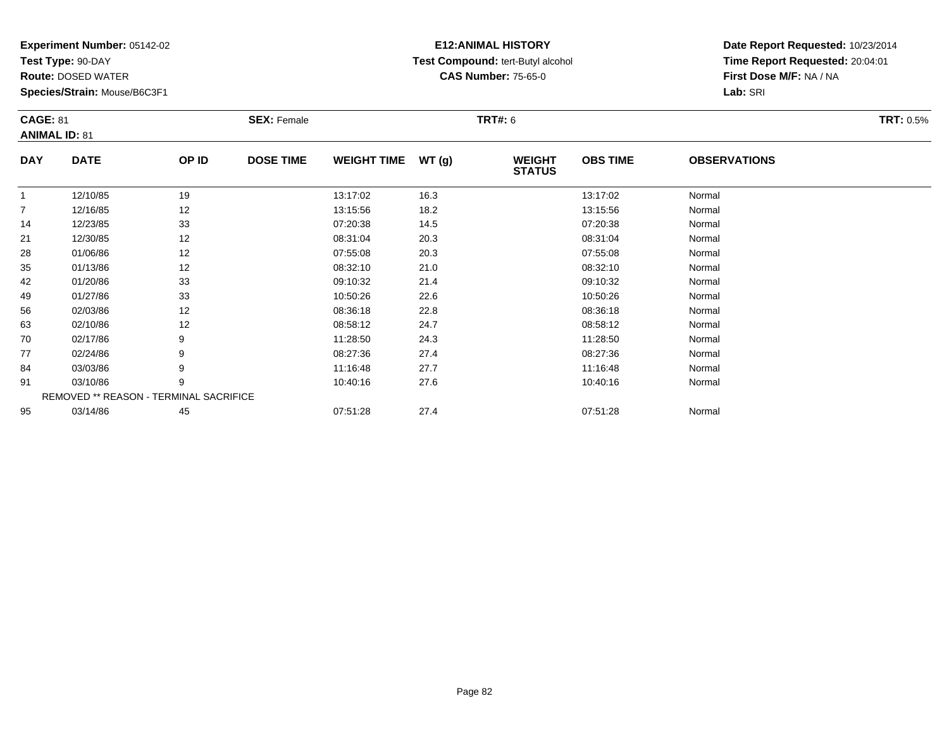**Test Type:** 90-DAY

**Route:** DOSED WATER

**Species/Strain:** Mouse/B6C3F1

# **E12:ANIMAL HISTORY Test Compound:** tert-Butyl alcohol **CAS Number:** 75-65-0

| <b>CAGE: 81</b><br><b>ANIMAL ID: 81</b> |                                        |       | <b>SEX: Female</b> |                    |       | <b>TRT#: 6</b>                 |                 |                     | <b>TRT: 0.5%</b> |
|-----------------------------------------|----------------------------------------|-------|--------------------|--------------------|-------|--------------------------------|-----------------|---------------------|------------------|
| <b>DAY</b>                              | <b>DATE</b>                            | OP ID | <b>DOSE TIME</b>   | <b>WEIGHT TIME</b> | WT(g) | <b>WEIGHT</b><br><b>STATUS</b> | <b>OBS TIME</b> | <b>OBSERVATIONS</b> |                  |
| 1                                       | 12/10/85                               | 19    |                    | 13:17:02           | 16.3  |                                | 13:17:02        | Normal              |                  |
| 7                                       | 12/16/85                               | 12    |                    | 13:15:56           | 18.2  |                                | 13:15:56        | Normal              |                  |
| 14                                      | 12/23/85                               | 33    |                    | 07:20:38           | 14.5  |                                | 07:20:38        | Normal              |                  |
| 21                                      | 12/30/85                               | 12    |                    | 08:31:04           | 20.3  |                                | 08:31:04        | Normal              |                  |
| 28                                      | 01/06/86                               | 12    |                    | 07:55:08           | 20.3  |                                | 07:55:08        | Normal              |                  |
| 35                                      | 01/13/86                               | 12    |                    | 08:32:10           | 21.0  |                                | 08:32:10        | Normal              |                  |
| 42                                      | 01/20/86                               | 33    |                    | 09:10:32           | 21.4  |                                | 09:10:32        | Normal              |                  |
| 49                                      | 01/27/86                               | 33    |                    | 10:50:26           | 22.6  |                                | 10:50:26        | Normal              |                  |
| 56                                      | 02/03/86                               | 12    |                    | 08:36:18           | 22.8  |                                | 08:36:18        | Normal              |                  |
| 63                                      | 02/10/86                               | 12    |                    | 08:58:12           | 24.7  |                                | 08:58:12        | Normal              |                  |
| 70                                      | 02/17/86                               | 9     |                    | 11:28:50           | 24.3  |                                | 11:28:50        | Normal              |                  |
| 77                                      | 02/24/86                               | 9     |                    | 08:27:36           | 27.4  |                                | 08:27:36        | Normal              |                  |
| 84                                      | 03/03/86                               | 9     |                    | 11:16:48           | 27.7  |                                | 11:16:48        | Normal              |                  |
| 91                                      | 03/10/86                               | 9     |                    | 10:40:16           | 27.6  |                                | 10:40:16        | Normal              |                  |
|                                         | REMOVED ** REASON - TERMINAL SACRIFICE |       |                    |                    |       |                                |                 |                     |                  |
| 95                                      | 03/14/86                               | 45    |                    | 07:51:28           | 27.4  |                                | 07:51:28        | Normal              |                  |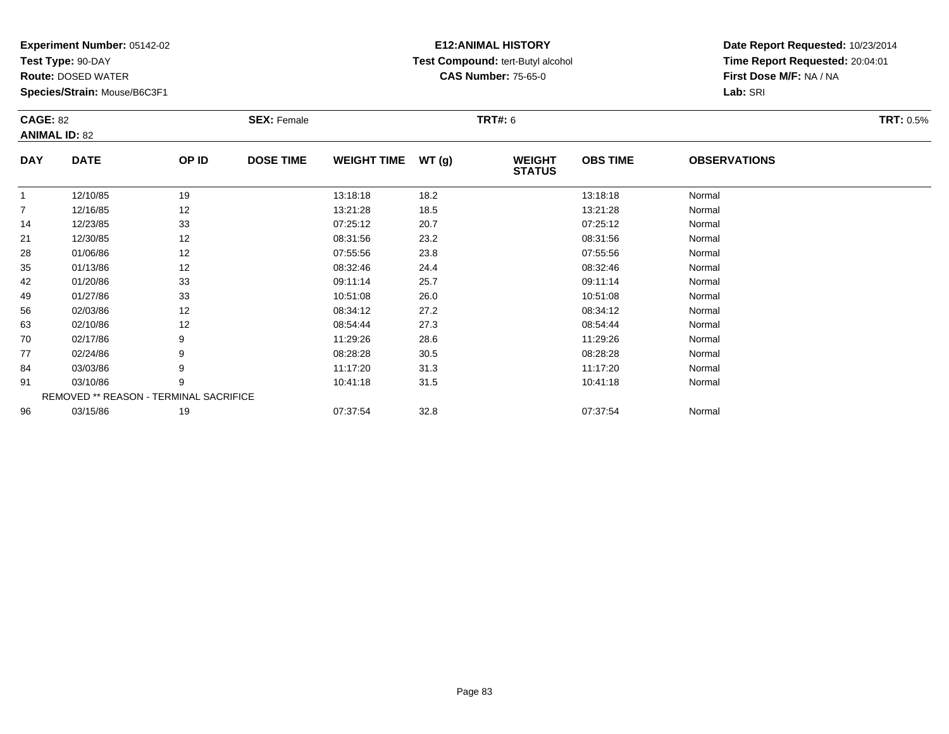**Test Type:** 90-DAY

**Route:** DOSED WATER

**Species/Strain:** Mouse/B6C3F1

# **E12:ANIMAL HISTORY Test Compound:** tert-Butyl alcohol **CAS Number:** 75-65-0

| <b>CAGE: 82</b> | <b>ANIMAL ID: 82</b>                   |       | <b>SEX: Female</b> |                    |               | <b>TRT#: 6</b>                 |                 |                     | <b>TRT: 0.5%</b> |
|-----------------|----------------------------------------|-------|--------------------|--------------------|---------------|--------------------------------|-----------------|---------------------|------------------|
| <b>DAY</b>      | <b>DATE</b>                            | OP ID | <b>DOSE TIME</b>   | <b>WEIGHT TIME</b> | <b>WT (g)</b> | <b>WEIGHT</b><br><b>STATUS</b> | <b>OBS TIME</b> | <b>OBSERVATIONS</b> |                  |
|                 | 12/10/85                               | 19    |                    | 13:18:18           | 18.2          |                                | 13:18:18        | Normal              |                  |
| $\overline{7}$  | 12/16/85                               | 12    |                    | 13:21:28           | 18.5          |                                | 13:21:28        | Normal              |                  |
| 14              | 12/23/85                               | 33    |                    | 07:25:12           | 20.7          |                                | 07:25:12        | Normal              |                  |
| 21              | 12/30/85                               | 12    |                    | 08:31:56           | 23.2          |                                | 08:31:56        | Normal              |                  |
| 28              | 01/06/86                               | 12    |                    | 07:55:56           | 23.8          |                                | 07:55:56        | Normal              |                  |
| 35              | 01/13/86                               | 12    |                    | 08:32:46           | 24.4          |                                | 08:32:46        | Normal              |                  |
| 42              | 01/20/86                               | 33    |                    | 09:11:14           | 25.7          |                                | 09:11:14        | Normal              |                  |
| 49              | 01/27/86                               | 33    |                    | 10:51:08           | 26.0          |                                | 10:51:08        | Normal              |                  |
| 56              | 02/03/86                               | 12    |                    | 08:34:12           | 27.2          |                                | 08:34:12        | Normal              |                  |
| 63              | 02/10/86                               | 12    |                    | 08:54:44           | 27.3          |                                | 08:54:44        | Normal              |                  |
| 70              | 02/17/86                               | 9     |                    | 11:29:26           | 28.6          |                                | 11:29:26        | Normal              |                  |
| 77              | 02/24/86                               | 9     |                    | 08:28:28           | 30.5          |                                | 08:28:28        | Normal              |                  |
| 84              | 03/03/86                               | 9     |                    | 11:17:20           | 31.3          |                                | 11:17:20        | Normal              |                  |
| 91              | 03/10/86                               | 9     |                    | 10:41:18           | 31.5          |                                | 10:41:18        | Normal              |                  |
|                 | REMOVED ** REASON - TERMINAL SACRIFICE |       |                    |                    |               |                                |                 |                     |                  |
| 96              | 03/15/86                               | 19    |                    | 07:37:54           | 32.8          |                                | 07:37:54        | Normal              |                  |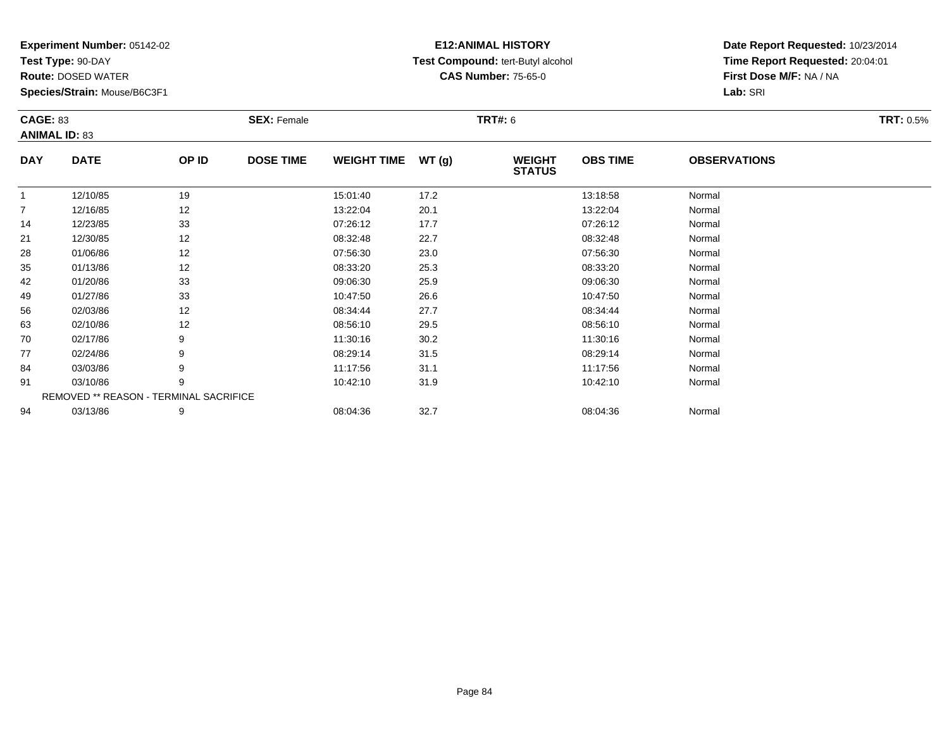**Test Type:** 90-DAY

**Route:** DOSED WATER

**Species/Strain:** Mouse/B6C3F1

# **E12:ANIMAL HISTORY Test Compound:** tert-Butyl alcohol **CAS Number:** 75-65-0

| <b>CAGE: 83</b> |                      |                                        | <b>SEX: Female</b> |                    |       | <b>TRT#: 6</b>                 |                 |                     | <b>TRT: 0.5%</b> |
|-----------------|----------------------|----------------------------------------|--------------------|--------------------|-------|--------------------------------|-----------------|---------------------|------------------|
|                 | <b>ANIMAL ID: 83</b> |                                        |                    |                    |       |                                |                 |                     |                  |
| <b>DAY</b>      | <b>DATE</b>          | OP ID                                  | <b>DOSE TIME</b>   | <b>WEIGHT TIME</b> | WT(g) | <b>WEIGHT</b><br><b>STATUS</b> | <b>OBS TIME</b> | <b>OBSERVATIONS</b> |                  |
|                 | 12/10/85             | 19                                     |                    | 15:01:40           | 17.2  |                                | 13:18:58        | Normal              |                  |
| $\overline{7}$  | 12/16/85             | 12                                     |                    | 13:22:04           | 20.1  |                                | 13:22:04        | Normal              |                  |
| 14              | 12/23/85             | 33                                     |                    | 07:26:12           | 17.7  |                                | 07:26:12        | Normal              |                  |
| 21              | 12/30/85             | 12                                     |                    | 08:32:48           | 22.7  |                                | 08:32:48        | Normal              |                  |
| 28              | 01/06/86             | 12                                     |                    | 07:56:30           | 23.0  |                                | 07:56:30        | Normal              |                  |
| 35              | 01/13/86             | 12                                     |                    | 08:33:20           | 25.3  |                                | 08:33:20        | Normal              |                  |
| 42              | 01/20/86             | 33                                     |                    | 09:06:30           | 25.9  |                                | 09:06:30        | Normal              |                  |
| 49              | 01/27/86             | 33                                     |                    | 10:47:50           | 26.6  |                                | 10:47:50        | Normal              |                  |
| 56              | 02/03/86             | 12                                     |                    | 08:34:44           | 27.7  |                                | 08:34:44        | Normal              |                  |
| 63              | 02/10/86             | 12                                     |                    | 08:56:10           | 29.5  |                                | 08:56:10        | Normal              |                  |
| 70              | 02/17/86             | 9                                      |                    | 11:30:16           | 30.2  |                                | 11:30:16        | Normal              |                  |
| 77              | 02/24/86             | 9                                      |                    | 08:29:14           | 31.5  |                                | 08:29:14        | Normal              |                  |
| 84              | 03/03/86             | 9                                      |                    | 11:17:56           | 31.1  |                                | 11:17:56        | Normal              |                  |
| 91              | 03/10/86             | 9                                      |                    | 10:42:10           | 31.9  |                                | 10:42:10        | Normal              |                  |
|                 |                      | REMOVED ** REASON - TERMINAL SACRIFICE |                    |                    |       |                                |                 |                     |                  |
| 94              | 03/13/86             | 9                                      |                    | 08:04:36           | 32.7  |                                | 08:04:36        | Normal              |                  |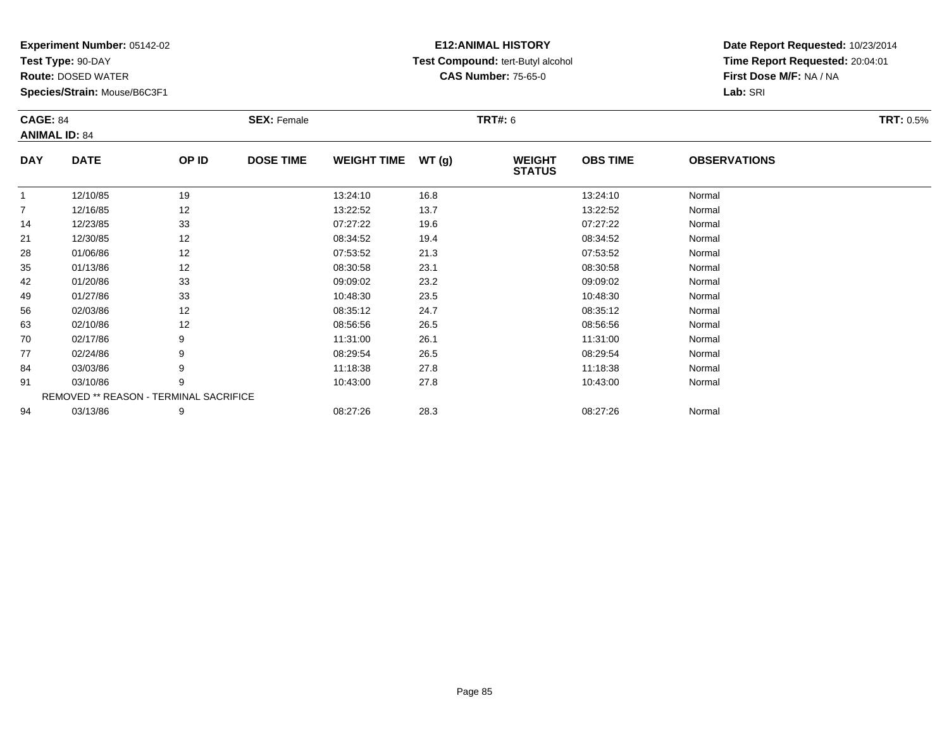**Test Type:** 90-DAY

**Route:** DOSED WATER

**Species/Strain:** Mouse/B6C3F1

# **E12:ANIMAL HISTORY Test Compound:** tert-Butyl alcohol **CAS Number:** 75-65-0

| <b>CAGE: 84</b> | <b>ANIMAL ID: 84</b>                   |       | <b>SEX: Female</b> |                    |       | <b>TRT#: 6</b>                 |                 |                     | <b>TRT: 0.5%</b> |
|-----------------|----------------------------------------|-------|--------------------|--------------------|-------|--------------------------------|-----------------|---------------------|------------------|
| <b>DAY</b>      | <b>DATE</b>                            | OP ID | <b>DOSE TIME</b>   | <b>WEIGHT TIME</b> | WT(g) | <b>WEIGHT</b><br><b>STATUS</b> | <b>OBS TIME</b> | <b>OBSERVATIONS</b> |                  |
| $\mathbf{1}$    | 12/10/85                               | 19    |                    | 13:24:10           | 16.8  |                                | 13:24:10        | Normal              |                  |
| 7               | 12/16/85                               | 12    |                    | 13:22:52           | 13.7  |                                | 13:22:52        | Normal              |                  |
| 14              | 12/23/85                               | 33    |                    | 07:27:22           | 19.6  |                                | 07:27:22        | Normal              |                  |
| 21              | 12/30/85                               | 12    |                    | 08:34:52           | 19.4  |                                | 08:34:52        | Normal              |                  |
| 28              | 01/06/86                               | 12    |                    | 07:53:52           | 21.3  |                                | 07:53:52        | Normal              |                  |
| 35              | 01/13/86                               | 12    |                    | 08:30:58           | 23.1  |                                | 08:30:58        | Normal              |                  |
| 42              | 01/20/86                               | 33    |                    | 09:09:02           | 23.2  |                                | 09:09:02        | Normal              |                  |
| 49              | 01/27/86                               | 33    |                    | 10:48:30           | 23.5  |                                | 10:48:30        | Normal              |                  |
| 56              | 02/03/86                               | 12    |                    | 08:35:12           | 24.7  |                                | 08:35:12        | Normal              |                  |
| 63              | 02/10/86                               | 12    |                    | 08:56:56           | 26.5  |                                | 08:56:56        | Normal              |                  |
| 70              | 02/17/86                               | 9     |                    | 11:31:00           | 26.1  |                                | 11:31:00        | Normal              |                  |
| 77              | 02/24/86                               | 9     |                    | 08:29:54           | 26.5  |                                | 08:29:54        | Normal              |                  |
| 84              | 03/03/86                               | 9     |                    | 11:18:38           | 27.8  |                                | 11:18:38        | Normal              |                  |
| 91              | 03/10/86                               | 9     |                    | 10:43:00           | 27.8  |                                | 10:43:00        | Normal              |                  |
|                 | REMOVED ** REASON - TERMINAL SACRIFICE |       |                    |                    |       |                                |                 |                     |                  |
| 94              | 03/13/86                               | 9     |                    | 08:27:26           | 28.3  |                                | 08:27:26        | Normal              |                  |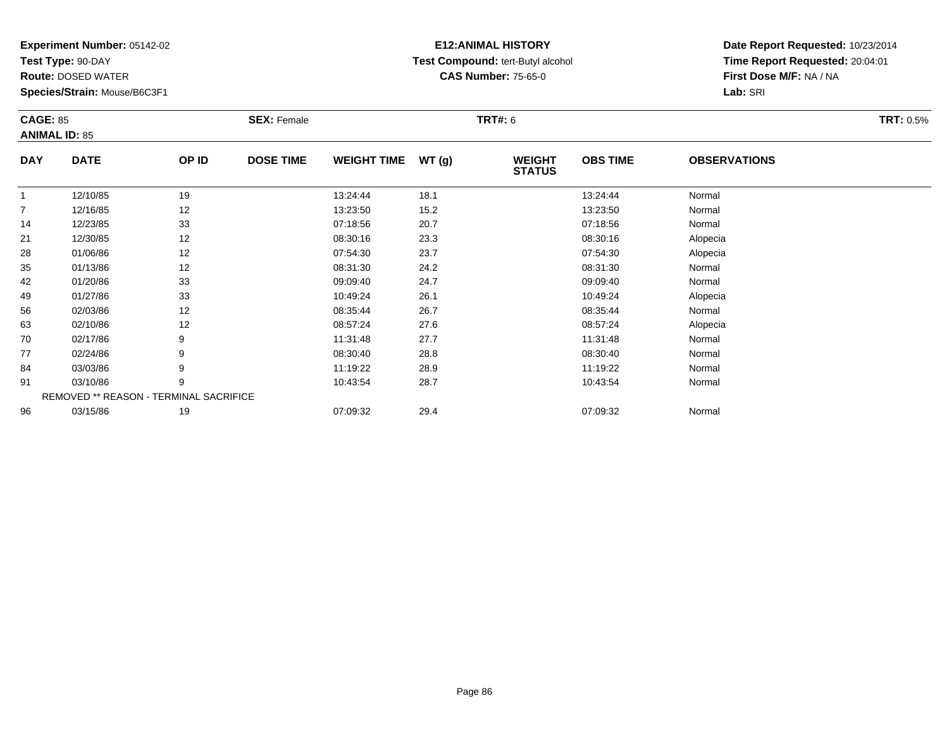**Test Type:** 90-DAY

**Route:** DOSED WATER

**Species/Strain:** Mouse/B6C3F1

# **E12:ANIMAL HISTORY Test Compound:** tert-Butyl alcohol **CAS Number:** 75-65-0

| <b>CAGE: 85</b> |                                        |       | <b>SEX: Female</b> |                    |       | <b>TRT#: 6</b>                 |                 |                     | <b>TRT: 0.5%</b> |
|-----------------|----------------------------------------|-------|--------------------|--------------------|-------|--------------------------------|-----------------|---------------------|------------------|
|                 | <b>ANIMAL ID: 85</b>                   |       |                    |                    |       |                                |                 |                     |                  |
| <b>DAY</b>      | <b>DATE</b>                            | OP ID | <b>DOSE TIME</b>   | <b>WEIGHT TIME</b> | WT(g) | <b>WEIGHT</b><br><b>STATUS</b> | <b>OBS TIME</b> | <b>OBSERVATIONS</b> |                  |
| $\mathbf{1}$    | 12/10/85                               | 19    |                    | 13:24:44           | 18.1  |                                | 13:24:44        | Normal              |                  |
| $\overline{7}$  | 12/16/85                               | 12    |                    | 13:23:50           | 15.2  |                                | 13:23:50        | Normal              |                  |
| 14              | 12/23/85                               | 33    |                    | 07:18:56           | 20.7  |                                | 07:18:56        | Normal              |                  |
| 21              | 12/30/85                               | 12    |                    | 08:30:16           | 23.3  |                                | 08:30:16        | Alopecia            |                  |
| 28              | 01/06/86                               | 12    |                    | 07:54:30           | 23.7  |                                | 07:54:30        | Alopecia            |                  |
| 35              | 01/13/86                               | 12    |                    | 08:31:30           | 24.2  |                                | 08:31:30        | Normal              |                  |
| 42              | 01/20/86                               | 33    |                    | 09:09:40           | 24.7  |                                | 09:09:40        | Normal              |                  |
| 49              | 01/27/86                               | 33    |                    | 10:49:24           | 26.1  |                                | 10:49:24        | Alopecia            |                  |
| 56              | 02/03/86                               | 12    |                    | 08:35:44           | 26.7  |                                | 08:35:44        | Normal              |                  |
| 63              | 02/10/86                               | 12    |                    | 08:57:24           | 27.6  |                                | 08:57:24        | Alopecia            |                  |
| 70              | 02/17/86                               | 9     |                    | 11:31:48           | 27.7  |                                | 11:31:48        | Normal              |                  |
| 77              | 02/24/86                               | 9     |                    | 08:30:40           | 28.8  |                                | 08:30:40        | Normal              |                  |
| 84              | 03/03/86                               | 9     |                    | 11:19:22           | 28.9  |                                | 11:19:22        | Normal              |                  |
| 91              | 03/10/86                               | 9     |                    | 10:43:54           | 28.7  |                                | 10:43:54        | Normal              |                  |
|                 | REMOVED ** REASON - TERMINAL SACRIFICE |       |                    |                    |       |                                |                 |                     |                  |
| 96              | 03/15/86                               | 19    |                    | 07:09:32           | 29.4  |                                | 07:09:32        | Normal              |                  |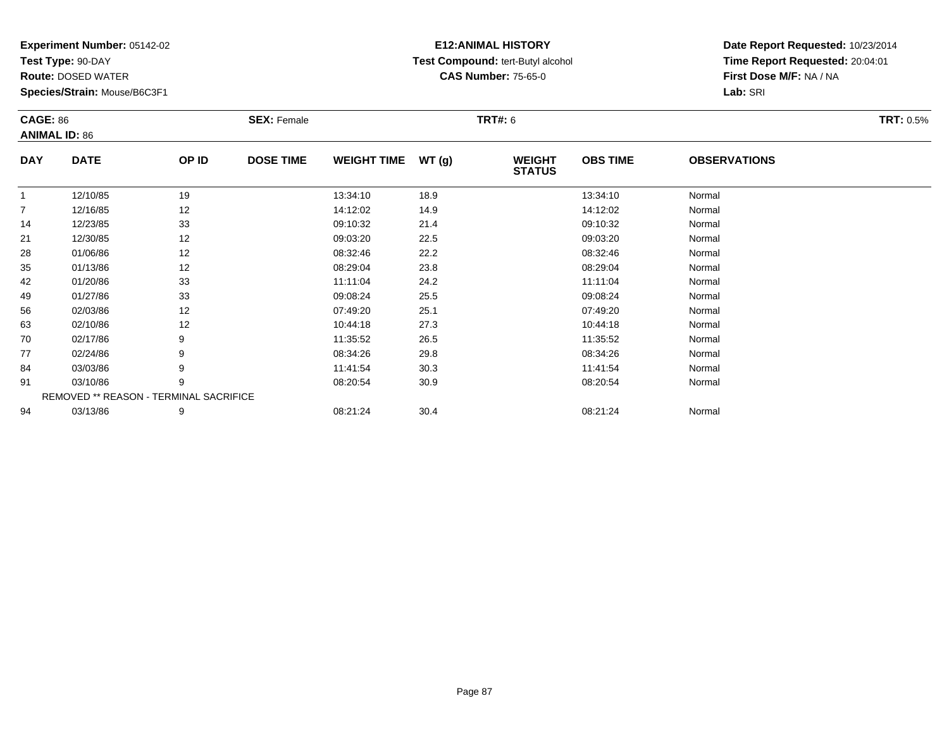**Test Type:** 90-DAY

**Route:** DOSED WATER

**Species/Strain:** Mouse/B6C3F1

# **E12:ANIMAL HISTORY Test Compound:** tert-Butyl alcohol **CAS Number:** 75-65-0

| <b>CAGE: 86</b> |                                        |       | <b>SEX: Female</b> |                    |       | <b>TRT#: 6</b>                 |                 |                     | <b>TRT: 0.5%</b> |
|-----------------|----------------------------------------|-------|--------------------|--------------------|-------|--------------------------------|-----------------|---------------------|------------------|
|                 | <b>ANIMAL ID: 86</b>                   |       |                    |                    |       |                                |                 |                     |                  |
| <b>DAY</b>      | <b>DATE</b>                            | OP ID | <b>DOSE TIME</b>   | <b>WEIGHT TIME</b> | WT(g) | <b>WEIGHT</b><br><b>STATUS</b> | <b>OBS TIME</b> | <b>OBSERVATIONS</b> |                  |
|                 | 12/10/85                               | 19    |                    | 13:34:10           | 18.9  |                                | 13:34:10        | Normal              |                  |
| $\overline{7}$  | 12/16/85                               | 12    |                    | 14:12:02           | 14.9  |                                | 14:12:02        | Normal              |                  |
| 14              | 12/23/85                               | 33    |                    | 09:10:32           | 21.4  |                                | 09:10:32        | Normal              |                  |
| 21              | 12/30/85                               | 12    |                    | 09:03:20           | 22.5  |                                | 09:03:20        | Normal              |                  |
| 28              | 01/06/86                               | 12    |                    | 08:32:46           | 22.2  |                                | 08:32:46        | Normal              |                  |
| 35              | 01/13/86                               | 12    |                    | 08:29:04           | 23.8  |                                | 08:29:04        | Normal              |                  |
| 42              | 01/20/86                               | 33    |                    | 11:11:04           | 24.2  |                                | 11:11:04        | Normal              |                  |
| 49              | 01/27/86                               | 33    |                    | 09:08:24           | 25.5  |                                | 09:08:24        | Normal              |                  |
| 56              | 02/03/86                               | 12    |                    | 07:49:20           | 25.1  |                                | 07:49:20        | Normal              |                  |
| 63              | 02/10/86                               | 12    |                    | 10:44:18           | 27.3  |                                | 10:44:18        | Normal              |                  |
| 70              | 02/17/86                               | 9     |                    | 11:35:52           | 26.5  |                                | 11:35:52        | Normal              |                  |
| 77              | 02/24/86                               | 9     |                    | 08:34:26           | 29.8  |                                | 08:34:26        | Normal              |                  |
| 84              | 03/03/86                               | 9     |                    | 11:41:54           | 30.3  |                                | 11:41:54        | Normal              |                  |
| 91              | 03/10/86                               | 9     |                    | 08:20:54           | 30.9  |                                | 08:20:54        | Normal              |                  |
|                 | REMOVED ** REASON - TERMINAL SACRIFICE |       |                    |                    |       |                                |                 |                     |                  |
| 94              | 03/13/86                               | 9     |                    | 08:21:24           | 30.4  |                                | 08:21:24        | Normal              |                  |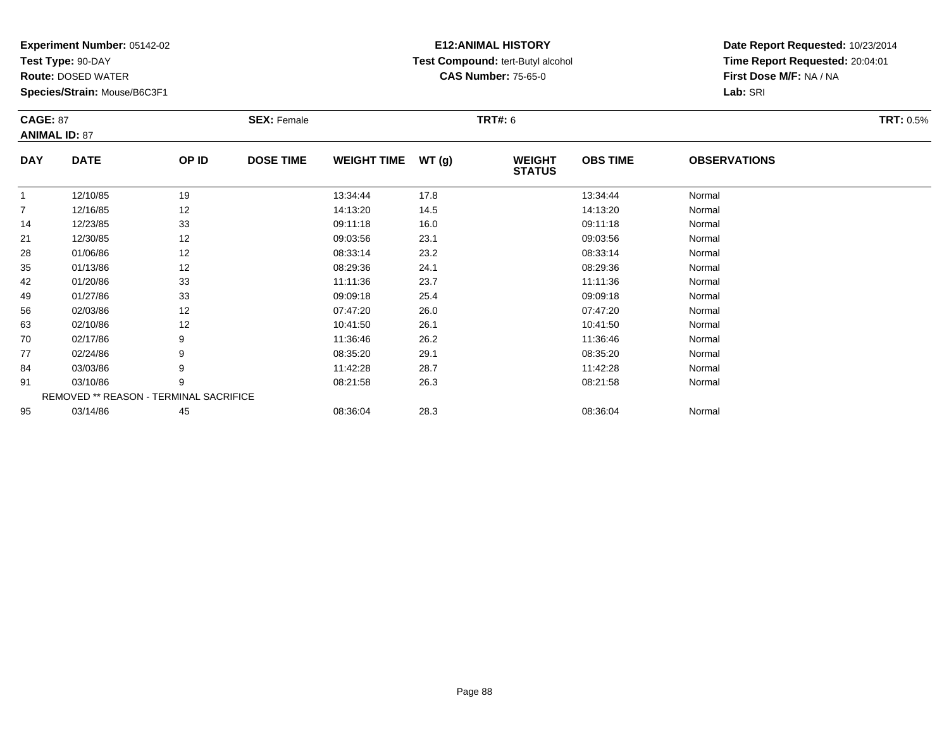**Test Type:** 90-DAY

**Route:** DOSED WATER

**Species/Strain:** Mouse/B6C3F1

# **E12:ANIMAL HISTORY Test Compound:** tert-Butyl alcohol **CAS Number:** 75-65-0

| <b>CAGE: 87</b> |                      |                                        | <b>SEX: Female</b> |                    |       | <b>TRT#: 6</b>                 |                 |                     | <b>TRT: 0.5%</b> |
|-----------------|----------------------|----------------------------------------|--------------------|--------------------|-------|--------------------------------|-----------------|---------------------|------------------|
|                 | <b>ANIMAL ID: 87</b> |                                        |                    |                    |       |                                |                 |                     |                  |
| <b>DAY</b>      | <b>DATE</b>          | OP ID                                  | <b>DOSE TIME</b>   | <b>WEIGHT TIME</b> | WT(g) | <b>WEIGHT</b><br><b>STATUS</b> | <b>OBS TIME</b> | <b>OBSERVATIONS</b> |                  |
|                 | 12/10/85             | 19                                     |                    | 13:34:44           | 17.8  |                                | 13:34:44        | Normal              |                  |
| $\overline{7}$  | 12/16/85             | 12                                     |                    | 14:13:20           | 14.5  |                                | 14:13:20        | Normal              |                  |
| 14              | 12/23/85             | 33                                     |                    | 09:11:18           | 16.0  |                                | 09:11:18        | Normal              |                  |
| 21              | 12/30/85             | 12                                     |                    | 09:03:56           | 23.1  |                                | 09:03:56        | Normal              |                  |
| 28              | 01/06/86             | 12                                     |                    | 08:33:14           | 23.2  |                                | 08:33:14        | Normal              |                  |
| 35              | 01/13/86             | 12                                     |                    | 08:29:36           | 24.1  |                                | 08:29:36        | Normal              |                  |
| 42              | 01/20/86             | 33                                     |                    | 11:11:36           | 23.7  |                                | 11:11:36        | Normal              |                  |
| 49              | 01/27/86             | 33                                     |                    | 09:09:18           | 25.4  |                                | 09:09:18        | Normal              |                  |
| 56              | 02/03/86             | 12                                     |                    | 07:47:20           | 26.0  |                                | 07:47:20        | Normal              |                  |
| 63              | 02/10/86             | 12                                     |                    | 10:41:50           | 26.1  |                                | 10:41:50        | Normal              |                  |
| 70              | 02/17/86             | 9                                      |                    | 11:36:46           | 26.2  |                                | 11:36:46        | Normal              |                  |
| 77              | 02/24/86             | 9                                      |                    | 08:35:20           | 29.1  |                                | 08:35:20        | Normal              |                  |
| 84              | 03/03/86             | 9                                      |                    | 11:42:28           | 28.7  |                                | 11:42:28        | Normal              |                  |
| 91              | 03/10/86             | 9                                      |                    | 08:21:58           | 26.3  |                                | 08:21:58        | Normal              |                  |
|                 |                      | REMOVED ** REASON - TERMINAL SACRIFICE |                    |                    |       |                                |                 |                     |                  |
| 95              | 03/14/86             | 45                                     |                    | 08:36:04           | 28.3  |                                | 08:36:04        | Normal              |                  |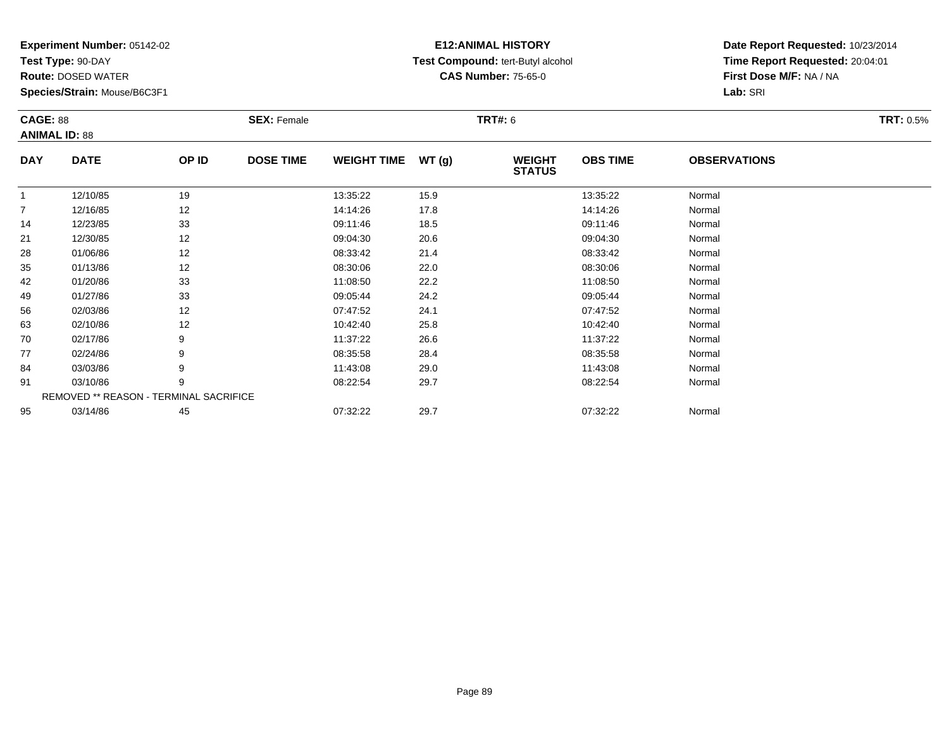**Test Type:** 90-DAY

**Route:** DOSED WATER

**Species/Strain:** Mouse/B6C3F1

# **E12:ANIMAL HISTORY Test Compound:** tert-Butyl alcohol **CAS Number:** 75-65-0

| <b>CAGE: 88</b><br><b>ANIMAL ID: 88</b> |             |                                        | <b>SEX: Female</b> |                    |       | <b>TRT#:</b> 6                 |                 |                     | <b>TRT:</b> 0.5% |
|-----------------------------------------|-------------|----------------------------------------|--------------------|--------------------|-------|--------------------------------|-----------------|---------------------|------------------|
| <b>DAY</b>                              | <b>DATE</b> | OP ID                                  | <b>DOSE TIME</b>   | <b>WEIGHT TIME</b> | WT(g) | <b>WEIGHT</b><br><b>STATUS</b> | <b>OBS TIME</b> | <b>OBSERVATIONS</b> |                  |
|                                         | 12/10/85    | 19                                     |                    | 13:35:22           | 15.9  |                                | 13:35:22        | Normal              |                  |
| $\overline{7}$                          | 12/16/85    | 12                                     |                    | 14:14:26           | 17.8  |                                | 14:14:26        | Normal              |                  |
| 14                                      | 12/23/85    | 33                                     |                    | 09:11:46           | 18.5  |                                | 09:11:46        | Normal              |                  |
| 21                                      | 12/30/85    | 12                                     |                    | 09:04:30           | 20.6  |                                | 09:04:30        | Normal              |                  |
| 28                                      | 01/06/86    | 12                                     |                    | 08:33:42           | 21.4  |                                | 08:33:42        | Normal              |                  |
| 35                                      | 01/13/86    | 12                                     |                    | 08:30:06           | 22.0  |                                | 08:30:06        | Normal              |                  |
| 42                                      | 01/20/86    | 33                                     |                    | 11:08:50           | 22.2  |                                | 11:08:50        | Normal              |                  |
| 49                                      | 01/27/86    | 33                                     |                    | 09:05:44           | 24.2  |                                | 09:05:44        | Normal              |                  |
| 56                                      | 02/03/86    | 12                                     |                    | 07:47:52           | 24.1  |                                | 07:47:52        | Normal              |                  |
| 63                                      | 02/10/86    | 12                                     |                    | 10:42:40           | 25.8  |                                | 10:42:40        | Normal              |                  |
| 70                                      | 02/17/86    | 9                                      |                    | 11:37:22           | 26.6  |                                | 11:37:22        | Normal              |                  |
| 77                                      | 02/24/86    | 9                                      |                    | 08:35:58           | 28.4  |                                | 08:35:58        | Normal              |                  |
| 84                                      | 03/03/86    | 9                                      |                    | 11:43:08           | 29.0  |                                | 11:43:08        | Normal              |                  |
| 91                                      | 03/10/86    | 9                                      |                    | 08:22:54           | 29.7  |                                | 08:22:54        | Normal              |                  |
|                                         |             | REMOVED ** REASON - TERMINAL SACRIFICE |                    |                    |       |                                |                 |                     |                  |
| 95                                      | 03/14/86    | 45                                     |                    | 07:32:22           | 29.7  |                                | 07:32:22        | Normal              |                  |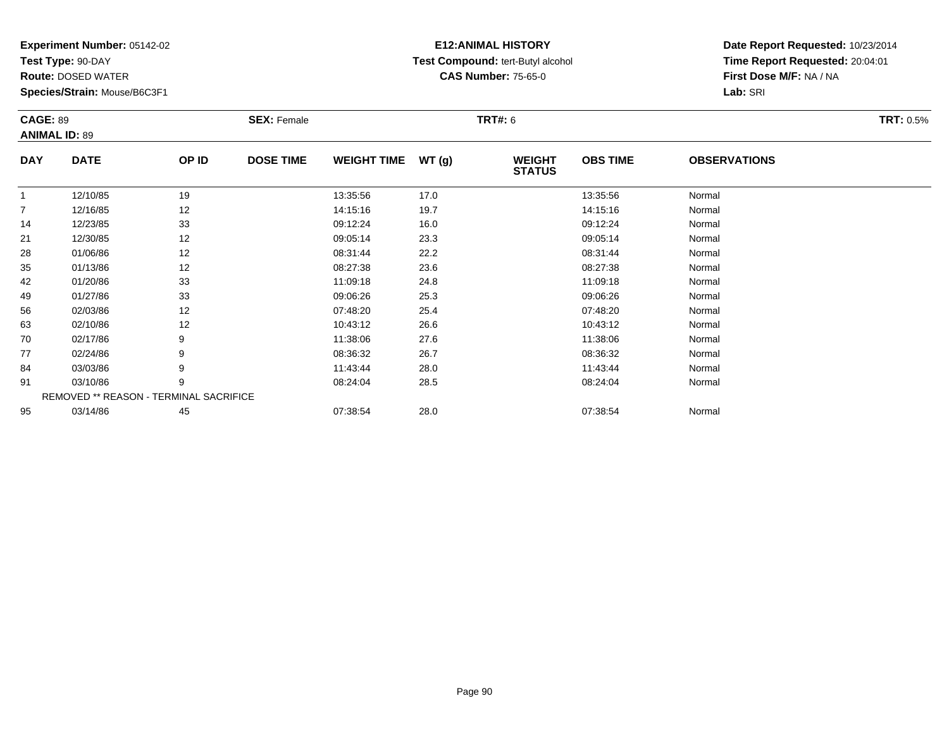**Test Type:** 90-DAY

**Route:** DOSED WATER

**Species/Strain:** Mouse/B6C3F1

# **E12:ANIMAL HISTORY Test Compound:** tert-Butyl alcohol **CAS Number:** 75-65-0

| <b>CAGE: 89</b> | <b>ANIMAL ID: 89</b>                   |       | <b>SEX: Female</b> |                    |       | <b>TRT#: 6</b>                 |                 |                     | <b>TRT: 0.5%</b> |
|-----------------|----------------------------------------|-------|--------------------|--------------------|-------|--------------------------------|-----------------|---------------------|------------------|
| <b>DAY</b>      | <b>DATE</b>                            | OP ID | <b>DOSE TIME</b>   | <b>WEIGHT TIME</b> | WT(g) | <b>WEIGHT</b><br><b>STATUS</b> | <b>OBS TIME</b> | <b>OBSERVATIONS</b> |                  |
| $\mathbf{1}$    | 12/10/85                               | 19    |                    | 13:35:56           | 17.0  |                                | 13:35:56        | Normal              |                  |
| 7               | 12/16/85                               | 12    |                    | 14:15:16           | 19.7  |                                | 14:15:16        | Normal              |                  |
| 14              | 12/23/85                               | 33    |                    | 09:12:24           | 16.0  |                                | 09:12:24        | Normal              |                  |
| 21              | 12/30/85                               | 12    |                    | 09:05:14           | 23.3  |                                | 09:05:14        | Normal              |                  |
| 28              | 01/06/86                               | 12    |                    | 08:31:44           | 22.2  |                                | 08:31:44        | Normal              |                  |
| 35              | 01/13/86                               | 12    |                    | 08:27:38           | 23.6  |                                | 08:27:38        | Normal              |                  |
| 42              | 01/20/86                               | 33    |                    | 11:09:18           | 24.8  |                                | 11:09:18        | Normal              |                  |
| 49              | 01/27/86                               | 33    |                    | 09:06:26           | 25.3  |                                | 09:06:26        | Normal              |                  |
| 56              | 02/03/86                               | 12    |                    | 07:48:20           | 25.4  |                                | 07:48:20        | Normal              |                  |
| 63              | 02/10/86                               | 12    |                    | 10:43:12           | 26.6  |                                | 10:43:12        | Normal              |                  |
| 70              | 02/17/86                               | 9     |                    | 11:38:06           | 27.6  |                                | 11:38:06        | Normal              |                  |
| 77              | 02/24/86                               | 9     |                    | 08:36:32           | 26.7  |                                | 08:36:32        | Normal              |                  |
| 84              | 03/03/86                               | 9     |                    | 11:43:44           | 28.0  |                                | 11:43:44        | Normal              |                  |
| 91              | 03/10/86                               | 9     |                    | 08:24:04           | 28.5  |                                | 08:24:04        | Normal              |                  |
|                 | REMOVED ** REASON - TERMINAL SACRIFICE |       |                    |                    |       |                                |                 |                     |                  |
| 95              | 03/14/86                               | 45    |                    | 07:38:54           | 28.0  |                                | 07:38:54        | Normal              |                  |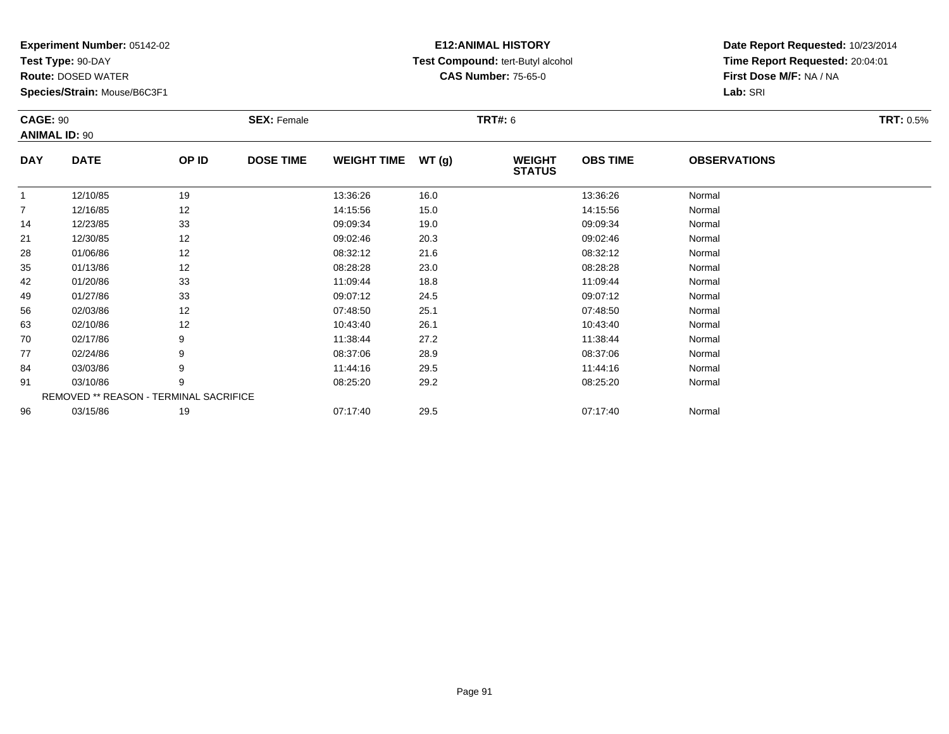**Test Type:** 90-DAY

**Route:** DOSED WATER

**Species/Strain:** Mouse/B6C3F1

# **E12:ANIMAL HISTORY Test Compound:** tert-Butyl alcohol **CAS Number:** 75-65-0

| <b>CAGE: 90</b> |                                        |       | <b>SEX: Female</b> |                    |       | <b>TRT#: 6</b>                 |                 |                     | <b>TRT: 0.5%</b> |
|-----------------|----------------------------------------|-------|--------------------|--------------------|-------|--------------------------------|-----------------|---------------------|------------------|
|                 | <b>ANIMAL ID: 90</b>                   |       |                    |                    |       |                                |                 |                     |                  |
| <b>DAY</b>      | <b>DATE</b>                            | OP ID | <b>DOSE TIME</b>   | <b>WEIGHT TIME</b> | WT(g) | <b>WEIGHT</b><br><b>STATUS</b> | <b>OBS TIME</b> | <b>OBSERVATIONS</b> |                  |
|                 | 12/10/85                               | 19    |                    | 13:36:26           | 16.0  |                                | 13:36:26        | Normal              |                  |
| $\overline{7}$  | 12/16/85                               | 12    |                    | 14:15:56           | 15.0  |                                | 14:15:56        | Normal              |                  |
| 14              | 12/23/85                               | 33    |                    | 09:09:34           | 19.0  |                                | 09:09:34        | Normal              |                  |
| 21              | 12/30/85                               | 12    |                    | 09:02:46           | 20.3  |                                | 09:02:46        | Normal              |                  |
| 28              | 01/06/86                               | 12    |                    | 08:32:12           | 21.6  |                                | 08:32:12        | Normal              |                  |
| 35              | 01/13/86                               | 12    |                    | 08:28:28           | 23.0  |                                | 08:28:28        | Normal              |                  |
| 42              | 01/20/86                               | 33    |                    | 11:09:44           | 18.8  |                                | 11:09:44        | Normal              |                  |
| 49              | 01/27/86                               | 33    |                    | 09:07:12           | 24.5  |                                | 09:07:12        | Normal              |                  |
| 56              | 02/03/86                               | 12    |                    | 07:48:50           | 25.1  |                                | 07:48:50        | Normal              |                  |
| 63              | 02/10/86                               | 12    |                    | 10:43:40           | 26.1  |                                | 10:43:40        | Normal              |                  |
| 70              | 02/17/86                               | 9     |                    | 11:38:44           | 27.2  |                                | 11:38:44        | Normal              |                  |
| 77              | 02/24/86                               | 9     |                    | 08:37:06           | 28.9  |                                | 08:37:06        | Normal              |                  |
| 84              | 03/03/86                               | 9     |                    | 11:44:16           | 29.5  |                                | 11:44:16        | Normal              |                  |
| 91              | 03/10/86                               | 9     |                    | 08:25:20           | 29.2  |                                | 08:25:20        | Normal              |                  |
|                 | REMOVED ** REASON - TERMINAL SACRIFICE |       |                    |                    |       |                                |                 |                     |                  |
| 96              | 03/15/86                               | 19    |                    | 07:17:40           | 29.5  |                                | 07:17:40        | Normal              |                  |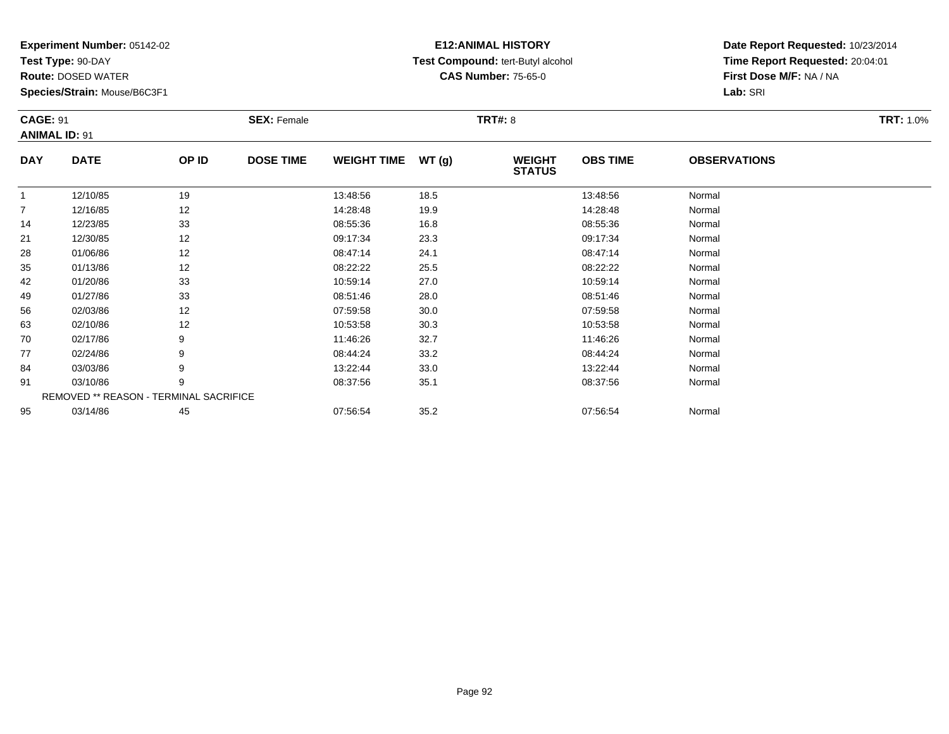**Test Type:** 90-DAY

**Route:** DOSED WATER

**Species/Strain:** Mouse/B6C3F1

# **E12:ANIMAL HISTORY Test Compound:** tert-Butyl alcohol **CAS Number:** 75-65-0

| <b>CAGE: 91</b> | <b>ANIMAL ID: 91</b>                   |       | <b>SEX: Female</b> |                    |       | <b>TRT#: 8</b>                 |                 |                     | <b>TRT: 1.0%</b> |
|-----------------|----------------------------------------|-------|--------------------|--------------------|-------|--------------------------------|-----------------|---------------------|------------------|
| <b>DAY</b>      | <b>DATE</b>                            | OP ID | <b>DOSE TIME</b>   | <b>WEIGHT TIME</b> | WT(g) | <b>WEIGHT</b><br><b>STATUS</b> | <b>OBS TIME</b> | <b>OBSERVATIONS</b> |                  |
| -1              | 12/10/85                               | 19    |                    | 13:48:56           | 18.5  |                                | 13:48:56        | Normal              |                  |
| 7               | 12/16/85                               | 12    |                    | 14:28:48           | 19.9  |                                | 14:28:48        | Normal              |                  |
| 14              | 12/23/85                               | 33    |                    | 08:55:36           | 16.8  |                                | 08:55:36        | Normal              |                  |
| 21              | 12/30/85                               | 12    |                    | 09:17:34           | 23.3  |                                | 09:17:34        | Normal              |                  |
| 28              | 01/06/86                               | 12    |                    | 08:47:14           | 24.1  |                                | 08:47:14        | Normal              |                  |
| 35              | 01/13/86                               | 12    |                    | 08:22:22           | 25.5  |                                | 08:22:22        | Normal              |                  |
| 42              | 01/20/86                               | 33    |                    | 10:59:14           | 27.0  |                                | 10:59:14        | Normal              |                  |
| 49              | 01/27/86                               | 33    |                    | 08:51:46           | 28.0  |                                | 08:51:46        | Normal              |                  |
| 56              | 02/03/86                               | 12    |                    | 07:59:58           | 30.0  |                                | 07:59:58        | Normal              |                  |
| 63              | 02/10/86                               | 12    |                    | 10:53:58           | 30.3  |                                | 10:53:58        | Normal              |                  |
| 70              | 02/17/86                               | 9     |                    | 11:46:26           | 32.7  |                                | 11:46:26        | Normal              |                  |
| 77              | 02/24/86                               | 9     |                    | 08:44:24           | 33.2  |                                | 08:44:24        | Normal              |                  |
| 84              | 03/03/86                               | 9     |                    | 13:22:44           | 33.0  |                                | 13:22:44        | Normal              |                  |
| 91              | 03/10/86                               | 9     |                    | 08:37:56           | 35.1  |                                | 08:37:56        | Normal              |                  |
|                 | REMOVED ** REASON - TERMINAL SACRIFICE |       |                    |                    |       |                                |                 |                     |                  |
| 95              | 03/14/86                               | 45    |                    | 07:56:54           | 35.2  |                                | 07:56:54        | Normal              |                  |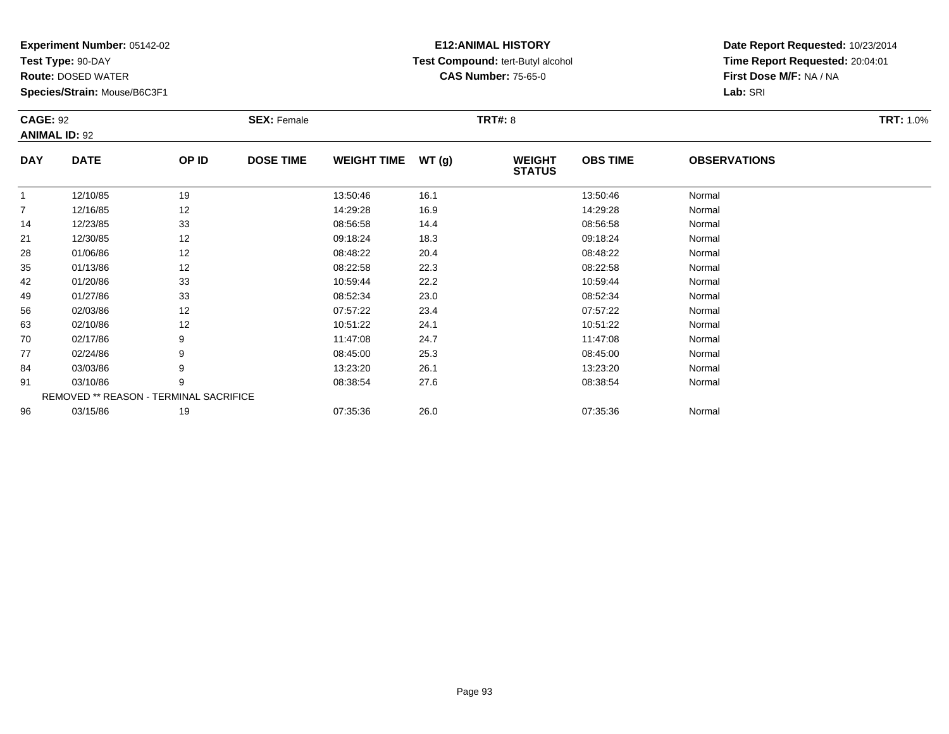**Test Type:** 90-DAY

**Route:** DOSED WATER

**Species/Strain:** Mouse/B6C3F1

# **E12:ANIMAL HISTORY Test Compound:** tert-Butyl alcohol **CAS Number:** 75-65-0

| <b>CAGE: 92</b> | <b>ANIMAL ID: 92</b>                   |       | <b>SEX: Female</b> |                    |       | <b>TRT#: 8</b>                 |                 |                     | <b>TRT: 1.0%</b> |
|-----------------|----------------------------------------|-------|--------------------|--------------------|-------|--------------------------------|-----------------|---------------------|------------------|
| <b>DAY</b>      | <b>DATE</b>                            | OP ID | <b>DOSE TIME</b>   | <b>WEIGHT TIME</b> | WT(g) | <b>WEIGHT</b><br><b>STATUS</b> | <b>OBS TIME</b> | <b>OBSERVATIONS</b> |                  |
| 1               | 12/10/85                               | 19    |                    | 13:50:46           | 16.1  |                                | 13:50:46        | Normal              |                  |
| 7               | 12/16/85                               | 12    |                    | 14:29:28           | 16.9  |                                | 14:29:28        | Normal              |                  |
| 14              | 12/23/85                               | 33    |                    | 08:56:58           | 14.4  |                                | 08:56:58        | Normal              |                  |
| 21              | 12/30/85                               | 12    |                    | 09:18:24           | 18.3  |                                | 09:18:24        | Normal              |                  |
| 28              | 01/06/86                               | 12    |                    | 08:48:22           | 20.4  |                                | 08:48:22        | Normal              |                  |
| 35              | 01/13/86                               | 12    |                    | 08:22:58           | 22.3  |                                | 08:22:58        | Normal              |                  |
| 42              | 01/20/86                               | 33    |                    | 10:59:44           | 22.2  |                                | 10:59:44        | Normal              |                  |
| 49              | 01/27/86                               | 33    |                    | 08:52:34           | 23.0  |                                | 08:52:34        | Normal              |                  |
| 56              | 02/03/86                               | 12    |                    | 07:57:22           | 23.4  |                                | 07:57:22        | Normal              |                  |
| 63              | 02/10/86                               | 12    |                    | 10:51:22           | 24.1  |                                | 10:51:22        | Normal              |                  |
| 70              | 02/17/86                               | 9     |                    | 11:47:08           | 24.7  |                                | 11:47:08        | Normal              |                  |
| 77              | 02/24/86                               | 9     |                    | 08:45:00           | 25.3  |                                | 08:45:00        | Normal              |                  |
| 84              | 03/03/86                               | 9     |                    | 13:23:20           | 26.1  |                                | 13:23:20        | Normal              |                  |
| 91              | 03/10/86                               | 9     |                    | 08:38:54           | 27.6  |                                | 08:38:54        | Normal              |                  |
|                 | REMOVED ** REASON - TERMINAL SACRIFICE |       |                    |                    |       |                                |                 |                     |                  |
| 96              | 03/15/86                               | 19    |                    | 07:35:36           | 26.0  |                                | 07:35:36        | Normal              |                  |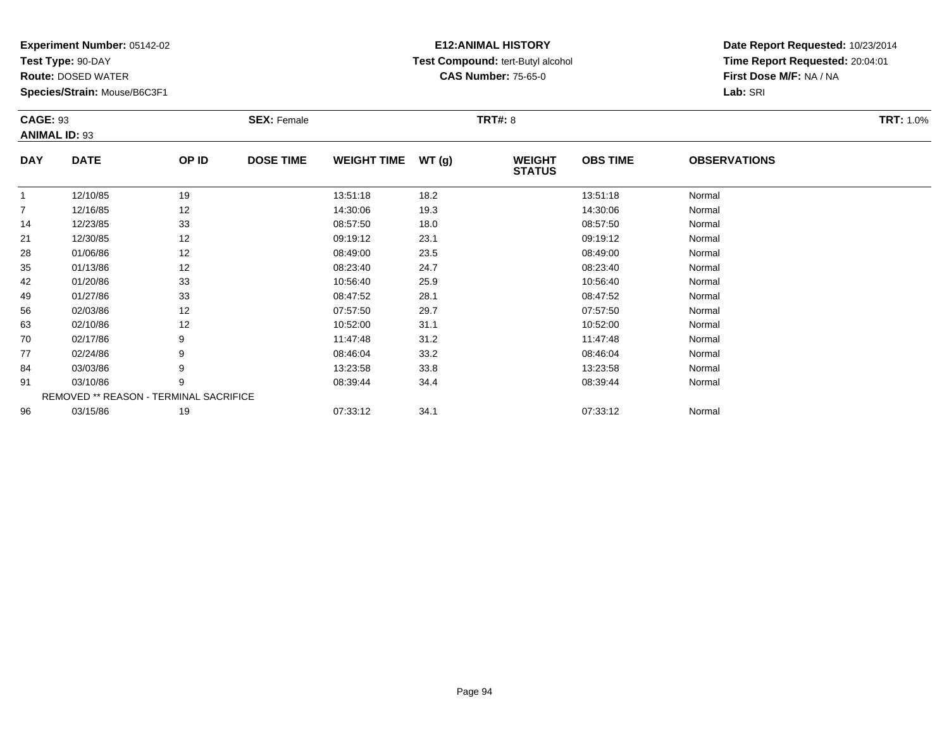**Test Type:** 90-DAY

**Route:** DOSED WATER

**Species/Strain:** Mouse/B6C3F1

# **E12:ANIMAL HISTORY Test Compound:** tert-Butyl alcohol **CAS Number:** 75-65-0

| <b>CAGE: 93</b>      |             |                                        | <b>SEX: Female</b> |                    |       | <b>TRT#: 8</b>                 |                 |                     | <b>TRT: 1.0%</b> |
|----------------------|-------------|----------------------------------------|--------------------|--------------------|-------|--------------------------------|-----------------|---------------------|------------------|
| <b>ANIMAL ID: 93</b> |             |                                        |                    |                    |       |                                |                 |                     |                  |
| <b>DAY</b>           | <b>DATE</b> | OP ID                                  | <b>DOSE TIME</b>   | <b>WEIGHT TIME</b> | WT(g) | <b>WEIGHT</b><br><b>STATUS</b> | <b>OBS TIME</b> | <b>OBSERVATIONS</b> |                  |
| 1                    | 12/10/85    | 19                                     |                    | 13:51:18           | 18.2  |                                | 13:51:18        | Normal              |                  |
| 7                    | 12/16/85    | 12                                     |                    | 14:30:06           | 19.3  |                                | 14:30:06        | Normal              |                  |
| 14                   | 12/23/85    | 33                                     |                    | 08:57:50           | 18.0  |                                | 08:57:50        | Normal              |                  |
| 21                   | 12/30/85    | 12                                     |                    | 09:19:12           | 23.1  |                                | 09:19:12        | Normal              |                  |
| 28                   | 01/06/86    | 12                                     |                    | 08:49:00           | 23.5  |                                | 08:49:00        | Normal              |                  |
| 35                   | 01/13/86    | 12                                     |                    | 08:23:40           | 24.7  |                                | 08:23:40        | Normal              |                  |
| 42                   | 01/20/86    | 33                                     |                    | 10:56:40           | 25.9  |                                | 10:56:40        | Normal              |                  |
| 49                   | 01/27/86    | 33                                     |                    | 08:47:52           | 28.1  |                                | 08:47:52        | Normal              |                  |
| 56                   | 02/03/86    | 12                                     |                    | 07:57:50           | 29.7  |                                | 07:57:50        | Normal              |                  |
| 63                   | 02/10/86    | 12                                     |                    | 10:52:00           | 31.1  |                                | 10:52:00        | Normal              |                  |
| 70                   | 02/17/86    | 9                                      |                    | 11:47:48           | 31.2  |                                | 11:47:48        | Normal              |                  |
| 77                   | 02/24/86    | 9                                      |                    | 08:46:04           | 33.2  |                                | 08:46:04        | Normal              |                  |
| 84                   | 03/03/86    | 9                                      |                    | 13:23:58           | 33.8  |                                | 13:23:58        | Normal              |                  |
| 91                   | 03/10/86    | 9                                      |                    | 08:39:44           | 34.4  |                                | 08:39:44        | Normal              |                  |
|                      |             | REMOVED ** REASON - TERMINAL SACRIFICE |                    |                    |       |                                |                 |                     |                  |
| 96                   | 03/15/86    | 19                                     |                    | 07:33:12           | 34.1  |                                | 07:33:12        | Normal              |                  |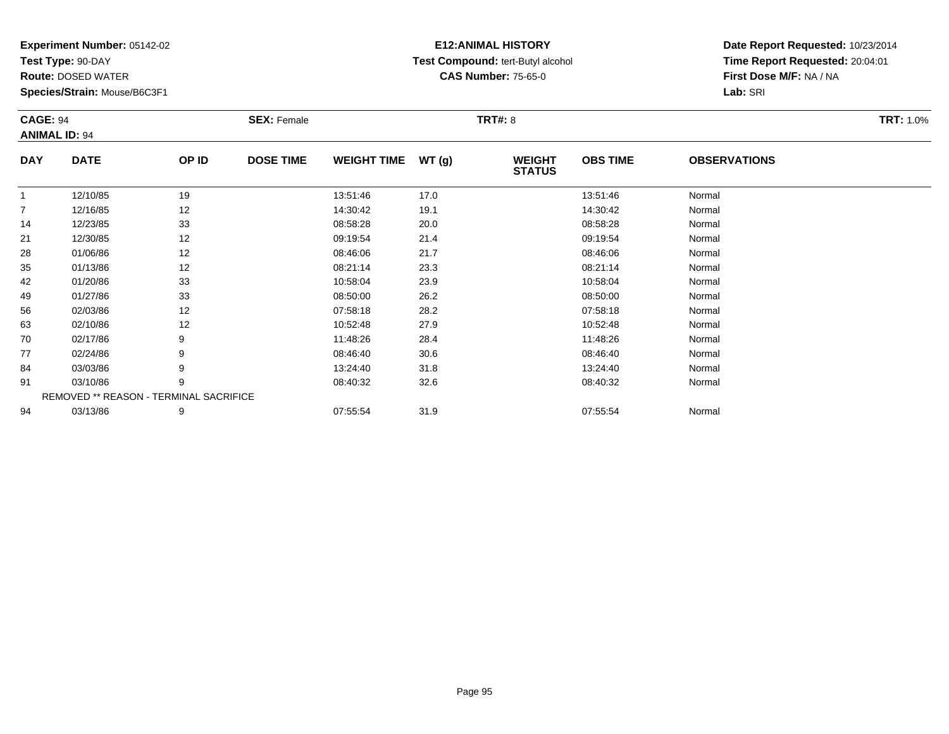**Test Type:** 90-DAY

**Route:** DOSED WATER

**Species/Strain:** Mouse/B6C3F1

# **E12:ANIMAL HISTORY Test Compound:** tert-Butyl alcohol **CAS Number:** 75-65-0

| <b>CAGE: 94</b> | <b>ANIMAL ID: 94</b>                   |       | <b>SEX: Female</b> |                    |       | <b>TRT#: 8</b>                 |                 |                     | <b>TRT: 1.0%</b> |
|-----------------|----------------------------------------|-------|--------------------|--------------------|-------|--------------------------------|-----------------|---------------------|------------------|
| <b>DAY</b>      | <b>DATE</b>                            | OP ID | <b>DOSE TIME</b>   | <b>WEIGHT TIME</b> | WT(g) | <b>WEIGHT</b><br><b>STATUS</b> | <b>OBS TIME</b> | <b>OBSERVATIONS</b> |                  |
| $\mathbf{1}$    | 12/10/85                               | 19    |                    | 13:51:46           | 17.0  |                                | 13:51:46        | Normal              |                  |
| 7               | 12/16/85                               | 12    |                    | 14:30:42           | 19.1  |                                | 14:30:42        | Normal              |                  |
| 14              | 12/23/85                               | 33    |                    | 08:58:28           | 20.0  |                                | 08:58:28        | Normal              |                  |
| 21              | 12/30/85                               | 12    |                    | 09:19:54           | 21.4  |                                | 09:19:54        | Normal              |                  |
| 28              | 01/06/86                               | 12    |                    | 08:46:06           | 21.7  |                                | 08:46:06        | Normal              |                  |
| 35              | 01/13/86                               | 12    |                    | 08:21:14           | 23.3  |                                | 08:21:14        | Normal              |                  |
| 42              | 01/20/86                               | 33    |                    | 10:58:04           | 23.9  |                                | 10:58:04        | Normal              |                  |
| 49              | 01/27/86                               | 33    |                    | 08:50:00           | 26.2  |                                | 08:50:00        | Normal              |                  |
| 56              | 02/03/86                               | 12    |                    | 07:58:18           | 28.2  |                                | 07:58:18        | Normal              |                  |
| 63              | 02/10/86                               | 12    |                    | 10:52:48           | 27.9  |                                | 10:52:48        | Normal              |                  |
| 70              | 02/17/86                               | 9     |                    | 11:48:26           | 28.4  |                                | 11:48:26        | Normal              |                  |
| 77              | 02/24/86                               | 9     |                    | 08:46:40           | 30.6  |                                | 08:46:40        | Normal              |                  |
| 84              | 03/03/86                               | 9     |                    | 13:24:40           | 31.8  |                                | 13:24:40        | Normal              |                  |
| 91              | 03/10/86                               | 9     |                    | 08:40:32           | 32.6  |                                | 08:40:32        | Normal              |                  |
|                 | REMOVED ** REASON - TERMINAL SACRIFICE |       |                    |                    |       |                                |                 |                     |                  |
| 94              | 03/13/86                               | 9     |                    | 07:55:54           | 31.9  |                                | 07:55:54        | Normal              |                  |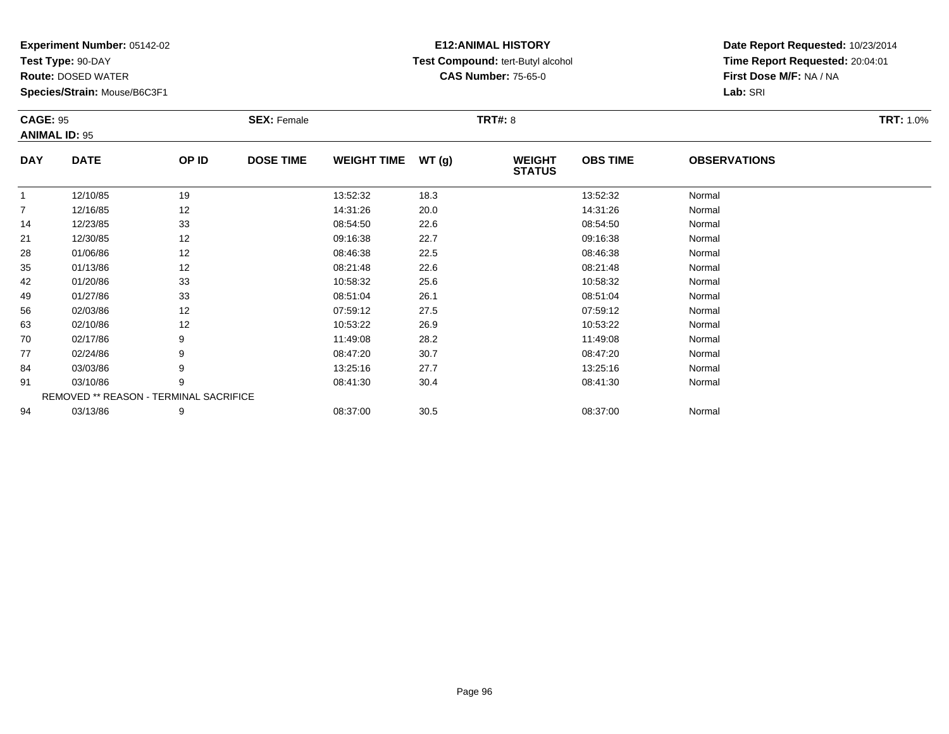**Test Type:** 90-DAY

**Route:** DOSED WATER

**Species/Strain:** Mouse/B6C3F1

# **E12:ANIMAL HISTORY Test Compound:** tert-Butyl alcohol **CAS Number:** 75-65-0

| <b>CAGE: 95</b><br><b>ANIMAL ID: 95</b> |             |                                        | <b>SEX: Female</b> |                    |      | <b>TRT#: 8</b>                 |                 |                     | <b>TRT: 1.0%</b> |
|-----------------------------------------|-------------|----------------------------------------|--------------------|--------------------|------|--------------------------------|-----------------|---------------------|------------------|
| <b>DAY</b>                              | <b>DATE</b> | OP ID                                  | <b>DOSE TIME</b>   | WEIGHT TIME WT (g) |      | <b>WEIGHT</b><br><b>STATUS</b> | <b>OBS TIME</b> | <b>OBSERVATIONS</b> |                  |
| $\overline{1}$                          | 12/10/85    | 19                                     |                    | 13:52:32           | 18.3 |                                | 13:52:32        | Normal              |                  |
| $\overline{7}$                          | 12/16/85    | 12                                     |                    | 14:31:26           | 20.0 |                                | 14:31:26        | Normal              |                  |
| 14                                      | 12/23/85    | 33                                     |                    | 08:54:50           | 22.6 |                                | 08:54:50        | Normal              |                  |
| 21                                      | 12/30/85    | 12                                     |                    | 09:16:38           | 22.7 |                                | 09:16:38        | Normal              |                  |
| 28                                      | 01/06/86    | 12                                     |                    | 08:46:38           | 22.5 |                                | 08:46:38        | Normal              |                  |
| 35                                      | 01/13/86    | 12                                     |                    | 08:21:48           | 22.6 |                                | 08:21:48        | Normal              |                  |
| 42                                      | 01/20/86    | 33                                     |                    | 10:58:32           | 25.6 |                                | 10:58:32        | Normal              |                  |
| 49                                      | 01/27/86    | 33                                     |                    | 08:51:04           | 26.1 |                                | 08:51:04        | Normal              |                  |
| 56                                      | 02/03/86    | 12                                     |                    | 07:59:12           | 27.5 |                                | 07:59:12        | Normal              |                  |
| 63                                      | 02/10/86    | 12                                     |                    | 10:53:22           | 26.9 |                                | 10:53:22        | Normal              |                  |
| 70                                      | 02/17/86    |                                        |                    | 11:49:08           | 28.2 |                                | 11:49:08        | Normal              |                  |
| 77                                      | 02/24/86    | 9                                      |                    | 08:47:20           | 30.7 |                                | 08:47:20        | Normal              |                  |
| 84                                      | 03/03/86    |                                        |                    | 13:25:16           | 27.7 |                                | 13:25:16        | Normal              |                  |
| 91                                      | 03/10/86    | 9                                      |                    | 08:41:30           | 30.4 |                                | 08:41:30        | Normal              |                  |
|                                         |             | REMOVED ** REASON - TERMINAL SACRIFICE |                    |                    |      |                                |                 |                     |                  |
| 94                                      | 03/13/86    | 9                                      |                    | 08:37:00           | 30.5 |                                | 08:37:00        | Normal              |                  |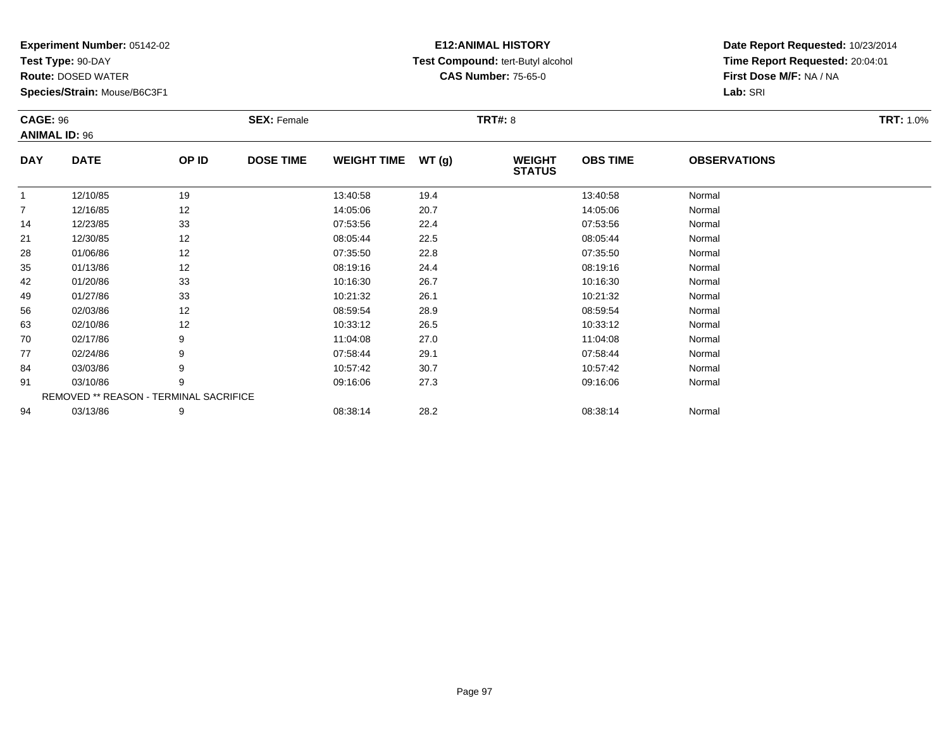**Test Type:** 90-DAY

**Route:** DOSED WATER

**Species/Strain:** Mouse/B6C3F1

# **E12:ANIMAL HISTORY Test Compound:** tert-Butyl alcohol **CAS Number:** 75-65-0

| <b>CAGE: 96</b> |                                        |       | <b>SEX: Female</b> |                    |       | <b>TRT#: 8</b>                 |                 |                     | <b>TRT: 1.0%</b> |
|-----------------|----------------------------------------|-------|--------------------|--------------------|-------|--------------------------------|-----------------|---------------------|------------------|
|                 | <b>ANIMAL ID: 96</b>                   |       |                    |                    |       |                                |                 |                     |                  |
| <b>DAY</b>      | <b>DATE</b>                            | OP ID | <b>DOSE TIME</b>   | <b>WEIGHT TIME</b> | WT(g) | <b>WEIGHT</b><br><b>STATUS</b> | <b>OBS TIME</b> | <b>OBSERVATIONS</b> |                  |
| $\mathbf{1}$    | 12/10/85                               | 19    |                    | 13:40:58           | 19.4  |                                | 13:40:58        | Normal              |                  |
| $\overline{7}$  | 12/16/85                               | 12    |                    | 14:05:06           | 20.7  |                                | 14:05:06        | Normal              |                  |
| 14              | 12/23/85                               | 33    |                    | 07:53:56           | 22.4  |                                | 07:53:56        | Normal              |                  |
| 21              | 12/30/85                               | 12    |                    | 08:05:44           | 22.5  |                                | 08:05:44        | Normal              |                  |
| 28              | 01/06/86                               | 12    |                    | 07:35:50           | 22.8  |                                | 07:35:50        | Normal              |                  |
| 35              | 01/13/86                               | 12    |                    | 08:19:16           | 24.4  |                                | 08:19:16        | Normal              |                  |
| 42              | 01/20/86                               | 33    |                    | 10:16:30           | 26.7  |                                | 10:16:30        | Normal              |                  |
| 49              | 01/27/86                               | 33    |                    | 10:21:32           | 26.1  |                                | 10:21:32        | Normal              |                  |
| 56              | 02/03/86                               | 12    |                    | 08:59:54           | 28.9  |                                | 08:59:54        | Normal              |                  |
| 63              | 02/10/86                               | 12    |                    | 10:33:12           | 26.5  |                                | 10:33:12        | Normal              |                  |
| 70              | 02/17/86                               | 9     |                    | 11:04:08           | 27.0  |                                | 11:04:08        | Normal              |                  |
| 77              | 02/24/86                               | 9     |                    | 07:58:44           | 29.1  |                                | 07:58:44        | Normal              |                  |
| 84              | 03/03/86                               | 9     |                    | 10:57:42           | 30.7  |                                | 10:57:42        | Normal              |                  |
| 91              | 03/10/86                               | 9     |                    | 09:16:06           | 27.3  |                                | 09:16:06        | Normal              |                  |
|                 | REMOVED ** REASON - TERMINAL SACRIFICE |       |                    |                    |       |                                |                 |                     |                  |
| 94              | 03/13/86                               | 9     |                    | 08:38:14           | 28.2  |                                | 08:38:14        | Normal              |                  |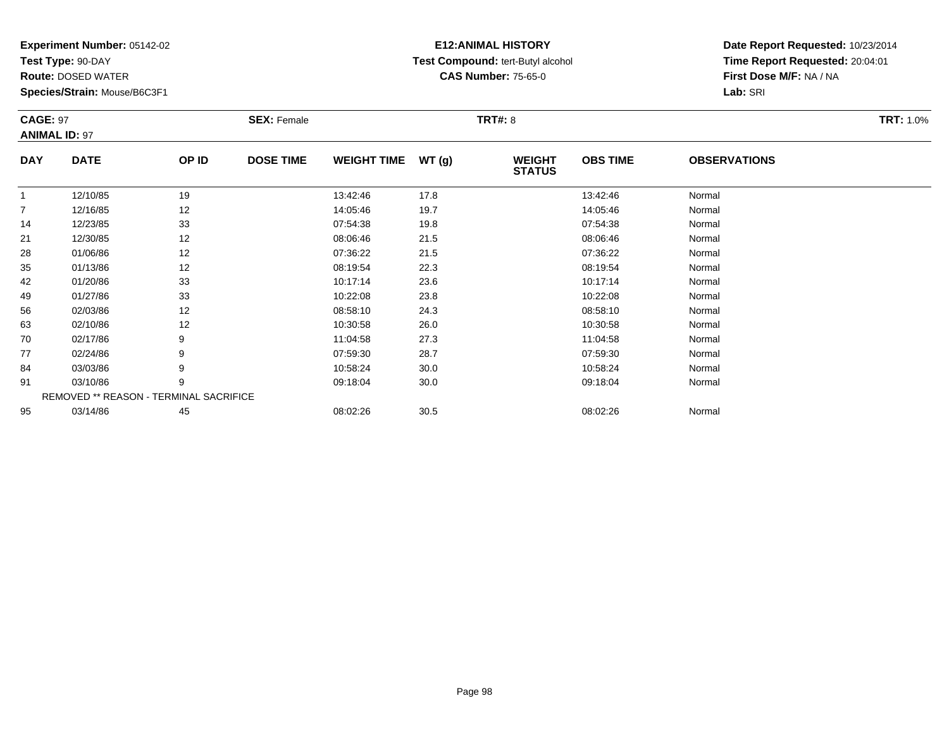**Test Type:** 90-DAY

**Route:** DOSED WATER

**Species/Strain:** Mouse/B6C3F1

# **E12:ANIMAL HISTORY Test Compound:** tert-Butyl alcohol **CAS Number:** 75-65-0

| <b>CAGE: 97</b> | <b>ANIMAL ID: 97</b>                   |       | <b>SEX: Female</b> |                    |       | <b>TRT#: 8</b>                 |                 |                     | <b>TRT: 1.0%</b> |
|-----------------|----------------------------------------|-------|--------------------|--------------------|-------|--------------------------------|-----------------|---------------------|------------------|
| <b>DAY</b>      | <b>DATE</b>                            | OP ID | <b>DOSE TIME</b>   | <b>WEIGHT TIME</b> | WT(g) | <b>WEIGHT</b><br><b>STATUS</b> | <b>OBS TIME</b> | <b>OBSERVATIONS</b> |                  |
|                 | 12/10/85                               | 19    |                    | 13:42:46           | 17.8  |                                | 13:42:46        | Normal              |                  |
| $\overline{7}$  | 12/16/85                               | 12    |                    | 14:05:46           | 19.7  |                                | 14:05:46        | Normal              |                  |
| 14              | 12/23/85                               | 33    |                    | 07:54:38           | 19.8  |                                | 07:54:38        | Normal              |                  |
| 21              | 12/30/85                               | 12    |                    | 08:06:46           | 21.5  |                                | 08:06:46        | Normal              |                  |
| 28              | 01/06/86                               | 12    |                    | 07:36:22           | 21.5  |                                | 07:36:22        | Normal              |                  |
| 35              | 01/13/86                               | 12    |                    | 08:19:54           | 22.3  |                                | 08:19:54        | Normal              |                  |
| 42              | 01/20/86                               | 33    |                    | 10:17:14           | 23.6  |                                | 10:17:14        | Normal              |                  |
| 49              | 01/27/86                               | 33    |                    | 10:22:08           | 23.8  |                                | 10:22:08        | Normal              |                  |
| 56              | 02/03/86                               | 12    |                    | 08:58:10           | 24.3  |                                | 08:58:10        | Normal              |                  |
| 63              | 02/10/86                               | 12    |                    | 10:30:58           | 26.0  |                                | 10:30:58        | Normal              |                  |
| 70              | 02/17/86                               | 9     |                    | 11:04:58           | 27.3  |                                | 11:04:58        | Normal              |                  |
| 77              | 02/24/86                               | 9     |                    | 07:59:30           | 28.7  |                                | 07:59:30        | Normal              |                  |
| 84              | 03/03/86                               | 9     |                    | 10:58:24           | 30.0  |                                | 10:58:24        | Normal              |                  |
| 91              | 03/10/86                               | 9     |                    | 09:18:04           | 30.0  |                                | 09:18:04        | Normal              |                  |
|                 | REMOVED ** REASON - TERMINAL SACRIFICE |       |                    |                    |       |                                |                 |                     |                  |
| 95              | 03/14/86                               | 45    |                    | 08:02:26           | 30.5  |                                | 08:02:26        | Normal              |                  |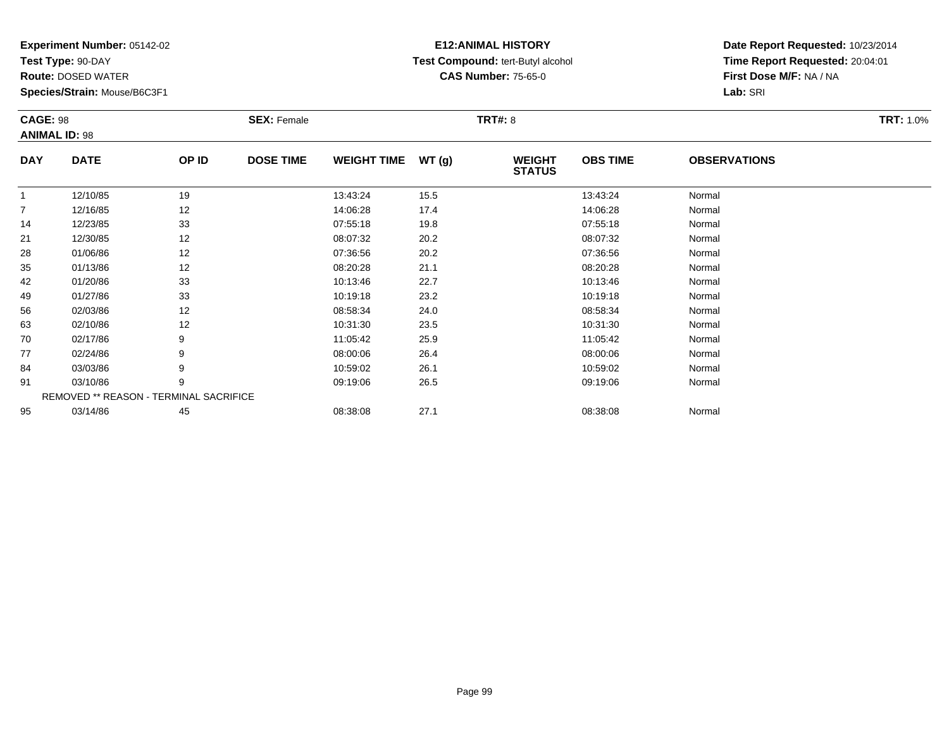**Test Type:** 90-DAY

**Route:** DOSED WATER

**Species/Strain:** Mouse/B6C3F1

# **E12:ANIMAL HISTORY Test Compound:** tert-Butyl alcohol **CAS Number:** 75-65-0

| <b>CAGE: 98</b>      |                                        |       | <b>SEX: Female</b> |                    |       | <b>TRT#: 8</b>                 |                 |                     | <b>TRT: 1.0%</b> |
|----------------------|----------------------------------------|-------|--------------------|--------------------|-------|--------------------------------|-----------------|---------------------|------------------|
| <b>ANIMAL ID: 98</b> |                                        |       |                    |                    |       |                                |                 |                     |                  |
| <b>DAY</b>           | <b>DATE</b>                            | OP ID | <b>DOSE TIME</b>   | <b>WEIGHT TIME</b> | WT(g) | <b>WEIGHT</b><br><b>STATUS</b> | <b>OBS TIME</b> | <b>OBSERVATIONS</b> |                  |
| $\mathbf{1}$         | 12/10/85                               | 19    |                    | 13:43:24           | 15.5  |                                | 13:43:24        | Normal              |                  |
| 7                    | 12/16/85                               | 12    |                    | 14:06:28           | 17.4  |                                | 14:06:28        | Normal              |                  |
| 14                   | 12/23/85                               | 33    |                    | 07:55:18           | 19.8  |                                | 07:55:18        | Normal              |                  |
| 21                   | 12/30/85                               | 12    |                    | 08:07:32           | 20.2  |                                | 08:07:32        | Normal              |                  |
| 28                   | 01/06/86                               | 12    |                    | 07:36:56           | 20.2  |                                | 07:36:56        | Normal              |                  |
| 35                   | 01/13/86                               | 12    |                    | 08:20:28           | 21.1  |                                | 08:20:28        | Normal              |                  |
| 42                   | 01/20/86                               | 33    |                    | 10:13:46           | 22.7  |                                | 10:13:46        | Normal              |                  |
| 49                   | 01/27/86                               | 33    |                    | 10:19:18           | 23.2  |                                | 10:19:18        | Normal              |                  |
| 56                   | 02/03/86                               | 12    |                    | 08:58:34           | 24.0  |                                | 08:58:34        | Normal              |                  |
| 63                   | 02/10/86                               | 12    |                    | 10:31:30           | 23.5  |                                | 10:31:30        | Normal              |                  |
| 70                   | 02/17/86                               | 9     |                    | 11:05:42           | 25.9  |                                | 11:05:42        | Normal              |                  |
| 77                   | 02/24/86                               | 9     |                    | 08:00:06           | 26.4  |                                | 08:00:06        | Normal              |                  |
| 84                   | 03/03/86                               | 9     |                    | 10:59:02           | 26.1  |                                | 10:59:02        | Normal              |                  |
| 91                   | 03/10/86                               | 9     |                    | 09:19:06           | 26.5  |                                | 09:19:06        | Normal              |                  |
|                      | REMOVED ** REASON - TERMINAL SACRIFICE |       |                    |                    |       |                                |                 |                     |                  |
| 95                   | 03/14/86                               | 45    |                    | 08:38:08           | 27.1  |                                | 08:38:08        | Normal              |                  |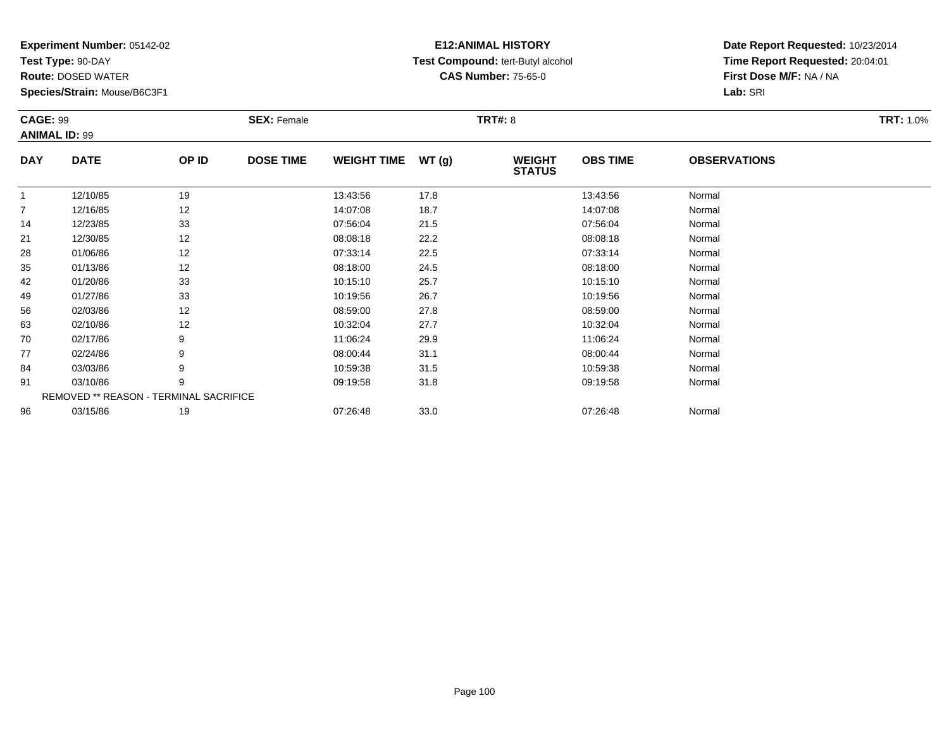**Test Type:** 90-DAY

**Route:** DOSED WATER

**Species/Strain:** Mouse/B6C3F1

# **E12:ANIMAL HISTORY Test Compound:** tert-Butyl alcohol **CAS Number:** 75-65-0

| <b>CAGE: 99</b> |                      |                                        | <b>SEX: Female</b> |                    |       | <b>TRT#: 8</b>                 |                 |                     | <b>TRT: 1.0%</b> |
|-----------------|----------------------|----------------------------------------|--------------------|--------------------|-------|--------------------------------|-----------------|---------------------|------------------|
|                 | <b>ANIMAL ID: 99</b> |                                        |                    |                    |       |                                |                 |                     |                  |
| <b>DAY</b>      | <b>DATE</b>          | OP ID                                  | <b>DOSE TIME</b>   | <b>WEIGHT TIME</b> | WT(g) | <b>WEIGHT</b><br><b>STATUS</b> | <b>OBS TIME</b> | <b>OBSERVATIONS</b> |                  |
| $\mathbf{1}$    | 12/10/85             | 19                                     |                    | 13:43:56           | 17.8  |                                | 13:43:56        | Normal              |                  |
| $\overline{7}$  | 12/16/85             | 12                                     |                    | 14:07:08           | 18.7  |                                | 14:07:08        | Normal              |                  |
| 14              | 12/23/85             | 33                                     |                    | 07:56:04           | 21.5  |                                | 07:56:04        | Normal              |                  |
| 21              | 12/30/85             | 12                                     |                    | 08:08:18           | 22.2  |                                | 08:08:18        | Normal              |                  |
| 28              | 01/06/86             | 12                                     |                    | 07:33:14           | 22.5  |                                | 07:33:14        | Normal              |                  |
| 35              | 01/13/86             | 12                                     |                    | 08:18:00           | 24.5  |                                | 08:18:00        | Normal              |                  |
| 42              | 01/20/86             | 33                                     |                    | 10:15:10           | 25.7  |                                | 10:15:10        | Normal              |                  |
| 49              | 01/27/86             | 33                                     |                    | 10:19:56           | 26.7  |                                | 10:19:56        | Normal              |                  |
| 56              | 02/03/86             | 12                                     |                    | 08:59:00           | 27.8  |                                | 08:59:00        | Normal              |                  |
| 63              | 02/10/86             | 12                                     |                    | 10:32:04           | 27.7  |                                | 10:32:04        | Normal              |                  |
| 70              | 02/17/86             | 9                                      |                    | 11:06:24           | 29.9  |                                | 11:06:24        | Normal              |                  |
| 77              | 02/24/86             | 9                                      |                    | 08:00:44           | 31.1  |                                | 08:00:44        | Normal              |                  |
| 84              | 03/03/86             | 9                                      |                    | 10:59:38           | 31.5  |                                | 10:59:38        | Normal              |                  |
| 91              | 03/10/86             | 9                                      |                    | 09:19:58           | 31.8  |                                | 09:19:58        | Normal              |                  |
|                 |                      | REMOVED ** REASON - TERMINAL SACRIFICE |                    |                    |       |                                |                 |                     |                  |
| 96              | 03/15/86             | 19                                     |                    | 07:26:48           | 33.0  |                                | 07:26:48        | Normal              |                  |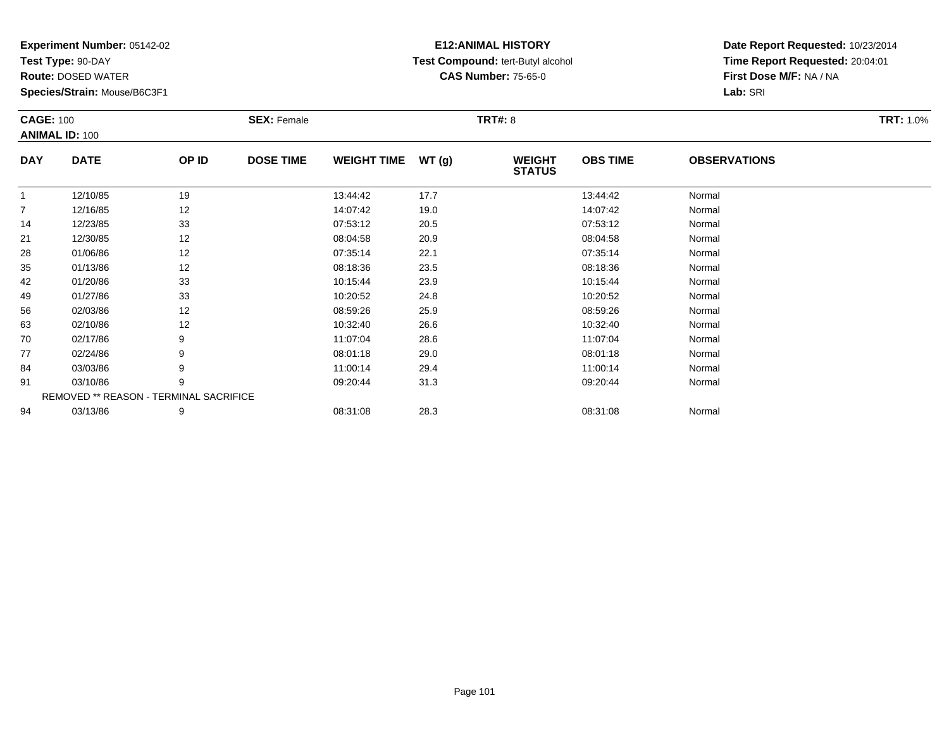**Test Type:** 90-DAY

**Route:** DOSED WATER

**Species/Strain:** Mouse/B6C3F1

# **E12:ANIMAL HISTORY Test Compound:** tert-Butyl alcohol **CAS Number:** 75-65-0

| <b>CAGE: 100</b> |                                        |       | <b>SEX: Female</b> |                    |       | <b>TRT#: 8</b>                 |                 |                     | <b>TRT: 1.0%</b> |
|------------------|----------------------------------------|-------|--------------------|--------------------|-------|--------------------------------|-----------------|---------------------|------------------|
|                  | <b>ANIMAL ID: 100</b>                  |       |                    |                    |       |                                |                 |                     |                  |
| <b>DAY</b>       | <b>DATE</b>                            | OP ID | <b>DOSE TIME</b>   | <b>WEIGHT TIME</b> | WT(g) | <b>WEIGHT</b><br><b>STATUS</b> | <b>OBS TIME</b> | <b>OBSERVATIONS</b> |                  |
| $\mathbf{1}$     | 12/10/85                               | 19    |                    | 13:44:42           | 17.7  |                                | 13:44:42        | Normal              |                  |
| $\overline{7}$   | 12/16/85                               | 12    |                    | 14:07:42           | 19.0  |                                | 14:07:42        | Normal              |                  |
| 14               | 12/23/85                               | 33    |                    | 07:53:12           | 20.5  |                                | 07:53:12        | Normal              |                  |
| 21               | 12/30/85                               | 12    |                    | 08:04:58           | 20.9  |                                | 08:04:58        | Normal              |                  |
| 28               | 01/06/86                               | 12    |                    | 07:35:14           | 22.1  |                                | 07:35:14        | Normal              |                  |
| 35               | 01/13/86                               | 12    |                    | 08:18:36           | 23.5  |                                | 08:18:36        | Normal              |                  |
| 42               | 01/20/86                               | 33    |                    | 10:15:44           | 23.9  |                                | 10:15:44        | Normal              |                  |
| 49               | 01/27/86                               | 33    |                    | 10:20:52           | 24.8  |                                | 10:20:52        | Normal              |                  |
| 56               | 02/03/86                               | 12    |                    | 08:59:26           | 25.9  |                                | 08:59:26        | Normal              |                  |
| 63               | 02/10/86                               | 12    |                    | 10:32:40           | 26.6  |                                | 10:32:40        | Normal              |                  |
| 70               | 02/17/86                               | 9     |                    | 11:07:04           | 28.6  |                                | 11:07:04        | Normal              |                  |
| 77               | 02/24/86                               | 9     |                    | 08:01:18           | 29.0  |                                | 08:01:18        | Normal              |                  |
| 84               | 03/03/86                               | 9     |                    | 11:00:14           | 29.4  |                                | 11:00:14        | Normal              |                  |
| 91               | 03/10/86                               | 9     |                    | 09:20:44           | 31.3  |                                | 09:20:44        | Normal              |                  |
|                  | REMOVED ** REASON - TERMINAL SACRIFICE |       |                    |                    |       |                                |                 |                     |                  |
| 94               | 03/13/86                               | 9     |                    | 08:31:08           | 28.3  |                                | 08:31:08        | Normal              |                  |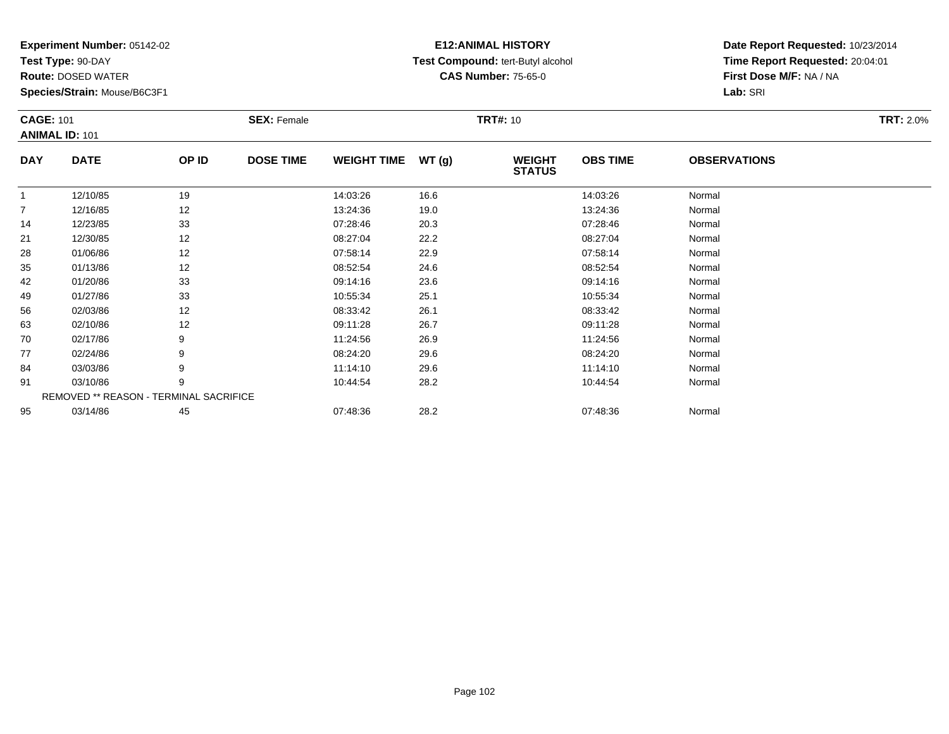**Test Type:** 90-DAY

**Route:** DOSED WATER

**Species/Strain:** Mouse/B6C3F1

# **E12:ANIMAL HISTORY Test Compound:** tert-Butyl alcohol **CAS Number:** 75-65-0

| <b>CAGE: 101</b> | <b>ANIMAL ID: 101</b> |                                        | <b>SEX: Female</b> |                    |               | <b>TRT#: 10</b>                |                 |                     | <b>TRT: 2.0%</b> |
|------------------|-----------------------|----------------------------------------|--------------------|--------------------|---------------|--------------------------------|-----------------|---------------------|------------------|
| <b>DAY</b>       | <b>DATE</b>           | OP ID                                  | <b>DOSE TIME</b>   | <b>WEIGHT TIME</b> | <b>WT (g)</b> | <b>WEIGHT</b><br><b>STATUS</b> | <b>OBS TIME</b> | <b>OBSERVATIONS</b> |                  |
| $\overline{1}$   | 12/10/85              | 19                                     |                    | 14:03:26           | 16.6          |                                | 14:03:26        | Normal              |                  |
| $\overline{7}$   | 12/16/85              | 12                                     |                    | 13:24:36           | 19.0          |                                | 13:24:36        | Normal              |                  |
| 14               | 12/23/85              | 33                                     |                    | 07:28:46           | 20.3          |                                | 07:28:46        | Normal              |                  |
| 21               | 12/30/85              | 12                                     |                    | 08:27:04           | 22.2          |                                | 08:27:04        | Normal              |                  |
| 28               | 01/06/86              | 12                                     |                    | 07:58:14           | 22.9          |                                | 07:58:14        | Normal              |                  |
| 35               | 01/13/86              | 12                                     |                    | 08:52:54           | 24.6          |                                | 08:52:54        | Normal              |                  |
| 42               | 01/20/86              | 33                                     |                    | 09:14:16           | 23.6          |                                | 09:14:16        | Normal              |                  |
| 49               | 01/27/86              | 33                                     |                    | 10:55:34           | 25.1          |                                | 10:55:34        | Normal              |                  |
| 56               | 02/03/86              | 12                                     |                    | 08:33:42           | 26.1          |                                | 08:33:42        | Normal              |                  |
| 63               | 02/10/86              | 12                                     |                    | 09:11:28           | 26.7          |                                | 09:11:28        | Normal              |                  |
| 70               | 02/17/86              | 9                                      |                    | 11:24:56           | 26.9          |                                | 11:24:56        | Normal              |                  |
| 77               | 02/24/86              | 9                                      |                    | 08:24:20           | 29.6          |                                | 08:24:20        | Normal              |                  |
| 84               | 03/03/86              | 9                                      |                    | 11:14:10           | 29.6          |                                | 11:14:10        | Normal              |                  |
| 91               | 03/10/86              | 9                                      |                    | 10:44:54           | 28.2          |                                | 10:44:54        | Normal              |                  |
|                  |                       | REMOVED ** REASON - TERMINAL SACRIFICE |                    |                    |               |                                |                 |                     |                  |
| 95               | 03/14/86              | 45                                     |                    | 07:48:36           | 28.2          |                                | 07:48:36        | Normal              |                  |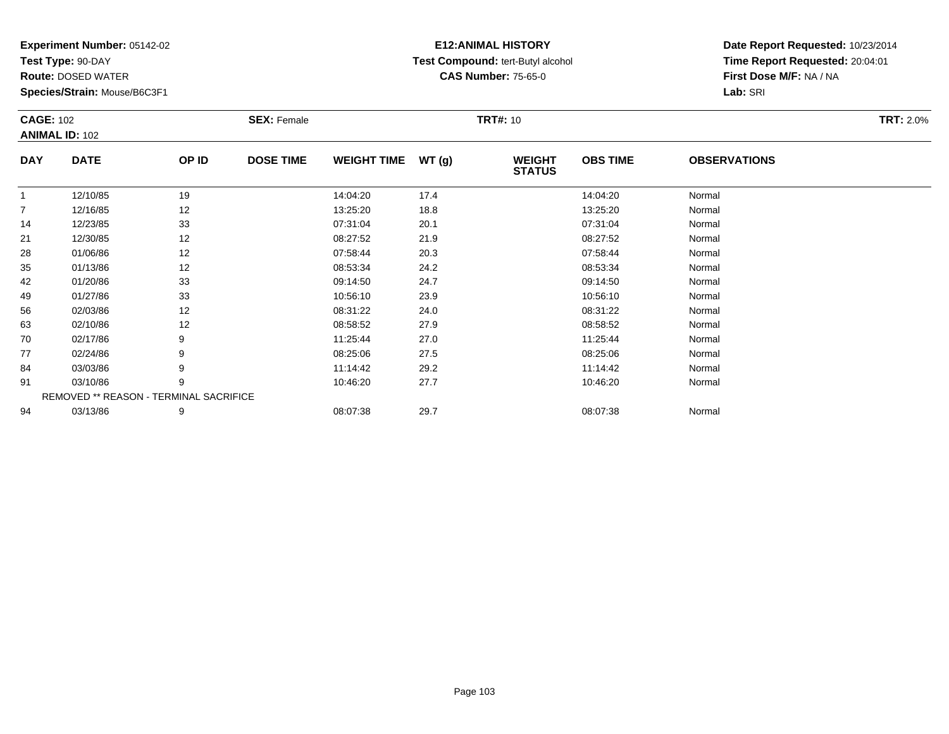**Test Type:** 90-DAY

**Route:** DOSED WATER

**Species/Strain:** Mouse/B6C3F1

# **E12:ANIMAL HISTORY Test Compound:** tert-Butyl alcohol **CAS Number:** 75-65-0

| <b>CAGE: 102</b> | <b>ANIMAL ID: 102</b>                  |       | <b>SEX: Female</b> |                    |       | <b>TRT#: 10</b>                |                 |                     | <b>TRT: 2.0%</b> |
|------------------|----------------------------------------|-------|--------------------|--------------------|-------|--------------------------------|-----------------|---------------------|------------------|
| <b>DAY</b>       | <b>DATE</b>                            | OP ID | <b>DOSE TIME</b>   | <b>WEIGHT TIME</b> | WT(g) | <b>WEIGHT</b><br><b>STATUS</b> | <b>OBS TIME</b> | <b>OBSERVATIONS</b> |                  |
| $\mathbf{1}$     | 12/10/85                               | 19    |                    | 14:04:20           | 17.4  |                                | 14:04:20        | Normal              |                  |
| 7                | 12/16/85                               | 12    |                    | 13:25:20           | 18.8  |                                | 13:25:20        | Normal              |                  |
| 14               | 12/23/85                               | 33    |                    | 07:31:04           | 20.1  |                                | 07:31:04        | Normal              |                  |
| 21               | 12/30/85                               | 12    |                    | 08:27:52           | 21.9  |                                | 08:27:52        | Normal              |                  |
| 28               | 01/06/86                               | 12    |                    | 07:58:44           | 20.3  |                                | 07:58:44        | Normal              |                  |
| 35               | 01/13/86                               | 12    |                    | 08:53:34           | 24.2  |                                | 08:53:34        | Normal              |                  |
| 42               | 01/20/86                               | 33    |                    | 09:14:50           | 24.7  |                                | 09:14:50        | Normal              |                  |
| 49               | 01/27/86                               | 33    |                    | 10:56:10           | 23.9  |                                | 10:56:10        | Normal              |                  |
| 56               | 02/03/86                               | 12    |                    | 08:31:22           | 24.0  |                                | 08:31:22        | Normal              |                  |
| 63               | 02/10/86                               | 12    |                    | 08:58:52           | 27.9  |                                | 08:58:52        | Normal              |                  |
| 70               | 02/17/86                               | 9     |                    | 11:25:44           | 27.0  |                                | 11:25:44        | Normal              |                  |
| 77               | 02/24/86                               | 9     |                    | 08:25:06           | 27.5  |                                | 08:25:06        | Normal              |                  |
| 84               | 03/03/86                               | 9     |                    | 11:14:42           | 29.2  |                                | 11:14:42        | Normal              |                  |
| 91               | 03/10/86                               | 9     |                    | 10:46:20           | 27.7  |                                | 10:46:20        | Normal              |                  |
|                  | REMOVED ** REASON - TERMINAL SACRIFICE |       |                    |                    |       |                                |                 |                     |                  |
| 94               | 03/13/86                               | 9     |                    | 08:07:38           | 29.7  |                                | 08:07:38        | Normal              |                  |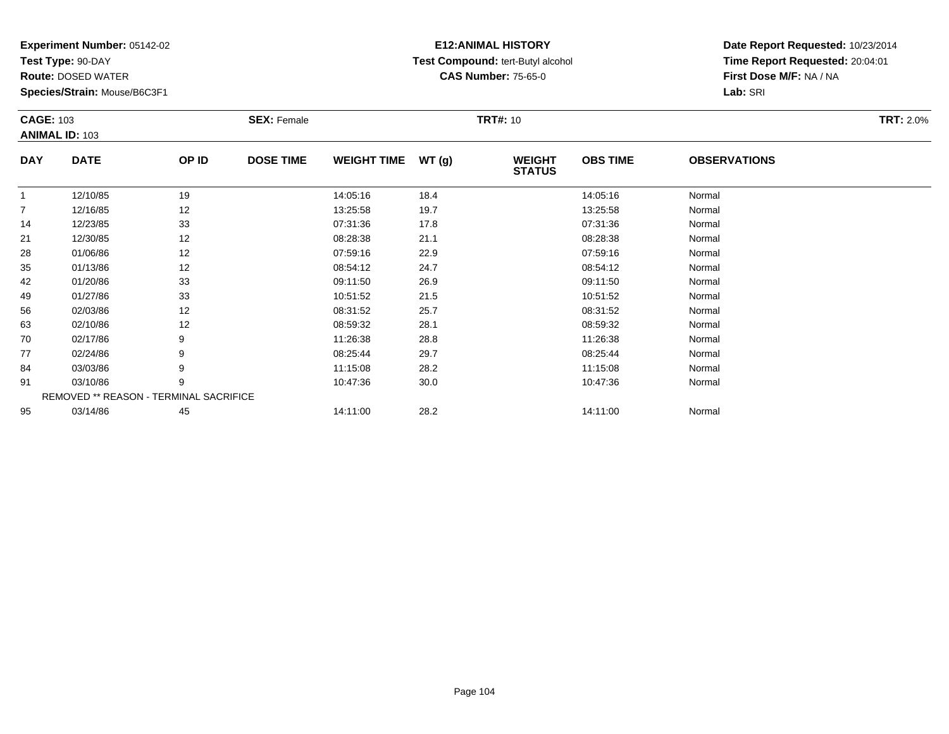**Test Type:** 90-DAY

**Route:** DOSED WATER

**Species/Strain:** Mouse/B6C3F1

# **E12:ANIMAL HISTORY Test Compound:** tert-Butyl alcohol **CAS Number:** 75-65-0

| <b>CAGE: 103</b> |                       |                                        | <b>SEX: Female</b> |                    |       | <b>TRT#: 10</b>                |                 |                     | <b>TRT: 2.0%</b> |
|------------------|-----------------------|----------------------------------------|--------------------|--------------------|-------|--------------------------------|-----------------|---------------------|------------------|
|                  | <b>ANIMAL ID: 103</b> |                                        |                    |                    |       |                                |                 |                     |                  |
| <b>DAY</b>       | <b>DATE</b>           | OP ID                                  | <b>DOSE TIME</b>   | <b>WEIGHT TIME</b> | WT(g) | <b>WEIGHT</b><br><b>STATUS</b> | <b>OBS TIME</b> | <b>OBSERVATIONS</b> |                  |
|                  | 12/10/85              | 19                                     |                    | 14:05:16           | 18.4  |                                | 14:05:16        | Normal              |                  |
| $\overline{7}$   | 12/16/85              | 12                                     |                    | 13:25:58           | 19.7  |                                | 13:25:58        | Normal              |                  |
| 14               | 12/23/85              | 33                                     |                    | 07:31:36           | 17.8  |                                | 07:31:36        | Normal              |                  |
| 21               | 12/30/85              | 12                                     |                    | 08:28:38           | 21.1  |                                | 08:28:38        | Normal              |                  |
| 28               | 01/06/86              | 12                                     |                    | 07:59:16           | 22.9  |                                | 07:59:16        | Normal              |                  |
| 35               | 01/13/86              | 12                                     |                    | 08:54:12           | 24.7  |                                | 08:54:12        | Normal              |                  |
| 42               | 01/20/86              | 33                                     |                    | 09:11:50           | 26.9  |                                | 09:11:50        | Normal              |                  |
| 49               | 01/27/86              | 33                                     |                    | 10:51:52           | 21.5  |                                | 10:51:52        | Normal              |                  |
| 56               | 02/03/86              | 12                                     |                    | 08:31:52           | 25.7  |                                | 08:31:52        | Normal              |                  |
| 63               | 02/10/86              | 12                                     |                    | 08:59:32           | 28.1  |                                | 08:59:32        | Normal              |                  |
| 70               | 02/17/86              | 9                                      |                    | 11:26:38           | 28.8  |                                | 11:26:38        | Normal              |                  |
| 77               | 02/24/86              | 9                                      |                    | 08:25:44           | 29.7  |                                | 08:25:44        | Normal              |                  |
| 84               | 03/03/86              | 9                                      |                    | 11:15:08           | 28.2  |                                | 11:15:08        | Normal              |                  |
| 91               | 03/10/86              | 9                                      |                    | 10:47:36           | 30.0  |                                | 10:47:36        | Normal              |                  |
|                  |                       | REMOVED ** REASON - TERMINAL SACRIFICE |                    |                    |       |                                |                 |                     |                  |
| 95               | 03/14/86              | 45                                     |                    | 14:11:00           | 28.2  |                                | 14:11:00        | Normal              |                  |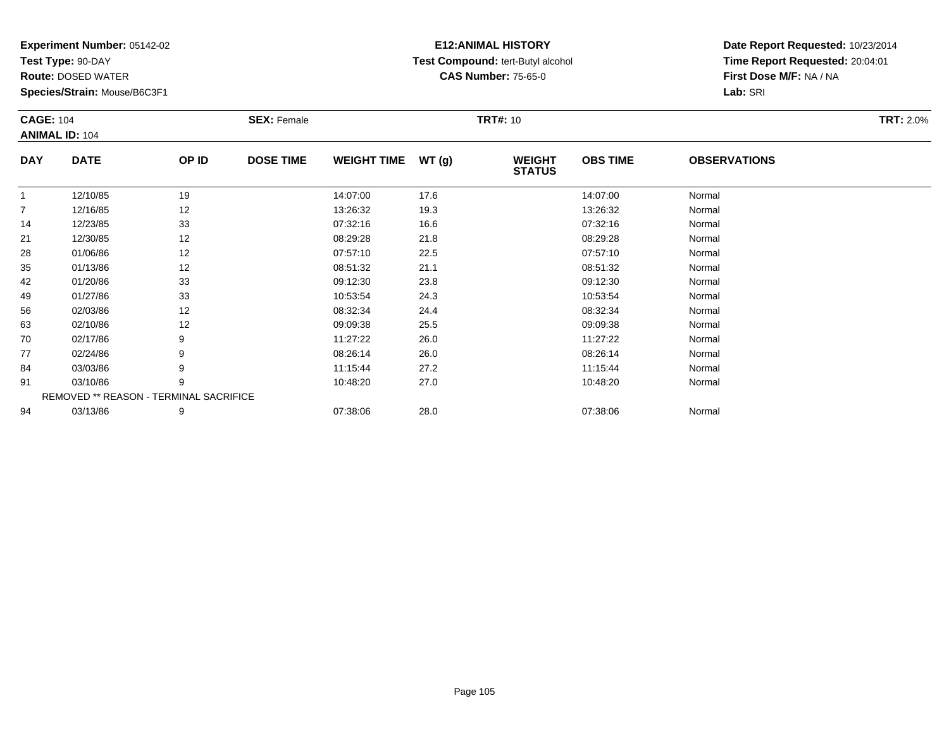**Test Type:** 90-DAY

**Route:** DOSED WATER

**Species/Strain:** Mouse/B6C3F1

# **E12:ANIMAL HISTORY Test Compound:** tert-Butyl alcohol **CAS Number:** 75-65-0

| <b>CAGE: 104</b> |                                        |       | <b>SEX: Female</b> |                    |       | <b>TRT#: 10</b>                |                 |                     | <b>TRT: 2.0%</b> |
|------------------|----------------------------------------|-------|--------------------|--------------------|-------|--------------------------------|-----------------|---------------------|------------------|
|                  | <b>ANIMAL ID: 104</b>                  |       |                    |                    |       |                                |                 |                     |                  |
| <b>DAY</b>       | <b>DATE</b>                            | OP ID | <b>DOSE TIME</b>   | <b>WEIGHT TIME</b> | WT(g) | <b>WEIGHT</b><br><b>STATUS</b> | <b>OBS TIME</b> | <b>OBSERVATIONS</b> |                  |
| $\overline{1}$   | 12/10/85                               | 19    |                    | 14:07:00           | 17.6  |                                | 14:07:00        | Normal              |                  |
| $\overline{7}$   | 12/16/85                               | 12    |                    | 13:26:32           | 19.3  |                                | 13:26:32        | Normal              |                  |
| 14               | 12/23/85                               | 33    |                    | 07:32:16           | 16.6  |                                | 07:32:16        | Normal              |                  |
| 21               | 12/30/85                               | 12    |                    | 08:29:28           | 21.8  |                                | 08:29:28        | Normal              |                  |
| 28               | 01/06/86                               | 12    |                    | 07:57:10           | 22.5  |                                | 07:57:10        | Normal              |                  |
| 35               | 01/13/86                               | 12    |                    | 08:51:32           | 21.1  |                                | 08:51:32        | Normal              |                  |
| 42               | 01/20/86                               | 33    |                    | 09:12:30           | 23.8  |                                | 09:12:30        | Normal              |                  |
| 49               | 01/27/86                               | 33    |                    | 10:53:54           | 24.3  |                                | 10:53:54        | Normal              |                  |
| 56               | 02/03/86                               | 12    |                    | 08:32:34           | 24.4  |                                | 08:32:34        | Normal              |                  |
| 63               | 02/10/86                               | 12    |                    | 09:09:38           | 25.5  |                                | 09:09:38        | Normal              |                  |
| 70               | 02/17/86                               | 9     |                    | 11:27:22           | 26.0  |                                | 11:27:22        | Normal              |                  |
| 77               | 02/24/86                               | 9     |                    | 08:26:14           | 26.0  |                                | 08:26:14        | Normal              |                  |
| 84               | 03/03/86                               | 9     |                    | 11:15:44           | 27.2  |                                | 11:15:44        | Normal              |                  |
| 91               | 03/10/86                               | 9     |                    | 10:48:20           | 27.0  |                                | 10:48:20        | Normal              |                  |
|                  | REMOVED ** REASON - TERMINAL SACRIFICE |       |                    |                    |       |                                |                 |                     |                  |
| 94               | 03/13/86                               | 9     |                    | 07:38:06           | 28.0  |                                | 07:38:06        | Normal              |                  |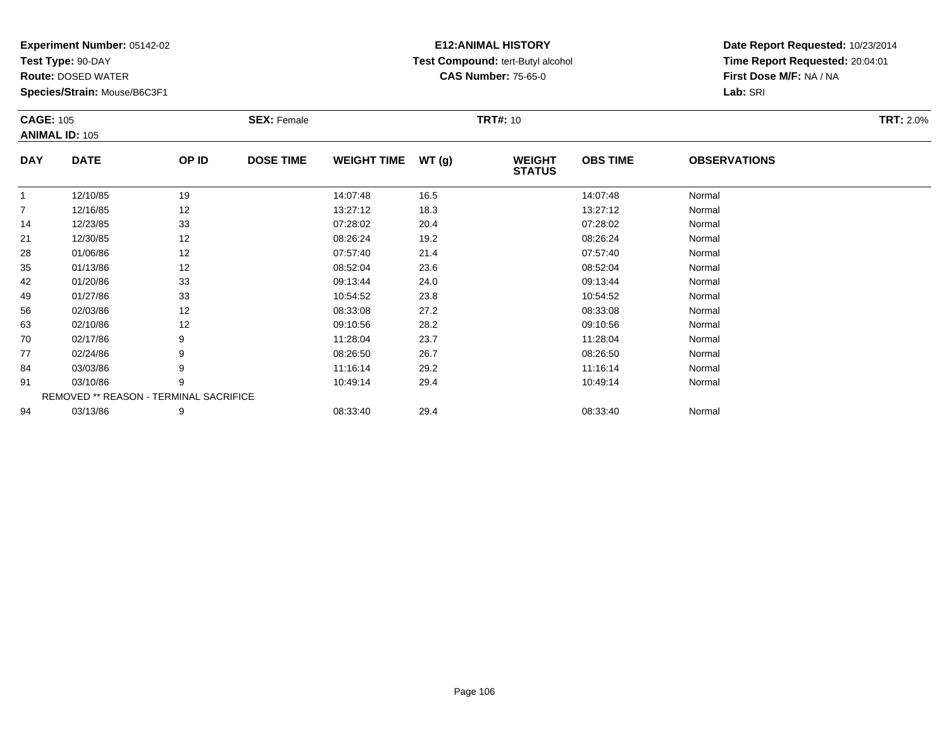**Test Type:** 90-DAY

**Route:** DOSED WATER

**Species/Strain:** Mouse/B6C3F1

# **E12:ANIMAL HISTORY Test Compound:** tert-Butyl alcohol **CAS Number:** 75-65-0

| <b>CAGE: 105</b> | <b>ANIMAL ID: 105</b>                  |       | <b>SEX: Female</b> |                    |       | <b>TRT#: 10</b>                |                 |                     | <b>TRT: 2.0%</b> |
|------------------|----------------------------------------|-------|--------------------|--------------------|-------|--------------------------------|-----------------|---------------------|------------------|
| <b>DAY</b>       | <b>DATE</b>                            | OP ID | <b>DOSE TIME</b>   | <b>WEIGHT TIME</b> | WT(g) | <b>WEIGHT</b><br><b>STATUS</b> | <b>OBS TIME</b> | <b>OBSERVATIONS</b> |                  |
|                  | 12/10/85                               | 19    |                    | 14:07:48           | 16.5  |                                | 14:07:48        | Normal              |                  |
| 7                | 12/16/85                               | 12    |                    | 13:27:12           | 18.3  |                                | 13:27:12        | Normal              |                  |
| 14               | 12/23/85                               | 33    |                    | 07:28:02           | 20.4  |                                | 07:28:02        | Normal              |                  |
| 21               | 12/30/85                               | 12    |                    | 08:26:24           | 19.2  |                                | 08:26:24        | Normal              |                  |
| 28               | 01/06/86                               | 12    |                    | 07:57:40           | 21.4  |                                | 07:57:40        | Normal              |                  |
| 35               | 01/13/86                               | 12    |                    | 08:52:04           | 23.6  |                                | 08:52:04        | Normal              |                  |
| 42               | 01/20/86                               | 33    |                    | 09:13:44           | 24.0  |                                | 09:13:44        | Normal              |                  |
| 49               | 01/27/86                               | 33    |                    | 10:54:52           | 23.8  |                                | 10:54:52        | Normal              |                  |
| 56               | 02/03/86                               | 12    |                    | 08:33:08           | 27.2  |                                | 08:33:08        | Normal              |                  |
| 63               | 02/10/86                               | 12    |                    | 09:10:56           | 28.2  |                                | 09:10:56        | Normal              |                  |
| 70               | 02/17/86                               | 9     |                    | 11:28:04           | 23.7  |                                | 11:28:04        | Normal              |                  |
| 77               | 02/24/86                               | 9     |                    | 08:26:50           | 26.7  |                                | 08:26:50        | Normal              |                  |
| 84               | 03/03/86                               |       |                    | 11:16:14           | 29.2  |                                | 11:16:14        | Normal              |                  |
| 91               | 03/10/86                               | 9     |                    | 10:49:14           | 29.4  |                                | 10:49:14        | Normal              |                  |
|                  | REMOVED ** REASON - TERMINAL SACRIFICE |       |                    |                    |       |                                |                 |                     |                  |
| 94               | 03/13/86                               | 9     |                    | 08:33:40           | 29.4  |                                | 08:33:40        | Normal              |                  |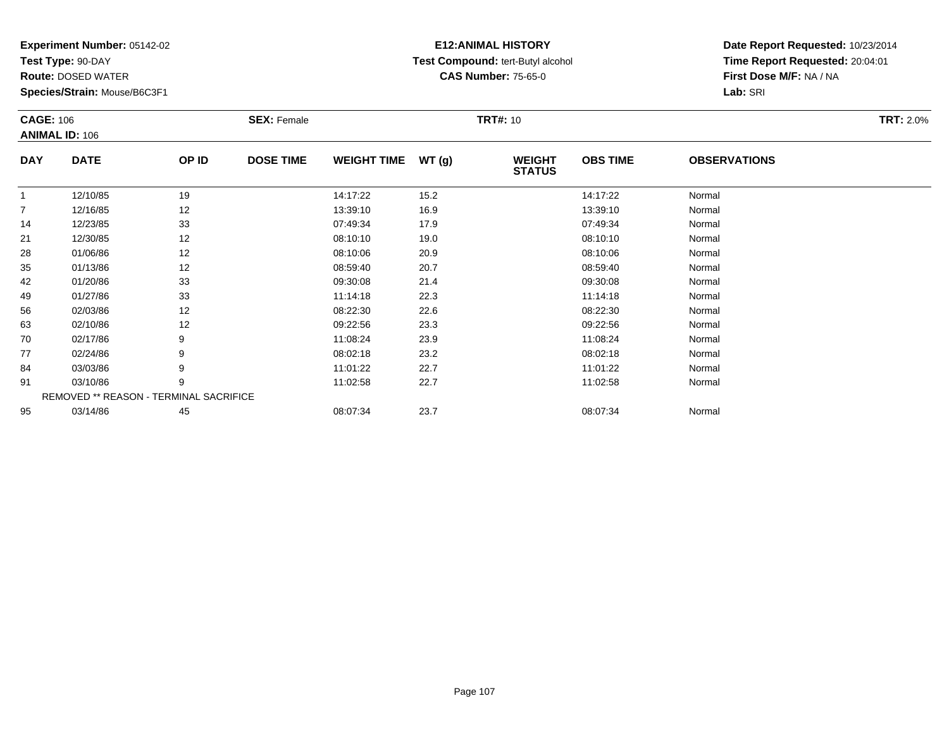**Test Type:** 90-DAY

**Route:** DOSED WATER

**Species/Strain:** Mouse/B6C3F1

# **E12:ANIMAL HISTORY Test Compound:** tert-Butyl alcohol **CAS Number:** 75-65-0

| <b>CAGE: 106</b> |                                        |       | <b>SEX: Female</b> |                    |       | <b>TRT#: 10</b>                |                 |                     | <b>TRT: 2.0%</b> |
|------------------|----------------------------------------|-------|--------------------|--------------------|-------|--------------------------------|-----------------|---------------------|------------------|
|                  | <b>ANIMAL ID: 106</b>                  |       |                    |                    |       |                                |                 |                     |                  |
| <b>DAY</b>       | <b>DATE</b>                            | OP ID | <b>DOSE TIME</b>   | <b>WEIGHT TIME</b> | WT(g) | <b>WEIGHT</b><br><b>STATUS</b> | <b>OBS TIME</b> | <b>OBSERVATIONS</b> |                  |
| $\overline{1}$   | 12/10/85                               | 19    |                    | 14:17:22           | 15.2  |                                | 14:17:22        | Normal              |                  |
| 7                | 12/16/85                               | 12    |                    | 13:39:10           | 16.9  |                                | 13:39:10        | Normal              |                  |
| 14               | 12/23/85                               | 33    |                    | 07:49:34           | 17.9  |                                | 07:49:34        | Normal              |                  |
| 21               | 12/30/85                               | 12    |                    | 08:10:10           | 19.0  |                                | 08:10:10        | Normal              |                  |
| 28               | 01/06/86                               | 12    |                    | 08:10:06           | 20.9  |                                | 08:10:06        | Normal              |                  |
| 35               | 01/13/86                               | 12    |                    | 08:59:40           | 20.7  |                                | 08:59:40        | Normal              |                  |
| 42               | 01/20/86                               | 33    |                    | 09:30:08           | 21.4  |                                | 09:30:08        | Normal              |                  |
| 49               | 01/27/86                               | 33    |                    | 11:14:18           | 22.3  |                                | 11:14:18        | Normal              |                  |
| 56               | 02/03/86                               | 12    |                    | 08:22:30           | 22.6  |                                | 08:22:30        | Normal              |                  |
| 63               | 02/10/86                               | 12    |                    | 09:22:56           | 23.3  |                                | 09:22:56        | Normal              |                  |
| 70               | 02/17/86                               |       |                    | 11:08:24           | 23.9  |                                | 11:08:24        | Normal              |                  |
| 77               | 02/24/86                               |       |                    | 08:02:18           | 23.2  |                                | 08:02:18        | Normal              |                  |
| 84               | 03/03/86                               |       |                    | 11:01:22           | 22.7  |                                | 11:01:22        | Normal              |                  |
| 91               | 03/10/86                               | 9     |                    | 11:02:58           | 22.7  |                                | 11:02:58        | Normal              |                  |
|                  | REMOVED ** REASON - TERMINAL SACRIFICE |       |                    |                    |       |                                |                 |                     |                  |
| 95               | 03/14/86                               | 45    |                    | 08:07:34           | 23.7  |                                | 08:07:34        | Normal              |                  |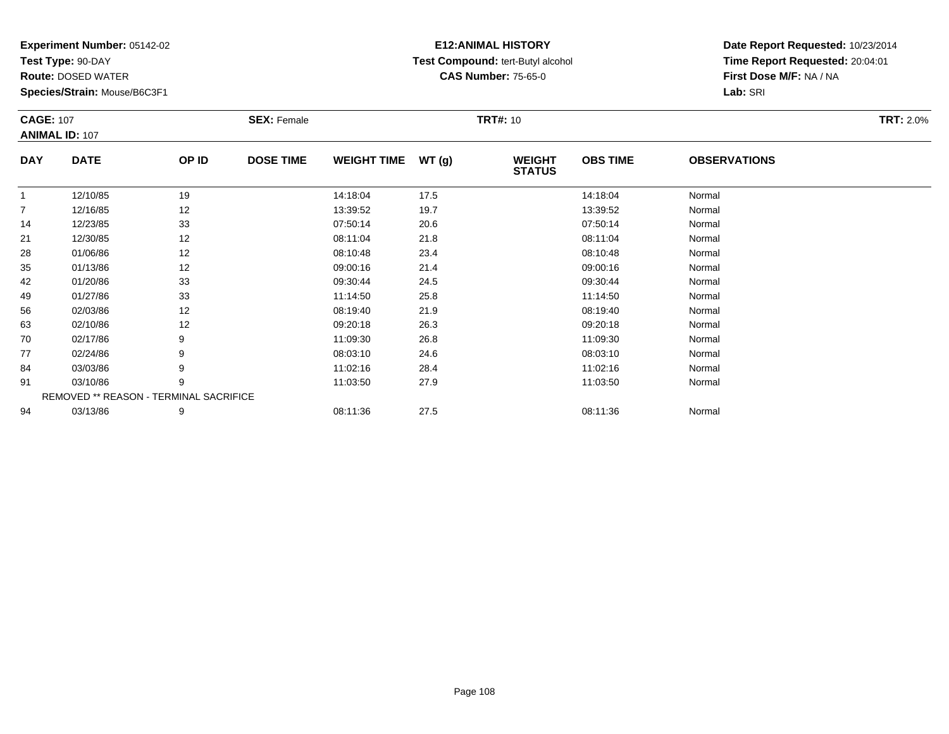**Test Type:** 90-DAY

**Route:** DOSED WATER

**Species/Strain:** Mouse/B6C3F1

# **E12:ANIMAL HISTORY Test Compound:** tert-Butyl alcohol **CAS Number:** 75-65-0

| <b>CAGE: 107</b> | <b>ANIMAL ID: 107</b>                  |       | <b>SEX: Female</b> |                    |      | <b>TRT#: 10</b>                |                 |                     | <b>TRT: 2.0%</b> |
|------------------|----------------------------------------|-------|--------------------|--------------------|------|--------------------------------|-----------------|---------------------|------------------|
| <b>DAY</b>       | <b>DATE</b>                            | OP ID | <b>DOSE TIME</b>   | WEIGHT TIME WT (g) |      | <b>WEIGHT</b><br><b>STATUS</b> | <b>OBS TIME</b> | <b>OBSERVATIONS</b> |                  |
| $\mathbf{1}$     | 12/10/85                               | 19    |                    | 14:18:04           | 17.5 |                                | 14:18:04        | Normal              |                  |
| $\overline{7}$   | 12/16/85                               | 12    |                    | 13:39:52           | 19.7 |                                | 13:39:52        | Normal              |                  |
| 14               | 12/23/85                               | 33    |                    | 07:50:14           | 20.6 |                                | 07:50:14        | Normal              |                  |
| 21               | 12/30/85                               | 12    |                    | 08:11:04           | 21.8 |                                | 08:11:04        | Normal              |                  |
| 28               | 01/06/86                               | 12    |                    | 08:10:48           | 23.4 |                                | 08:10:48        | Normal              |                  |
| 35               | 01/13/86                               | 12    |                    | 09:00:16           | 21.4 |                                | 09:00:16        | Normal              |                  |
| 42               | 01/20/86                               | 33    |                    | 09:30:44           | 24.5 |                                | 09:30:44        | Normal              |                  |
| 49               | 01/27/86                               | 33    |                    | 11:14:50           | 25.8 |                                | 11:14:50        | Normal              |                  |
| 56               | 02/03/86                               | 12    |                    | 08:19:40           | 21.9 |                                | 08:19:40        | Normal              |                  |
| 63               | 02/10/86                               | 12    |                    | 09:20:18           | 26.3 |                                | 09:20:18        | Normal              |                  |
| 70               | 02/17/86                               | 9     |                    | 11:09:30           | 26.8 |                                | 11:09:30        | Normal              |                  |
| 77               | 02/24/86                               | 9     |                    | 08:03:10           | 24.6 |                                | 08:03:10        | Normal              |                  |
| 84               | 03/03/86                               | 9     |                    | 11:02:16           | 28.4 |                                | 11:02:16        | Normal              |                  |
| 91               | 03/10/86                               | 9     |                    | 11:03:50           | 27.9 |                                | 11:03:50        | Normal              |                  |
|                  | REMOVED ** REASON - TERMINAL SACRIFICE |       |                    |                    |      |                                |                 |                     |                  |
| 94               | 03/13/86                               | 9     |                    | 08:11:36           | 27.5 |                                | 08:11:36        | Normal              |                  |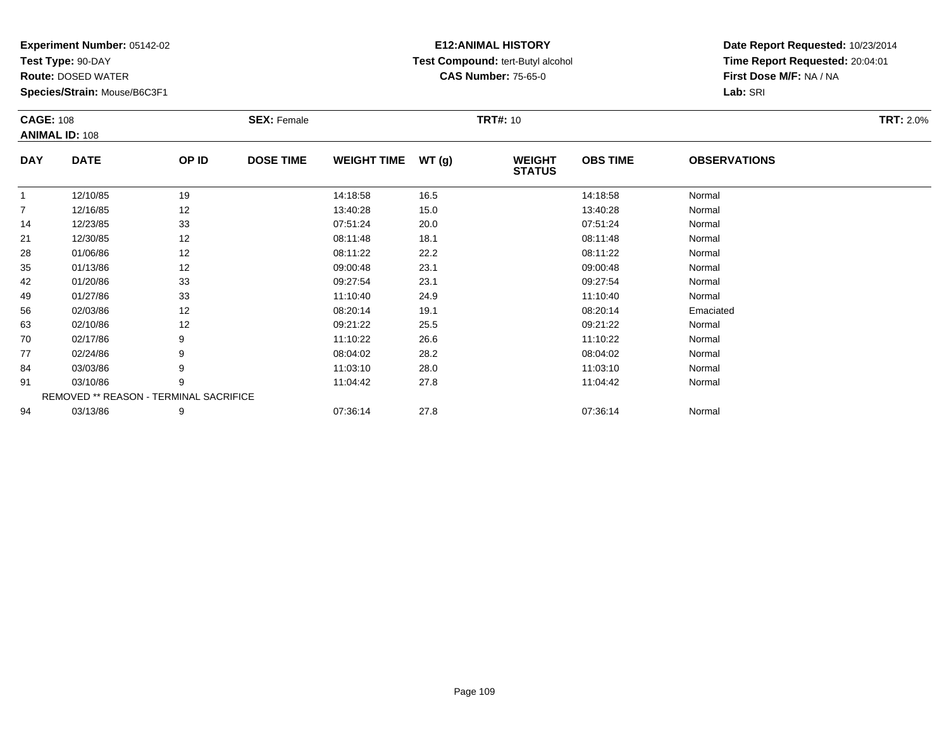**Test Type:** 90-DAY

**Route:** DOSED WATER

**Species/Strain:** Mouse/B6C3F1

## **E12:ANIMAL HISTORY Test Compound:** tert-Butyl alcohol **CAS Number:** 75-65-0

| <b>CAGE: 108</b> |                                        |       | <b>SEX: Female</b> |                    |       | <b>TRT#: 10</b>                |                 |                     | <b>TRT: 2.0%</b> |
|------------------|----------------------------------------|-------|--------------------|--------------------|-------|--------------------------------|-----------------|---------------------|------------------|
|                  | <b>ANIMAL ID: 108</b>                  |       |                    |                    |       |                                |                 |                     |                  |
| <b>DAY</b>       | <b>DATE</b>                            | OP ID | <b>DOSE TIME</b>   | <b>WEIGHT TIME</b> | WT(g) | <b>WEIGHT</b><br><b>STATUS</b> | <b>OBS TIME</b> | <b>OBSERVATIONS</b> |                  |
| $\mathbf{1}$     | 12/10/85                               | 19    |                    | 14:18:58           | 16.5  |                                | 14:18:58        | Normal              |                  |
| $\overline{7}$   | 12/16/85                               | 12    |                    | 13:40:28           | 15.0  |                                | 13:40:28        | Normal              |                  |
| 14               | 12/23/85                               | 33    |                    | 07:51:24           | 20.0  |                                | 07:51:24        | Normal              |                  |
| 21               | 12/30/85                               | 12    |                    | 08:11:48           | 18.1  |                                | 08:11:48        | Normal              |                  |
| 28               | 01/06/86                               | 12    |                    | 08:11:22           | 22.2  |                                | 08:11:22        | Normal              |                  |
| 35               | 01/13/86                               | 12    |                    | 09:00:48           | 23.1  |                                | 09:00:48        | Normal              |                  |
| 42               | 01/20/86                               | 33    |                    | 09:27:54           | 23.1  |                                | 09:27:54        | Normal              |                  |
| 49               | 01/27/86                               | 33    |                    | 11:10:40           | 24.9  |                                | 11:10:40        | Normal              |                  |
| 56               | 02/03/86                               | 12    |                    | 08:20:14           | 19.1  |                                | 08:20:14        | Emaciated           |                  |
| 63               | 02/10/86                               | 12    |                    | 09:21:22           | 25.5  |                                | 09:21:22        | Normal              |                  |
| 70               | 02/17/86                               | 9     |                    | 11:10:22           | 26.6  |                                | 11:10:22        | Normal              |                  |
| 77               | 02/24/86                               | 9     |                    | 08:04:02           | 28.2  |                                | 08:04:02        | Normal              |                  |
| 84               | 03/03/86                               | 9     |                    | 11:03:10           | 28.0  |                                | 11:03:10        | Normal              |                  |
| 91               | 03/10/86                               | 9     |                    | 11:04:42           | 27.8  |                                | 11:04:42        | Normal              |                  |
|                  | REMOVED ** REASON - TERMINAL SACRIFICE |       |                    |                    |       |                                |                 |                     |                  |
| 94               | 03/13/86                               | 9     |                    | 07:36:14           | 27.8  |                                | 07:36:14        | Normal              |                  |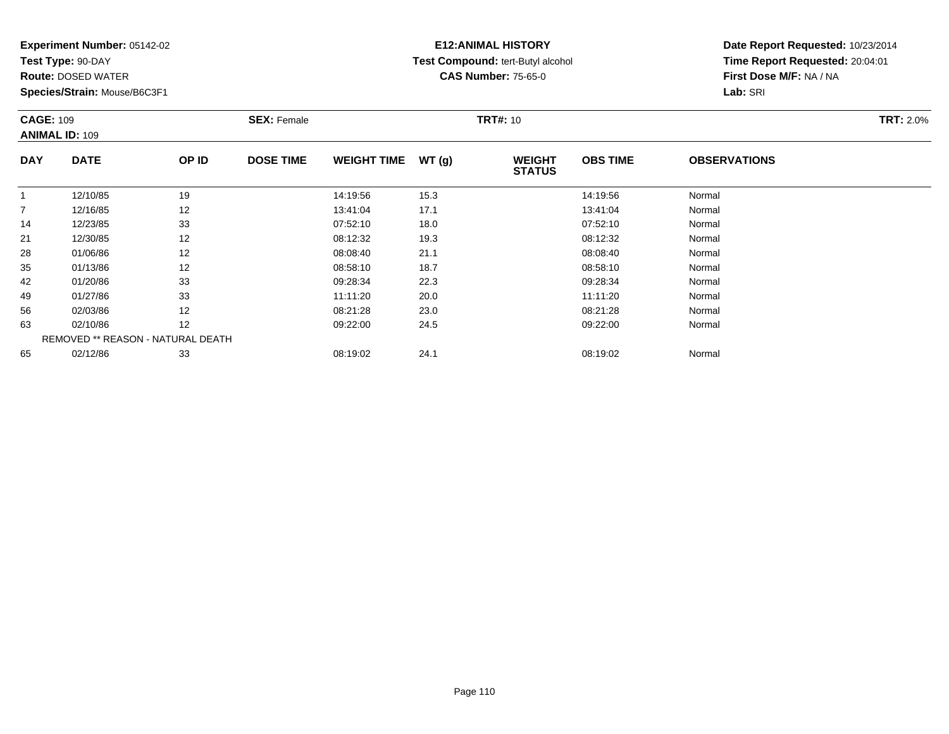**Test Type:** 90-DAY

**Route:** DOSED WATER

**Species/Strain:** Mouse/B6C3F1

## **E12:ANIMAL HISTORY Test Compound:** tert-Butyl alcohol **CAS Number:** 75-65-0

|                | <b>CAGE: 109</b><br><b>ANIMAL ID: 109</b> |       | <b>SEX: Female</b> |                    |       | <b>TRT#: 10</b>                |                 | <b>TRT: 2.0%</b>    |  |
|----------------|-------------------------------------------|-------|--------------------|--------------------|-------|--------------------------------|-----------------|---------------------|--|
| <b>DAY</b>     | <b>DATE</b>                               | OP ID | <b>DOSE TIME</b>   | <b>WEIGHT TIME</b> | WT(g) | <b>WEIGHT</b><br><b>STATUS</b> | <b>OBS TIME</b> | <b>OBSERVATIONS</b> |  |
|                | 12/10/85                                  | 19    |                    | 14:19:56           | 15.3  |                                | 14:19:56        | Normal              |  |
| $\overline{7}$ | 12/16/85                                  | 12    |                    | 13:41:04           | 17.1  |                                | 13:41:04        | Normal              |  |
| 14             | 12/23/85                                  | 33    |                    | 07:52:10           | 18.0  |                                | 07:52:10        | Normal              |  |
| 21             | 12/30/85                                  | 12    |                    | 08:12:32           | 19.3  |                                | 08:12:32        | Normal              |  |
| 28             | 01/06/86                                  | 12    |                    | 08:08:40           | 21.1  |                                | 08:08:40        | Normal              |  |
| 35             | 01/13/86                                  | 12    |                    | 08:58:10           | 18.7  |                                | 08:58:10        | Normal              |  |
| 42             | 01/20/86                                  | 33    |                    | 09:28:34           | 22.3  |                                | 09:28:34        | Normal              |  |
| 49             | 01/27/86                                  | 33    |                    | 11:11:20           | 20.0  |                                | 11:11:20        | Normal              |  |
| 56             | 02/03/86                                  | 12    |                    | 08:21:28           | 23.0  |                                | 08:21:28        | Normal              |  |
| 63             | 02/10/86                                  | 12    |                    | 09:22:00           | 24.5  |                                | 09:22:00        | Normal              |  |
|                | REMOVED ** REASON - NATURAL DEATH         |       |                    |                    |       |                                |                 |                     |  |
| 65             | 02/12/86                                  | 33    |                    | 08:19:02           | 24.1  |                                | 08:19:02        | Normal              |  |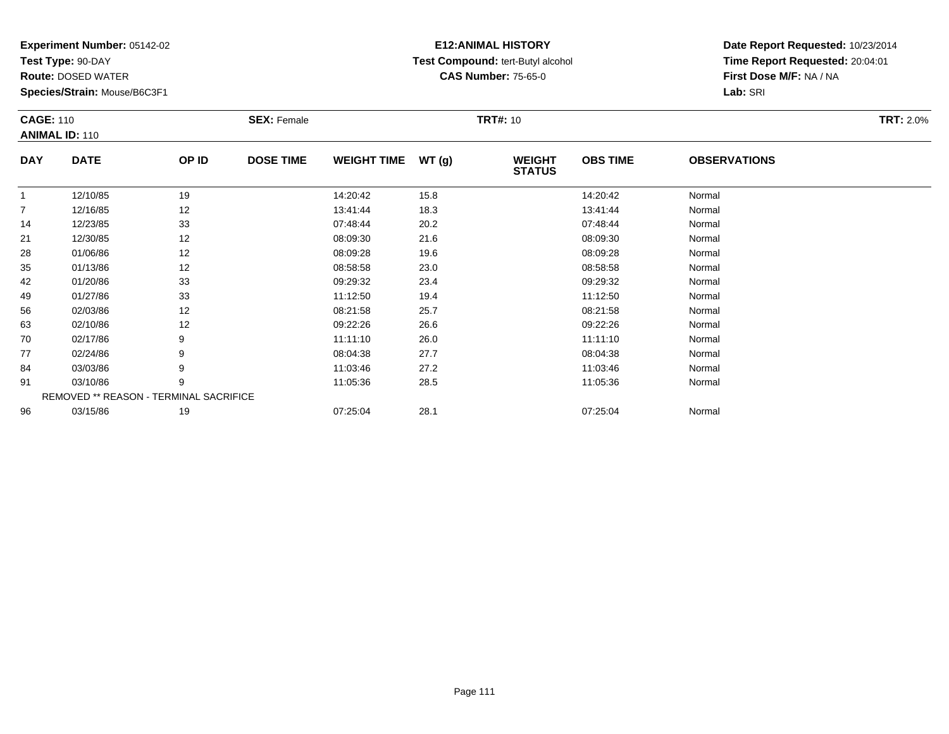**Test Type:** 90-DAY

**Route:** DOSED WATER

**Species/Strain:** Mouse/B6C3F1

#### **E12:ANIMAL HISTORY Test Compound:** tert-Butyl alcohol **CAS Number:** 75-65-0

|                | <b>CAGE: 110</b><br><b>ANIMAL ID: 110</b> |       | <b>SEX: Female</b> |                    |       | <b>TRT#: 10</b>                | <b>TRT: 2.0%</b> |                     |  |
|----------------|-------------------------------------------|-------|--------------------|--------------------|-------|--------------------------------|------------------|---------------------|--|
| <b>DAY</b>     | <b>DATE</b>                               | OP ID | <b>DOSE TIME</b>   | <b>WEIGHT TIME</b> | WT(g) | <b>WEIGHT</b><br><b>STATUS</b> | <b>OBS TIME</b>  | <b>OBSERVATIONS</b> |  |
| $\mathbf{1}$   | 12/10/85                                  | 19    |                    | 14:20:42           | 15.8  |                                | 14:20:42         | Normal              |  |
| $\overline{7}$ | 12/16/85                                  | 12    |                    | 13:41:44           | 18.3  |                                | 13:41:44         | Normal              |  |
| 14             | 12/23/85                                  | 33    |                    | 07:48:44           | 20.2  |                                | 07:48:44         | Normal              |  |
| 21             | 12/30/85                                  | 12    |                    | 08:09:30           | 21.6  |                                | 08:09:30         | Normal              |  |
| 28             | 01/06/86                                  | 12    |                    | 08:09:28           | 19.6  |                                | 08:09:28         | Normal              |  |
| 35             | 01/13/86                                  | 12    |                    | 08:58:58           | 23.0  |                                | 08:58:58         | Normal              |  |
| 42             | 01/20/86                                  | 33    |                    | 09:29:32           | 23.4  |                                | 09:29:32         | Normal              |  |
| 49             | 01/27/86                                  | 33    |                    | 11:12:50           | 19.4  |                                | 11:12:50         | Normal              |  |
| 56             | 02/03/86                                  | 12    |                    | 08:21:58           | 25.7  |                                | 08:21:58         | Normal              |  |
| 63             | 02/10/86                                  | 12    |                    | 09:22:26           | 26.6  |                                | 09:22:26         | Normal              |  |
| 70             | 02/17/86                                  | 9     |                    | 11:11:10           | 26.0  |                                | 11:11:10         | Normal              |  |
| 77             | 02/24/86                                  | 9     |                    | 08:04:38           | 27.7  |                                | 08:04:38         | Normal              |  |
| 84             | 03/03/86                                  | 9     |                    | 11:03:46           | 27.2  |                                | 11:03:46         | Normal              |  |
| 91             | 03/10/86                                  | 9     |                    | 11:05:36           | 28.5  |                                | 11:05:36         | Normal              |  |
|                | REMOVED ** REASON - TERMINAL SACRIFICE    |       |                    |                    |       |                                |                  |                     |  |
| 96             | 03/15/86                                  | 19    |                    | 07:25:04           | 28.1  |                                | 07:25:04         | Normal              |  |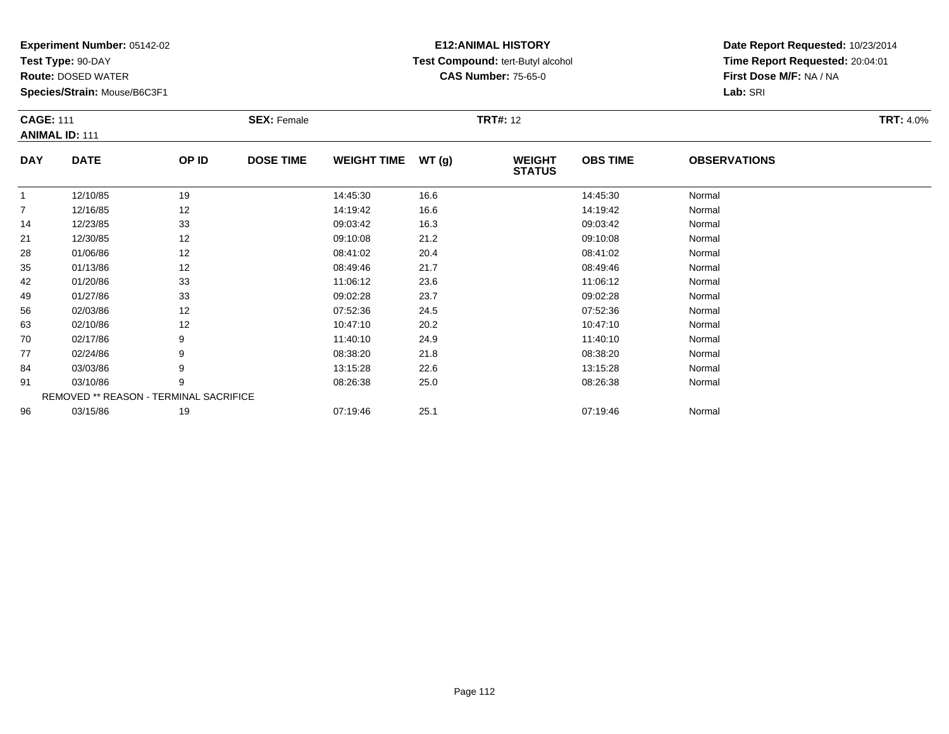**Test Type:** 90-DAY

96

**Route:** DOSED WATER

**Species/Strain:** Mouse/B6C3F1

#### **E12:ANIMAL HISTORY Test Compound:** tert-Butyl alcohol **CAS Number:** 75-65-0

**Date Report Requested:** 10/23/2014**Time Report Requested:** 20:04:01**First Dose M/F:** NA / NA**Lab:** SRI

|                | <b>CAGE: 111</b><br><b>ANIMAL ID: 111</b>     |       | <b>SEX: Female</b> |                    |       | <b>TRT#: 12</b>                |                 |                     |  |  |  |
|----------------|-----------------------------------------------|-------|--------------------|--------------------|-------|--------------------------------|-----------------|---------------------|--|--|--|
| <b>DAY</b>     | <b>DATE</b>                                   | OP ID | <b>DOSE TIME</b>   | <b>WEIGHT TIME</b> | WT(g) | <b>WEIGHT</b><br><b>STATUS</b> | <b>OBS TIME</b> | <b>OBSERVATIONS</b> |  |  |  |
|                | 12/10/85                                      | 19    |                    | 14:45:30           | 16.6  |                                | 14:45:30        | Normal              |  |  |  |
| $\overline{7}$ | 12/16/85                                      | 12    |                    | 14:19:42           | 16.6  |                                | 14:19:42        | Normal              |  |  |  |
| 14             | 12/23/85                                      | 33    |                    | 09:03:42           | 16.3  |                                | 09:03:42        | Normal              |  |  |  |
| 21             | 12/30/85                                      | 12    |                    | 09:10:08           | 21.2  |                                | 09:10:08        | Normal              |  |  |  |
| 28             | 01/06/86                                      | 12    |                    | 08:41:02           | 20.4  |                                | 08:41:02        | Normal              |  |  |  |
| 35             | 01/13/86                                      | 12    |                    | 08:49:46           | 21.7  |                                | 08:49:46        | Normal              |  |  |  |
| 42             | 01/20/86                                      | 33    |                    | 11:06:12           | 23.6  |                                | 11:06:12        | Normal              |  |  |  |
| 49             | 01/27/86                                      | 33    |                    | 09:02:28           | 23.7  |                                | 09:02:28        | Normal              |  |  |  |
| 56             | 02/03/86                                      | 12    |                    | 07:52:36           | 24.5  |                                | 07:52:36        | Normal              |  |  |  |
| 63             | 02/10/86                                      | 12    |                    | 10:47:10           | 20.2  |                                | 10:47:10        | Normal              |  |  |  |
| 70             | 02/17/86                                      | 9     |                    | 11:40:10           | 24.9  |                                | 11:40:10        | Normal              |  |  |  |
| 77             | 02/24/86                                      | 9     |                    | 08:38:20           | 21.8  |                                | 08:38:20        | Normal              |  |  |  |
| 84             | 03/03/86                                      | 9     |                    | 13:15:28           | 22.6  |                                | 13:15:28        | Normal              |  |  |  |
| 91             | 03/10/86                                      | 9     |                    | 08:26:38           | 25.0  |                                | 08:26:38        | Normal              |  |  |  |
|                | <b>REMOVED ** REASON - TERMINAL SACRIFICE</b> |       |                    |                    |       |                                |                 |                     |  |  |  |

6 03/15/86 19 19 07:19:46 25.1 05 07:19:46 07:19:46 07:19:46 07:19:46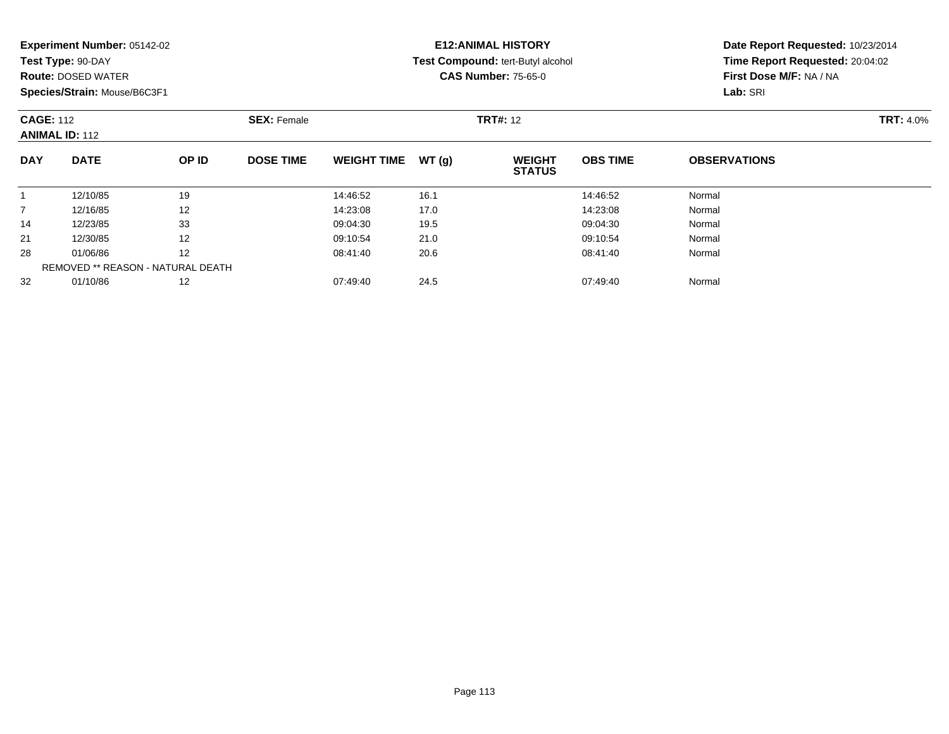| Experiment Number: 05142-02 |  |  |
|-----------------------------|--|--|
|-----------------------------|--|--|

**Test Type:** 90-DAY

**Route:** DOSED WATER

**Species/Strain:** Mouse/B6C3F1

## **E12:ANIMAL HISTORY Test Compound:** tert-Butyl alcohol **CAS Number:** 75-65-0

| <b>CAGE: 112</b><br><b>ANIMAL ID: 112</b> |             | <b>SEX: Female</b>                |                  |                    | <b>TRT#: 12</b> |                                | <b>TRT: 4.0%</b> |                     |  |
|-------------------------------------------|-------------|-----------------------------------|------------------|--------------------|-----------------|--------------------------------|------------------|---------------------|--|
| <b>DAY</b>                                | <b>DATE</b> | OP ID                             | <b>DOSE TIME</b> | <b>WEIGHT TIME</b> | WT(g)           | <b>WEIGHT</b><br><b>STATUS</b> | <b>OBS TIME</b>  | <b>OBSERVATIONS</b> |  |
|                                           | 12/10/85    | 19                                |                  | 14:46:52           | 16.1            |                                | 14:46:52         | Normal              |  |
| $\overline{7}$                            | 12/16/85    | 12                                |                  | 14:23:08           | 17.0            |                                | 14:23:08         | Normal              |  |
| 14                                        | 12/23/85    | 33                                |                  | 09:04:30           | 19.5            |                                | 09:04:30         | Normal              |  |
| 21                                        | 12/30/85    | 12                                |                  | 09:10:54           | 21.0            |                                | 09:10:54         | Normal              |  |
| 28                                        | 01/06/86    | $12 \overline{ }$                 |                  | 08:41:40           | 20.6            |                                | 08:41:40         | Normal              |  |
|                                           |             | REMOVED ** REASON - NATURAL DEATH |                  |                    |                 |                                |                  |                     |  |
| 32                                        | 01/10/86    | 12                                |                  | 07:49:40           | 24.5            |                                | 07:49:40         | Normal              |  |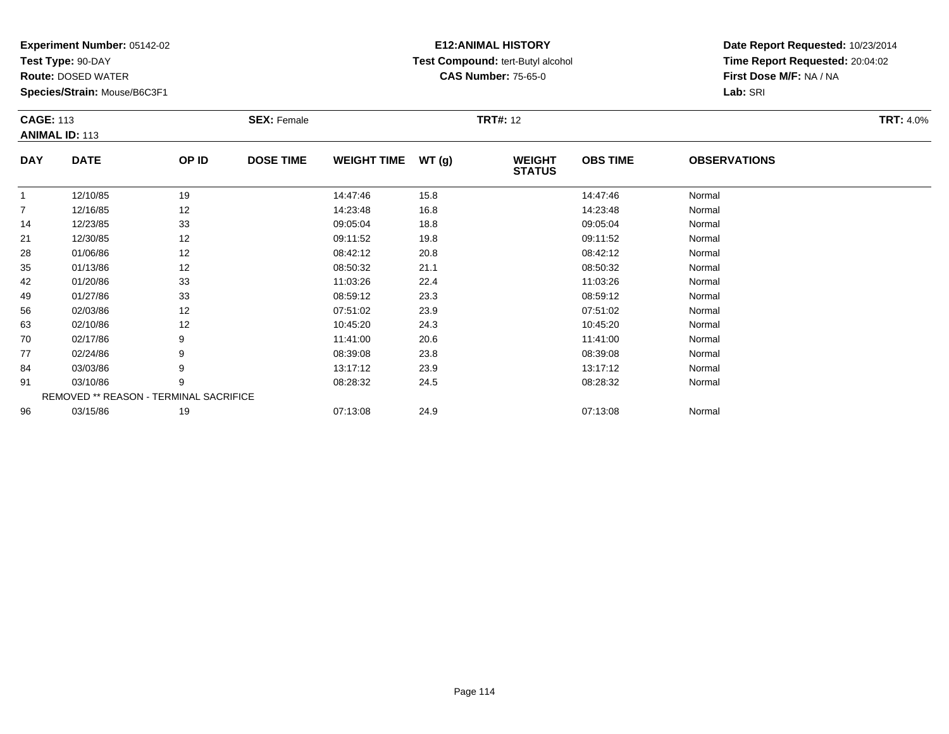**Test Type:** 90-DAY

**Route:** DOSED WATER

**Species/Strain:** Mouse/B6C3F1

## **E12:ANIMAL HISTORY Test Compound:** tert-Butyl alcohol **CAS Number:** 75-65-0

|                | <b>CAGE: 113</b><br><b>ANIMAL ID: 113</b> |       | <b>SEX: Female</b> |                    |       | <b>TRT#: 12</b>                | <b>TRT: 4.0%</b> |                     |  |
|----------------|-------------------------------------------|-------|--------------------|--------------------|-------|--------------------------------|------------------|---------------------|--|
| <b>DAY</b>     | <b>DATE</b>                               | OP ID | <b>DOSE TIME</b>   | <b>WEIGHT TIME</b> | WT(g) | <b>WEIGHT</b><br><b>STATUS</b> | <b>OBS TIME</b>  | <b>OBSERVATIONS</b> |  |
| $\overline{1}$ | 12/10/85                                  | 19    |                    | 14:47:46           | 15.8  |                                | 14:47:46         | Normal              |  |
| 7              | 12/16/85                                  | 12    |                    | 14:23:48           | 16.8  |                                | 14:23:48         | Normal              |  |
| 14             | 12/23/85                                  | 33    |                    | 09:05:04           | 18.8  |                                | 09:05:04         | Normal              |  |
| 21             | 12/30/85                                  | 12    |                    | 09:11:52           | 19.8  |                                | 09:11:52         | Normal              |  |
| 28             | 01/06/86                                  | 12    |                    | 08:42:12           | 20.8  |                                | 08:42:12         | Normal              |  |
| 35             | 01/13/86                                  | 12    |                    | 08:50:32           | 21.1  |                                | 08:50:32         | Normal              |  |
| 42             | 01/20/86                                  | 33    |                    | 11:03:26           | 22.4  |                                | 11:03:26         | Normal              |  |
| 49             | 01/27/86                                  | 33    |                    | 08:59:12           | 23.3  |                                | 08:59:12         | Normal              |  |
| 56             | 02/03/86                                  | 12    |                    | 07:51:02           | 23.9  |                                | 07:51:02         | Normal              |  |
| 63             | 02/10/86                                  | 12    |                    | 10:45:20           | 24.3  |                                | 10:45:20         | Normal              |  |
| 70             | 02/17/86                                  | 9     |                    | 11:41:00           | 20.6  |                                | 11:41:00         | Normal              |  |
| 77             | 02/24/86                                  | 9     |                    | 08:39:08           | 23.8  |                                | 08:39:08         | Normal              |  |
| 84             | 03/03/86                                  | 9     |                    | 13:17:12           | 23.9  |                                | 13:17:12         | Normal              |  |
| 91             | 03/10/86                                  | 9     |                    | 08:28:32           | 24.5  |                                | 08:28:32         | Normal              |  |
|                | REMOVED ** REASON - TERMINAL SACRIFICE    |       |                    |                    |       |                                |                  |                     |  |
| 96             | 03/15/86                                  | 19    |                    | 07:13:08           | 24.9  |                                | 07:13:08         | Normal              |  |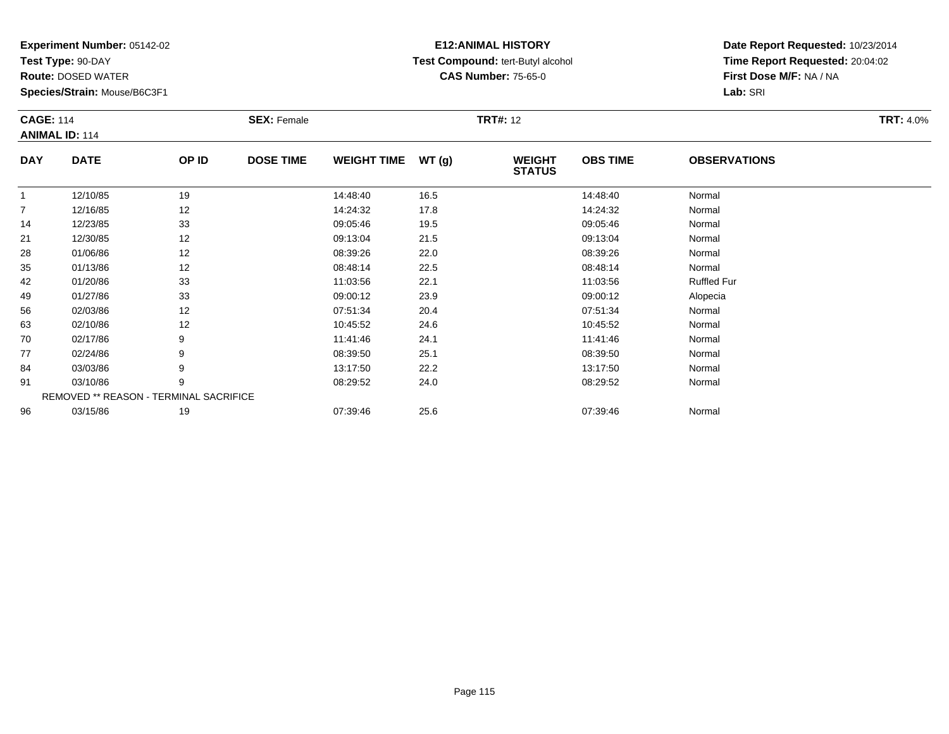**Test Type:** 90-DAY

**Route:** DOSED WATER

**Species/Strain:** Mouse/B6C3F1

## **E12:ANIMAL HISTORY Test Compound:** tert-Butyl alcohol **CAS Number:** 75-65-0

| <b>CAGE: 114</b> | <b>ANIMAL ID: 114</b> |                                        | <b>SEX: Female</b> |                    |       | <b>TRT#: 12</b>                |                 |                     | <b>TRT: 4.0%</b> |
|------------------|-----------------------|----------------------------------------|--------------------|--------------------|-------|--------------------------------|-----------------|---------------------|------------------|
| <b>DAY</b>       | <b>DATE</b>           | OP ID                                  | <b>DOSE TIME</b>   | <b>WEIGHT TIME</b> | WT(g) | <b>WEIGHT</b><br><b>STATUS</b> | <b>OBS TIME</b> | <b>OBSERVATIONS</b> |                  |
|                  | 12/10/85              | 19                                     |                    | 14:48:40           | 16.5  |                                | 14:48:40        | Normal              |                  |
| $\overline{7}$   | 12/16/85              | 12                                     |                    | 14:24:32           | 17.8  |                                | 14:24:32        | Normal              |                  |
| 14               | 12/23/85              | 33                                     |                    | 09:05:46           | 19.5  |                                | 09:05:46        | Normal              |                  |
| 21               | 12/30/85              | 12                                     |                    | 09:13:04           | 21.5  |                                | 09:13:04        | Normal              |                  |
| 28               | 01/06/86              | 12                                     |                    | 08:39:26           | 22.0  |                                | 08:39:26        | Normal              |                  |
| 35               | 01/13/86              | 12                                     |                    | 08:48:14           | 22.5  |                                | 08:48:14        | Normal              |                  |
| 42               | 01/20/86              | 33                                     |                    | 11:03:56           | 22.1  |                                | 11:03:56        | <b>Ruffled Fur</b>  |                  |
| 49               | 01/27/86              | 33                                     |                    | 09:00:12           | 23.9  |                                | 09:00:12        | Alopecia            |                  |
| 56               | 02/03/86              | 12                                     |                    | 07:51:34           | 20.4  |                                | 07:51:34        | Normal              |                  |
| 63               | 02/10/86              | 12                                     |                    | 10:45:52           | 24.6  |                                | 10:45:52        | Normal              |                  |
| 70               | 02/17/86              | 9                                      |                    | 11:41:46           | 24.1  |                                | 11:41:46        | Normal              |                  |
| 77               | 02/24/86              | 9                                      |                    | 08:39:50           | 25.1  |                                | 08:39:50        | Normal              |                  |
| 84               | 03/03/86              | 9                                      |                    | 13:17:50           | 22.2  |                                | 13:17:50        | Normal              |                  |
| 91               | 03/10/86              | 9                                      |                    | 08:29:52           | 24.0  |                                | 08:29:52        | Normal              |                  |
|                  |                       | REMOVED ** REASON - TERMINAL SACRIFICE |                    |                    |       |                                |                 |                     |                  |
| 96               | 03/15/86              | 19                                     |                    | 07:39:46           | 25.6  |                                | 07:39:46        | Normal              |                  |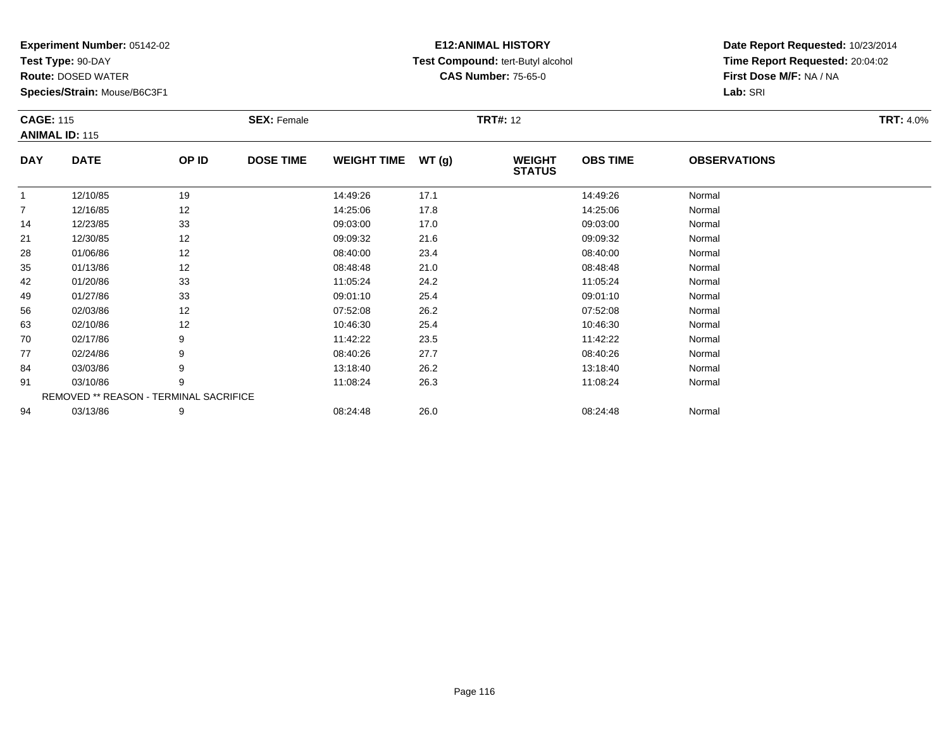**Test Type:** 90-DAY

**Route:** DOSED WATER

**Species/Strain:** Mouse/B6C3F1

## **E12:ANIMAL HISTORY Test Compound:** tert-Butyl alcohol **CAS Number:** 75-65-0

|             | <b>CAGE: 115</b><br><b>ANIMAL ID: 115</b> |       | <b>SEX: Female</b> |                    |       | <b>TRT#: 12</b>                | <b>TRT: 4.0%</b> |                     |  |
|-------------|-------------------------------------------|-------|--------------------|--------------------|-------|--------------------------------|------------------|---------------------|--|
| <b>DAY</b>  | <b>DATE</b>                               | OP ID | <b>DOSE TIME</b>   | <b>WEIGHT TIME</b> | WT(g) | <b>WEIGHT</b><br><b>STATUS</b> | <b>OBS TIME</b>  | <b>OBSERVATIONS</b> |  |
| $\mathbf 1$ | 12/10/85                                  | 19    |                    | 14:49:26           | 17.1  |                                | 14:49:26         | Normal              |  |
| 7           | 12/16/85                                  | 12    |                    | 14:25:06           | 17.8  |                                | 14:25:06         | Normal              |  |
| 14          | 12/23/85                                  | 33    |                    | 09:03:00           | 17.0  |                                | 09:03:00         | Normal              |  |
| 21          | 12/30/85                                  | 12    |                    | 09:09:32           | 21.6  |                                | 09:09:32         | Normal              |  |
| 28          | 01/06/86                                  | 12    |                    | 08:40:00           | 23.4  |                                | 08:40:00         | Normal              |  |
| 35          | 01/13/86                                  | 12    |                    | 08:48:48           | 21.0  |                                | 08:48:48         | Normal              |  |
| 42          | 01/20/86                                  | 33    |                    | 11:05:24           | 24.2  |                                | 11:05:24         | Normal              |  |
| 49          | 01/27/86                                  | 33    |                    | 09:01:10           | 25.4  |                                | 09:01:10         | Normal              |  |
| 56          | 02/03/86                                  | 12    |                    | 07:52:08           | 26.2  |                                | 07:52:08         | Normal              |  |
| 63          | 02/10/86                                  | 12    |                    | 10:46:30           | 25.4  |                                | 10:46:30         | Normal              |  |
| 70          | 02/17/86                                  | 9     |                    | 11:42:22           | 23.5  |                                | 11:42:22         | Normal              |  |
| 77          | 02/24/86                                  | 9     |                    | 08:40:26           | 27.7  |                                | 08:40:26         | Normal              |  |
| 84          | 03/03/86                                  | 9     |                    | 13:18:40           | 26.2  |                                | 13:18:40         | Normal              |  |
| 91          | 03/10/86                                  | 9     |                    | 11:08:24           | 26.3  |                                | 11:08:24         | Normal              |  |
|             | REMOVED ** REASON - TERMINAL SACRIFICE    |       |                    |                    |       |                                |                  |                     |  |
| 94          | 03/13/86                                  | 9     |                    | 08:24:48           | 26.0  |                                | 08:24:48         | Normal              |  |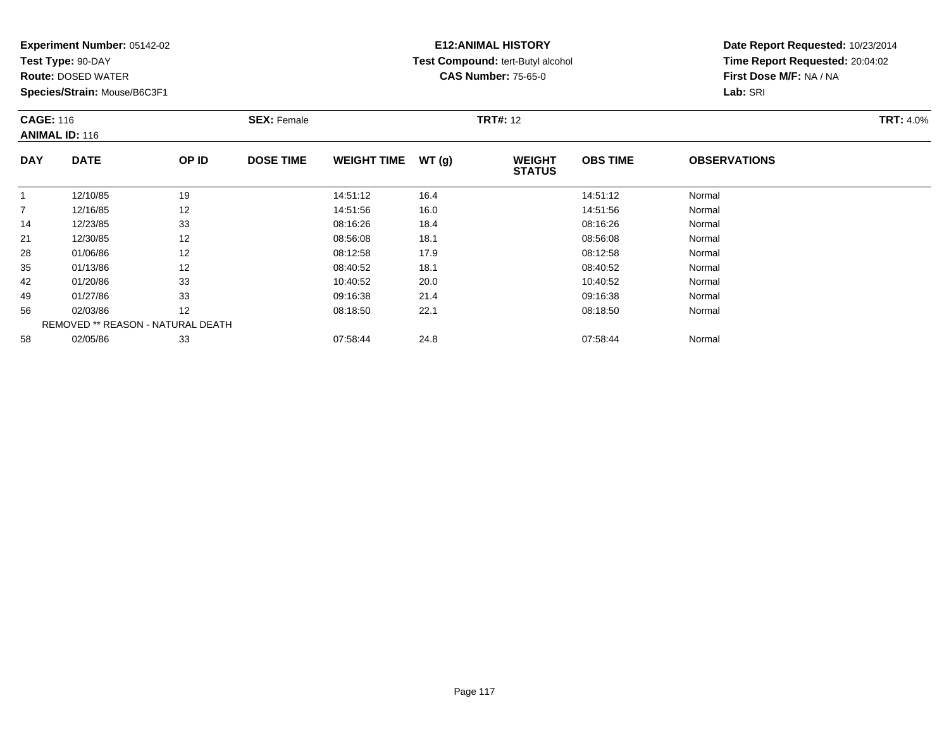**Test Type:** 90-DAY

**Route:** DOSED WATER

**Species/Strain:** Mouse/B6C3F1

# **E12:ANIMAL HISTORY Test Compound:** tert-Butyl alcohol **CAS Number:** 75-65-0

|                | <b>CAGE: 116</b><br><b>ANIMAL ID: 116</b> |                                   | <b>SEX: Female</b> |                    |       | <b>TRT#: 12</b>                | <b>TRT: 4.0%</b> |                     |  |
|----------------|-------------------------------------------|-----------------------------------|--------------------|--------------------|-------|--------------------------------|------------------|---------------------|--|
| <b>DAY</b>     | <b>DATE</b>                               | OP ID                             | <b>DOSE TIME</b>   | <b>WEIGHT TIME</b> | WT(g) | <b>WEIGHT</b><br><b>STATUS</b> | <b>OBS TIME</b>  | <b>OBSERVATIONS</b> |  |
|                | 12/10/85                                  | 19                                |                    | 14:51:12           | 16.4  |                                | 14:51:12         | Normal              |  |
| $\overline{7}$ | 12/16/85                                  | 12                                |                    | 14:51:56           | 16.0  |                                | 14:51:56         | Normal              |  |
| 14             | 12/23/85                                  | 33                                |                    | 08:16:26           | 18.4  |                                | 08:16:26         | Normal              |  |
| 21             | 12/30/85                                  | 12                                |                    | 08:56:08           | 18.1  |                                | 08:56:08         | Normal              |  |
| 28             | 01/06/86                                  | 12                                |                    | 08:12:58           | 17.9  |                                | 08:12:58         | Normal              |  |
| 35             | 01/13/86                                  | 12                                |                    | 08:40:52           | 18.1  |                                | 08:40:52         | Normal              |  |
| 42             | 01/20/86                                  | 33                                |                    | 10:40:52           | 20.0  |                                | 10:40:52         | Normal              |  |
| 49             | 01/27/86                                  | 33                                |                    | 09:16:38           | 21.4  |                                | 09:16:38         | Normal              |  |
| 56             | 02/03/86                                  | 12                                |                    | 08:18:50           | 22.1  |                                | 08:18:50         | Normal              |  |
|                |                                           | REMOVED ** REASON - NATURAL DEATH |                    |                    |       |                                |                  |                     |  |
| 58             | 02/05/86                                  | 33                                |                    | 07:58:44           | 24.8  |                                | 07:58:44         | Normal              |  |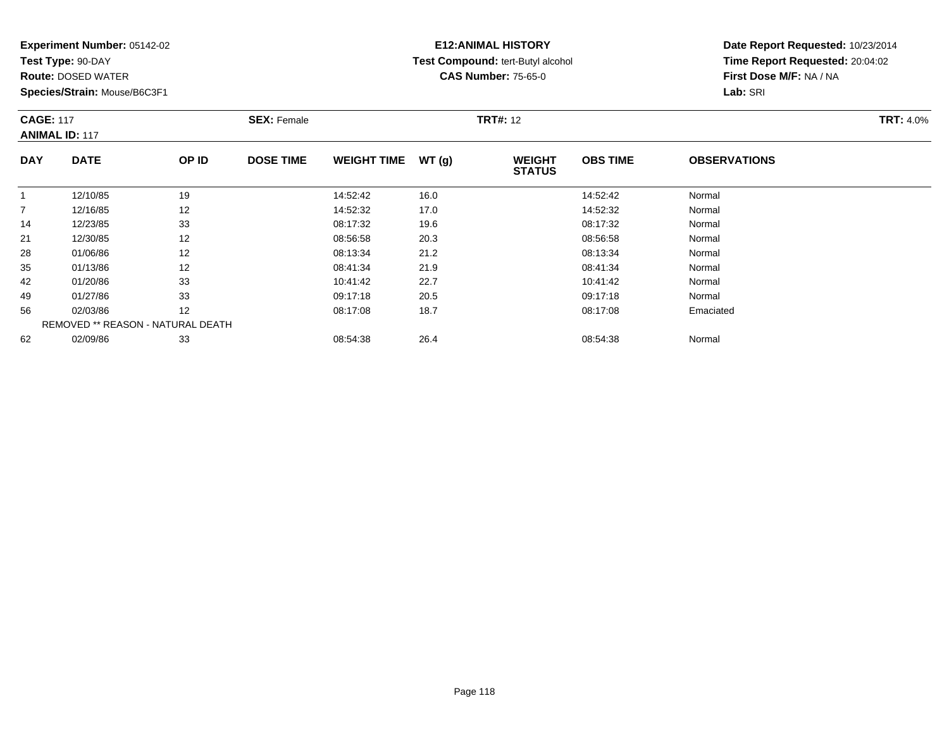**Test Type:** 90-DAY

**Route:** DOSED WATER

**Species/Strain:** Mouse/B6C3F1

## **E12:ANIMAL HISTORY Test Compound:** tert-Butyl alcohol **CAS Number:** 75-65-0

| <b>CAGE: 117</b><br><b>ANIMAL ID: 117</b> |                                   | <b>SEX: Female</b> |                  |                    | <b>TRT#: 12</b> | <b>TRT: 4.0%</b>               |                 |                     |  |
|-------------------------------------------|-----------------------------------|--------------------|------------------|--------------------|-----------------|--------------------------------|-----------------|---------------------|--|
| <b>DAY</b>                                | <b>DATE</b>                       | OP ID              | <b>DOSE TIME</b> | <b>WEIGHT TIME</b> | WT(g)           | <b>WEIGHT</b><br><b>STATUS</b> | <b>OBS TIME</b> | <b>OBSERVATIONS</b> |  |
| -1                                        | 12/10/85                          | 19                 |                  | 14:52:42           | 16.0            |                                | 14:52:42        | Normal              |  |
| $\overline{7}$                            | 12/16/85                          | 12                 |                  | 14:52:32           | 17.0            |                                | 14:52:32        | Normal              |  |
| 14                                        | 12/23/85                          | 33                 |                  | 08:17:32           | 19.6            |                                | 08:17:32        | Normal              |  |
| 21                                        | 12/30/85                          | 12                 |                  | 08:56:58           | 20.3            |                                | 08:56:58        | Normal              |  |
| 28                                        | 01/06/86                          | 12                 |                  | 08:13:34           | 21.2            |                                | 08:13:34        | Normal              |  |
| 35                                        | 01/13/86                          | 12                 |                  | 08:41:34           | 21.9            |                                | 08:41:34        | Normal              |  |
| 42                                        | 01/20/86                          | 33                 |                  | 10:41:42           | 22.7            |                                | 10:41:42        | Normal              |  |
| 49                                        | 01/27/86                          | 33                 |                  | 09:17:18           | 20.5            |                                | 09:17:18        | Normal              |  |
| 56                                        | 02/03/86                          | 12                 |                  | 08:17:08           | 18.7            |                                | 08:17:08        | Emaciated           |  |
|                                           | REMOVED ** REASON - NATURAL DEATH |                    |                  |                    |                 |                                |                 |                     |  |
| 62                                        | 02/09/86                          | 33                 |                  | 08:54:38           | 26.4            |                                | 08:54:38        | Normal              |  |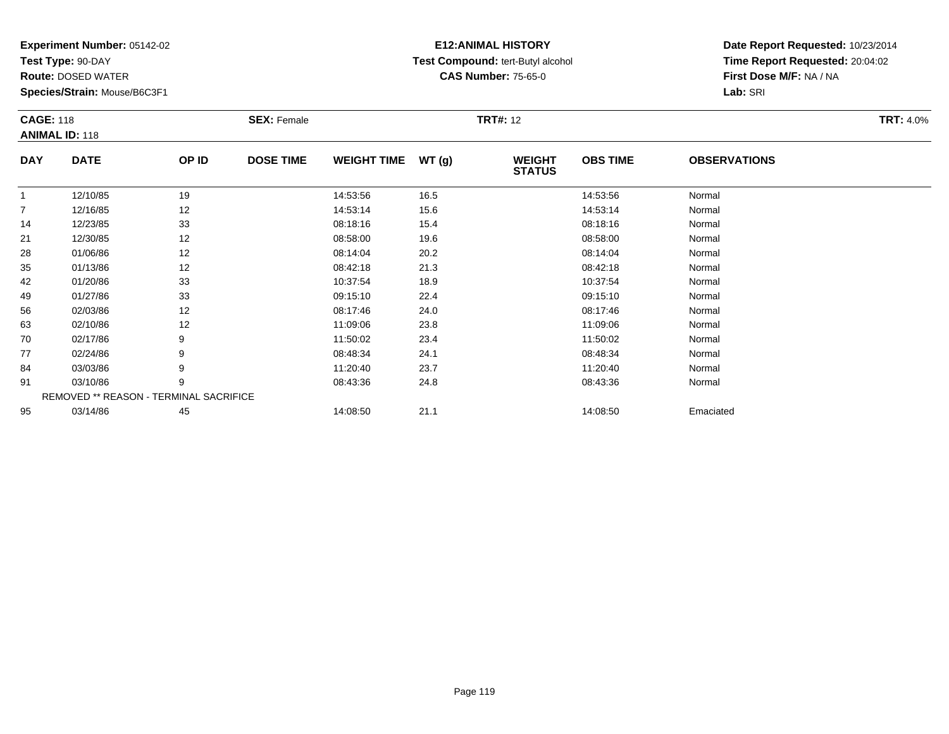**Test Type:** 90-DAY

**Route:** DOSED WATER

**Species/Strain:** Mouse/B6C3F1

## **E12:ANIMAL HISTORY Test Compound:** tert-Butyl alcohol **CAS Number:** 75-65-0

|                | <b>CAGE: 118</b><br><b>ANIMAL ID: 118</b> |       | <b>SEX: Female</b> |                    |       | <b>TRT#: 12</b>                | <b>TRT: 4.0%</b> |                     |  |
|----------------|-------------------------------------------|-------|--------------------|--------------------|-------|--------------------------------|------------------|---------------------|--|
| <b>DAY</b>     | <b>DATE</b>                               | OP ID | <b>DOSE TIME</b>   | <b>WEIGHT TIME</b> | WT(g) | <b>WEIGHT</b><br><b>STATUS</b> | <b>OBS TIME</b>  | <b>OBSERVATIONS</b> |  |
|                | 12/10/85                                  | 19    |                    | 14:53:56           | 16.5  |                                | 14:53:56         | Normal              |  |
| $\overline{7}$ | 12/16/85                                  | 12    |                    | 14:53:14           | 15.6  |                                | 14:53:14         | Normal              |  |
| 14             | 12/23/85                                  | 33    |                    | 08:18:16           | 15.4  |                                | 08:18:16         | Normal              |  |
| 21             | 12/30/85                                  | 12    |                    | 08:58:00           | 19.6  |                                | 08:58:00         | Normal              |  |
| 28             | 01/06/86                                  | 12    |                    | 08:14:04           | 20.2  |                                | 08:14:04         | Normal              |  |
| 35             | 01/13/86                                  | 12    |                    | 08:42:18           | 21.3  |                                | 08:42:18         | Normal              |  |
| 42             | 01/20/86                                  | 33    |                    | 10:37:54           | 18.9  |                                | 10:37:54         | Normal              |  |
| 49             | 01/27/86                                  | 33    |                    | 09:15:10           | 22.4  |                                | 09:15:10         | Normal              |  |
| 56             | 02/03/86                                  | 12    |                    | 08:17:46           | 24.0  |                                | 08:17:46         | Normal              |  |
| 63             | 02/10/86                                  | 12    |                    | 11:09:06           | 23.8  |                                | 11:09:06         | Normal              |  |
| 70             | 02/17/86                                  | 9     |                    | 11:50:02           | 23.4  |                                | 11:50:02         | Normal              |  |
| 77             | 02/24/86                                  | 9     |                    | 08:48:34           | 24.1  |                                | 08:48:34         | Normal              |  |
| 84             | 03/03/86                                  | 9     |                    | 11:20:40           | 23.7  |                                | 11:20:40         | Normal              |  |
| 91             | 03/10/86                                  | 9     |                    | 08:43:36           | 24.8  |                                | 08:43:36         | Normal              |  |
|                | REMOVED ** REASON - TERMINAL SACRIFICE    |       |                    |                    |       |                                |                  |                     |  |
| 95             | 03/14/86                                  | 45    |                    | 14:08:50           | 21.1  |                                | 14:08:50         | Emaciated           |  |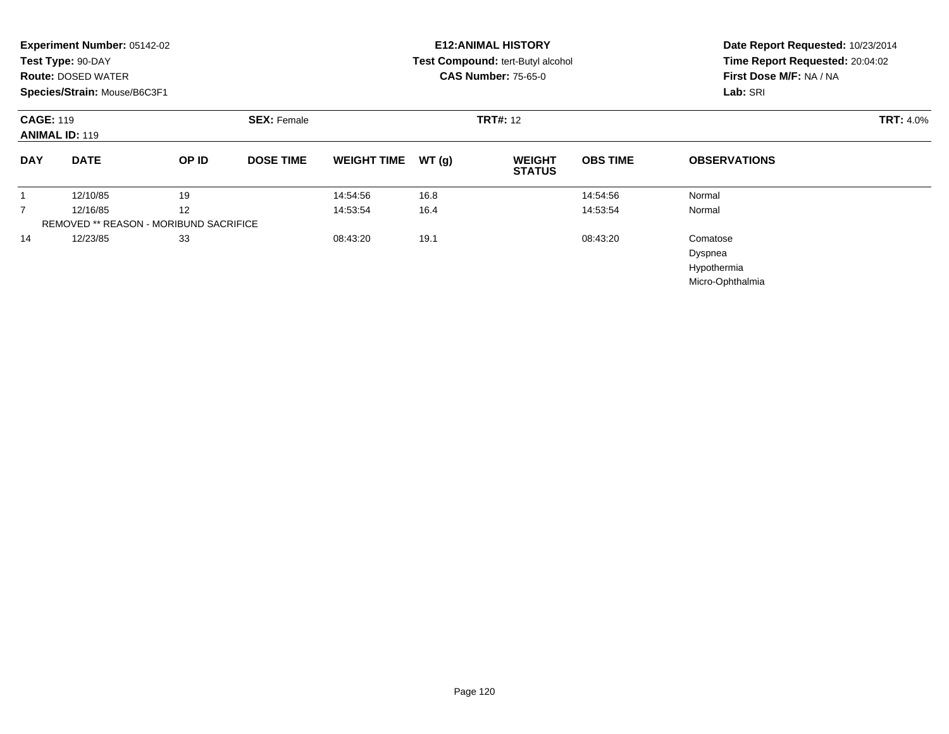| Experiment Number: 05142-02<br>Test Type: 90-DAY<br><b>Route: DOSED WATER</b><br>Species/Strain: Mouse/B6C3F1 |                                               |                    |                  | <b>E12: ANIMAL HISTORY</b><br>Test Compound: tert-Butyl alcohol<br><b>CAS Number: 75-65-0</b> |                 |                                |                 | Date Report Requested: 10/23/2014<br>Time Report Requested: 20:04:02<br>First Dose M/F: NA / NA<br>Lab: SRI |  |
|---------------------------------------------------------------------------------------------------------------|-----------------------------------------------|--------------------|------------------|-----------------------------------------------------------------------------------------------|-----------------|--------------------------------|-----------------|-------------------------------------------------------------------------------------------------------------|--|
| <b>CAGE: 119</b><br><b>ANIMAL ID: 119</b>                                                                     |                                               | <b>SEX: Female</b> |                  |                                                                                               | <b>TRT#: 12</b> |                                |                 | <b>TRT: 4.0%</b>                                                                                            |  |
| <b>DAY</b>                                                                                                    | <b>DATE</b>                                   | OP ID              | <b>DOSE TIME</b> | <b>WEIGHT TIME</b>                                                                            | WT(g)           | <b>WEIGHT</b><br><b>STATUS</b> | <b>OBS TIME</b> | <b>OBSERVATIONS</b>                                                                                         |  |
|                                                                                                               | 12/10/85                                      | 19                 |                  | 14:54:56                                                                                      | 16.8            |                                | 14:54:56        | Normal                                                                                                      |  |
| $\overline{7}$                                                                                                | 12/16/85                                      | 12                 |                  | 14:53:54                                                                                      | 16.4            |                                | 14:53:54        | Normal                                                                                                      |  |
|                                                                                                               | <b>REMOVED ** REASON - MORIBUND SACRIFICE</b> |                    |                  |                                                                                               |                 |                                |                 |                                                                                                             |  |
| 14                                                                                                            | 12/23/85                                      | 33                 |                  | 08:43:20                                                                                      | 19.1            |                                | 08:43:20        | Comatose<br>Dyspnea<br>Hypothermia<br>Micro-Ophthalmia                                                      |  |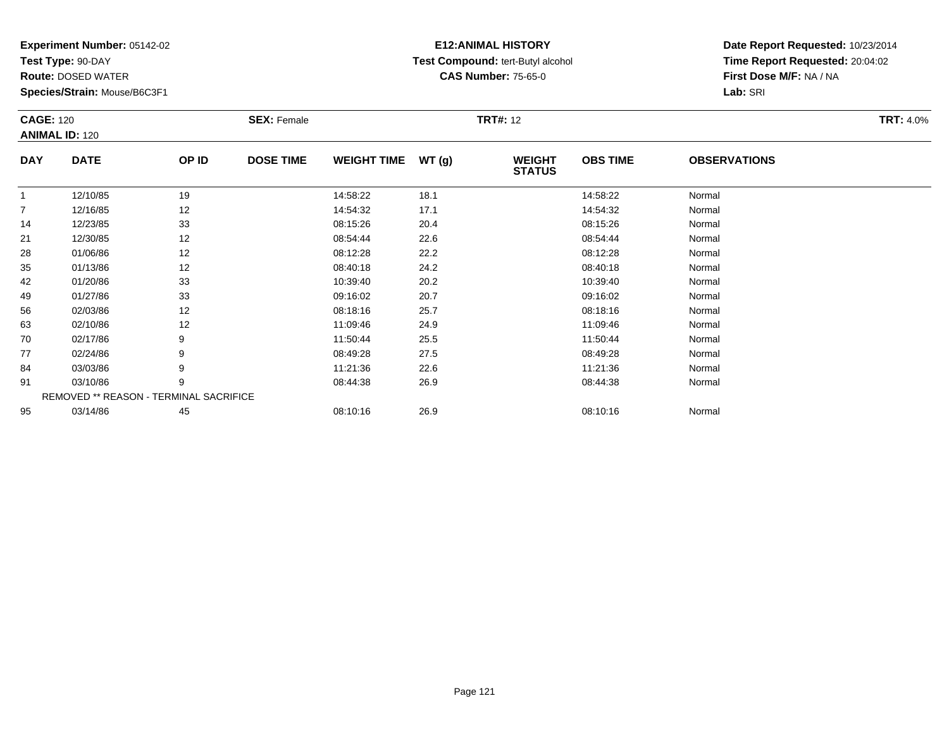**Test Type:** 90-DAY

**Route:** DOSED WATER

**Species/Strain:** Mouse/B6C3F1

## **E12:ANIMAL HISTORY Test Compound:** tert-Butyl alcohol **CAS Number:** 75-65-0

| <b>CAGE: 120</b><br><b>ANIMAL ID: 120</b> |             | <b>SEX: Female</b> |                  |                    | <b>TRT#: 12</b> | <b>TRT: 4.0%</b>               |                 |                     |  |
|-------------------------------------------|-------------|--------------------|------------------|--------------------|-----------------|--------------------------------|-----------------|---------------------|--|
| <b>DAY</b>                                | <b>DATE</b> | OP ID              | <b>DOSE TIME</b> | <b>WEIGHT TIME</b> | WT(g)           | <b>WEIGHT</b><br><b>STATUS</b> | <b>OBS TIME</b> | <b>OBSERVATIONS</b> |  |
|                                           | 12/10/85    | 19                 |                  | 14:58:22           | 18.1            |                                | 14:58:22        | Normal              |  |
| 7                                         | 12/16/85    | 12                 |                  | 14:54:32           | 17.1            |                                | 14:54:32        | Normal              |  |
| 14                                        | 12/23/85    | 33                 |                  | 08:15:26           | 20.4            |                                | 08:15:26        | Normal              |  |
| 21                                        | 12/30/85    | 12                 |                  | 08:54:44           | 22.6            |                                | 08:54:44        | Normal              |  |
| 28                                        | 01/06/86    | 12                 |                  | 08:12:28           | 22.2            |                                | 08:12:28        | Normal              |  |
| 35                                        | 01/13/86    | 12                 |                  | 08:40:18           | 24.2            |                                | 08:40:18        | Normal              |  |
| 42                                        | 01/20/86    | 33                 |                  | 10:39:40           | 20.2            |                                | 10:39:40        | Normal              |  |
| 49                                        | 01/27/86    | 33                 |                  | 09:16:02           | 20.7            |                                | 09:16:02        | Normal              |  |
| 56                                        | 02/03/86    | 12                 |                  | 08:18:16           | 25.7            |                                | 08:18:16        | Normal              |  |
| 63                                        | 02/10/86    | 12                 |                  | 11:09:46           | 24.9            |                                | 11:09:46        | Normal              |  |
| 70                                        | 02/17/86    | 9                  |                  | 11:50:44           | 25.5            |                                | 11:50:44        | Normal              |  |
| 77                                        | 02/24/86    | 9                  |                  | 08:49:28           | 27.5            |                                | 08:49:28        | Normal              |  |
| 84                                        | 03/03/86    | 9                  |                  | 11:21:36           | 22.6            |                                | 11:21:36        | Normal              |  |
| 91                                        | 03/10/86    | 9                  |                  | 08:44:38           | 26.9            |                                | 08:44:38        | Normal              |  |
| REMOVED ** REASON - TERMINAL SACRIFICE    |             |                    |                  |                    |                 |                                |                 |                     |  |
| 95                                        | 03/14/86    | 45                 |                  | 08:10:16           | 26.9            |                                | 08:10:16        | Normal              |  |